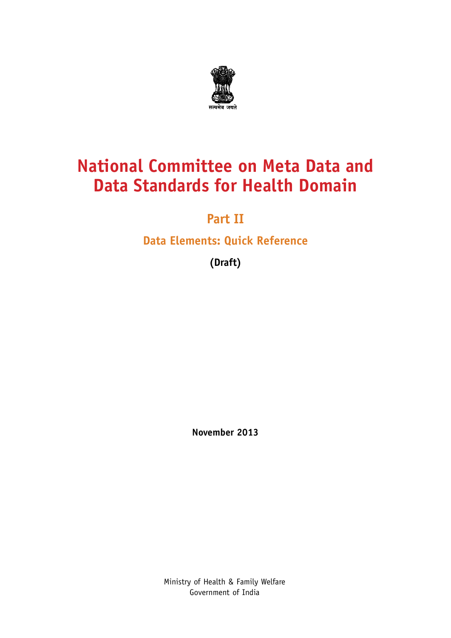

### **National Committee on Meta Data and Data Standards for Health Domain**

#### **Part II**

#### **Data Elements: Quick Reference**

**(Draft)**

**November 2013**

Ministry of Health & Family Welfare Government of India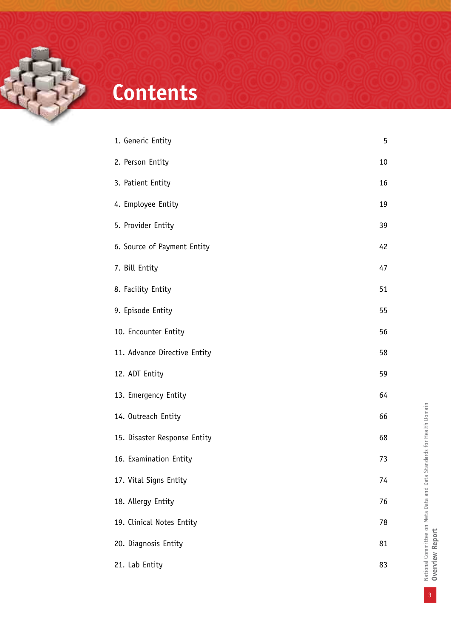

## **Contents**

| 1. Generic Entity            | 5  |
|------------------------------|----|
| 2. Person Entity             | 10 |
| 3. Patient Entity            | 16 |
| 4. Employee Entity           | 19 |
| 5. Provider Entity           | 39 |
| 6. Source of Payment Entity  | 42 |
| 7. Bill Entity               | 47 |
| 8. Facility Entity           | 51 |
| 9. Episode Entity            | 55 |
| 10. Encounter Entity         | 56 |
| 11. Advance Directive Entity | 58 |
| 12. ADT Entity               | 59 |
| 13. Emergency Entity         | 64 |
| 14. Outreach Entity          | 66 |
| 15. Disaster Response Entity | 68 |
| 16. Examination Entity       | 73 |
| 17. Vital Signs Entity       | 74 |
| 18. Allergy Entity           | 76 |
| 19. Clinical Notes Entity    | 78 |
| 20. Diagnosis Entity         | 81 |
| 21. Lab Entity               | 83 |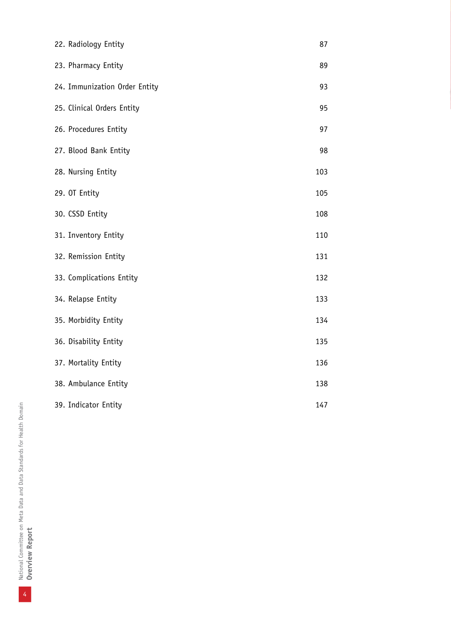| 22. Radiology Entity          | 87  |
|-------------------------------|-----|
| 23. Pharmacy Entity           | 89  |
| 24. Immunization Order Entity | 93  |
| 25. Clinical Orders Entity    | 95  |
| 26. Procedures Entity         | 97  |
| 27. Blood Bank Entity         | 98  |
| 28. Nursing Entity            | 103 |
| 29. OT Entity                 | 105 |
| 30. CSSD Entity               | 108 |
| 31. Inventory Entity          | 110 |
| 32. Remission Entity          | 131 |
| 33. Complications Entity      | 132 |
| 34. Relapse Entity            | 133 |
| 35. Morbidity Entity          | 134 |
| 36. Disability Entity         | 135 |
| 37. Mortality Entity          | 136 |
| 38. Ambulance Entity          | 138 |
| 39. Indicator Entity          | 147 |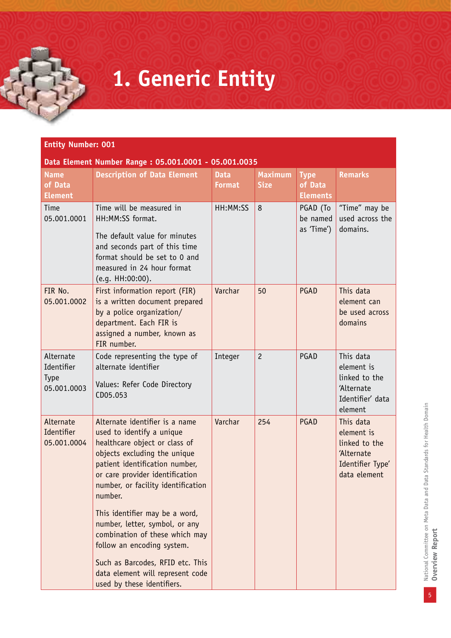# **1. Generic Entity**

| <b>Entity Number: 001</b> |  |
|---------------------------|--|
|                           |  |

**Data Element Number Range : 05.001.0001 - 05.001.0035**

| <b>Name</b><br>of Data<br><b>Element</b>              | namber nange : 05100210002<br><b>Description of Data Element</b>                                                                                                                                                                                                                     | <b>Data</b><br><b>Format</b> | <b>Maximum</b><br><b>Size</b> | <b>Type</b><br>of Data<br><b>Elements</b> | <b>Remarks</b>                                                                             |
|-------------------------------------------------------|--------------------------------------------------------------------------------------------------------------------------------------------------------------------------------------------------------------------------------------------------------------------------------------|------------------------------|-------------------------------|-------------------------------------------|--------------------------------------------------------------------------------------------|
| Time<br>05.001.0001                                   | Time will be measured in<br>HH:MM:SS format.<br>The default value for minutes<br>and seconds part of this time<br>format should be set to 0 and<br>measured in 24 hour format<br>(e.g. HH:00:00).                                                                                    | HH:MM:SS                     | 8                             | PGAD (To<br>be named<br>as 'Time')        | "Time" may be<br>used across the<br>domains.                                               |
| FIR No.<br>05.001.0002                                | First information report (FIR)<br>is a written document prepared<br>by a police organization/<br>department. Each FIR is<br>assigned a number, known as<br>FIR number.                                                                                                               | Varchar                      | 50                            | PGAD                                      | This data<br>element can<br>be used across<br>domains                                      |
| Alternate<br>Identifier<br><b>Type</b><br>05.001.0003 | Code representing the type of<br>alternate identifier<br>Values: Refer Code Directory<br>CD05.053                                                                                                                                                                                    | Integer                      | $\overline{c}$                | PGAD                                      | This data<br>element is<br>linked to the<br>'Alternate<br>Identifier' data<br>element      |
| Alternate<br>Identifier<br>05.001.0004                | Alternate identifier is a name<br>used to identify a unique<br>healthcare object or class of<br>objects excluding the unique<br>patient identification number,<br>or care provider identification<br>number, or facility identification<br>number.<br>This identifier may be a word, | Varchar                      | 254                           | <b>PGAD</b>                               | This data<br>element is<br>linked to the<br>'Alternate<br>Identifier Type'<br>data element |
|                                                       | number, letter, symbol, or any<br>combination of these which may<br>follow an encoding system.<br>Such as Barcodes, RFID etc. This<br>data element will represent code<br>used by these identifiers.                                                                                 |                              |                               |                                           |                                                                                            |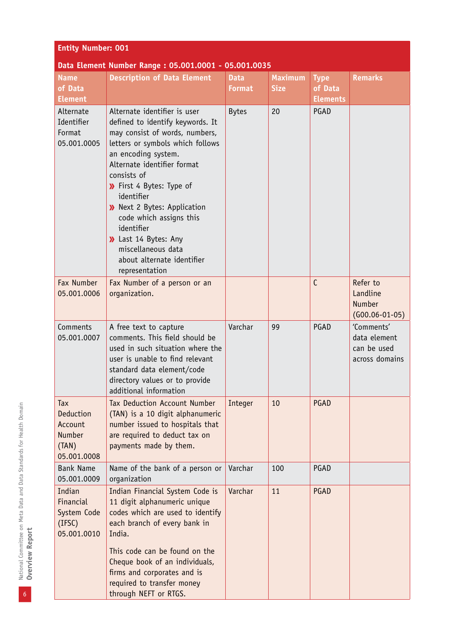| <b>Entity Number: 001</b>                                     |                                                                                                                                                                                                                                                                                                                                                                                                                                |                              |                               |                                           |                                                             |  |
|---------------------------------------------------------------|--------------------------------------------------------------------------------------------------------------------------------------------------------------------------------------------------------------------------------------------------------------------------------------------------------------------------------------------------------------------------------------------------------------------------------|------------------------------|-------------------------------|-------------------------------------------|-------------------------------------------------------------|--|
|                                                               | Data Element Number Range: 05.001.0001 - 05.001.0035                                                                                                                                                                                                                                                                                                                                                                           |                              |                               |                                           |                                                             |  |
| <b>Name</b><br>of Data<br><b>Element</b>                      | <b>Description of Data Element</b>                                                                                                                                                                                                                                                                                                                                                                                             | <b>Data</b><br><b>Format</b> | <b>Maximum</b><br><b>Size</b> | <b>Type</b><br>of Data<br><b>Elements</b> | <b>Remarks</b>                                              |  |
| Alternate<br>Identifier<br>Format<br>05.001.0005              | Alternate identifier is user<br>defined to identify keywords. It<br>may consist of words, numbers,<br>letters or symbols which follows<br>an encoding system.<br>Alternate identifier format<br>consists of<br>>> First 4 Bytes: Type of<br>identifier<br>>> Next 2 Bytes: Application<br>code which assigns this<br>identifier<br>>> Last 14 Bytes: Any<br>miscellaneous data<br>about alternate identifier<br>representation | <b>Bytes</b>                 | 20                            | PGAD                                      |                                                             |  |
| Fax Number<br>05.001.0006                                     | Fax Number of a person or an<br>organization.                                                                                                                                                                                                                                                                                                                                                                                  |                              |                               | $\mathsf{C}$                              | Refer to<br>Landline<br><b>Number</b><br>$(G00.06-01-05)$   |  |
| Comments<br>05.001.0007                                       | A free text to capture<br>comments. This field should be<br>used in such situation where the<br>user is unable to find relevant<br>standard data element/code<br>directory values or to provide<br>additional information                                                                                                                                                                                                      | Varchar                      | 99                            | PGAD                                      | 'Comments'<br>data element<br>can be used<br>across domains |  |
| Tax<br>Deduction<br>Account<br>Number<br>(TAN)<br>05.001.0008 | <b>Tax Deduction Account Number</b><br>(TAN) is a 10 digit alphanumeric<br>number issued to hospitals that<br>are required to deduct tax on<br>payments made by them.                                                                                                                                                                                                                                                          | Integer                      | 10                            | PGAD                                      |                                                             |  |
| <b>Bank Name</b><br>05.001.0009                               | Name of the bank of a person or<br>organization                                                                                                                                                                                                                                                                                                                                                                                | Varchar                      | 100                           | PGAD                                      |                                                             |  |
| Indian<br>Financial<br>System Code<br>(IFSC)<br>05.001.0010   | Indian Financial System Code is<br>11 digit alphanumeric unique<br>codes which are used to identify<br>each branch of every bank in<br>India.<br>This code can be found on the<br>Cheque book of an individuals,<br>firms and corporates and is<br>required to transfer money<br>through NEFT or RTGS.                                                                                                                         | Varchar                      | 11                            | PGAD                                      |                                                             |  |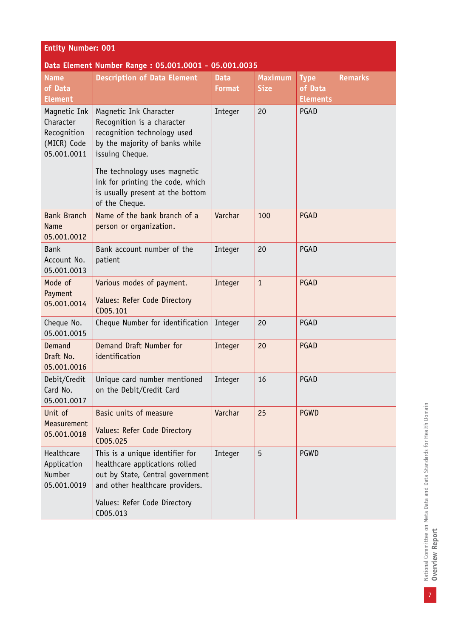| <b>Entity Number: 001</b>                                              |                                                                                                                                          |                              |                               |                                           |                |  |
|------------------------------------------------------------------------|------------------------------------------------------------------------------------------------------------------------------------------|------------------------------|-------------------------------|-------------------------------------------|----------------|--|
|                                                                        | Data Element Number Range: 05.001.0001 - 05.001.0035                                                                                     |                              |                               |                                           |                |  |
| <b>Name</b><br>of Data<br><b>Element</b>                               | <b>Description of Data Element</b>                                                                                                       | <b>Data</b><br><b>Format</b> | <b>Maximum</b><br><b>Size</b> | <b>Type</b><br>of Data<br><b>Elements</b> | <b>Remarks</b> |  |
| Magnetic Ink<br>Character<br>Recognition<br>(MICR) Code<br>05.001.0011 | Magnetic Ink Character<br>Recognition is a character<br>recognition technology used<br>by the majority of banks while<br>issuing Cheque. | Integer                      | 20                            | PGAD                                      |                |  |
|                                                                        | The technology uses magnetic<br>ink for printing the code, which<br>is usually present at the bottom<br>of the Cheque.                   |                              |                               |                                           |                |  |
| <b>Bank Branch</b><br><b>Name</b><br>05.001.0012                       | Name of the bank branch of a<br>person or organization.                                                                                  | Varchar                      | 100                           | PGAD                                      |                |  |
| <b>Bank</b><br>Account No.<br>05.001.0013                              | Bank account number of the<br>patient                                                                                                    | Integer                      | 20                            | PGAD                                      |                |  |
| Mode of<br>Payment<br>05.001.0014                                      | Various modes of payment.<br>Values: Refer Code Directory<br>CD05.101                                                                    | Integer                      | $\mathbf{1}$                  | PGAD                                      |                |  |
| Cheque No.<br>05.001.0015                                              | Cheque Number for identification                                                                                                         | Integer                      | 20                            | PGAD                                      |                |  |
| Demand<br>Draft No.<br>05.001.0016                                     | Demand Draft Number for<br>identification                                                                                                | Integer                      | 20                            | PGAD                                      |                |  |
| Debit/Credit<br>Card No.<br>05.001.0017                                | Unique card number mentioned<br>on the Debit/Credit Card                                                                                 | Integer                      | 16                            | PGAD                                      |                |  |
| Unit of<br>Measurement<br>05.001.0018                                  | Basic units of measure<br>Values: Refer Code Directory<br>CD05.025                                                                       | Varchar                      | 25                            | <b>PGWD</b>                               |                |  |
| Healthcare<br>Application<br><b>Number</b><br>05.001.0019              | This is a unique identifier for<br>healthcare applications rolled<br>out by State, Central government<br>and other healthcare providers. | Integer                      | 5                             | PGWD                                      |                |  |
|                                                                        | Values: Refer Code Directory<br>CD05.013                                                                                                 |                              |                               |                                           |                |  |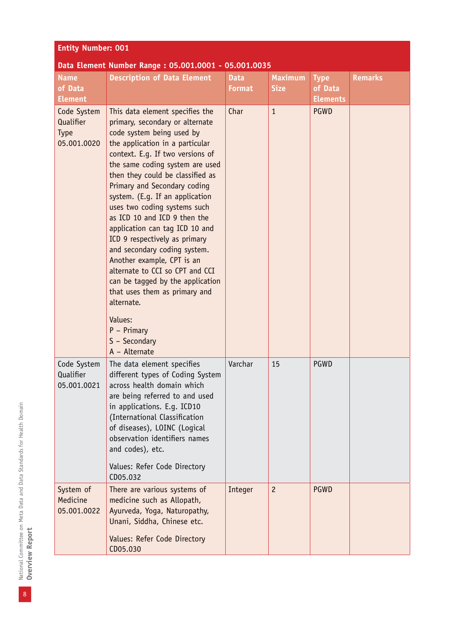| <b>Entity Number: 001</b>                       |                                                                                                                                                                                                                                                                                                                                                                                                                                                                                                                                                                                                                                                                                                       |                       |                               |                                           |                |  |
|-------------------------------------------------|-------------------------------------------------------------------------------------------------------------------------------------------------------------------------------------------------------------------------------------------------------------------------------------------------------------------------------------------------------------------------------------------------------------------------------------------------------------------------------------------------------------------------------------------------------------------------------------------------------------------------------------------------------------------------------------------------------|-----------------------|-------------------------------|-------------------------------------------|----------------|--|
|                                                 | Data Element Number Range: 05.001.0001 - 05.001.0035                                                                                                                                                                                                                                                                                                                                                                                                                                                                                                                                                                                                                                                  |                       |                               |                                           |                |  |
| <b>Name</b><br>of Data<br><b>Element</b>        | <b>Description of Data Element</b>                                                                                                                                                                                                                                                                                                                                                                                                                                                                                                                                                                                                                                                                    | <b>Data</b><br>Format | <b>Maximum</b><br><b>Size</b> | <b>Type</b><br>of Data<br><b>Elements</b> | <b>Remarks</b> |  |
| Code System<br>Qualifier<br>Type<br>05.001.0020 | This data element specifies the<br>primary, secondary or alternate<br>code system being used by<br>the application in a particular<br>context. E.g. If two versions of<br>the same coding system are used<br>then they could be classified as<br>Primary and Secondary coding<br>system. (E.g. If an application<br>uses two coding systems such<br>as ICD 10 and ICD 9 then the<br>application can tag ICD 10 and<br>ICD 9 respectively as primary<br>and secondary coding system.<br>Another example, CPT is an<br>alternate to CCI so CPT and CCI<br>can be tagged by the application<br>that uses them as primary and<br>alternate.<br>Values:<br>$P - Primary$<br>S - Secondary<br>A - Alternate | Char                  | $\mathbf{1}$                  | <b>PGWD</b>                               |                |  |
| Code System<br>Qualifier<br>05.001.0021         | The data element specifies<br>different types of Coding System<br>across health domain which<br>are being referred to and used<br>in applications. E.g. ICD10<br>(International Classification<br>of diseases), LOINC (Logical<br>observation identifiers names<br>and codes), etc.<br>Values: Refer Code Directory<br>CD05.032                                                                                                                                                                                                                                                                                                                                                                       | Varchar               | 15                            | PGWD                                      |                |  |
| System of<br>Medicine<br>05.001.0022            | There are various systems of<br>medicine such as Allopath,<br>Ayurveda, Yoga, Naturopathy,<br>Unani, Siddha, Chinese etc.<br>Values: Refer Code Directory<br>CD05.030                                                                                                                                                                                                                                                                                                                                                                                                                                                                                                                                 | Integer               | $\overline{c}$                | <b>PGWD</b>                               |                |  |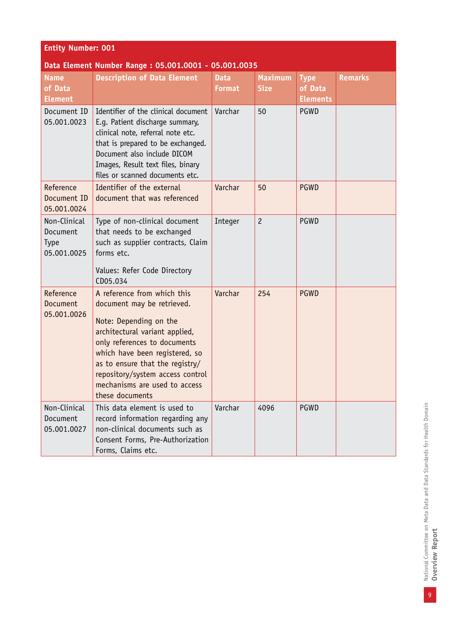| <b>Entity Number: 001</b><br>Data Element Number Range: 05.001.0001 - 05.001.0035 |                                                                                                                                                                                                                                                                                                                    |                              |                               |                                           |                |  |
|-----------------------------------------------------------------------------------|--------------------------------------------------------------------------------------------------------------------------------------------------------------------------------------------------------------------------------------------------------------------------------------------------------------------|------------------------------|-------------------------------|-------------------------------------------|----------------|--|
| <b>Name</b><br>of Data<br><b>Element</b>                                          | <b>Description of Data Element</b>                                                                                                                                                                                                                                                                                 | <b>Data</b><br><b>Format</b> | <b>Maximum</b><br><b>Size</b> | <b>Type</b><br>of Data<br><b>Elements</b> | <b>Remarks</b> |  |
| Document ID<br>05.001.0023                                                        | Identifier of the clinical document<br>E.g. Patient discharge summary,<br>clinical note, referral note etc.<br>that is prepared to be exchanged.<br>Document also include DICOM<br>Images, Result text files, binary<br>files or scanned documents etc.                                                            | Varchar                      | 50                            | PGWD                                      |                |  |
| Reference<br>Document ID<br>05.001.0024                                           | Identifier of the external<br>document that was referenced                                                                                                                                                                                                                                                         | Varchar                      | 50                            | <b>PGWD</b>                               |                |  |
| Non-Clinical<br>Document<br><b>Type</b><br>05.001.0025                            | Type of non-clinical document<br>that needs to be exchanged<br>such as supplier contracts, Claim<br>forms etc.<br>Values: Refer Code Directory<br>CD05.034                                                                                                                                                         | Integer                      | $\overline{c}$                | PGWD                                      |                |  |
| Reference<br>Document<br>05.001.0026                                              | A reference from which this<br>document may be retrieved.<br>Note: Depending on the<br>architectural variant applied,<br>only references to documents<br>which have been registered, so<br>as to ensure that the registry/<br>repository/system access control<br>mechanisms are used to access<br>these documents | Varchar                      | 254                           | <b>PGWD</b>                               |                |  |
| Non-Clinical<br>Document<br>05.001.0027                                           | This data element is used to<br>record information regarding any<br>non-clinical documents such as<br>Consent Forms, Pre-Authorization<br>Forms, Claims etc.                                                                                                                                                       | Varchar                      | 4096                          | PGWD                                      |                |  |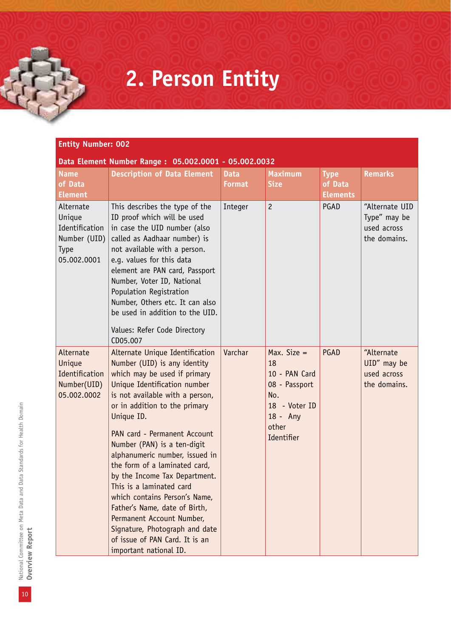## **2. Person Entity**

#### **Entity Number: 002 Data Element Number Range : 05.002.0001 - 05.002.0032 Name of Data Element Description of Data Element** Data **Format Maximum Size Type of Data Elements Remarks** Alternate Unique Identification Number (UID) Type 05.002.0001 This describes the type of the ID proof which will be used in case the UID number (also called as Aadhaar number) is not available with a person. e.g. values for this data element are PAN card, Passport Number, Voter ID, National Population Registration Number, Others etc. It can also be used in addition to the UID. Values: Refer Code Directory CD05.007 Integer 2 PGAD "Alternate UID Type" may be used across the domains. Alternate Unique **Identification** Number(UID) 05.002.0002 Alternate Unique Identification Number (UID) is any identity which may be used if primary Unique Identification number is not available with a person, or in addition to the primary Unique ID. PAN card - Permanent Account Number (PAN) is a ten-digit alphanumeric number, issued in the form of a laminated card, by the Income Tax Department. This is a laminated card which contains Person's Name, Father's Name, date of Birth, Permanent Account Number, Signature, Photograph and date of issue of PAN Card. It is an important national ID. Varchar  $\vert$  Max. Size = 18 10 - PAN Card 08 - Passport No. 18 - Voter ID 18 - Any other **Identifier** PGAD <sup>A</sup>Alternate UID" may be used across the domains.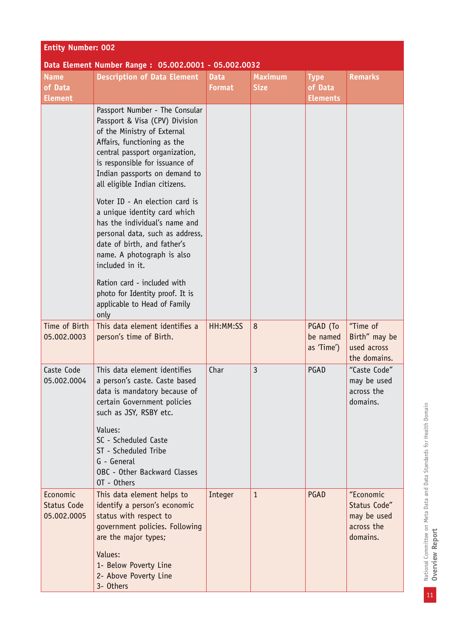| <b>Entity Number: 002</b>                     |                                                                                                                                                                                                                                                                                 |                              |                               |                                           |                                                                    |
|-----------------------------------------------|---------------------------------------------------------------------------------------------------------------------------------------------------------------------------------------------------------------------------------------------------------------------------------|------------------------------|-------------------------------|-------------------------------------------|--------------------------------------------------------------------|
|                                               | Data Element Number Range: 05.002.0001 - 05.002.0032                                                                                                                                                                                                                            |                              |                               |                                           |                                                                    |
| <b>Name</b><br>of Data<br><b>Element</b>      | <b>Description of Data Element</b>                                                                                                                                                                                                                                              | <b>Data</b><br><b>Format</b> | <b>Maximum</b><br><b>Size</b> | <b>Type</b><br>of Data<br><b>Elements</b> | <b>Remarks</b>                                                     |
|                                               | Passport Number - The Consular<br>Passport & Visa (CPV) Division<br>of the Ministry of External<br>Affairs, functioning as the<br>central passport organization,<br>is responsible for issuance of<br>Indian passports on demand to<br>all eligible Indian citizens.            |                              |                               |                                           |                                                                    |
|                                               | Voter ID - An election card is<br>a unique identity card which<br>has the individual's name and<br>personal data, such as address,<br>date of birth, and father's<br>name. A photograph is also<br>included in it.                                                              |                              |                               |                                           |                                                                    |
|                                               | Ration card - included with<br>photo for Identity proof. It is<br>applicable to Head of Family<br>only                                                                                                                                                                          |                              |                               |                                           |                                                                    |
| Time of Birth<br>05.002.0003                  | This data element identifies a<br>person's time of Birth.                                                                                                                                                                                                                       | HH:MM:SS                     | 8                             | PGAD (To<br>be named<br>as 'Time')        | "Time of<br>Birth" may be<br>used across<br>the domains.           |
| Caste Code<br>05.002.0004                     | This data element identifies<br>a person's caste. Caste based<br>data is mandatory because of<br>certain Government policies<br>such as JSY, RSBY etc.<br>Values:<br>SC - Scheduled Caste<br>ST - Scheduled Tribe<br>G - General<br>OBC - Other Backward Classes<br>OT - Others | Char                         | 3                             | PGAD                                      | "Caste Code"<br>may be used<br>across the<br>domains.              |
| Economic<br><b>Status Code</b><br>05.002.0005 | This data element helps to<br>identify a person's economic<br>status with respect to<br>government policies. Following<br>are the major types;<br>Values:<br>1- Below Poverty Line<br>2- Above Poverty Line<br>3- Others                                                        | Integer                      | $\mathbf{1}$                  | PGAD                                      | "Economic<br>Status Code"<br>may be used<br>across the<br>domains. |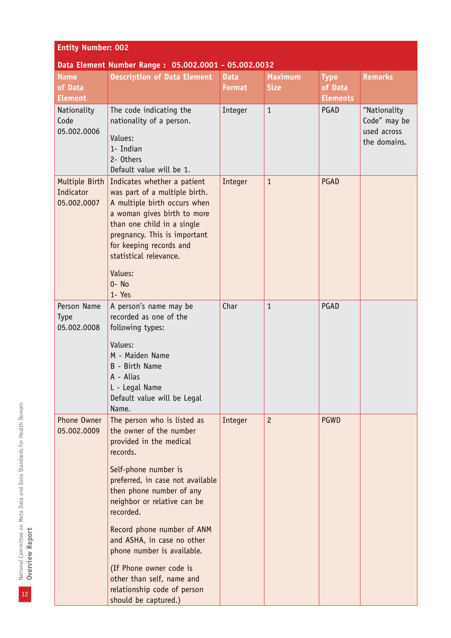| <b>Entity Number: 002</b>                  |                                                                                                                                                                                                                                                                                                                                                                                                                                            |                              |                               |                                           |                                                             |  |
|--------------------------------------------|--------------------------------------------------------------------------------------------------------------------------------------------------------------------------------------------------------------------------------------------------------------------------------------------------------------------------------------------------------------------------------------------------------------------------------------------|------------------------------|-------------------------------|-------------------------------------------|-------------------------------------------------------------|--|
|                                            | Data Element Number Range: 05.002.0001 - 05.002.0032                                                                                                                                                                                                                                                                                                                                                                                       |                              |                               |                                           |                                                             |  |
| <b>Name</b><br>of Data<br><b>Element</b>   | <b>Description of Data Element</b>                                                                                                                                                                                                                                                                                                                                                                                                         | <b>Data</b><br><b>Format</b> | <b>Maximum</b><br><b>Size</b> | <b>Type</b><br>of Data<br><b>Elements</b> | <b>Remarks</b>                                              |  |
| Nationality<br>Code<br>05.002.0006         | The code indicating the<br>nationality of a person.<br>Values:<br>1- Indian<br>2- Others<br>Default value will be 1.                                                                                                                                                                                                                                                                                                                       | Integer                      | $\mathbf{1}$                  | PGAD                                      | "Nationality<br>Code" may be<br>used across<br>the domains. |  |
| Multiple Birth<br>Indicator<br>05.002.0007 | Indicates whether a patient<br>was part of a multiple birth.<br>A multiple birth occurs when<br>a woman gives birth to more<br>than one child in a single<br>pregnancy. This is important<br>for keeping records and<br>statistical relevance.<br>Values:<br>$0 - No$<br>1- Yes                                                                                                                                                            | Integer                      | $\mathbf{1}$                  | PGAD                                      |                                                             |  |
| Person Name<br><b>Type</b><br>05.002.0008  | A person's name may be<br>recorded as one of the<br>following types:<br>Values:<br>M - Maiden Name<br>B - Birth Name<br>A - Alias<br>L - Legal Name<br>Default value will be Legal<br>Name.                                                                                                                                                                                                                                                | Char                         | $\mathbf{1}$                  | PGAD                                      |                                                             |  |
| Phone Owner<br>05.002.0009                 | The person who is listed as<br>the owner of the number<br>provided in the medical<br>records.<br>Self-phone number is<br>preferred, in case not available<br>then phone number of any<br>neighbor or relative can be<br>recorded.<br>Record phone number of ANM<br>and ASHA, in case no other<br>phone number is available.<br>(If Phone owner code is<br>other than self, name and<br>relationship code of person<br>should be captured.) | Integer                      | $\overline{c}$                | <b>PGWD</b>                               |                                                             |  |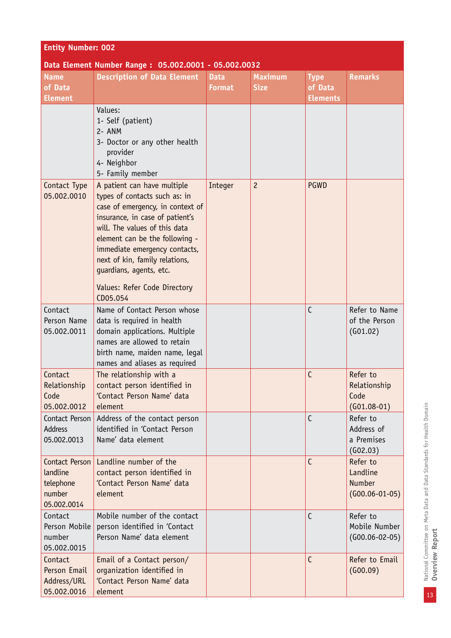| <b>Entity Number: 002</b>                                        |                                                                                                                                                                                                                                                                                                                                                  |                              |                               |                                           |                                                           |  |
|------------------------------------------------------------------|--------------------------------------------------------------------------------------------------------------------------------------------------------------------------------------------------------------------------------------------------------------------------------------------------------------------------------------------------|------------------------------|-------------------------------|-------------------------------------------|-----------------------------------------------------------|--|
|                                                                  | Data Element Number Range: 05.002.0001 - 05.002.0032                                                                                                                                                                                                                                                                                             |                              |                               |                                           |                                                           |  |
| <b>Name</b><br>of Data<br><b>Element</b>                         | <b>Description of Data Element</b>                                                                                                                                                                                                                                                                                                               | <b>Data</b><br><b>Format</b> | <b>Maximum</b><br><b>Size</b> | <b>Type</b><br>of Data<br><b>Elements</b> | <b>Remarks</b>                                            |  |
|                                                                  | Values:<br>1- Self (patient)<br>2- ANM<br>3- Doctor or any other health<br>provider<br>4- Neighbor<br>5- Family member                                                                                                                                                                                                                           |                              |                               |                                           |                                                           |  |
| Contact Type<br>05.002.0010                                      | A patient can have multiple<br>types of contacts such as: in<br>case of emergency, in context of<br>insurance, in case of patient's<br>will. The values of this data<br>element can be the following -<br>immediate emergency contacts,<br>next of kin, family relations,<br>guardians, agents, etc.<br>Values: Refer Code Directory<br>CD05.054 | Integer                      | $\overline{c}$                | <b>PGWD</b>                               |                                                           |  |
| Contact<br>Person Name<br>05.002.0011                            | Name of Contact Person whose<br>data is required in health<br>domain applications. Multiple<br>names are allowed to retain<br>birth name, maiden name, legal<br>names and aliases as required                                                                                                                                                    |                              |                               | $\mathsf{C}$                              | Refer to Name<br>of the Person<br>(G01.02)                |  |
| Contact<br>Relationship<br>Code<br>05.002.0012                   | The relationship with a<br>contact person identified in<br>'Contact Person Name' data<br>element                                                                                                                                                                                                                                                 |                              |                               | C                                         | Refer to<br>Relationship<br>Code<br>$(G01.08-01)$         |  |
| Contact Person<br><b>Address</b><br>05.002.0013                  | Address of the contact person<br>identified in 'Contact Person<br>Name' data element                                                                                                                                                                                                                                                             |                              |                               | C                                         | Refer to<br>Address of<br>a Premises<br>(602.03)          |  |
| Contact Person<br>landline<br>telephone<br>number<br>05.002.0014 | Landline number of the<br>contact person identified in<br>'Contact Person Name' data<br>element                                                                                                                                                                                                                                                  |                              |                               | C                                         | Refer to<br>Landline<br><b>Number</b><br>$(G00.06-01-05)$ |  |
| Contact<br>Person Mobile<br>number<br>05.002.0015                | Mobile number of the contact<br>person identified in 'Contact<br>Person Name' data element                                                                                                                                                                                                                                                       |                              |                               | $\mathsf{C}$                              | Refer to<br>Mobile Number<br>$(G00.06 - 02 - 05)$         |  |
| Contact<br>Person Email<br>Address/URL<br>05.002.0016            | Email of a Contact person/<br>organization identified in<br>'Contact Person Name' data<br>element                                                                                                                                                                                                                                                |                              |                               | C                                         | Refer to Email<br>(600.09)                                |  |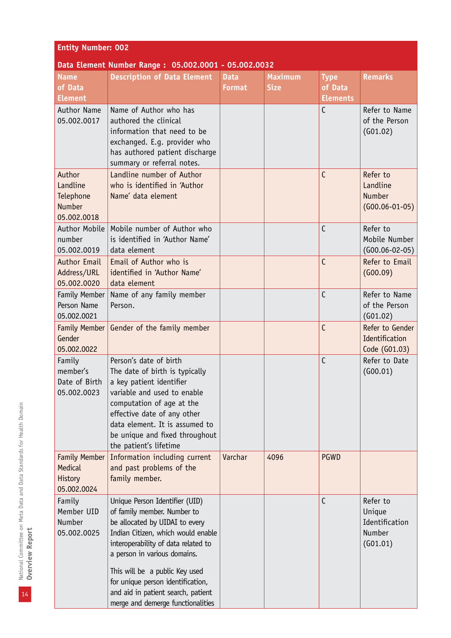| <b>Entity Number: 002</b>                                |                                                                                                                                                                                                                                                                                                                                                                |                              |                               |                                           |                                                            |  |
|----------------------------------------------------------|----------------------------------------------------------------------------------------------------------------------------------------------------------------------------------------------------------------------------------------------------------------------------------------------------------------------------------------------------------------|------------------------------|-------------------------------|-------------------------------------------|------------------------------------------------------------|--|
|                                                          | Data Element Number Range: 05.002.0001 - 05.002.0032                                                                                                                                                                                                                                                                                                           |                              |                               |                                           |                                                            |  |
| <b>Name</b><br>of Data<br><b>Element</b>                 | <b>Description of Data Element</b>                                                                                                                                                                                                                                                                                                                             | <b>Data</b><br><b>Format</b> | <b>Maximum</b><br><b>Size</b> | <b>Type</b><br>of Data<br><b>Elements</b> | <b>Remarks</b>                                             |  |
| <b>Author Name</b><br>05.002.0017                        | Name of Author who has<br>authored the clinical<br>information that need to be<br>exchanged. E.g. provider who<br>has authored patient discharge<br>summary or referral notes.                                                                                                                                                                                 |                              |                               | C                                         | Refer to Name<br>of the Person<br>(G01.02)                 |  |
| Author<br>Landline<br>Telephone<br>Number<br>05.002.0018 | Landline number of Author<br>who is identified in 'Author<br>Name' data element                                                                                                                                                                                                                                                                                |                              |                               | $\mathsf{C}$                              | Refer to<br>Landline<br>Number<br>$(G00.06-01-05)$         |  |
| Author Mobile<br>number<br>05.002.0019                   | Mobile number of Author who<br>is identified in 'Author Name'<br>data element                                                                                                                                                                                                                                                                                  |                              |                               | C                                         | Refer to<br>Mobile Number<br>$(G00.06 - 02 - 05)$          |  |
| <b>Author Email</b><br>Address/URL<br>05.002.0020        | Email of Author who is<br>identified in 'Author Name'<br>data element                                                                                                                                                                                                                                                                                          |                              |                               | C                                         | Refer to Email<br>(600.09)                                 |  |
| Family Member<br>Person Name<br>05.002.0021              | Name of any family member<br>Person.                                                                                                                                                                                                                                                                                                                           |                              |                               | C                                         | Refer to Name<br>of the Person<br>(G01.02)                 |  |
| Family Member<br>Gender<br>05.002.0022                   | Gender of the family member                                                                                                                                                                                                                                                                                                                                    |                              |                               | C                                         | Refer to Gender<br>Identification<br>Code (G01.03)         |  |
| Family<br>member's<br>05.002.0023                        | Person's date of birth<br>The date of birth is typically<br>Date of Birth $ a $ key patient identifier<br>variable and used to enable<br>computation of age at the<br>effective date of any other<br>data element. It is assumed to<br>be unique and fixed throughout<br>the patient's lifetime                                                                |                              |                               | $\overline{C}$                            | Refer to Date<br>(600.01)                                  |  |
| Family Member<br>Medical<br>History<br>05.002.0024       | Information including current<br>and past problems of the<br>family member.                                                                                                                                                                                                                                                                                    | Varchar                      | 4096                          | <b>PGWD</b>                               |                                                            |  |
| Family<br>Member UID<br>Number<br>05.002.0025            | Unique Person Identifier (UID)<br>of family member. Number to<br>be allocated by UIDAI to every<br>Indian Citizen, which would enable<br>interoperability of data related to<br>a person in various domains.<br>This will be a public Key used<br>for unique person identification,<br>and aid in patient search, patient<br>merge and demerge functionalities |                              |                               | $\mathsf{C}$                              | Refer to<br>Unique<br>Identification<br>Number<br>(G01.01) |  |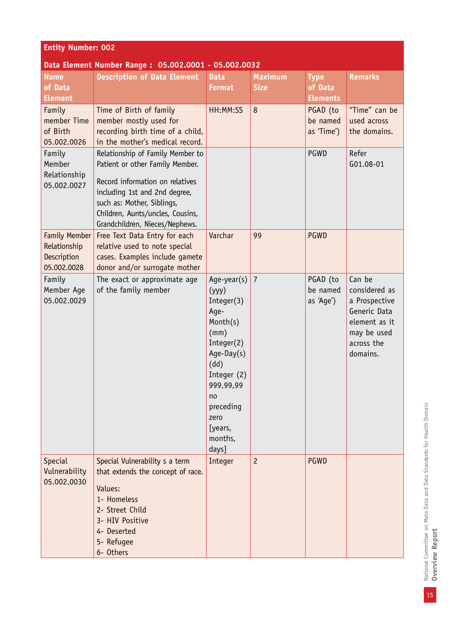| <b>Entity Number: 002</b>                                   |                                                                                                                                                                                                                                             |                                                                                                                                                                                             |                               |                                           |                                                                                                                    |  |  |  |
|-------------------------------------------------------------|---------------------------------------------------------------------------------------------------------------------------------------------------------------------------------------------------------------------------------------------|---------------------------------------------------------------------------------------------------------------------------------------------------------------------------------------------|-------------------------------|-------------------------------------------|--------------------------------------------------------------------------------------------------------------------|--|--|--|
| Data Element Number Range: 05.002.0001 - 05.002.0032        |                                                                                                                                                                                                                                             |                                                                                                                                                                                             |                               |                                           |                                                                                                                    |  |  |  |
| <b>Name</b><br>of Data<br><b>Element</b>                    | <b>Description of Data Element</b>                                                                                                                                                                                                          | <b>Data</b><br><b>Format</b>                                                                                                                                                                | <b>Maximum</b><br><b>Size</b> | <b>Type</b><br>of Data<br><b>Elements</b> | <b>Remarks</b>                                                                                                     |  |  |  |
| Family<br>member Time<br>of Birth<br>05.002.0026            | Time of Birth of family<br>member mostly used for<br>recording birth time of a child,<br>in the mother's medical record.                                                                                                                    | HH:MM:SS                                                                                                                                                                                    | 8                             | PGAD (to<br>be named<br>as 'Time')        | "Time" can be<br>used across<br>the domains.                                                                       |  |  |  |
| Family<br>Member<br>Relationship<br>05.002.0027             | Relationship of Family Member to<br>Patient or other Family Member.<br>Record information on relatives<br>including 1st and 2nd degree,<br>such as: Mother, Siblings,<br>Children, Aunts/uncles, Cousins,<br>Grandchildren, Nieces/Nephews. |                                                                                                                                                                                             |                               | PGWD                                      | Refer<br>G01.08-01                                                                                                 |  |  |  |
| Family Member<br>Relationship<br>Description<br>05.002.0028 | Free Text Data Entry for each<br>relative used to note special<br>cases. Examples include gamete<br>donor and/or surrogate mother                                                                                                           | Varchar                                                                                                                                                                                     | 99                            | <b>PGWD</b>                               |                                                                                                                    |  |  |  |
| Family<br>Member Age<br>05.002.0029                         | The exact or approximate age<br>of the family member                                                                                                                                                                                        | Age-year(s)<br>(yyy)<br>Integer(3)<br>Age-<br>Month(s)<br>(mm)<br>Integer(2)<br>Age-Day $(s)$<br>(dd)<br>Integer (2)<br>999,99,99<br>no<br>preceding<br>zero<br>[years,<br>months,<br>days] | $\overline{7}$                | PGAD (to<br>be named<br>as 'Age')         | Can be<br>considered as<br>a Prospective<br>Generic Data<br>element as it<br>may be used<br>across the<br>domains. |  |  |  |
| <b>Special</b><br>Vulnerability<br>05.002.0030              | Special Vulnerability s a term<br>that extends the concept of race.<br>Values:<br>1- Homeless<br>2- Street Child<br>3- HIV Positive<br>4- Deserted<br>5- Refugee<br>6- Others                                                               | Integer                                                                                                                                                                                     | $\overline{c}$                | <b>PGWD</b>                               |                                                                                                                    |  |  |  |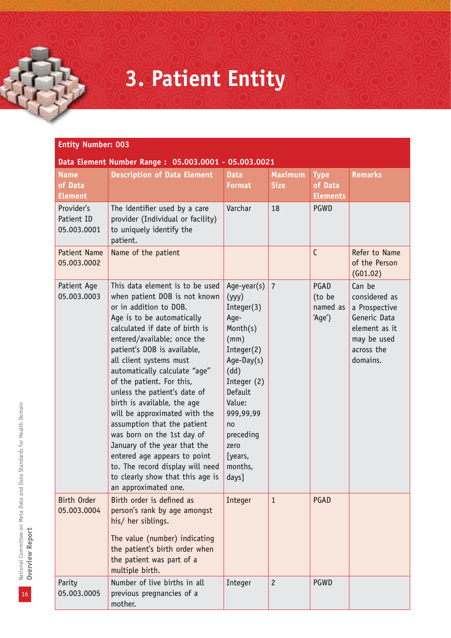## **3. Patient Entity**

| <b>Entity Number: 003</b>                            |                                                                                                                                                                                                                                                                                                                                                                                                                                                                                                                                                                                                                                                |                                                                                                                                                                                                               |                               |                                           |                                                                                                                    |  |  |  |
|------------------------------------------------------|------------------------------------------------------------------------------------------------------------------------------------------------------------------------------------------------------------------------------------------------------------------------------------------------------------------------------------------------------------------------------------------------------------------------------------------------------------------------------------------------------------------------------------------------------------------------------------------------------------------------------------------------|---------------------------------------------------------------------------------------------------------------------------------------------------------------------------------------------------------------|-------------------------------|-------------------------------------------|--------------------------------------------------------------------------------------------------------------------|--|--|--|
| Data Element Number Range: 05.003.0001 - 05.003.0021 |                                                                                                                                                                                                                                                                                                                                                                                                                                                                                                                                                                                                                                                |                                                                                                                                                                                                               |                               |                                           |                                                                                                                    |  |  |  |
| <b>Name</b><br>of Data<br><b>Element</b>             | <b>Description of Data Element</b>                                                                                                                                                                                                                                                                                                                                                                                                                                                                                                                                                                                                             | <b>Data</b><br><b>Format</b>                                                                                                                                                                                  | <b>Maximum</b><br><b>Size</b> | <b>Type</b><br>of Data<br><b>Elements</b> | <b>Remarks</b>                                                                                                     |  |  |  |
| Provider's<br>Patient ID<br>05.003.0001              | The identifier used by a care<br>provider (Individual or facility)<br>to uniquely identify the<br>patient.                                                                                                                                                                                                                                                                                                                                                                                                                                                                                                                                     | Varchar                                                                                                                                                                                                       | 18                            | PGWD                                      |                                                                                                                    |  |  |  |
| <b>Patient Name</b><br>05.003.0002                   | Name of the patient                                                                                                                                                                                                                                                                                                                                                                                                                                                                                                                                                                                                                            |                                                                                                                                                                                                               |                               | $\mathsf{C}$                              | Refer to Name<br>of the Person<br>(G01.02)                                                                         |  |  |  |
| Patient Age<br>05.003.0003                           | This data element is to be used<br>when patient DOB is not known<br>or in addition to DOB.<br>Age is to be automatically<br>calculated if date of birth is<br>entered/available; once the<br>patient's DOB is available,<br>all client systems must<br>automatically calculate "age"<br>of the patient. For this,<br>unless the patient's date of<br>birth is available, the age<br>will be approximated with the<br>assumption that the patient<br>was born on the 1st day of<br>January of the year that the<br>entered age appears to point<br>to. The record display will need<br>to clearly show that this age is<br>an approximated one. | Age-year(s)<br>(yyy)<br>Integer(3)<br>Age-<br>Month(s)<br>(mm)<br>Integer(2)<br>Age-Day(s)<br>(dd)<br>Integer (2)<br>Default<br>Value:<br>999,99,99<br>no<br>preceding<br>zero<br>[years,<br>months,<br>days] | $\overline{7}$                | PGAD<br>(to be<br>named as<br>'Age')      | Can be<br>considered as<br>a Prospective<br>Generic Data<br>element as it<br>may be used<br>across the<br>domains. |  |  |  |
| Birth Order<br>05.003.0004                           | Birth order is defined as<br>person's rank by age amongst<br>his/ her siblings.<br>The value (number) indicating<br>the patient's birth order when<br>the patient was part of a<br>multiple birth.                                                                                                                                                                                                                                                                                                                                                                                                                                             | Integer                                                                                                                                                                                                       | $\mathbf{1}$                  | PGAD                                      |                                                                                                                    |  |  |  |
| Parity<br>05.003.0005                                | Number of live births in all<br>previous pregnancies of a<br>mother.                                                                                                                                                                                                                                                                                                                                                                                                                                                                                                                                                                           | Integer                                                                                                                                                                                                       | $\overline{c}$                | PGWD                                      |                                                                                                                    |  |  |  |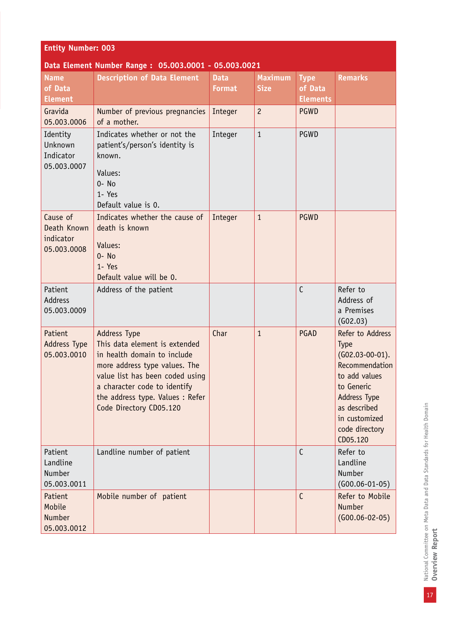| <b>Entity Number: 003</b>                           |                                                                                                                                                                                                                                                        |                              |                               |                                |                                                                                                                                                                                      |  |  |  |
|-----------------------------------------------------|--------------------------------------------------------------------------------------------------------------------------------------------------------------------------------------------------------------------------------------------------------|------------------------------|-------------------------------|--------------------------------|--------------------------------------------------------------------------------------------------------------------------------------------------------------------------------------|--|--|--|
| <b>Name</b><br>of Data                              | Data Element Number Range: 05.003.0001 - 05.003.0021<br><b>Description of Data Element</b>                                                                                                                                                             | <b>Data</b><br><b>Format</b> | <b>Maximum</b><br><b>Size</b> | <b>Type</b><br>of Data         | <b>Remarks</b>                                                                                                                                                                       |  |  |  |
| <b>Element</b><br>Gravida<br>05.003.0006            | Number of previous pregnancies<br>of a mother.                                                                                                                                                                                                         | Integer                      | $\overline{c}$                | <b>Elements</b><br><b>PGWD</b> |                                                                                                                                                                                      |  |  |  |
| Identity<br>Unknown<br>Indicator<br>05.003.0007     | Indicates whether or not the<br>patient's/person's identity is<br>known.<br>Values:<br>$0 - No$<br>1- Yes<br>Default value is 0.                                                                                                                       | Integer                      | $\mathbf{1}$                  | PGWD                           |                                                                                                                                                                                      |  |  |  |
| Cause of<br>Death Known<br>indicator<br>05.003.0008 | Indicates whether the cause of<br>death is known<br>Values:<br>$0 - No$<br>1- Yes<br>Default value will be 0.                                                                                                                                          | Integer                      | $\mathbf{1}$                  | <b>PGWD</b>                    |                                                                                                                                                                                      |  |  |  |
| Patient<br><b>Address</b><br>05.003.0009            | Address of the patient                                                                                                                                                                                                                                 |                              |                               | $\mathsf{C}$                   | Refer to<br>Address of<br>a Premises<br>(602.03)                                                                                                                                     |  |  |  |
| Patient<br><b>Address Type</b><br>05.003.0010       | <b>Address Type</b><br>This data element is extended<br>in health domain to include<br>more address type values. The<br>value list has been coded using<br>a character code to identify<br>the address type. Values : Refer<br>Code Directory CD05.120 | Char                         | $\mathbf{1}$                  | PGAD                           | Refer to Address<br>Type<br>$(G02.03-00-01).$<br>Recommendation<br>to add values<br>to Generic<br><b>Address Type</b><br>as described<br>in customized<br>code directory<br>CD05.120 |  |  |  |
| Patient<br>Landline<br>Number<br>05.003.0011        | Landline number of patient                                                                                                                                                                                                                             |                              |                               | $\mathsf{C}$                   | Refer to<br>Landline<br>Number<br>$(G00.06-01-05)$                                                                                                                                   |  |  |  |
| Patient<br>Mobile<br><b>Number</b><br>05.003.0012   | Mobile number of patient                                                                                                                                                                                                                               |                              |                               | $\mathsf{C}$                   | Refer to Mobile<br><b>Number</b><br>$(G00.06-02-05)$                                                                                                                                 |  |  |  |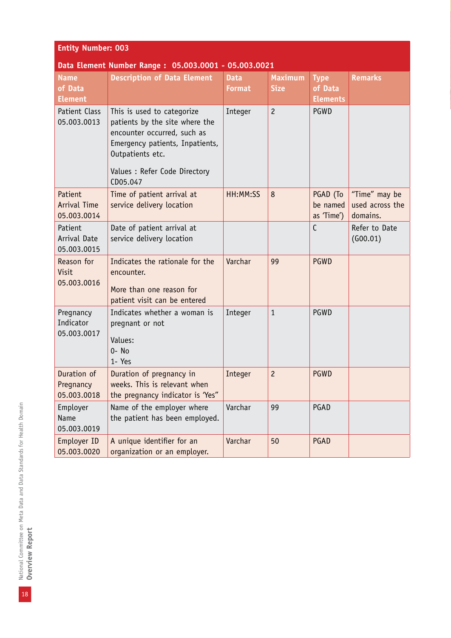| <b>Entity Number: 003</b>                            |                                                                                                                                                                                                 |                              |                               |                                           |                                              |  |  |  |  |
|------------------------------------------------------|-------------------------------------------------------------------------------------------------------------------------------------------------------------------------------------------------|------------------------------|-------------------------------|-------------------------------------------|----------------------------------------------|--|--|--|--|
| Data Element Number Range: 05.003.0001 - 05.003.0021 |                                                                                                                                                                                                 |                              |                               |                                           |                                              |  |  |  |  |
| <b>Name</b><br>of Data<br><b>Element</b>             | <b>Description of Data Element</b>                                                                                                                                                              | <b>Data</b><br><b>Format</b> | <b>Maximum</b><br><b>Size</b> | <b>Type</b><br>of Data<br><b>Elements</b> | <b>Remarks</b>                               |  |  |  |  |
| Patient Class<br>05.003.0013                         | This is used to categorize<br>patients by the site where the<br>encounter occurred, such as<br>Emergency patients, Inpatients,<br>Outpatients etc.<br>Values : Refer Code Directory<br>CD05.047 | Integer                      | $\overline{c}$                | <b>PGWD</b>                               |                                              |  |  |  |  |
| Patient<br><b>Arrival Time</b><br>05.003.0014        | Time of patient arrival at<br>service delivery location                                                                                                                                         | HH:MM:SS                     | $\bf 8$                       | PGAD (To<br>be named<br>as 'Time')        | "Time" may be<br>used across the<br>domains. |  |  |  |  |
| Patient<br>Arrival Date<br>05.003.0015               | Date of patient arrival at<br>service delivery location                                                                                                                                         |                              |                               | $\mathsf{C}$                              | Refer to Date<br>(G00.01)                    |  |  |  |  |
| Reason for<br>Visit<br>05.003.0016                   | Indicates the rationale for the<br>encounter.<br>More than one reason for<br>patient visit can be entered                                                                                       | Varchar                      | 99                            | <b>PGWD</b>                               |                                              |  |  |  |  |
| Pregnancy<br>Indicator<br>05.003.0017                | Indicates whether a woman is<br>pregnant or not<br>Values:<br>$0 - No$<br>1- Yes                                                                                                                | Integer                      | $\mathbf{1}$                  | <b>PGWD</b>                               |                                              |  |  |  |  |
| Duration of<br>Pregnancy<br>05.003.0018              | Duration of pregnancy in<br>weeks. This is relevant when<br>the pregnancy indicator is 'Yes"                                                                                                    | Integer                      | $\overline{c}$                | <b>PGWD</b>                               |                                              |  |  |  |  |
| Employer<br>Name<br>05.003.0019                      | Name of the employer where<br>the patient has been employed.                                                                                                                                    | Varchar                      | 99                            | PGAD                                      |                                              |  |  |  |  |
| Employer ID<br>05.003.0020                           | A unique identifier for an<br>organization or an employer.                                                                                                                                      | Varchar                      | 50                            | PGAD                                      |                                              |  |  |  |  |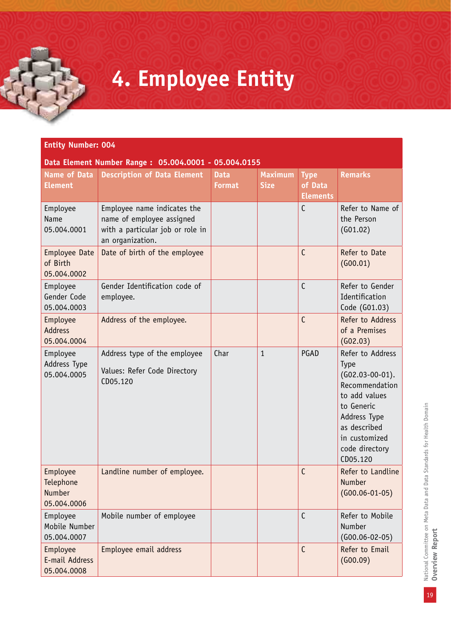# **4. Employee Entity**

| <b>Entity Number: 004</b>                       |                                                                                                                  |                              |                               |                                           |                                                                                                                                                                               |  |  |  |
|-------------------------------------------------|------------------------------------------------------------------------------------------------------------------|------------------------------|-------------------------------|-------------------------------------------|-------------------------------------------------------------------------------------------------------------------------------------------------------------------------------|--|--|--|
| <b>Name of Data</b><br><b>Element</b>           | Data Element Number Range: 05.004.0001 - 05.004.0155<br><b>Description of Data Element</b>                       | <b>Data</b><br><b>Format</b> | <b>Maximum</b><br><b>Size</b> | <b>Type</b><br>of Data<br><b>Elements</b> | <b>Remarks</b>                                                                                                                                                                |  |  |  |
| Employee<br>Name<br>05.004.0001                 | Employee name indicates the<br>name of employee assigned<br>with a particular job or role in<br>an organization. |                              |                               | $\mathsf{C}$                              | Refer to Name of<br>the Person<br>(G01.02)                                                                                                                                    |  |  |  |
| <b>Employee Date</b><br>of Birth<br>05.004.0002 | Date of birth of the employee                                                                                    |                              |                               | $\mathsf{C}$                              | Refer to Date<br>(600.01)                                                                                                                                                     |  |  |  |
| Employee<br>Gender Code<br>05.004.0003          | Gender Identification code of<br>employee.                                                                       |                              |                               | $\mathsf{C}$                              | Refer to Gender<br>Identification<br>Code (G01.03)                                                                                                                            |  |  |  |
| Employee<br><b>Address</b><br>05.004.0004       | Address of the employee.                                                                                         |                              |                               | $\mathsf{C}$                              | Refer to Address<br>of a Premises<br>(G02.03)                                                                                                                                 |  |  |  |
| Employee<br>Address Type<br>05.004.0005         | Address type of the employee<br>Values: Refer Code Directory<br>CD05.120                                         | Char                         | $\mathbf{1}$                  | PGAD                                      | Refer to Address<br>Type<br>$(G02.03-00-01).$<br>Recommendation<br>to add values<br>to Generic<br>Address Type<br>as described<br>in customized<br>code directory<br>CD05.120 |  |  |  |
| Employee<br>Telephone<br>Number<br>05.004.0006  | Landline number of employee.                                                                                     |                              |                               | C                                         | Refer to Landline<br>Number<br>$(G00.06-01-05)$                                                                                                                               |  |  |  |
| Employee<br>Mobile Number<br>05.004.0007        | Mobile number of employee                                                                                        |                              |                               | $\mathsf{C}$                              | Refer to Mobile<br>Number<br>$(G00.06 - 02 - 05)$                                                                                                                             |  |  |  |
| Employee<br>E-mail Address<br>05.004.0008       | Employee email address                                                                                           |                              |                               | $\mathsf{C}$                              | Refer to Email<br>(600.09)                                                                                                                                                    |  |  |  |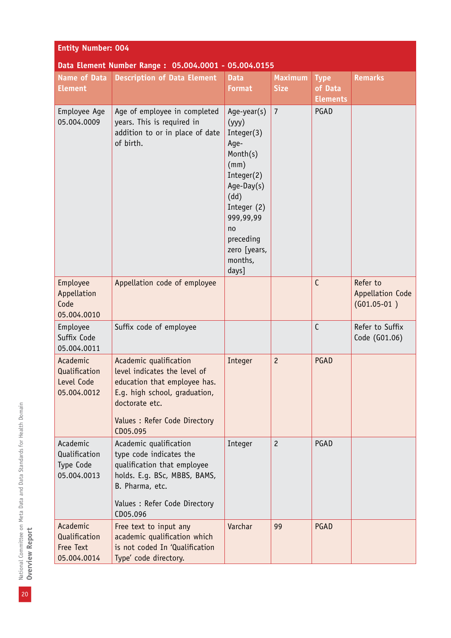| <b>Entity Number: 004</b>                              |                                                                                                                                                                                        |                                                                                                                                                                                         |                               |                                           |                                               |  |  |  |
|--------------------------------------------------------|----------------------------------------------------------------------------------------------------------------------------------------------------------------------------------------|-----------------------------------------------------------------------------------------------------------------------------------------------------------------------------------------|-------------------------------|-------------------------------------------|-----------------------------------------------|--|--|--|
| Data Element Number Range: 05.004.0001 - 05.004.0155   |                                                                                                                                                                                        |                                                                                                                                                                                         |                               |                                           |                                               |  |  |  |
| <b>Name of Data</b><br><b>Element</b>                  | <b>Description of Data Element</b>                                                                                                                                                     | <b>Data</b><br><b>Format</b>                                                                                                                                                            | <b>Maximum</b><br><b>Size</b> | <b>Type</b><br>of Data<br><b>Elements</b> | <b>Remarks</b>                                |  |  |  |
| Employee Age<br>05.004.0009                            | Age of employee in completed<br>years. This is required in<br>addition to or in place of date<br>of birth.                                                                             | Age-year(s)<br>(yyy)<br>Integer(3)<br>Age-<br>Month(s)<br>(mm)<br>Integer(2)<br>$Age-Day(s)$<br>(dd)<br>Integer (2)<br>999,99,99<br>no<br>preceding<br>zero [years,<br>months,<br>days] | $\overline{7}$                | PGAD                                      |                                               |  |  |  |
| Employee<br>Appellation<br>Code<br>05.004.0010         | Appellation code of employee                                                                                                                                                           |                                                                                                                                                                                         |                               | $\mathsf{C}$                              | Refer to<br>Appellation Code<br>$(G01.05-01)$ |  |  |  |
| Employee<br>Suffix Code<br>05.004.0011                 | Suffix code of employee                                                                                                                                                                |                                                                                                                                                                                         |                               | $\mathsf{C}$                              | Refer to Suffix<br>Code (G01.06)              |  |  |  |
| Academic<br>Qualification<br>Level Code<br>05.004.0012 | Academic qualification<br>level indicates the level of<br>education that employee has.<br>E.g. high school, graduation,<br>doctorate etc.<br>Values : Refer Code Directory<br>CD05.095 | Integer                                                                                                                                                                                 | $\overline{c}$                | PGAD                                      |                                               |  |  |  |
| Academic<br>Qualification<br>Type Code<br>05.004.0013  | Academic qualification<br>type code indicates the<br>qualification that employee<br>holds. E.g. BSc, MBBS, BAMS,<br>B. Pharma, etc.<br>Values : Refer Code Directory<br>CD05.096       | Integer                                                                                                                                                                                 | $\overline{c}$                | PGAD                                      |                                               |  |  |  |
| Academic<br>Qualification<br>Free Text<br>05.004.0014  | Free text to input any<br>academic qualification which<br>is not coded In 'Qualification<br>Type' code directory.                                                                      | Varchar                                                                                                                                                                                 | 99                            | PGAD                                      |                                               |  |  |  |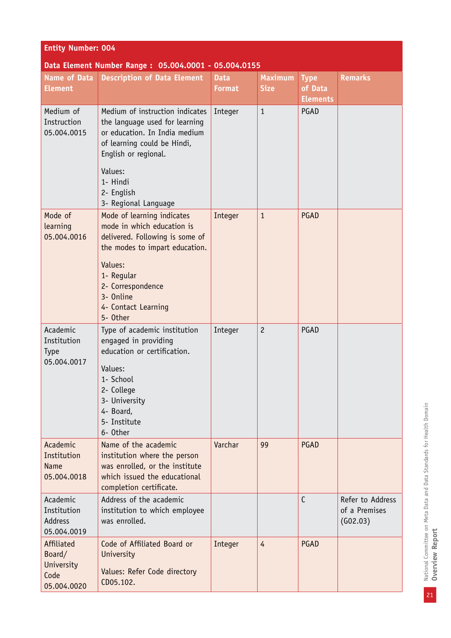| <b>Entity Number: 004</b>                                 |                                                                                                                                                                                                                             |                              |                               |                                           |                                               |  |  |  |
|-----------------------------------------------------------|-----------------------------------------------------------------------------------------------------------------------------------------------------------------------------------------------------------------------------|------------------------------|-------------------------------|-------------------------------------------|-----------------------------------------------|--|--|--|
| Data Element Number Range: 05.004.0001 - 05.004.0155      |                                                                                                                                                                                                                             |                              |                               |                                           |                                               |  |  |  |
| <b>Name of Data</b><br><b>Element</b>                     | <b>Description of Data Element</b>                                                                                                                                                                                          | <b>Data</b><br><b>Format</b> | <b>Maximum</b><br><b>Size</b> | <b>Type</b><br>of Data<br><b>Elements</b> | <b>Remarks</b>                                |  |  |  |
| Medium of<br>Instruction<br>05.004.0015                   | Medium of instruction indicates<br>the language used for learning<br>or education. In India medium<br>of learning could be Hindi,<br>English or regional.<br>Values:<br>1- Hindi<br>2- English<br>3- Regional Language      | Integer                      | $\mathbf{1}$                  | PGAD                                      |                                               |  |  |  |
| Mode of<br>learning<br>05.004.0016                        | Mode of learning indicates<br>mode in which education is<br>delivered. Following is some of<br>the modes to impart education.<br>Values:<br>1- Regular<br>2- Correspondence<br>3- Online<br>4- Contact Learning<br>5- Other | Integer                      | $\mathbf{1}$                  | PGAD                                      |                                               |  |  |  |
| Academic<br>Institution<br><b>Type</b><br>05.004.0017     | Type of academic institution<br>engaged in providing<br>education or certification.<br>Values:<br>1- School<br>2- College<br>3- University<br>4- Board,<br>5- Institute<br>6- Other                                         | Integer                      | $\overline{c}$                | PGAD                                      |                                               |  |  |  |
| Academic<br>Institution<br><b>Name</b><br>05.004.0018     | Name of the academic<br>institution where the person<br>was enrolled, or the institute<br>which issued the educational<br>completion certificate.                                                                           | Varchar                      | 99                            | PGAD                                      |                                               |  |  |  |
| Academic<br>Institution<br><b>Address</b><br>05.004.0019  | Address of the academic<br>institution to which employee<br>was enrolled.                                                                                                                                                   |                              |                               | $\mathsf{C}$                              | Refer to Address<br>of a Premises<br>(G02.03) |  |  |  |
| Affiliated<br>Board/<br>University<br>Code<br>05.004.0020 | Code of Affiliated Board or<br>University<br>Values: Refer Code directory<br>CD05.102.                                                                                                                                      | Integer                      | $\overline{4}$                | PGAD                                      |                                               |  |  |  |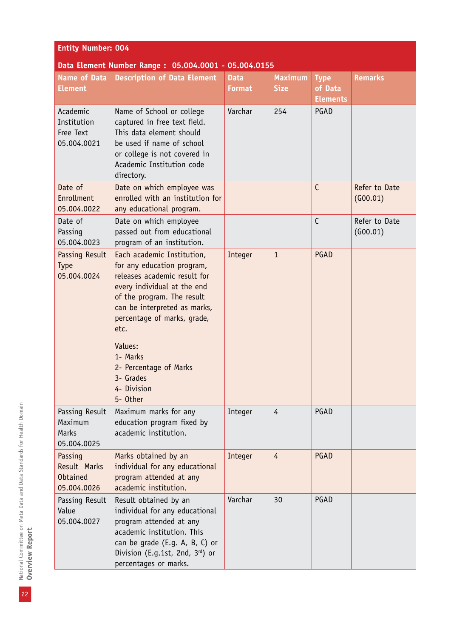| <b>Entity Number: 004</b>                                 |                                                                                                                                                                                                                                                                                                                       |                              |                               |                                           |                           |  |  |  |
|-----------------------------------------------------------|-----------------------------------------------------------------------------------------------------------------------------------------------------------------------------------------------------------------------------------------------------------------------------------------------------------------------|------------------------------|-------------------------------|-------------------------------------------|---------------------------|--|--|--|
| Data Element Number Range: 05.004.0001 - 05.004.0155      |                                                                                                                                                                                                                                                                                                                       |                              |                               |                                           |                           |  |  |  |
| <b>Name of Data</b><br><b>Element</b>                     | <b>Description of Data Element</b>                                                                                                                                                                                                                                                                                    | <b>Data</b><br><b>Format</b> | <b>Maximum</b><br><b>Size</b> | <b>Type</b><br>of Data<br><b>Elements</b> | <b>Remarks</b>            |  |  |  |
| Academic<br>Institution<br>Free Text<br>05.004.0021       | Name of School or college<br>captured in free text field.<br>This data element should<br>be used if name of school<br>or college is not covered in<br>Academic Institution code<br>directory.                                                                                                                         | Varchar                      | 254                           | PGAD                                      |                           |  |  |  |
| Date of<br>Enrollment<br>05.004.0022                      | Date on which employee was<br>enrolled with an institution for<br>any educational program.                                                                                                                                                                                                                            |                              |                               | $\mathsf{C}$                              | Refer to Date<br>(600.01) |  |  |  |
| Date of<br>Passing<br>05.004.0023                         | Date on which employee<br>passed out from educational<br>program of an institution.                                                                                                                                                                                                                                   |                              |                               | $\mathsf{C}$                              | Refer to Date<br>(600.01) |  |  |  |
| Passing Result<br><b>Type</b><br>05.004.0024              | Each academic Institution,<br>for any education program,<br>releases academic result for<br>every individual at the end<br>of the program. The result<br>can be interpreted as marks,<br>percentage of marks, grade,<br>etc.<br>Values:<br>1- Marks<br>2- Percentage of Marks<br>3- Grades<br>4- Division<br>5- Other | Integer                      | $\mathbf{1}$                  | PGAD                                      |                           |  |  |  |
| Passing Result<br>Maximum<br>Marks<br>05.004.0025         | Maximum marks for any<br>education program fixed by<br>academic institution.                                                                                                                                                                                                                                          | Integer                      | $\overline{4}$                | PGAD                                      |                           |  |  |  |
| Passing<br>Result Marks<br><b>Obtained</b><br>05.004.0026 | Marks obtained by an<br>individual for any educational<br>program attended at any<br>academic institution.                                                                                                                                                                                                            | Integer                      | $\overline{4}$                | PGAD                                      |                           |  |  |  |
| Passing Result<br>Value<br>05.004.0027                    | Result obtained by an<br>individual for any educational<br>program attended at any<br>academic institution. This<br>can be grade (E.g. A, B, C) or<br>Division (E.g.1st, 2nd, 3rd) or<br>percentages or marks.                                                                                                        | Varchar                      | 30                            | PGAD                                      |                           |  |  |  |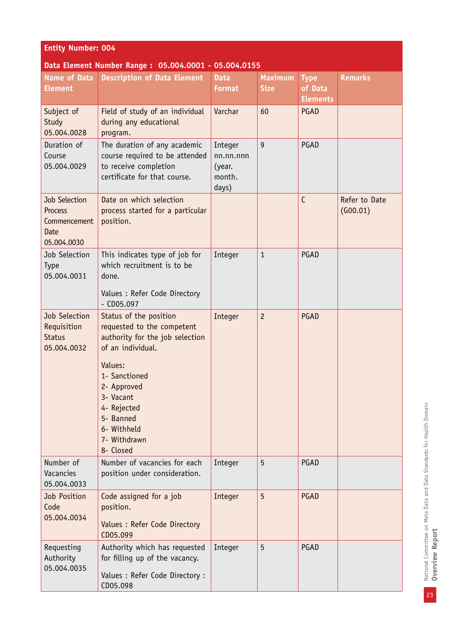| <b>Entity Number: 004</b>                                                     |                                                                                                                                                                                                                                              |                                                   |                               |                                           |                           |  |  |  |
|-------------------------------------------------------------------------------|----------------------------------------------------------------------------------------------------------------------------------------------------------------------------------------------------------------------------------------------|---------------------------------------------------|-------------------------------|-------------------------------------------|---------------------------|--|--|--|
|                                                                               | Data Element Number Range: 05.004.0001 - 05.004.0155                                                                                                                                                                                         |                                                   |                               |                                           |                           |  |  |  |
| <b>Name of Data</b><br><b>Element</b>                                         | <b>Description of Data Element</b>                                                                                                                                                                                                           | <b>Data</b><br><b>Format</b>                      | <b>Maximum</b><br><b>Size</b> | <b>Type</b><br>of Data<br><b>Elements</b> | <b>Remarks</b>            |  |  |  |
| Subject of<br>Study<br>05.004.0028                                            | Field of study of an individual<br>during any educational<br>program.                                                                                                                                                                        | Varchar                                           | 60                            | PGAD                                      |                           |  |  |  |
| Duration of<br>Course<br>05.004.0029                                          | The duration of any academic<br>course required to be attended<br>to receive completion<br>certificate for that course.                                                                                                                      | Integer<br>nn.nn.nnn<br>(year.<br>month.<br>days) | 9                             | PGAD                                      |                           |  |  |  |
| <b>Job Selection</b><br>Process<br>Commencement<br><b>Date</b><br>05.004.0030 | Date on which selection<br>process started for a particular<br>position.                                                                                                                                                                     |                                                   |                               | $\mathsf{C}$                              | Refer to Date<br>(G00.01) |  |  |  |
| Job Selection<br><b>Type</b><br>05.004.0031                                   | This indicates type of job for<br>which recruitment is to be<br>done.                                                                                                                                                                        | Integer                                           | $\mathbf{1}$                  | PGAD                                      |                           |  |  |  |
|                                                                               | Values : Refer Code Directory<br>$-$ CD05.097                                                                                                                                                                                                |                                                   |                               |                                           |                           |  |  |  |
| Job Selection<br>Requisition<br><b>Status</b><br>05.004.0032                  | Status of the position<br>requested to the competent<br>authority for the job selection<br>of an individual.<br>Values:<br>1- Sanctioned<br>2- Approved<br>3- Vacant<br>4- Rejected<br>5- Banned<br>6- Withheld<br>7- Withdrawn<br>8- Closed | Integer                                           | $\overline{c}$                | PGAD                                      |                           |  |  |  |
| Number of<br>Vacancies<br>05.004.0033                                         | Number of vacancies for each<br>position under consideration.                                                                                                                                                                                | Integer                                           | 5                             | PGAD                                      |                           |  |  |  |
| Job Position<br>Code<br>05.004.0034                                           | Code assigned for a job<br>position.<br>Values : Refer Code Directory<br>CD05.099                                                                                                                                                            | Integer                                           | 5                             | PGAD                                      |                           |  |  |  |
| Requesting<br>Authority<br>05.004.0035                                        | Authority which has requested<br>for filling up of the vacancy.<br>Values : Refer Code Directory :<br>CD05.098                                                                                                                               | Integer                                           | 5                             | PGAD                                      |                           |  |  |  |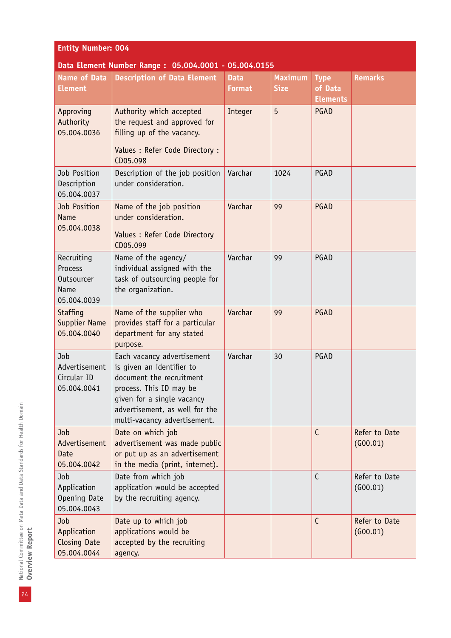| <b>Entity Number: 004</b>                                         |                                                                                                                                                                                                                |                              |                               |                                           |                           |  |  |  |
|-------------------------------------------------------------------|----------------------------------------------------------------------------------------------------------------------------------------------------------------------------------------------------------------|------------------------------|-------------------------------|-------------------------------------------|---------------------------|--|--|--|
| <b>Name of Data</b><br><b>Element</b>                             | Data Element Number Range: 05.004.0001 - 05.004.0155<br><b>Description of Data Element</b>                                                                                                                     | <b>Data</b><br><b>Format</b> | <b>Maximum</b><br><b>Size</b> | <b>Type</b><br>of Data<br><b>Elements</b> | <b>Remarks</b>            |  |  |  |
| Approving<br>Authority<br>05.004.0036                             | Authority which accepted<br>the request and approved for<br>filling up of the vacancy.<br>Values : Refer Code Directory :<br>CD05.098                                                                          | Integer                      | 5                             | PGAD                                      |                           |  |  |  |
| Job Position<br>Description<br>05.004.0037                        | Description of the job position<br>under consideration.                                                                                                                                                        | Varchar                      | 1024                          | PGAD                                      |                           |  |  |  |
| Job Position<br><b>Name</b><br>05.004.0038                        | Name of the job position<br>under consideration.<br>Values : Refer Code Directory<br>CD05.099                                                                                                                  | Varchar                      | 99                            | PGAD                                      |                           |  |  |  |
| Recruiting<br>Process<br><b>Outsourcer</b><br>Name<br>05.004.0039 | Name of the agency/<br>individual assigned with the<br>task of outsourcing people for<br>the organization.                                                                                                     | Varchar                      | 99                            | PGAD                                      |                           |  |  |  |
| <b>Staffing</b><br><b>Supplier Name</b><br>05.004.0040            | Name of the supplier who<br>provides staff for a particular<br>department for any stated<br>purpose.                                                                                                           | Varchar                      | 99                            | PGAD                                      |                           |  |  |  |
| Job<br>Advertisement<br>Circular ID<br>05.004.0041                | Each vacancy advertisement<br>is given an identifier to<br>document the recruitment<br>process. This ID may be<br>given for a single vacancy<br>advertisement, as well for the<br>multi-vacancy advertisement. | Varchar                      | 30                            | PGAD                                      |                           |  |  |  |
| Job<br>Advertisement<br>Date<br>05.004.0042                       | Date on which job<br>advertisement was made public<br>or put up as an advertisement<br>in the media (print, internet).                                                                                         |                              |                               | $\mathsf{C}$                              | Refer to Date<br>(G00.01) |  |  |  |
| Job<br>Application<br>Opening Date<br>05.004.0043                 | Date from which job<br>application would be accepted<br>by the recruiting agency.                                                                                                                              |                              |                               | $\mathsf{C}$                              | Refer to Date<br>(G00.01) |  |  |  |
| Job<br>Application<br>Closing Date<br>05.004.0044                 | Date up to which job<br>applications would be<br>accepted by the recruiting<br>agency.                                                                                                                         |                              |                               | $\mathsf{C}$                              | Refer to Date<br>(600.01) |  |  |  |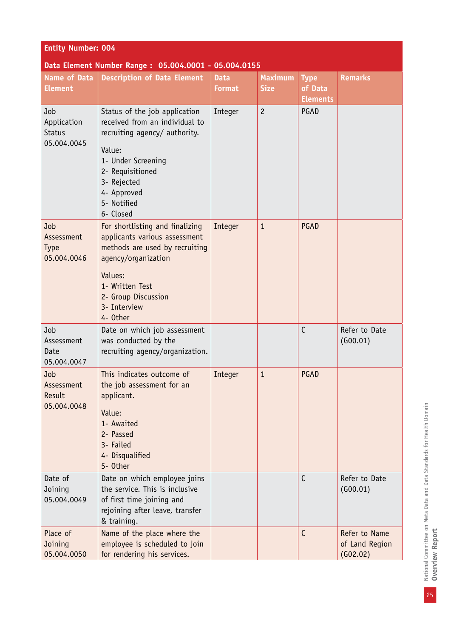| <b>Entity Number: 004</b>                            |                                                                                                                                                                                                                |                              |                               |                                           |                                             |  |  |  |
|------------------------------------------------------|----------------------------------------------------------------------------------------------------------------------------------------------------------------------------------------------------------------|------------------------------|-------------------------------|-------------------------------------------|---------------------------------------------|--|--|--|
| Data Element Number Range: 05.004.0001 - 05.004.0155 |                                                                                                                                                                                                                |                              |                               |                                           |                                             |  |  |  |
| <b>Name of Data</b><br><b>Element</b>                | <b>Description of Data Element</b>                                                                                                                                                                             | <b>Data</b><br><b>Format</b> | <b>Maximum</b><br><b>Size</b> | <b>Type</b><br>of Data<br><b>Elements</b> | <b>Remarks</b>                              |  |  |  |
| Job<br>Application<br><b>Status</b><br>05.004.0045   | Status of the job application<br>received from an individual to<br>recruiting agency/ authority.<br>Value:<br>1- Under Screening<br>2- Requisitioned<br>3- Rejected<br>4- Approved<br>5- Notified<br>6- Closed | Integer                      | $\overline{c}$                | PGAD                                      |                                             |  |  |  |
| Job<br>Assessment<br><b>Type</b><br>05.004.0046      | For shortlisting and finalizing<br>applicants various assessment<br>methods are used by recruiting<br>agency/organization<br>Values:<br>1- Written Test<br>2- Group Discussion<br>3- Interview<br>4- Other     | Integer                      | $\mathbf{1}$                  | PGAD                                      |                                             |  |  |  |
| Job<br>Assessment<br>Date<br>05.004.0047             | Date on which job assessment<br>was conducted by the<br>recruiting agency/organization.                                                                                                                        |                              |                               | $\mathsf{C}$                              | Refer to Date<br>(600.01)                   |  |  |  |
| Job<br>Assessment<br>Result<br>05.004.0048           | This indicates outcome of<br>the job assessment for an<br>applicant.<br>Value:<br>1- Awaited<br>2- Passed<br>3- Failed<br>4- Disqualified<br>5- Other                                                          | Integer                      | $\mathbf{1}$                  | PGAD                                      |                                             |  |  |  |
| Date of<br>Joining<br>05.004.0049                    | Date on which employee joins<br>the service. This is inclusive<br>of first time joining and<br>rejoining after leave, transfer<br>& training.                                                                  |                              |                               | $\mathsf{C}$                              | Refer to Date<br>(G00.01)                   |  |  |  |
| Place of<br>Joining<br>05.004.0050                   | Name of the place where the<br>employee is scheduled to join<br>for rendering his services.                                                                                                                    |                              |                               | С                                         | Refer to Name<br>of Land Region<br>(602.02) |  |  |  |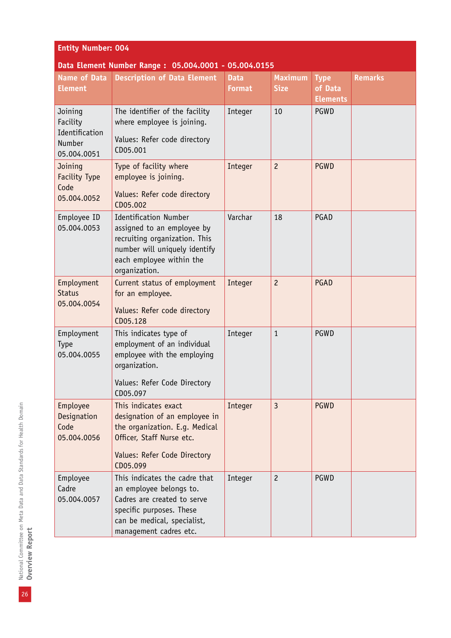| <b>Entity Number: 004</b>                                      |                                                                                                                                                                              |                              |                               |                                           |                |  |  |  |
|----------------------------------------------------------------|------------------------------------------------------------------------------------------------------------------------------------------------------------------------------|------------------------------|-------------------------------|-------------------------------------------|----------------|--|--|--|
| <b>Name of Data</b><br><b>Element</b>                          | Data Element Number Range: 05.004.0001 - 05.004.0155<br><b>Description of Data Element</b>                                                                                   | <b>Data</b><br><b>Format</b> | <b>Maximum</b><br><b>Size</b> | <b>Type</b><br>of Data<br><b>Elements</b> | <b>Remarks</b> |  |  |  |
| Joining<br>Facility<br>Identification<br>Number<br>05.004.0051 | The identifier of the facility<br>where employee is joining.<br>Values: Refer code directory<br>CD05.001                                                                     | Integer                      | 10                            | <b>PGWD</b>                               |                |  |  |  |
| Joining<br><b>Facility Type</b><br>Code<br>05.004.0052         | Type of facility where<br>employee is joining.<br>Values: Refer code directory<br>CD05.002                                                                                   | Integer                      | $\overline{c}$                | <b>PGWD</b>                               |                |  |  |  |
| Employee ID<br>05.004.0053                                     | <b>Identification Number</b><br>assigned to an employee by<br>recruiting organization. This<br>number will uniquely identify<br>each employee within the<br>organization.    | Varchar                      | 18                            | PGAD                                      |                |  |  |  |
| Employment<br><b>Status</b><br>05.004.0054                     | Current status of employment<br>for an employee.<br>Values: Refer code directory<br>CD05.128                                                                                 | Integer                      | $\overline{c}$                | PGAD                                      |                |  |  |  |
| Employment<br>Type<br>05.004.0055                              | This indicates type of<br>employment of an individual<br>employee with the employing<br>organization.<br>Values: Refer Code Directory<br>CD05.097                            | Integer                      | $\mathbf{1}$                  | PGWD                                      |                |  |  |  |
| Employee<br>Designation<br>Code<br>05.004.0056                 | This indicates exact<br>designation of an employee in<br>the organization. E.g. Medical<br>Officer, Staff Nurse etc.<br>Values: Refer Code Directory<br>CD05.099             | Integer                      | $\overline{3}$                | <b>PGWD</b>                               |                |  |  |  |
| Employee<br>Cadre<br>05.004.0057                               | This indicates the cadre that<br>an employee belongs to.<br>Cadres are created to serve<br>specific purposes. These<br>can be medical, specialist,<br>management cadres etc. | Integer                      | $\overline{c}$                | PGWD                                      |                |  |  |  |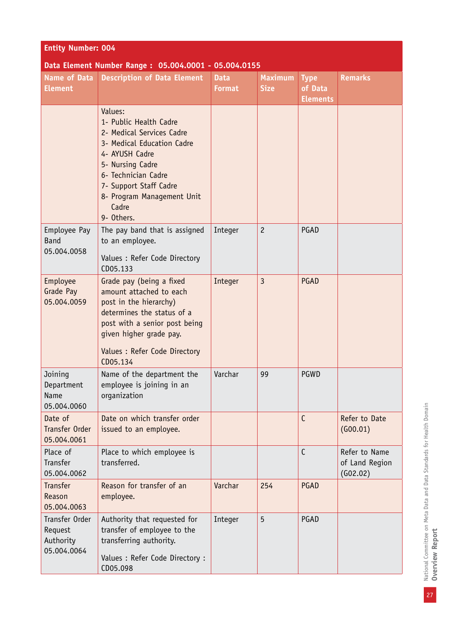| <b>Entity Number: 004</b>                             |                                                                                                                                                                                                                                          |                              |                               |                                           |                                             |
|-------------------------------------------------------|------------------------------------------------------------------------------------------------------------------------------------------------------------------------------------------------------------------------------------------|------------------------------|-------------------------------|-------------------------------------------|---------------------------------------------|
|                                                       | Data Element Number Range: 05.004.0001 - 05.004.0155                                                                                                                                                                                     |                              |                               |                                           |                                             |
| <b>Name of Data</b><br><b>Element</b>                 | <b>Description of Data Element</b>                                                                                                                                                                                                       | <b>Data</b><br><b>Format</b> | <b>Maximum</b><br><b>Size</b> | <b>Type</b><br>of Data<br><b>Elements</b> | <b>Remarks</b>                              |
|                                                       | Values:<br>1- Public Health Cadre<br>2- Medical Services Cadre<br>3- Medical Education Cadre<br>4- AYUSH Cadre<br>5- Nursing Cadre<br>6- Technician Cadre<br>7- Support Staff Cadre<br>8- Program Management Unit<br>Cadre<br>9- Others. |                              |                               |                                           |                                             |
| Employee Pay<br><b>Band</b><br>05.004.0058            | The pay band that is assigned<br>to an employee.<br>Values : Refer Code Directory<br>CD05.133                                                                                                                                            | Integer                      | $\overline{c}$                | PGAD                                      |                                             |
| Employee<br>Grade Pay<br>05.004.0059                  | Grade pay (being a fixed<br>amount attached to each<br>post in the hierarchy)<br>determines the status of a<br>post with a senior post being<br>given higher grade pay.<br>Values : Refer Code Directory<br>CD05.134                     | Integer                      | $\overline{3}$                | PGAD                                      |                                             |
| Joining<br>Department<br>Name<br>05.004.0060          | Name of the department the<br>employee is joining in an<br>organization                                                                                                                                                                  | Varchar                      | 99                            | PGWD                                      |                                             |
| Date of<br>Transfer Order<br>05.004.0061              | Date on which transfer order<br>issued to an employee.                                                                                                                                                                                   |                              |                               | $\mathsf{C}$                              | Refer to Date<br>(600.01)                   |
| Place of<br>Transfer<br>05.004.0062                   | Place to which employee is<br>transferred.                                                                                                                                                                                               |                              |                               | $\mathsf{C}$                              | Refer to Name<br>of Land Region<br>(602.02) |
| <b>Transfer</b><br>Reason<br>05.004.0063              | Reason for transfer of an<br>employee.                                                                                                                                                                                                   | Varchar                      | 254                           | PGAD                                      |                                             |
| Transfer Order<br>Request<br>Authority<br>05.004.0064 | Authority that requested for<br>transfer of employee to the<br>transferring authority.<br>Values : Refer Code Directory :<br>CD05.098                                                                                                    | Integer                      | 5                             | PGAD                                      |                                             |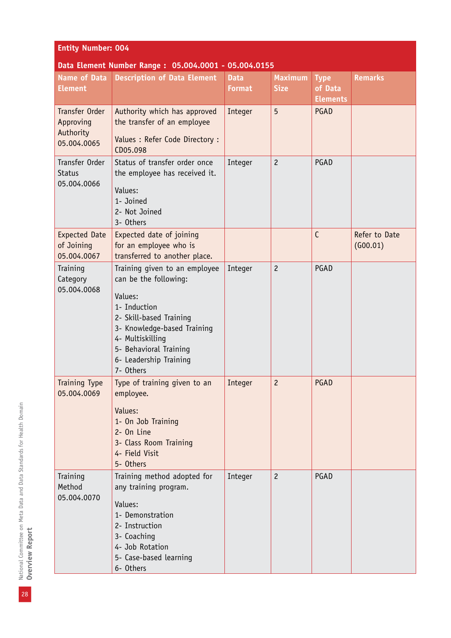| <b>Entity Number: 004</b>                               |                                                                                                                                                                                                                                  |                              |                               |                                           |                           |
|---------------------------------------------------------|----------------------------------------------------------------------------------------------------------------------------------------------------------------------------------------------------------------------------------|------------------------------|-------------------------------|-------------------------------------------|---------------------------|
|                                                         | Data Element Number Range: 05.004.0001 - 05.004.0155                                                                                                                                                                             |                              |                               |                                           |                           |
| <b>Name of Data</b><br><b>Element</b>                   | <b>Description of Data Element</b>                                                                                                                                                                                               | <b>Data</b><br><b>Format</b> | <b>Maximum</b><br><b>Size</b> | <b>Type</b><br>of Data<br><b>Elements</b> | <b>Remarks</b>            |
| Transfer Order<br>Approving<br>Authority<br>05.004.0065 | Authority which has approved<br>the transfer of an employee<br>Values : Refer Code Directory :<br>CD05.098                                                                                                                       | Integer                      | 5                             | PGAD                                      |                           |
| Transfer Order<br><b>Status</b><br>05.004.0066          | Status of transfer order once<br>the employee has received it.<br>Values:<br>1- Joined<br>2- Not Joined<br>3- Others                                                                                                             | Integer                      | $\overline{c}$                | PGAD                                      |                           |
| <b>Expected Date</b><br>of Joining<br>05.004.0067       | Expected date of joining<br>for an employee who is<br>transferred to another place.                                                                                                                                              |                              |                               | $\mathsf{C}$                              | Refer to Date<br>(600.01) |
| Training<br>Category<br>05.004.0068                     | Training given to an employee<br>can be the following:<br>Values:<br>1- Induction<br>2- Skill-based Training<br>3- Knowledge-based Training<br>4- Multiskilling<br>5- Behavioral Training<br>6- Leadership Training<br>7- Others | Integer                      | $\overline{c}$                | PGAD                                      |                           |
| <b>Training Type</b><br>05.004.0069                     | Type of training given to an<br>employee.<br>Values:<br>1- On Job Training<br>2- On Line<br>3- Class Room Training<br>4- Field Visit<br>5- Others                                                                                | Integer                      | 2                             | PGAD                                      |                           |
| Training<br>Method<br>05.004.0070                       | Training method adopted for<br>any training program.<br>Values:<br>1- Demonstration<br>2- Instruction<br>3- Coaching<br>4- Job Rotation<br>5- Case-based learning<br>6- Others                                                   | Integer                      | $\overline{c}$                | PGAD                                      |                           |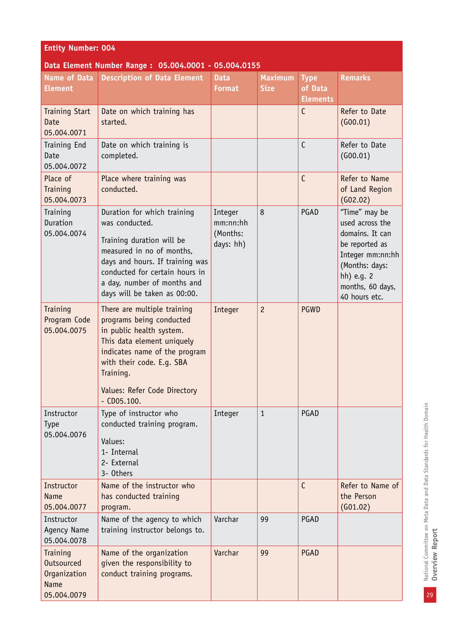| <b>Entity Number: 004</b>                                                   |                                                                                                                                                                                                                                               |                                              |                               |                                           |                                                                                                                                                                |  |
|-----------------------------------------------------------------------------|-----------------------------------------------------------------------------------------------------------------------------------------------------------------------------------------------------------------------------------------------|----------------------------------------------|-------------------------------|-------------------------------------------|----------------------------------------------------------------------------------------------------------------------------------------------------------------|--|
|                                                                             | Data Element Number Range: 05.004.0001 - 05.004.0155                                                                                                                                                                                          |                                              |                               |                                           |                                                                                                                                                                |  |
| <b>Name of Data</b><br><b>Element</b>                                       | <b>Description of Data Element</b>                                                                                                                                                                                                            | <b>Data</b><br><b>Format</b>                 | <b>Maximum</b><br><b>Size</b> | <b>Type</b><br>of Data<br><b>Elements</b> | <b>Remarks</b>                                                                                                                                                 |  |
| <b>Training Start</b><br><b>Date</b><br>05.004.0071                         | Date on which training has<br>started.                                                                                                                                                                                                        |                                              |                               | $\mathsf{C}$                              | Refer to Date<br>(G00.01)                                                                                                                                      |  |
| Training End<br>Date<br>05.004.0072                                         | Date on which training is<br>completed.                                                                                                                                                                                                       |                                              |                               | $\mathsf{C}$                              | Refer to Date<br>(G00.01)                                                                                                                                      |  |
| Place of<br>Training<br>05.004.0073                                         | Place where training was<br>conducted.                                                                                                                                                                                                        |                                              |                               | $\mathsf{C}$                              | Refer to Name<br>of Land Region<br>(G02.02)                                                                                                                    |  |
| Training<br>Duration<br>05.004.0074                                         | Duration for which training<br>was conducted.<br>Training duration will be<br>measured in no of months,<br>days and hours. If training was<br>conducted for certain hours in<br>a day, number of months and<br>days will be taken as 00:00.   | Integer<br>mm:nn:hh<br>(Months:<br>days: hh) | 8                             | PGAD                                      | "Time" may be<br>used across the<br>domains. It can<br>be reported as<br>Integer mm:nn:hh<br>(Months: days:<br>hh) e.g. 2<br>months, 60 days,<br>40 hours etc. |  |
| Training<br>Program Code<br>05.004.0075                                     | There are multiple training<br>programs being conducted<br>in public health system.<br>This data element uniquely<br>indicates name of the program<br>with their code. E.q. SBA<br>Training.<br>Values: Refer Code Directory<br>$-$ CD05.100. | Integer                                      | $\overline{c}$                | <b>PGWD</b>                               |                                                                                                                                                                |  |
| Instructor<br><b>Type</b><br>05.004.0076                                    | Type of instructor who<br>conducted training program.<br>Values:<br>1- Internal<br>2- External<br>3- Others                                                                                                                                   | Integer                                      | $\mathbf{1}$                  | PGAD                                      |                                                                                                                                                                |  |
| Instructor<br><b>Name</b><br>05.004.0077                                    | Name of the instructor who<br>has conducted training<br>program.                                                                                                                                                                              |                                              |                               | $\mathsf{C}$                              | Refer to Name of<br>the Person<br>(G01.02)                                                                                                                     |  |
| Instructor<br>Agency Name<br>05.004.0078                                    | Name of the agency to which<br>training instructor belongs to.                                                                                                                                                                                | Varchar                                      | 99                            | PGAD                                      |                                                                                                                                                                |  |
| Training<br><b>Outsourced</b><br>Organization<br><b>Name</b><br>05.004.0079 | Name of the organization<br>given the responsibility to<br>conduct training programs.                                                                                                                                                         | Varchar                                      | 99                            | PGAD                                      |                                                                                                                                                                |  |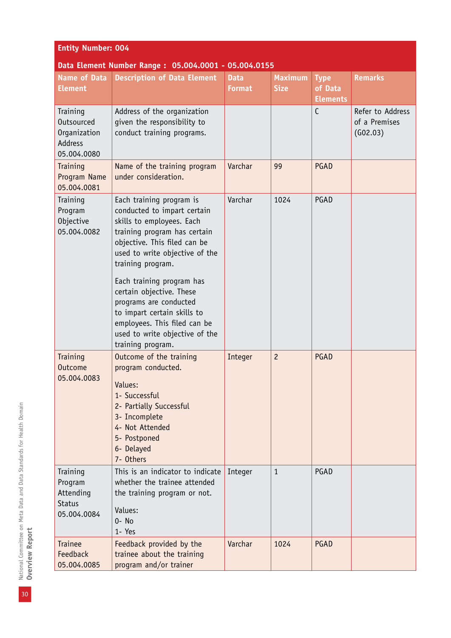| <b>Entity Number: 004</b>                                               |                                                                                                                                                                                                             |                              |                               |                                           |                                               |  |
|-------------------------------------------------------------------------|-------------------------------------------------------------------------------------------------------------------------------------------------------------------------------------------------------------|------------------------------|-------------------------------|-------------------------------------------|-----------------------------------------------|--|
| Data Element Number Range: 05.004.0001 - 05.004.0155                    |                                                                                                                                                                                                             |                              |                               |                                           |                                               |  |
| <b>Name of Data</b><br><b>Element</b>                                   | <b>Description of Data Element</b>                                                                                                                                                                          | <b>Data</b><br><b>Format</b> | <b>Maximum</b><br><b>Size</b> | <b>Type</b><br>of Data<br><b>Elements</b> | <b>Remarks</b>                                |  |
| Training<br>Outsourced<br>Organization<br><b>Address</b><br>05.004.0080 | Address of the organization<br>given the responsibility to<br>conduct training programs.                                                                                                                    |                              |                               | $\mathsf{C}$                              | Refer to Address<br>of a Premises<br>(G02.03) |  |
| Training<br>Program Name<br>05.004.0081                                 | Name of the training program<br>under consideration.                                                                                                                                                        | Varchar                      | 99                            | PGAD                                      |                                               |  |
| Training<br>Program<br>Objective<br>05.004.0082                         | Each training program is<br>conducted to impart certain<br>skills to employees. Each<br>training program has certain<br>objective. This filed can be<br>used to write objective of the<br>training program. | Varchar                      | 1024                          | PGAD                                      |                                               |  |
|                                                                         | Each training program has<br>certain objective. These<br>programs are conducted<br>to impart certain skills to<br>employees. This filed can be<br>used to write objective of the<br>training program.       |                              |                               |                                           |                                               |  |
| Training<br><b>Outcome</b><br>05.004.0083                               | Outcome of the training<br>program conducted.<br>Values:<br>1- Successful<br>2- Partially Successful<br>3- Incomplete<br>4- Not Attended<br>5- Postponed<br>6- Delayed<br>7- Others                         | Integer                      | $\overline{c}$                | PGAD                                      |                                               |  |
| Training<br>Program<br>Attending<br><b>Status</b><br>05.004.0084        | This is an indicator to indicate<br>whether the trainee attended<br>the training program or not.<br>Values:<br>$0 - No$<br>1- Yes                                                                           | Integer                      | $\mathbf{1}$                  | PGAD                                      |                                               |  |
| <b>Trainee</b><br>Feedback<br>05.004.0085                               | Feedback provided by the<br>trainee about the training<br>program and/or trainer                                                                                                                            | Varchar                      | 1024                          | PGAD                                      |                                               |  |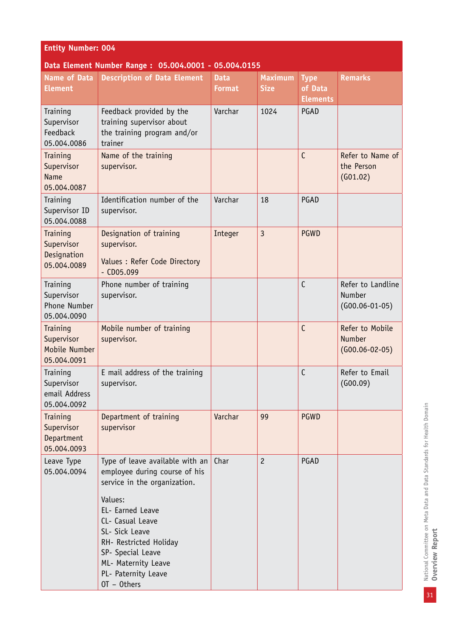| <b>Entity Number: 004</b>                              |                                                                                                                                                                                                                                                                                     |                              |                               |                                           |                                                      |  |  |
|--------------------------------------------------------|-------------------------------------------------------------------------------------------------------------------------------------------------------------------------------------------------------------------------------------------------------------------------------------|------------------------------|-------------------------------|-------------------------------------------|------------------------------------------------------|--|--|
|                                                        | Data Element Number Range: 05.004.0001 - 05.004.0155                                                                                                                                                                                                                                |                              |                               |                                           |                                                      |  |  |
| <b>Name of Data</b><br><b>Element</b>                  | <b>Description of Data Element</b>                                                                                                                                                                                                                                                  | <b>Data</b><br><b>Format</b> | <b>Maximum</b><br><b>Size</b> | <b>Type</b><br>of Data<br><b>Elements</b> | <b>Remarks</b>                                       |  |  |
| Training<br>Supervisor<br>Feedback<br>05.004.0086      | Feedback provided by the<br>training supervisor about<br>the training program and/or<br>trainer                                                                                                                                                                                     | Varchar                      | 1024                          | <b>PGAD</b>                               |                                                      |  |  |
| Training<br>Supervisor<br><b>Name</b><br>05.004.0087   | Name of the training<br>supervisor.                                                                                                                                                                                                                                                 |                              |                               | $\mathsf{C}$                              | Refer to Name of<br>the Person<br>(601.02)           |  |  |
| Training<br>Supervisor ID<br>05.004.0088               | Identification number of the<br>supervisor.                                                                                                                                                                                                                                         | Varchar                      | 18                            | PGAD                                      |                                                      |  |  |
| Training<br>Supervisor<br>Designation<br>05.004.0089   | Designation of training<br>supervisor.<br>Values : Refer Code Directory<br>$-$ CD05.099                                                                                                                                                                                             | Integer                      | $\overline{3}$                | <b>PGWD</b>                               |                                                      |  |  |
| Training<br>Supervisor<br>Phone Number<br>05.004.0090  | Phone number of training<br>supervisor.                                                                                                                                                                                                                                             |                              |                               | $\mathsf{C}$                              | Refer to Landline<br>Number<br>$(G00.06-01-05)$      |  |  |
| Training<br>Supervisor<br>Mobile Number<br>05.004.0091 | Mobile number of training<br>supervisor.                                                                                                                                                                                                                                            |                              |                               | $\mathsf{C}$                              | Refer to Mobile<br><b>Number</b><br>$(G00.06-02-05)$ |  |  |
| Training<br>Supervisor<br>email Address<br>05.004.0092 | E mail address of the training<br>supervisor.                                                                                                                                                                                                                                       |                              |                               | $\mathsf C$                               | Refer to Email<br>(600.09)                           |  |  |
| Training<br>Supervisor<br>Department<br>05.004.0093    | Department of training<br>supervisor                                                                                                                                                                                                                                                | Varchar                      | 99                            | <b>PGWD</b>                               |                                                      |  |  |
| Leave Type<br>05.004.0094                              | Type of leave available with an<br>employee during course of his<br>service in the organization.<br>Values:<br>EL- Earned Leave<br>CL- Casual Leave<br>SL- Sick Leave<br>RH- Restricted Holiday<br>SP- Special Leave<br>ML- Maternity Leave<br>PL- Paternity Leave<br>$OT - Others$ | Char                         | $\overline{c}$                | PGAD                                      |                                                      |  |  |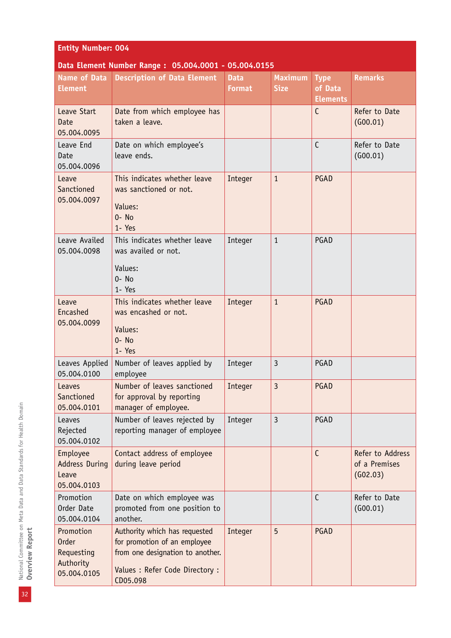| <b>Entity Number: 004</b>                                           |                                                                                                                                                  |                              |                               |                                           |                                               |
|---------------------------------------------------------------------|--------------------------------------------------------------------------------------------------------------------------------------------------|------------------------------|-------------------------------|-------------------------------------------|-----------------------------------------------|
|                                                                     | Data Element Number Range: 05.004.0001 - 05.004.0155                                                                                             |                              |                               |                                           |                                               |
| <b>Name of Data</b><br><b>Element</b>                               | <b>Description of Data Element</b>                                                                                                               | <b>Data</b><br><b>Format</b> | <b>Maximum</b><br><b>Size</b> | <b>Type</b><br>of Data<br><b>Elements</b> | <b>Remarks</b>                                |
| Leave Start<br>Date<br>05.004.0095                                  | Date from which employee has<br>taken a leave.                                                                                                   |                              |                               | C                                         | Refer to Date<br>(600.01)                     |
| Leave End<br>Date<br>05.004.0096                                    | Date on which employee's<br>leave ends.                                                                                                          |                              |                               | $\mathsf{C}$                              | Refer to Date<br>(G00.01)                     |
| Leave<br>Sanctioned<br>05.004.0097                                  | This indicates whether leave<br>was sanctioned or not.<br>Values:<br>$0 - No$<br>1- Yes                                                          | Integer                      | $\mathbf{1}$                  | PGAD                                      |                                               |
| Leave Availed<br>05.004.0098                                        | This indicates whether leave<br>was availed or not.<br>Values:<br>$0 - No$<br>1- Yes                                                             | Integer                      | $\mathbf{1}$                  | PGAD                                      |                                               |
| Leave<br>Encashed<br>05.004.0099                                    | This indicates whether leave<br>was encashed or not.<br>Values:<br>$0 - No$<br>1- Yes                                                            | Integer                      | $\mathbf{1}$                  | PGAD                                      |                                               |
| Leaves Applied<br>05.004.0100                                       | Number of leaves applied by<br>employee                                                                                                          | Integer                      | $\overline{3}$                | PGAD                                      |                                               |
| Leaves<br>Sanctioned<br>05.004.0101                                 | Number of leaves sanctioned<br>for approval by reporting<br>manager of employee.                                                                 | Integer                      | 3                             | PGAD                                      |                                               |
| Leaves<br>Rejected<br>05.004.0102                                   | Number of leaves rejected by<br>reporting manager of employee                                                                                    | Integer                      | 3                             | PGAD                                      |                                               |
| Employee<br><b>Address During</b><br>Leave<br>05.004.0103           | Contact address of employee<br>during leave period                                                                                               |                              |                               | $\mathsf{C}$                              | Refer to Address<br>of a Premises<br>(G02.03) |
| Promotion<br>Order Date<br>05.004.0104                              | Date on which employee was<br>promoted from one position to<br>another.                                                                          |                              |                               | $\mathsf{C}$                              | Refer to Date<br>(G00.01)                     |
| Promotion<br><b>Order</b><br>Requesting<br>Authority<br>05.004.0105 | Authority which has requested<br>for promotion of an employee<br>from one designation to another.<br>Values : Refer Code Directory :<br>CD05.098 | Integer                      | 5                             | PGAD                                      |                                               |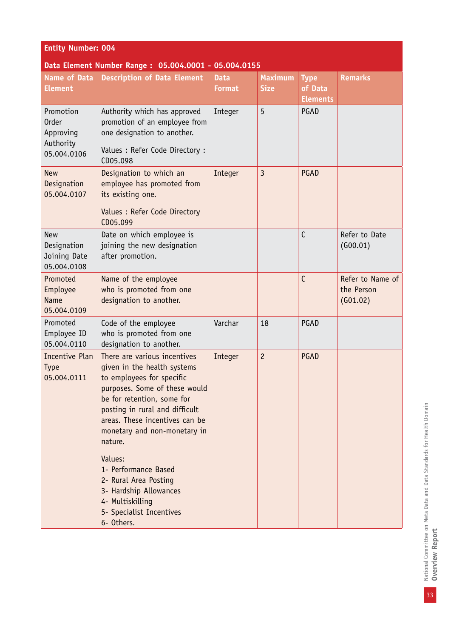| <b>Entity Number: 004</b>                                          |                                                                                                                                                                                                                                                                                                                                    |                              |                               |                                           |                                            |
|--------------------------------------------------------------------|------------------------------------------------------------------------------------------------------------------------------------------------------------------------------------------------------------------------------------------------------------------------------------------------------------------------------------|------------------------------|-------------------------------|-------------------------------------------|--------------------------------------------|
|                                                                    | Data Element Number Range: 05.004.0001 - 05.004.0155                                                                                                                                                                                                                                                                               |                              |                               |                                           |                                            |
| Name of Data<br><b>Element</b>                                     | <b>Description of Data Element</b>                                                                                                                                                                                                                                                                                                 | <b>Data</b><br><b>Format</b> | <b>Maximum</b><br><b>Size</b> | <b>Type</b><br>of Data<br><b>Elements</b> | <b>Remarks</b>                             |
| Promotion<br><b>Order</b><br>Approving<br>Authority<br>05.004.0106 | Authority which has approved<br>promotion of an employee from<br>one designation to another.<br>Values : Refer Code Directory :<br>CD05.098                                                                                                                                                                                        | Integer                      | 5                             | PGAD                                      |                                            |
| <b>New</b><br>Designation<br>05.004.0107                           | Designation to which an<br>employee has promoted from<br>its existing one.<br>Values : Refer Code Directory<br>CD05.099                                                                                                                                                                                                            | Integer                      | $\overline{3}$                | PGAD                                      |                                            |
| <b>New</b><br>Designation<br>Joining Date<br>05.004.0108           | Date on which employee is<br>joining the new designation<br>after promotion.                                                                                                                                                                                                                                                       |                              |                               | C                                         | Refer to Date<br>(600.01)                  |
| Promoted<br>Employee<br><b>Name</b><br>05.004.0109                 | Name of the employee<br>who is promoted from one<br>designation to another.                                                                                                                                                                                                                                                        |                              |                               | C                                         | Refer to Name of<br>the Person<br>(G01.02) |
| Promoted<br>Employee ID<br>05.004.0110                             | Code of the employee<br>who is promoted from one<br>designation to another.                                                                                                                                                                                                                                                        | Varchar                      | 18                            | PGAD                                      |                                            |
| <b>Incentive Plan</b><br><b>Type</b><br>05.004.0111                | There are various incentives<br>given in the health systems<br>to employees for specific<br>purposes. Some of these would<br>be for retention, some for<br>posting in rural and difficult<br>areas. These incentives can be<br>monetary and non-monetary in<br>nature.<br>Values:<br>1- Performance Based<br>2- Rural Area Posting | Integer                      | $\overline{c}$                | PGAD                                      |                                            |
|                                                                    | 3- Hardship Allowances<br>4- Multiskilling<br>5- Specialist Incentives<br>6- Others.                                                                                                                                                                                                                                               |                              |                               |                                           |                                            |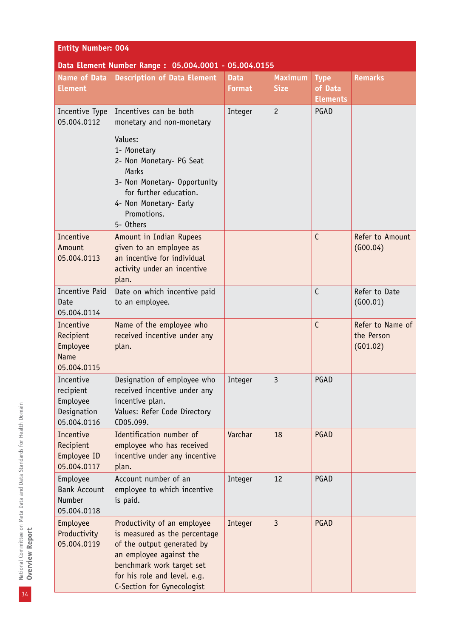| <b>Entity Number: 004</b>                                        |                                                                                                                                                                                                                  |                              |                               |                                           |                                            |
|------------------------------------------------------------------|------------------------------------------------------------------------------------------------------------------------------------------------------------------------------------------------------------------|------------------------------|-------------------------------|-------------------------------------------|--------------------------------------------|
|                                                                  | Data Element Number Range: 05.004.0001 - 05.004.0155                                                                                                                                                             |                              |                               |                                           |                                            |
| <b>Name of Data</b><br><b>Element</b>                            | <b>Description of Data Element</b>                                                                                                                                                                               | <b>Data</b><br><b>Format</b> | <b>Maximum</b><br><b>Size</b> | <b>Type</b><br>of Data<br><b>Elements</b> | <b>Remarks</b>                             |
| Incentive Type<br>05.004.0112                                    | Incentives can be both<br>monetary and non-monetary                                                                                                                                                              | Integer                      | $\overline{c}$                | PGAD                                      |                                            |
|                                                                  | Values:<br>1- Monetary<br>2- Non Monetary- PG Seat<br>Marks<br>3- Non Monetary- Opportunity<br>for further education.<br>4- Non Monetary- Early<br>Promotions.<br>5- Others                                      |                              |                               |                                           |                                            |
| Incentive<br>Amount<br>05.004.0113                               | Amount in Indian Rupees<br>given to an employee as<br>an incentive for individual<br>activity under an incentive<br>plan.                                                                                        |                              |                               | C                                         | Refer to Amount<br>(600.04)                |
| Incentive Paid<br>Date<br>05.004.0114                            | Date on which incentive paid<br>to an employee.                                                                                                                                                                  |                              |                               | $\mathsf{C}$                              | Refer to Date<br>(600.01)                  |
| Incentive<br>Recipient<br>Employee<br><b>Name</b><br>05.004.0115 | Name of the employee who<br>received incentive under any<br>plan.                                                                                                                                                |                              |                               | C                                         | Refer to Name of<br>the Person<br>(G01.02) |
| Incentive<br>recipient<br>Employee<br>Designation<br>05.004.0116 | Designation of employee who<br>received incentive under any<br>incentive plan.<br>Values: Refer Code Directory<br>CD05.099.                                                                                      | Integer                      | 3                             | PGAD                                      |                                            |
| Incentive<br>Recipient<br>Employee ID<br>05.004.0117             | Identification number of<br>employee who has received<br>incentive under any incentive<br>plan.                                                                                                                  | Varchar                      | 18                            | PGAD                                      |                                            |
| Employee<br><b>Bank Account</b><br>Number<br>05.004.0118         | Account number of an<br>employee to which incentive<br>is paid.                                                                                                                                                  | Integer                      | 12                            | PGAD                                      |                                            |
| Employee<br>Productivity<br>05.004.0119                          | Productivity of an employee<br>is measured as the percentage<br>of the output generated by<br>an employee against the<br>benchmark work target set<br>for his role and level. e.g.<br>C-Section for Gynecologist | Integer                      | $\overline{3}$                | PGAD                                      |                                            |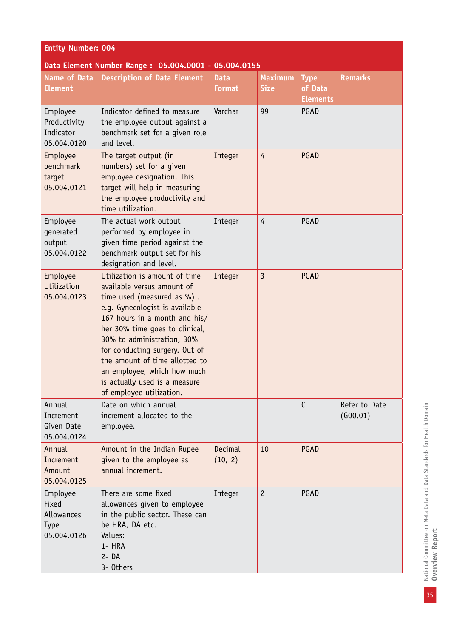| <b>Entity Number: 004</b>                                     |                                                                                                                                                                                                                                                                                                                                                                                              |                              |                               |                                           |                           |  |
|---------------------------------------------------------------|----------------------------------------------------------------------------------------------------------------------------------------------------------------------------------------------------------------------------------------------------------------------------------------------------------------------------------------------------------------------------------------------|------------------------------|-------------------------------|-------------------------------------------|---------------------------|--|
|                                                               | Data Element Number Range: 05.004.0001 - 05.004.0155                                                                                                                                                                                                                                                                                                                                         |                              |                               |                                           |                           |  |
| Name of Data<br><b>Element</b>                                | <b>Description of Data Element</b>                                                                                                                                                                                                                                                                                                                                                           | <b>Data</b><br><b>Format</b> | <b>Maximum</b><br><b>Size</b> | <b>Type</b><br>of Data<br><b>Elements</b> | <b>Remarks</b>            |  |
| Employee<br>Productivity<br>Indicator<br>05.004.0120          | Indicator defined to measure<br>the employee output against a<br>benchmark set for a given role<br>and level.                                                                                                                                                                                                                                                                                | Varchar                      | 99                            | PGAD                                      |                           |  |
| Employee<br>benchmark<br>target<br>05.004.0121                | The target output (in<br>numbers) set for a given<br>employee designation. This<br>target will help in measuring<br>the employee productivity and<br>time utilization.                                                                                                                                                                                                                       | Integer                      | $\overline{4}$                | PGAD                                      |                           |  |
| Employee<br>generated<br>output<br>05.004.0122                | The actual work output<br>performed by employee in<br>given time period against the<br>benchmark output set for his<br>designation and level.                                                                                                                                                                                                                                                | Integer                      | $\overline{4}$                | PGAD                                      |                           |  |
| Employee<br>Utilization<br>05.004.0123                        | Utilization is amount of time<br>available versus amount of<br>time used (measured as %).<br>e.g. Gynecologist is available<br>167 hours in a month and his/<br>her 30% time goes to clinical,<br>30% to administration, 30%<br>for conducting surgery. Out of<br>the amount of time allotted to<br>an employee, which how much<br>is actually used is a measure<br>of employee utilization. | Integer                      | $\overline{3}$                | PGAD                                      |                           |  |
| Annual<br>Increment<br>Given Date<br>05.004.0124              | Date on which annual<br>increment allocated to the<br>employee.                                                                                                                                                                                                                                                                                                                              |                              |                               | $\mathsf{C}$                              | Refer to Date<br>(G00.01) |  |
| Annual<br>Increment<br>Amount<br>05.004.0125                  | Amount in the Indian Rupee<br>given to the employee as<br>annual increment.                                                                                                                                                                                                                                                                                                                  | Decimal<br>(10, 2)           | 10                            | <b>PGAD</b>                               |                           |  |
| Employee<br>Fixed<br>Allowances<br><b>Type</b><br>05.004.0126 | There are some fixed<br>allowances given to employee<br>in the public sector. These can<br>be HRA, DA etc.<br>Values:<br>1- HRA<br>$2 - DA$<br>3- Others                                                                                                                                                                                                                                     | Integer                      | $\overline{c}$                | PGAD                                      |                           |  |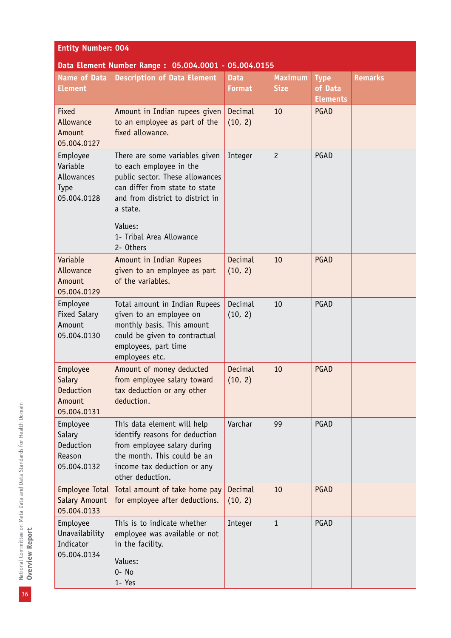| <b>Entity Number: 004</b>                                 |                                                                                                                                                                                                                                    |                              |                               |                                           |                |  |  |
|-----------------------------------------------------------|------------------------------------------------------------------------------------------------------------------------------------------------------------------------------------------------------------------------------------|------------------------------|-------------------------------|-------------------------------------------|----------------|--|--|
| Data Element Number Range: 05.004.0001 - 05.004.0155      |                                                                                                                                                                                                                                    |                              |                               |                                           |                |  |  |
| Name of Data<br><b>Element</b>                            | <b>Description of Data Element</b>                                                                                                                                                                                                 | <b>Data</b><br><b>Format</b> | <b>Maximum</b><br><b>Size</b> | <b>Type</b><br>of Data<br><b>Elements</b> | <b>Remarks</b> |  |  |
| Fixed<br>Allowance<br>Amount<br>05.004.0127               | Amount in Indian rupees given<br>to an employee as part of the<br>fixed allowance.                                                                                                                                                 | Decimal<br>(10, 2)           | 10                            | PGAD                                      |                |  |  |
| Employee<br>Variable<br>Allowances<br>Type<br>05.004.0128 | There are some variables given<br>to each employee in the<br>public sector. These allowances<br>can differ from state to state<br>and from district to district in<br>a state.<br>Values:<br>1- Tribal Area Allowance<br>2- Others | Integer                      | $\overline{c}$                | PGAD                                      |                |  |  |
| Variable<br>Allowance<br>Amount<br>05.004.0129            | Amount in Indian Rupees<br>given to an employee as part<br>of the variables.                                                                                                                                                       | Decimal<br>(10, 2)           | 10                            | PGAD                                      |                |  |  |
| Employee<br><b>Fixed Salary</b><br>Amount<br>05.004.0130  | Total amount in Indian Rupees<br>given to an employee on<br>monthly basis. This amount<br>could be given to contractual<br>employees, part time<br>employees etc.                                                                  | Decimal<br>(10, 2)           | 10                            | PGAD                                      |                |  |  |
| Employee<br>Salary<br>Deduction<br>Amount<br>05.004.0131  | Amount of money deducted<br>from employee salary toward<br>tax deduction or any other<br>deduction.                                                                                                                                | Decimal<br>(10, 2)           | 10                            | PGAD                                      |                |  |  |
| Employee<br>Salary<br>Deduction<br>Reason<br>05.004.0132  | This data element will help<br>identify reasons for deduction<br>from employee salary during<br>the month. This could be an<br>income tax deduction or any<br>other deduction.                                                     | Varchar                      | 99                            | PGAD                                      |                |  |  |
| Employee Total<br>Salary Amount<br>05.004.0133            | Total amount of take home pay<br>for employee after deductions.                                                                                                                                                                    | Decimal<br>(10, 2)           | 10                            | PGAD                                      |                |  |  |
| Employee<br>Unavailability<br>Indicator<br>05.004.0134    | This is to indicate whether<br>employee was available or not<br>in the facility.<br>Values:<br>0- No<br>1- Yes                                                                                                                     | Integer                      | $\mathbf{1}$                  | PGAD                                      |                |  |  |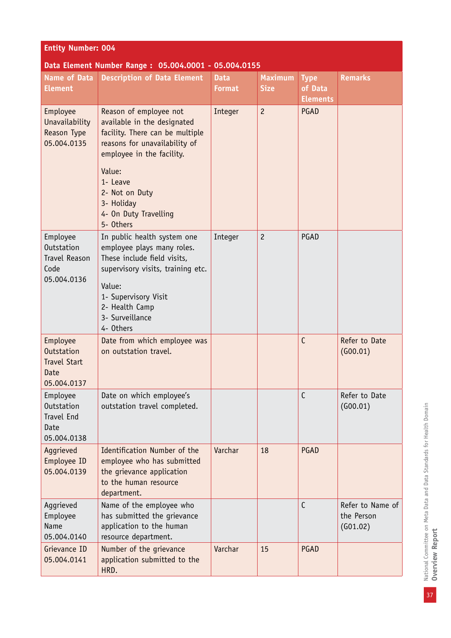| <b>Entity Number: 004</b>                                                    |                                                                                                                                                                 |                              |                               |                                           |                                            |  |  |  |
|------------------------------------------------------------------------------|-----------------------------------------------------------------------------------------------------------------------------------------------------------------|------------------------------|-------------------------------|-------------------------------------------|--------------------------------------------|--|--|--|
| Data Element Number Range: 05.004.0001 - 05.004.0155                         |                                                                                                                                                                 |                              |                               |                                           |                                            |  |  |  |
| <b>Name of Data</b><br><b>Element</b>                                        | <b>Description of Data Element</b>                                                                                                                              | <b>Data</b><br><b>Format</b> | <b>Maximum</b><br><b>Size</b> | <b>Type</b><br>of Data<br><b>Elements</b> | <b>Remarks</b>                             |  |  |  |
| Employee<br>Unavailability<br><b>Reason Type</b><br>05.004.0135              | Reason of employee not<br>available in the designated<br>facility. There can be multiple<br>reasons for unavailability of<br>employee in the facility.          | Integer                      | $\overline{c}$                | PGAD                                      |                                            |  |  |  |
|                                                                              | Value:<br>1- Leave<br>2- Not on Duty<br>3- Holiday<br>4- On Duty Travelling<br>5- Others                                                                        |                              |                               |                                           |                                            |  |  |  |
| Employee<br><b>Outstation</b><br><b>Travel Reason</b><br>Code<br>05.004.0136 | In public health system one<br>employee plays many roles.<br>These include field visits,<br>supervisory visits, training etc.<br>Value:<br>1- Supervisory Visit | Integer                      | $\overline{c}$                | PGAD                                      |                                            |  |  |  |
|                                                                              | 2- Health Camp<br>3- Surveillance<br>4- Others                                                                                                                  |                              |                               |                                           |                                            |  |  |  |
| Employee<br><b>Outstation</b><br><b>Travel Start</b><br>Date<br>05.004.0137  | Date from which employee was<br>on outstation travel.                                                                                                           |                              |                               | $\mathsf{C}$                              | Refer to Date<br>(600.01)                  |  |  |  |
| Employee<br><b>Outstation</b><br><b>Travel End</b><br>Date<br>05.004.0138    | Date on which employee's<br>outstation travel completed.                                                                                                        |                              |                               | $\mathsf{C}$                              | Refer to Date<br>(600.01)                  |  |  |  |
| Aggrieved<br>Employee ID<br>05.004.0139                                      | Identification Number of the<br>employee who has submitted<br>the grievance application<br>to the human resource<br>department.                                 | Varchar                      | 18                            | PGAD                                      |                                            |  |  |  |
| Aggrieved<br>Employee<br>Name<br>05.004.0140                                 | Name of the employee who<br>has submitted the grievance<br>application to the human<br>resource department.                                                     |                              |                               | $\mathsf{C}$                              | Refer to Name of<br>the Person<br>(G01.02) |  |  |  |
| Grievance ID<br>05.004.0141                                                  | Number of the grievance<br>application submitted to the<br>HRD.                                                                                                 | Varchar                      | 15                            | PGAD                                      |                                            |  |  |  |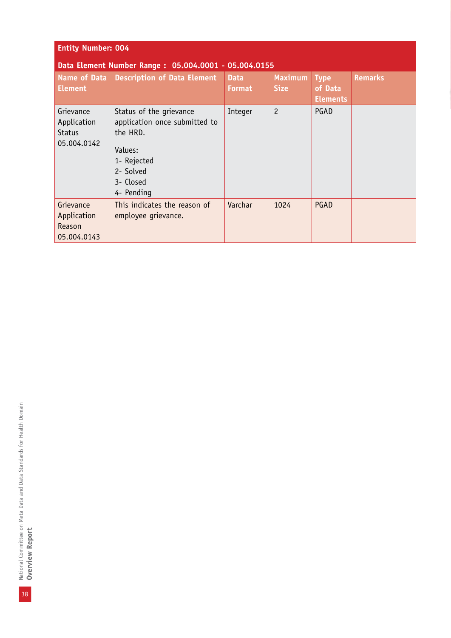| <b>Entity Number: 004</b>                                |                                                                                                                                        |                              |                               |                                           |                |  |  |
|----------------------------------------------------------|----------------------------------------------------------------------------------------------------------------------------------------|------------------------------|-------------------------------|-------------------------------------------|----------------|--|--|
|                                                          | Data Element Number Range: 05.004.0001 - 05.004.0155                                                                                   |                              |                               |                                           |                |  |  |
| Name of Data<br><b>Element</b>                           | Description of Data Element                                                                                                            | <b>Data</b><br><b>Format</b> | <b>Maximum</b><br><b>Size</b> | <b>Type</b><br>of Data<br><b>Elements</b> | <b>Remarks</b> |  |  |
| Grievance<br>Application<br><b>Status</b><br>05.004.0142 | Status of the grievance<br>application once submitted to<br>the HRD.<br>Values:<br>1- Rejected<br>2- Solved<br>3- Closed<br>4- Pending | Integer                      | $\overline{c}$                | PGAD                                      |                |  |  |
| Grievance<br>Application<br>Reason<br>05.004.0143        | This indicates the reason of<br>employee grievance.                                                                                    | Varchar                      | 1024                          | PGAD                                      |                |  |  |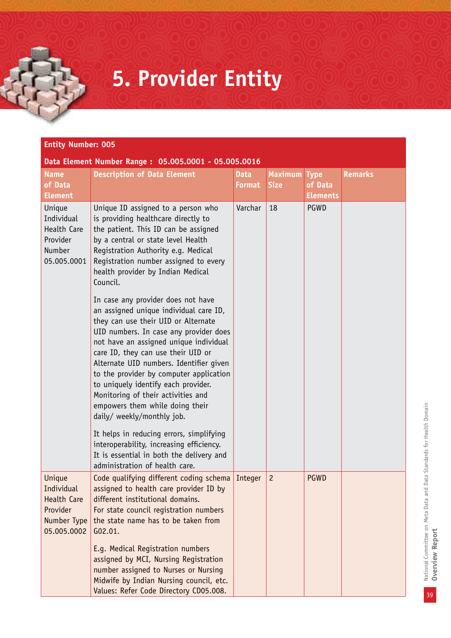### **5. Provider Entity**

|                                                                                      | <b>Entity Number: 005</b>                                                                                                                                                                                                                                                                                                                                                                                                                                                         |                              |                               |                                           |                |  |  |  |
|--------------------------------------------------------------------------------------|-----------------------------------------------------------------------------------------------------------------------------------------------------------------------------------------------------------------------------------------------------------------------------------------------------------------------------------------------------------------------------------------------------------------------------------------------------------------------------------|------------------------------|-------------------------------|-------------------------------------------|----------------|--|--|--|
| <b>Name</b><br>of Data<br><b>Element</b>                                             | Data Element Number Range: 05.005.0001 - 05.005.0016<br><b>Description of Data Element</b>                                                                                                                                                                                                                                                                                                                                                                                        | <b>Data</b><br><b>Format</b> | <b>Maximum</b><br><b>Size</b> | <b>Type</b><br>of Data<br><b>Elements</b> | <b>Remarks</b> |  |  |  |
| Unique<br>Individual<br>Health Care<br>Provider<br>Number<br>05.005.0001             | Unique ID assigned to a person who<br>is providing healthcare directly to<br>the patient. This ID can be assigned<br>by a central or state level Health<br>Registration Authority e.g. Medical<br>Registration number assigned to every<br>health provider by Indian Medical<br>Council.                                                                                                                                                                                          | Varchar                      | 18                            | <b>PGWD</b>                               |                |  |  |  |
|                                                                                      | In case any provider does not have<br>an assigned unique individual care ID,<br>they can use their UID or Alternate<br>UID numbers. In case any provider does<br>not have an assigned unique individual<br>care ID, they can use their UID or<br>Alternate UID numbers. Identifier given<br>to the provider by computer application<br>to uniquely identify each provider.<br>Monitoring of their activities and<br>empowers them while doing their<br>daily/ weekly/monthly job. |                              |                               |                                           |                |  |  |  |
|                                                                                      | It helps in reducing errors, simplifying<br>interoperability, increasing efficiency.<br>It is essential in both the delivery and<br>administration of health care.                                                                                                                                                                                                                                                                                                                |                              |                               |                                           |                |  |  |  |
| Unique<br>Individual<br><b>Health Care</b><br>Provider<br>Number Type<br>05.005.0002 | Code qualifying different coding schema   Integer<br>assigned to health care provider ID by<br>different institutional domains.<br>For state council registration numbers<br>the state name has to be taken from<br>G02.01.<br>E.g. Medical Registration numbers<br>assigned by MCI, Nursing Registration                                                                                                                                                                         |                              | $\overline{c}$                | <b>PGWD</b>                               |                |  |  |  |
|                                                                                      | number assigned to Nurses or Nursing<br>Midwife by Indian Nursing council, etc.<br>Values: Refer Code Directory CD05.008.                                                                                                                                                                                                                                                                                                                                                         |                              |                               |                                           |                |  |  |  |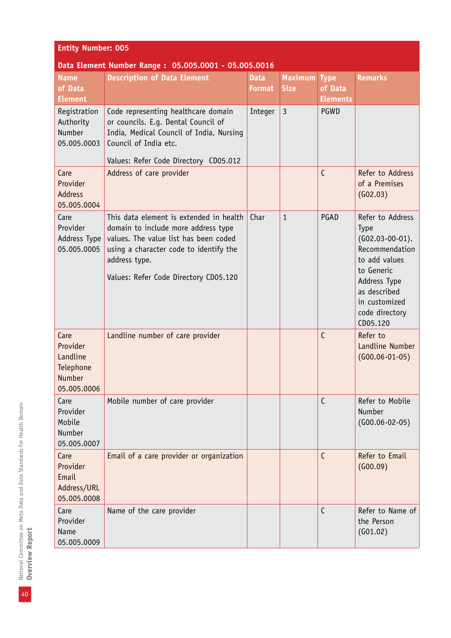| <b>Entity Number: 005</b>                                                 |                                                                                                                                                                                                                             |                              |                               |                                           |                                                                                                                                                                                      |  |  |  |
|---------------------------------------------------------------------------|-----------------------------------------------------------------------------------------------------------------------------------------------------------------------------------------------------------------------------|------------------------------|-------------------------------|-------------------------------------------|--------------------------------------------------------------------------------------------------------------------------------------------------------------------------------------|--|--|--|
| Data Element Number Range: 05.005.0001 - 05.005.0016                      |                                                                                                                                                                                                                             |                              |                               |                                           |                                                                                                                                                                                      |  |  |  |
| <b>Name</b><br>of Data<br><b>Element</b>                                  | <b>Description of Data Element</b>                                                                                                                                                                                          | <b>Data</b><br><b>Format</b> | <b>Maximum</b><br><b>Size</b> | <b>Type</b><br>of Data<br><b>Elements</b> | <b>Remarks</b>                                                                                                                                                                       |  |  |  |
| Registration<br>Authority<br>Number<br>05.005.0003                        | Code representing healthcare domain<br>or councils. E.g. Dental Council of<br>India, Medical Council of India, Nursing<br>Council of India etc.<br>Values: Refer Code Directory CD05.012                                    | Integer                      | $\overline{3}$                | PGWD                                      |                                                                                                                                                                                      |  |  |  |
| Care<br>Provider<br><b>Address</b><br>05.005.0004                         | Address of care provider                                                                                                                                                                                                    |                              |                               | $\mathsf{C}$                              | Refer to Address<br>of a Premises<br>(602.03)                                                                                                                                        |  |  |  |
| Care<br>Provider<br>Address Type<br>05.005.0005                           | This data element is extended in health<br>domain to include more address type<br>values. The value list has been coded<br>using a character code to identify the<br>address type.<br>Values: Refer Code Directory CD05.120 | Char                         | $\mathbf{1}$                  | PGAD                                      | Refer to Address<br><b>Type</b><br>$(G02.03-00-01).$<br>Recommendation<br>to add values<br>to Generic<br>Address Type<br>as described<br>in customized<br>code directory<br>CD05.120 |  |  |  |
| Care<br>Provider<br>Landline<br>Telephone<br><b>Number</b><br>05.005.0006 | Landline number of care provider                                                                                                                                                                                            |                              |                               | $\mathsf{C}$                              | Refer to<br>Landline Number<br>$(G00.06-01-05)$                                                                                                                                      |  |  |  |
| Care<br>Provider<br>Mobile<br>Number<br>05.005.0007                       | Mobile number of care provider                                                                                                                                                                                              |                              |                               | $\mathsf{C}$                              | Refer to Mobile<br>Number<br>$(G00.06-02-05)$                                                                                                                                        |  |  |  |
| Care<br>Provider<br>Email<br>Address/URL<br>05.005.0008                   | Email of a care provider or organization                                                                                                                                                                                    |                              |                               | C                                         | Refer to Email<br>(600.09)                                                                                                                                                           |  |  |  |
| Care<br>Provider<br>Name<br>05.005.0009                                   | Name of the care provider                                                                                                                                                                                                   |                              |                               | $\mathsf{C}$                              | Refer to Name of<br>the Person<br>(G01.02)                                                                                                                                           |  |  |  |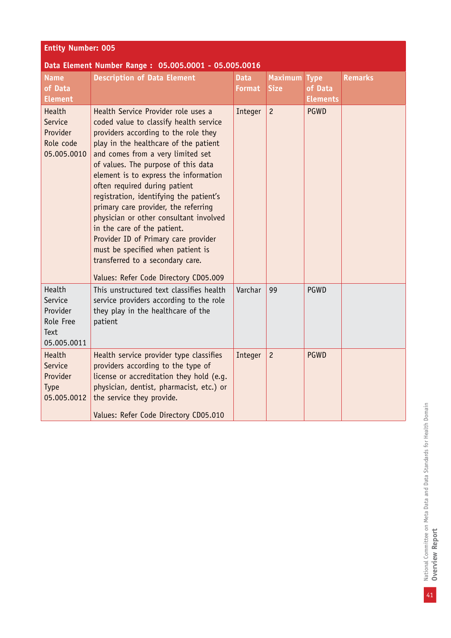| <b>Entity Number: 005</b>                                         |                                                                                                                                                                                                                                                                                                                                                                                                                                                                                                                                                                                                                                            |                              |                               |                                           |                |  |  |  |
|-------------------------------------------------------------------|--------------------------------------------------------------------------------------------------------------------------------------------------------------------------------------------------------------------------------------------------------------------------------------------------------------------------------------------------------------------------------------------------------------------------------------------------------------------------------------------------------------------------------------------------------------------------------------------------------------------------------------------|------------------------------|-------------------------------|-------------------------------------------|----------------|--|--|--|
| Data Element Number Range: 05.005.0001 - 05.005.0016              |                                                                                                                                                                                                                                                                                                                                                                                                                                                                                                                                                                                                                                            |                              |                               |                                           |                |  |  |  |
| <b>Name</b><br>of Data<br><b>Element</b>                          | <b>Description of Data Element</b>                                                                                                                                                                                                                                                                                                                                                                                                                                                                                                                                                                                                         | <b>Data</b><br><b>Format</b> | <b>Maximum</b><br><b>Size</b> | <b>Type</b><br>of Data<br><b>Elements</b> | <b>Remarks</b> |  |  |  |
| Health<br>Service<br>Provider<br>Role code<br>05.005.0010         | Health Service Provider role uses a<br>coded value to classify health service<br>providers according to the role they<br>play in the healthcare of the patient<br>and comes from a very limited set<br>of values. The purpose of this data<br>element is to express the information<br>often required during patient<br>registration, identifying the patient's<br>primary care provider, the referring<br>physician or other consultant involved<br>in the care of the patient.<br>Provider ID of Primary care provider<br>must be specified when patient is<br>transferred to a secondary care.<br>Values: Refer Code Directory CD05.009 | Integer                      | $\overline{c}$                | <b>PGWD</b>                               |                |  |  |  |
| Health<br>Service<br>Provider<br>Role Free<br>Text<br>05.005.0011 | This unstructured text classifies health<br>service providers according to the role<br>they play in the healthcare of the<br>patient                                                                                                                                                                                                                                                                                                                                                                                                                                                                                                       | Varchar                      | 99                            | PGWD                                      |                |  |  |  |
| Health<br>Service<br>Provider<br><b>Type</b><br>05.005.0012       | Health service provider type classifies<br>providers according to the type of<br>license or accreditation they hold (e.g.<br>physician, dentist, pharmacist, etc.) or<br>the service they provide.<br>Values: Refer Code Directory CD05.010                                                                                                                                                                                                                                                                                                                                                                                                | Integer                      | $\overline{c}$                | <b>PGWD</b>                               |                |  |  |  |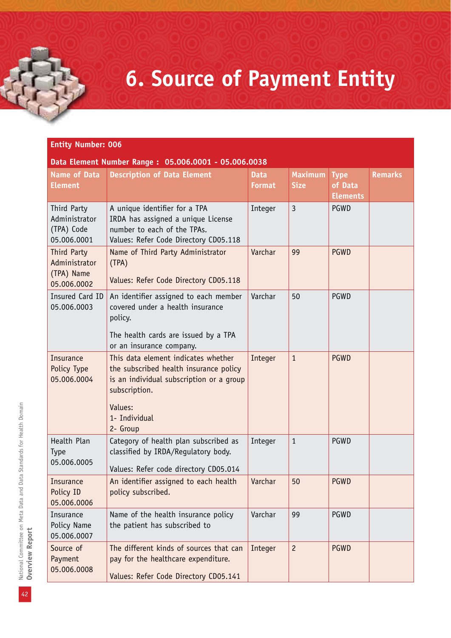### **6. Source of Payment Entity**

| Data Element Number Range: 05.006.0001 - 05.006.0038      |                                                                                                                                             |                              |                               |                                           |                |  |
|-----------------------------------------------------------|---------------------------------------------------------------------------------------------------------------------------------------------|------------------------------|-------------------------------|-------------------------------------------|----------------|--|
| <b>Name of Data</b><br><b>Element</b>                     | <b>Description of Data Element</b>                                                                                                          | <b>Data</b><br><b>Format</b> | <b>Maximum</b><br><b>Size</b> | <b>Type</b><br>of Data<br><b>Elements</b> | <b>Remarks</b> |  |
| Third Party<br>Administrator<br>(TPA) Code<br>05.006.0001 | A unique identifier for a TPA<br>IRDA has assigned a unique License<br>number to each of the TPAs.<br>Values: Refer Code Directory CD05.118 | Integer                      | $\overline{3}$                | PGWD                                      |                |  |
| Third Party<br>Administrator<br>(TPA) Name<br>05.006.0002 | Name of Third Party Administrator<br>(TPA)<br>Values: Refer Code Directory CD05.118                                                         | Varchar                      | 99                            | <b>PGWD</b>                               |                |  |
| Insured Card ID<br>05.006.0003                            | An identifier assigned to each member<br>covered under a health insurance<br>policy.                                                        | Varchar                      | 50                            | <b>PGWD</b>                               |                |  |
|                                                           | The health cards are issued by a TPA<br>or an insurance company.                                                                            |                              |                               |                                           |                |  |
| <b>Insurance</b><br>Policy Type<br>05.006.0004            | This data element indicates whether<br>the subscribed health insurance policy<br>is an individual subscription or a group<br>subscription.  | Integer                      | $\mathbf{1}$                  | <b>PGWD</b>                               |                |  |
|                                                           | Values:<br>1- Individual<br>2- Group                                                                                                        |                              |                               |                                           |                |  |
| Health Plan<br><b>Type</b><br>05.006.0005                 | Category of health plan subscribed as<br>classified by IRDA/Requlatory body.<br>Values: Refer code directory CD05.014                       | Integer                      | $\mathbf{1}$                  | PGWD                                      |                |  |
| Insurance<br>Policy ID<br>05.006.0006                     | An identifier assigned to each health<br>policy subscribed.                                                                                 | Varchar                      | 50                            | <b>PGWD</b>                               |                |  |
| Insurance<br>Policy Name<br>05.006.0007                   | Name of the health insurance policy<br>the patient has subscribed to                                                                        | Varchar                      | 99                            | PGWD                                      |                |  |
| Source of<br>Payment<br>05.006.0008                       | The different kinds of sources that can<br>pay for the healthcare expenditure.<br>Values: Refer Code Directory CD05.141                     | Integer                      | $\overline{c}$                | <b>PGWD</b>                               |                |  |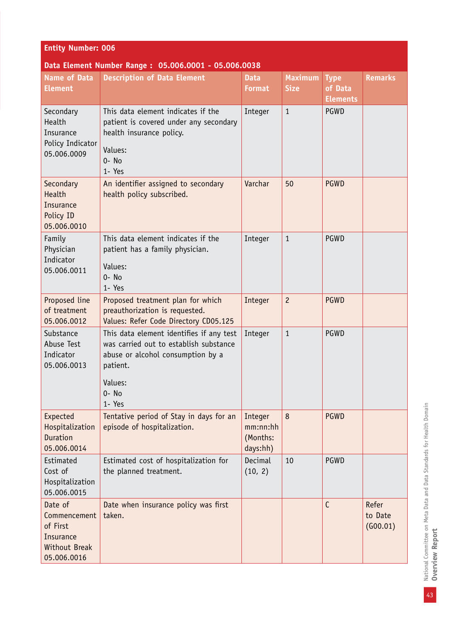| <b>Entity Number: 006</b>                                                               |                                                                                                                                                                      |                                             |                               |                                           |                              |  |  |
|-----------------------------------------------------------------------------------------|----------------------------------------------------------------------------------------------------------------------------------------------------------------------|---------------------------------------------|-------------------------------|-------------------------------------------|------------------------------|--|--|
| Data Element Number Range: 05.006.0001 - 05.006.0038                                    |                                                                                                                                                                      |                                             |                               |                                           |                              |  |  |
| <b>Name of Data</b><br><b>Element</b>                                                   | <b>Description of Data Element</b>                                                                                                                                   | <b>Data</b><br><b>Format</b>                | <b>Maximum</b><br><b>Size</b> | <b>Type</b><br>of Data<br><b>Elements</b> | <b>Remarks</b>               |  |  |
| Secondary<br>Health<br>Insurance<br>Policy Indicator<br>05.006.0009                     | This data element indicates if the<br>patient is covered under any secondary<br>health insurance policy.<br>Values:<br>$0 - No$<br>1- Yes                            | Integer                                     | $\mathbf{1}$                  | PGWD                                      |                              |  |  |
| Secondary<br>Health<br><b>Insurance</b><br>Policy ID<br>05.006.0010                     | An identifier assigned to secondary<br>health policy subscribed.                                                                                                     | Varchar                                     | 50                            | <b>PGWD</b>                               |                              |  |  |
| Family<br>Physician<br>Indicator<br>05.006.0011                                         | This data element indicates if the<br>patient has a family physician.<br>Values:<br>$0 - No$<br>1- Yes                                                               | Integer                                     | $\mathbf{1}$                  | PGWD                                      |                              |  |  |
| Proposed line<br>of treatment<br>05.006.0012                                            | Proposed treatment plan for which<br>preauthorization is requested.<br>Values: Refer Code Directory CD05.125                                                         | Integer                                     | $\overline{c}$                | <b>PGWD</b>                               |                              |  |  |
| Substance<br>Abuse Test<br>Indicator<br>05.006.0013                                     | This data element identifies if any test<br>was carried out to establish substance<br>abuse or alcohol consumption by a<br>patient.<br>Values:<br>$0 - No$<br>1- Yes | Integer                                     | $\mathbf{1}$                  | PGWD                                      |                              |  |  |
| Expected<br>Hospitalization<br><b>Duration</b><br>05.006.0014                           | Tentative period of Stay in days for an<br>episode of hospitalization.                                                                                               | Integer<br>mm:nn:hh<br>(Months:<br>days:hh) | 8                             | <b>PGWD</b>                               |                              |  |  |
| Estimated<br>Cost of<br>Hospitalization<br>05.006.0015                                  | Estimated cost of hospitalization for<br>the planned treatment.                                                                                                      | Decimal<br>(10, 2)                          | 10                            | PGWD                                      |                              |  |  |
| Date of<br>Commencement<br>of First<br>Insurance<br><b>Without Break</b><br>05.006.0016 | Date when insurance policy was first<br>taken.                                                                                                                       |                                             |                               | $\mathsf{C}$                              | Refer<br>to Date<br>(600.01) |  |  |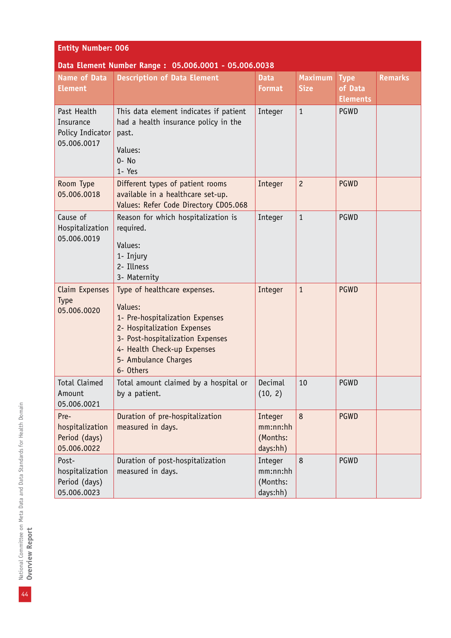| <b>Entity Number: 006</b>                                   |                                                                                                                                                                                                                   |                                             |                               |                                           |                |  |  |
|-------------------------------------------------------------|-------------------------------------------------------------------------------------------------------------------------------------------------------------------------------------------------------------------|---------------------------------------------|-------------------------------|-------------------------------------------|----------------|--|--|
| <b>Name of Data</b><br><b>Element</b>                       | Data Element Number Range: 05.006.0001 - 05.006.0038<br><b>Description of Data Element</b>                                                                                                                        | <b>Data</b><br><b>Format</b>                | <b>Maximum</b><br><b>Size</b> | <b>Type</b><br>of Data<br><b>Elements</b> | <b>Remarks</b> |  |  |
| Past Health<br>Insurance<br>Policy Indicator<br>05.006.0017 | This data element indicates if patient<br>had a health insurance policy in the<br>past.<br>Values:<br>$0 - No$<br>1- Yes                                                                                          | Integer                                     | $\mathbf{1}$                  | PGWD                                      |                |  |  |
| Room Type<br>05.006.0018                                    | Different types of patient rooms<br>available in a healthcare set-up.<br>Values: Refer Code Directory CD05.068                                                                                                    | Integer                                     | $\overline{c}$                | <b>PGWD</b>                               |                |  |  |
| Cause of<br>Hospitalization<br>05.006.0019                  | Reason for which hospitalization is<br>required.<br>Values:<br>1- Injury<br>2- Illness<br>3- Maternity                                                                                                            | Integer                                     | $\mathbf{1}$                  | <b>PGWD</b>                               |                |  |  |
| Claim Expenses<br>Type<br>05.006.0020                       | Type of healthcare expenses.<br>Values:<br>1- Pre-hospitalization Expenses<br>2- Hospitalization Expenses<br>3- Post-hospitalization Expenses<br>4- Health Check-up Expenses<br>5- Ambulance Charges<br>6- Others | Integer                                     | $\mathbf{1}$                  | <b>PGWD</b>                               |                |  |  |
| <b>Total Claimed</b><br>Amount<br>05.006.0021               | Total amount claimed by a hospital or<br>by a patient.                                                                                                                                                            | Decimal<br>(10, 2)                          | 10                            | PGWD                                      |                |  |  |
| Pre-<br>hospitalization<br>Period (days)<br>05.006.0022     | Duration of pre-hospitalization<br>measured in days.                                                                                                                                                              | Integer<br>mm:nn:hh<br>(Months:<br>days:hh) | 8                             | <b>PGWD</b>                               |                |  |  |
| Post-<br>hospitalization<br>Period (days)<br>05.006.0023    | Duration of post-hospitalization<br>measured in days.                                                                                                                                                             | Integer<br>mm:nn:hh<br>(Months:<br>days:hh) | 8                             | PGWD                                      |                |  |  |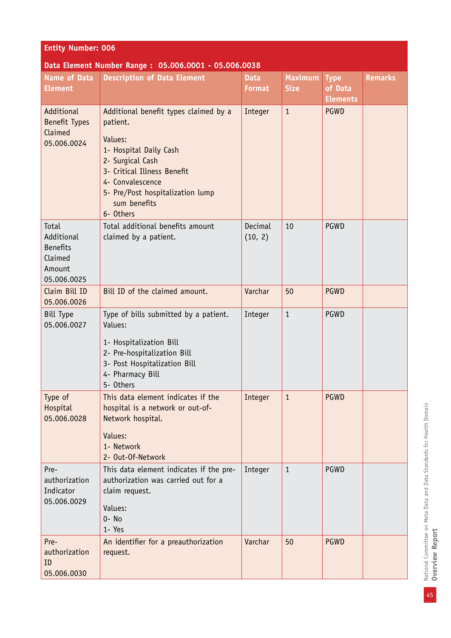| <b>Entity Number: 006</b>                                                  |                                                                                                                                                                                                                                |                              |                               |                                           |                |  |  |  |
|----------------------------------------------------------------------------|--------------------------------------------------------------------------------------------------------------------------------------------------------------------------------------------------------------------------------|------------------------------|-------------------------------|-------------------------------------------|----------------|--|--|--|
|                                                                            | Data Element Number Range: 05.006.0001 - 05.006.0038                                                                                                                                                                           |                              |                               |                                           |                |  |  |  |
| <b>Name of Data</b><br><b>Element</b>                                      | <b>Description of Data Element</b>                                                                                                                                                                                             | <b>Data</b><br><b>Format</b> | <b>Maximum</b><br><b>Size</b> | <b>Type</b><br>of Data<br><b>Elements</b> | <b>Remarks</b> |  |  |  |
| Additional<br><b>Benefit Types</b><br>Claimed<br>05.006.0024               | Additional benefit types claimed by a<br>patient.<br>Values:<br>1- Hospital Daily Cash<br>2- Surgical Cash<br>3- Critical Illness Benefit<br>4- Convalescence<br>5- Pre/Post hospitalization lump<br>sum benefits<br>6- Others | Integer                      | $\mathbf{1}$                  | <b>PGWD</b>                               |                |  |  |  |
| Total<br>Additional<br><b>Benefits</b><br>Claimed<br>Amount<br>05.006.0025 | Total additional benefits amount<br>claimed by a patient.                                                                                                                                                                      | Decimal<br>(10, 2)           | 10                            | PGWD                                      |                |  |  |  |
| Claim Bill ID<br>05.006.0026                                               | Bill ID of the claimed amount.                                                                                                                                                                                                 | Varchar                      | 50                            | <b>PGWD</b>                               |                |  |  |  |
| <b>Bill Type</b><br>05.006.0027                                            | Type of bills submitted by a patient.<br>Values:<br>1- Hospitalization Bill<br>2- Pre-hospitalization Bill<br>3- Post Hospitalization Bill<br>4- Pharmacy Bill<br>5- Others                                                    | Integer                      | $\mathbf{1}$                  | <b>PGWD</b>                               |                |  |  |  |
| Type of<br>Hospital<br>05.006.0028                                         | This data element indicates if the<br>hospital is a network or out-of-<br>Network hospital.<br>Values:<br>1- Network<br>2- Out-Of-Network                                                                                      | Integer                      | $\mathbf{1}$                  | <b>PGWD</b>                               |                |  |  |  |
| Pre-<br>authorization<br>Indicator<br>05.006.0029                          | This data element indicates if the pre-<br>authorization was carried out for a<br>claim request.<br>Values:<br>0- No<br>1- Yes                                                                                                 | Integer                      | $\mathbf{1}$                  | <b>PGWD</b>                               |                |  |  |  |
| Pre-<br>authorization<br>ID<br>05.006.0030                                 | An identifier for a preauthorization<br>request.                                                                                                                                                                               | Varchar                      | 50                            | <b>PGWD</b>                               |                |  |  |  |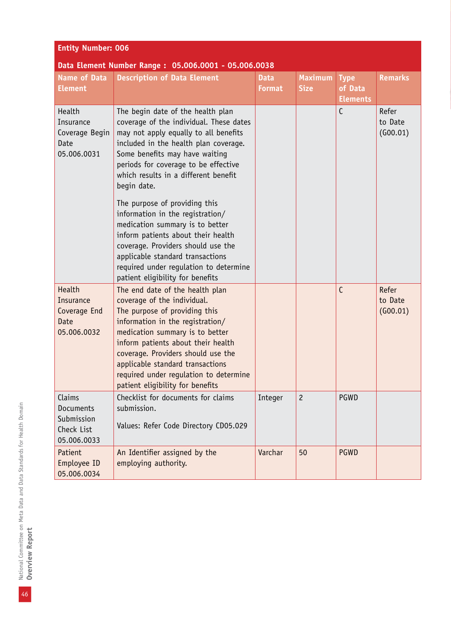| <b>Entity Number: 006</b>                                             |                                                                                                                                                                                                                                                                                                                                                                      |                              |                               |                                           |                              |  |
|-----------------------------------------------------------------------|----------------------------------------------------------------------------------------------------------------------------------------------------------------------------------------------------------------------------------------------------------------------------------------------------------------------------------------------------------------------|------------------------------|-------------------------------|-------------------------------------------|------------------------------|--|
|                                                                       | Data Element Number Range: 05.006.0001 - 05.006.0038                                                                                                                                                                                                                                                                                                                 |                              |                               |                                           |                              |  |
| <b>Name of Data</b><br><b>Element</b>                                 | <b>Description of Data Element</b>                                                                                                                                                                                                                                                                                                                                   | <b>Data</b><br><b>Format</b> | <b>Maximum</b><br><b>Size</b> | <b>Type</b><br>of Data<br><b>Elements</b> | <b>Remarks</b>               |  |
| Health<br>Insurance<br>Coverage Begin<br>Date<br>05.006.0031          | The begin date of the health plan<br>coverage of the individual. These dates<br>may not apply equally to all benefits<br>included in the health plan coverage.<br>Some benefits may have waiting<br>periods for coverage to be effective<br>which results in a different benefit<br>begin date.                                                                      |                              |                               | $\mathsf{C}$                              | Refer<br>to Date<br>(600.01) |  |
|                                                                       | The purpose of providing this<br>information in the registration/<br>medication summary is to better<br>inform patients about their health<br>coverage. Providers should use the<br>applicable standard transactions<br>required under regulation to determine<br>patient eligibility for benefits                                                                   |                              |                               |                                           |                              |  |
| Health<br>Insurance<br>Coverage End<br>Date<br>05.006.0032            | The end date of the health plan<br>coverage of the individual.<br>The purpose of providing this<br>information in the registration/<br>medication summary is to better<br>inform patients about their health<br>coverage. Providers should use the<br>applicable standard transactions<br>required under regulation to determine<br>patient eligibility for benefits |                              |                               | $\mathsf{C}$                              | Refer<br>to Date<br>(600.01) |  |
| Claims<br><b>Documents</b><br>Submission<br>Check List<br>05.006.0033 | Checklist for documents for claims<br>submission.<br>Values: Refer Code Directory CD05.029                                                                                                                                                                                                                                                                           | Integer                      | $\overline{c}$                | PGWD                                      |                              |  |
| Patient<br>Employee ID<br>05.006.0034                                 | An Identifier assigned by the<br>employing authority.                                                                                                                                                                                                                                                                                                                | Varchar                      | 50                            | <b>PGWD</b>                               |                              |  |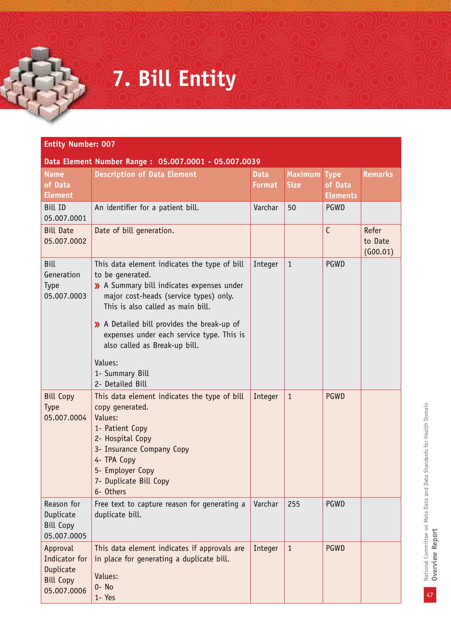## **7. Bill Entity**

| <b>Name</b><br>of Data<br><b>Element</b>                                  | <b>Description of Data Element</b>                                                                                                                                                                                                                                                                                         | <b>Data</b><br>Format | <b>Maximum</b><br><b>Size</b> | <b>Type</b><br>of Data<br><b>Elements</b> | <b>Remarks</b>               |
|---------------------------------------------------------------------------|----------------------------------------------------------------------------------------------------------------------------------------------------------------------------------------------------------------------------------------------------------------------------------------------------------------------------|-----------------------|-------------------------------|-------------------------------------------|------------------------------|
| <b>Bill ID</b><br>05.007.0001                                             | An identifier for a patient bill.                                                                                                                                                                                                                                                                                          | Varchar               | 50                            | <b>PGWD</b>                               |                              |
| <b>Bill Date</b><br>05.007.0002                                           | Date of bill generation.                                                                                                                                                                                                                                                                                                   |                       |                               | $\mathsf{C}$                              | Refer<br>to Date<br>(600.01) |
| <b>Bill</b><br>Generation<br><b>Type</b><br>05.007.0003                   | This data element indicates the type of bill<br>to be generated.<br>>> A Summary bill indicates expenses under<br>major cost-heads (service types) only.<br>This is also called as main bill.<br>>> A Detailed bill provides the break-up of<br>expenses under each service type. This is<br>also called as Break-up bill. | Integer               | $\mathbf{1}$                  | PGWD                                      |                              |
|                                                                           | Values:<br>1- Summary Bill<br>2- Detailed Bill                                                                                                                                                                                                                                                                             |                       |                               |                                           |                              |
| <b>Bill Copy</b><br><b>Type</b><br>05.007.0004                            | This data element indicates the type of bill<br>copy generated.<br>Values:<br>1- Patient Copy<br>2- Hospital Copy<br>3- Insurance Company Copy<br>4- TPA Copy<br>5- Employer Copy<br>7- Duplicate Bill Copy<br>6- Others                                                                                                   | Integer               | $\mathbf{1}$                  | <b>PGWD</b>                               |                              |
| Reason for<br>Duplicate<br><b>Bill Copy</b><br>05.007.0005                | Free text to capture reason for generating a $\sqrt{ }$ Varchar<br>duplicate bill.                                                                                                                                                                                                                                         |                       | 255                           | PGWD                                      |                              |
| Approval<br>Indicator for<br>Duplicate<br><b>Bill Copy</b><br>05.007.0006 | This data element indicates if approvals are<br>in place for generating a duplicate bill.<br>Values:<br>$0 - No$<br>1- Yes                                                                                                                                                                                                 | Integer               | $\mathbf{1}$                  | <b>PGWD</b>                               |                              |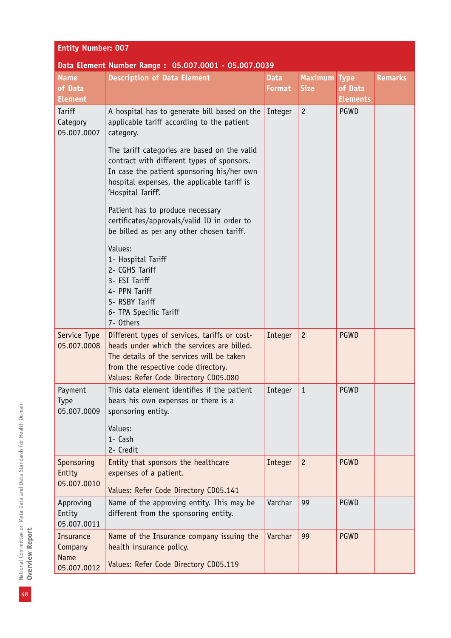| <b>Entity Number: 007</b> |  |  |
|---------------------------|--|--|
|                           |  |  |

#### **Data Element Number Range : 05.007.0001 - 05.007.0039**

| <b>Name</b><br>of Data<br><b>Element</b> | <b>Description of Data Element</b>                                                                                                                                                                                       | <b>Data</b><br><b>Format</b> | <b>Maximum</b><br><b>Size</b> | <b>Type</b><br>of Data<br><b>Elements</b> | <b>Remarks</b> |
|------------------------------------------|--------------------------------------------------------------------------------------------------------------------------------------------------------------------------------------------------------------------------|------------------------------|-------------------------------|-------------------------------------------|----------------|
| <b>Tariff</b><br>Category<br>05.007.0007 | A hospital has to generate bill based on the<br>applicable tariff according to the patient<br>category.                                                                                                                  | Integer                      | $\overline{c}$                | PGWD                                      |                |
|                                          | The tariff categories are based on the valid<br>contract with different types of sponsors.<br>In case the patient sponsoring his/her own<br>hospital expenses, the applicable tariff is<br>'Hospital Tariff'.            |                              |                               |                                           |                |
|                                          | Patient has to produce necessary<br>certificates/approvals/valid ID in order to<br>be billed as per any other chosen tariff.                                                                                             |                              |                               |                                           |                |
|                                          | Values:<br>1- Hospital Tariff<br>2- CGHS Tariff<br>3- ESI Tariff<br>4- PPN Tariff<br>5- RSBY Tariff<br>6- TPA Specific Tariff<br>7- Others                                                                               |                              |                               |                                           |                |
| Service Type<br>05.007.0008              | Different types of services, tariffs or cost-<br>heads under which the services are billed.<br>The details of the services will be taken<br>from the respective code directory.<br>Values: Refer Code Directory CD05.080 | Integer                      | $\overline{c}$                | <b>PGWD</b>                               |                |
| Payment<br><b>Type</b><br>05.007.0009    | This data element identifies if the patient<br>bears his own expenses or there is a<br>sponsoring entity.<br>Values:<br>1- Cash<br>2- Credit                                                                             | Integer                      | $\mathbf{1}$                  | PGWD                                      |                |
| Sponsoring<br>Entity<br>05.007.0010      | Entity that sponsors the healthcare<br>expenses of a patient.<br>Values: Refer Code Directory CD05.141                                                                                                                   | Integer                      | $\overline{c}$                | <b>PGWD</b>                               |                |
| Approving<br>Entity<br>05.007.0011       | Name of the approving entity. This may be<br>different from the sponsoring entity.                                                                                                                                       | Varchar                      | 99                            | PGWD                                      |                |
| Insurance<br>Company<br><b>Name</b>      | Name of the Insurance company issuing the<br>health insurance policy.<br>Values: Refer Code Directory CD05.119                                                                                                           | Varchar                      | 99                            | <b>PGWD</b>                               |                |
| 05.007.0012                              |                                                                                                                                                                                                                          |                              |                               |                                           |                |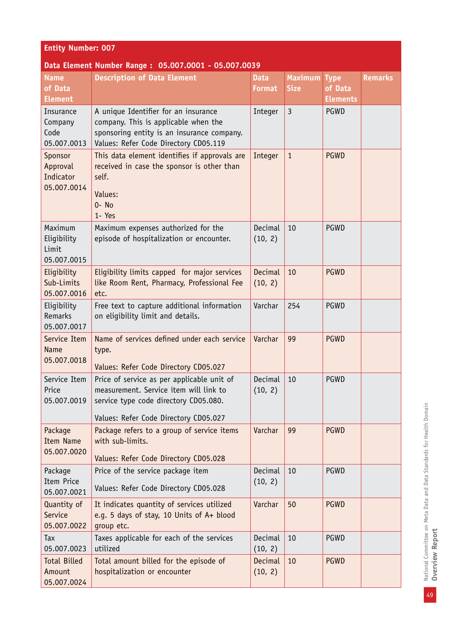| <b>Entity Number: 007</b>                       |                                                                                                                                                                        |                              |                               |                                           |                |  |
|-------------------------------------------------|------------------------------------------------------------------------------------------------------------------------------------------------------------------------|------------------------------|-------------------------------|-------------------------------------------|----------------|--|
|                                                 | Data Element Number Range: 05.007.0001 - 05.007.0039                                                                                                                   |                              |                               |                                           |                |  |
| <b>Name</b><br>of Data<br><b>Element</b>        | <b>Description of Data Element</b>                                                                                                                                     | <b>Data</b><br><b>Format</b> | <b>Maximum</b><br><b>Size</b> | <b>Type</b><br>of Data<br><b>Elements</b> | <b>Remarks</b> |  |
| Insurance<br>Company<br>Code<br>05.007.0013     | A unique Identifier for an insurance<br>company. This is applicable when the<br>sponsoring entity is an insurance company.<br>Values: Refer Code Directory CD05.119    | Integer                      | $\overline{3}$                | PGWD                                      |                |  |
| Sponsor<br>Approval<br>Indicator<br>05.007.0014 | This data element identifies if approvals are<br>received in case the sponsor is other than<br>self.<br>Values:<br>$0 - No$<br>1- Yes                                  | Integer                      | $\mathbf{1}$                  | <b>PGWD</b>                               |                |  |
| Maximum<br>Eligibility<br>Limit<br>05.007.0015  | Maximum expenses authorized for the<br>episode of hospitalization or encounter.                                                                                        | Decimal<br>(10, 2)           | 10                            | <b>PGWD</b>                               |                |  |
| Eligibility<br>Sub-Limits<br>05.007.0016        | Eligibility limits capped for major services<br>like Room Rent, Pharmacy, Professional Fee<br>etc.                                                                     | Decimal<br>(10, 2)           | 10                            | <b>PGWD</b>                               |                |  |
| Eligibility<br>Remarks<br>05.007.0017           | Free text to capture additional information<br>on eligibility limit and details.                                                                                       | Varchar                      | 254                           | <b>PGWD</b>                               |                |  |
| Service Item<br>Name<br>05.007.0018             | Name of services defined under each service<br>type.<br>Values: Refer Code Directory CD05.027                                                                          | Varchar                      | 99                            | <b>PGWD</b>                               |                |  |
| Service Item<br>Price<br>05.007.0019            | Price of service as per applicable unit of<br>measurement. Service item will link to<br>service type code directory CD05.080.<br>Values: Refer Code Directory CD05.027 | Decimal<br>(10, 2)           | 10                            | PGWD                                      |                |  |
| Package<br><b>Item Name</b><br>05.007.0020      | Package refers to a group of service items<br>with sub-limits.<br>Values: Refer Code Directory CD05.028                                                                | Varchar                      | 99                            | <b>PGWD</b>                               |                |  |
| Package<br>Item Price<br>05.007.0021            | Price of the service package item<br>Values: Refer Code Directory CD05.028                                                                                             | Decimal<br>(10, 2)           | 10                            | <b>PGWD</b>                               |                |  |
| Quantity of<br>Service<br>05.007.0022           | It indicates quantity of services utilized<br>e.g. 5 days of stay, 10 Units of A+ blood<br>group etc.                                                                  | Varchar                      | 50                            | <b>PGWD</b>                               |                |  |
| Tax<br>05.007.0023                              | Taxes applicable for each of the services<br>utilized                                                                                                                  | Decimal<br>(10, 2)           | 10                            | <b>PGWD</b>                               |                |  |
| <b>Total Billed</b><br>Amount<br>05.007.0024    | Total amount billed for the episode of<br>hospitalization or encounter                                                                                                 | Decimal<br>(10, 2)           | 10                            | <b>PGWD</b>                               |                |  |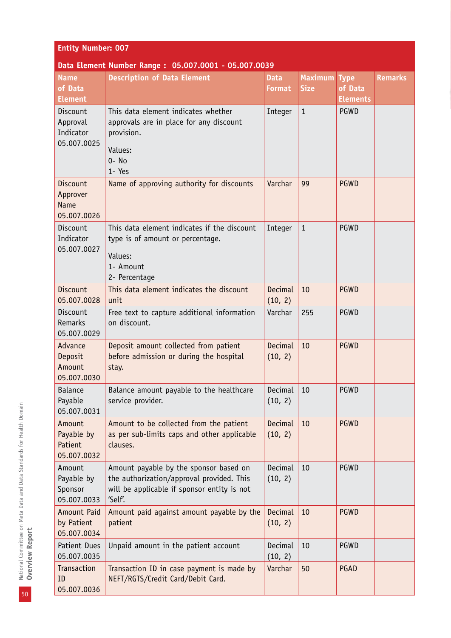#### **Entity Number: 007**

#### **Data Element Number Range : 05.007.0001 - 05.007.0039**

| <b>Name</b><br>of Data<br><b>Element</b>                  | <b>Description of Data Element</b>                                                                                                            | <b>Data</b><br><b>Format</b> | <b>Maximum</b><br><b>Size</b> | <b>Type</b><br>of Data<br><b>Elements</b> | <b>Remarks</b> |
|-----------------------------------------------------------|-----------------------------------------------------------------------------------------------------------------------------------------------|------------------------------|-------------------------------|-------------------------------------------|----------------|
| Discount<br>Approval<br>Indicator<br>05.007.0025          | This data element indicates whether<br>approvals are in place for any discount<br>provision.<br>Values:<br>$0 - No$<br>1- Yes                 | Integer                      | $\mathbf{1}$                  | PGWD                                      |                |
| <b>Discount</b><br>Approver<br><b>Name</b><br>05.007.0026 | Name of approving authority for discounts                                                                                                     | Varchar                      | 99                            | <b>PGWD</b>                               |                |
| Discount<br>Indicator<br>05.007.0027                      | This data element indicates if the discount<br>type is of amount or percentage.<br>Values:<br>1- Amount<br>2- Percentage                      | Integer                      | $\mathbf{1}$                  | PGWD                                      |                |
| Discount<br>05.007.0028                                   | This data element indicates the discount<br>unit                                                                                              | Decimal<br>(10, 2)           | 10                            | <b>PGWD</b>                               |                |
| Discount<br>Remarks<br>05.007.0029                        | Free text to capture additional information<br>on discount.                                                                                   | Varchar                      | 255                           | PGWD                                      |                |
| Advance<br>Deposit<br>Amount<br>05.007.0030               | Deposit amount collected from patient<br>before admission or during the hospital<br>stay.                                                     | Decimal<br>(10, 2)           | 10                            | <b>PGWD</b>                               |                |
| <b>Balance</b><br>Payable<br>05.007.0031                  | Balance amount payable to the healthcare<br>service provider.                                                                                 | Decimal<br>(10, 2)           | 10                            | PGWD                                      |                |
| Amount<br>Payable by<br>Patient<br>05.007.0032            | Amount to be collected from the patient<br>as per sub-limits caps and other applicable<br>clauses.                                            | Decimal<br>(10, 2)           | 10                            | <b>PGWD</b>                               |                |
| Amount<br>Payable by<br>Sponsor<br>05.007.0033            | Amount payable by the sponsor based on<br>the authorization/approval provided. This<br>will be applicable if sponsor entity is not<br>'Self'. | Decimal<br>(10, 2)           | 10                            | PGWD                                      |                |
| Amount Paid<br>by Patient<br>05.007.0034                  | Amount paid against amount payable by the<br>patient                                                                                          | Decimal<br>(10, 2)           | 10                            | <b>PGWD</b>                               |                |
| Patient Dues<br>05.007.0035                               | Unpaid amount in the patient account                                                                                                          | Decimal<br>(10, 2)           | 10                            | PGWD                                      |                |
| Transaction<br>ID<br>05.007.0036                          | Transaction ID in case payment is made by<br>NEFT/RGTS/Credit Card/Debit Card.                                                                | Varchar                      | 50                            | PGAD                                      |                |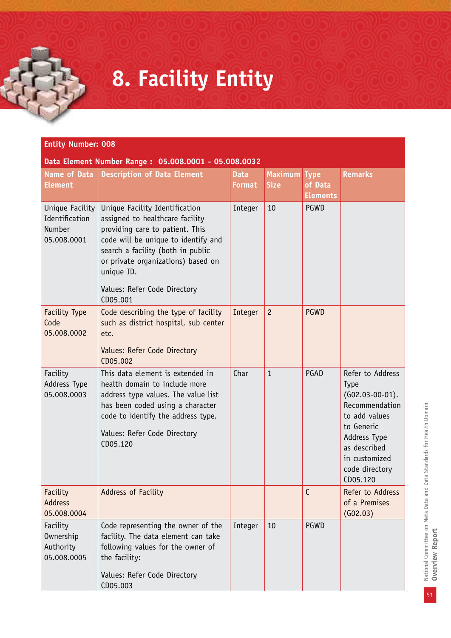## **8. Facility Entity**

| <b>Entity Number: 008</b>                                  |                                                                                                                                                                                                                                      |                              |                               |                                           |                                                                                                                                                                                      |  |  |
|------------------------------------------------------------|--------------------------------------------------------------------------------------------------------------------------------------------------------------------------------------------------------------------------------------|------------------------------|-------------------------------|-------------------------------------------|--------------------------------------------------------------------------------------------------------------------------------------------------------------------------------------|--|--|
|                                                            | Data Element Number Range: 05.008.0001 - 05.008.0032                                                                                                                                                                                 |                              |                               |                                           |                                                                                                                                                                                      |  |  |
| <b>Name of Data</b><br><b>Element</b>                      | <b>Description of Data Element</b>                                                                                                                                                                                                   | <b>Data</b><br><b>Format</b> | <b>Maximum</b><br><b>Size</b> | <b>Type</b><br>of Data<br><b>Elements</b> | <b>Remarks</b>                                                                                                                                                                       |  |  |
| Unique Facility<br>Identification<br>Number<br>05.008.0001 | Unique Facility Identification<br>assigned to healthcare facility<br>providing care to patient. This<br>code will be unique to identify and<br>search a facility (both in public<br>or private organizations) based on<br>unique ID. | Integer                      | 10                            | <b>PGWD</b>                               |                                                                                                                                                                                      |  |  |
|                                                            | Values: Refer Code Directory<br>CD05.001                                                                                                                                                                                             |                              |                               |                                           |                                                                                                                                                                                      |  |  |
| <b>Facility Type</b><br>Code<br>05.008.0002                | Code describing the type of facility<br>such as district hospital, sub center<br>etc.<br>Values: Refer Code Directory<br>CD05.002                                                                                                    | Integer                      | $\overline{c}$                | <b>PGWD</b>                               |                                                                                                                                                                                      |  |  |
| Facility<br>Address Type<br>05.008.0003                    | This data element is extended in<br>health domain to include more<br>address type values. The value list<br>has been coded using a character<br>code to identify the address type.<br>Values: Refer Code Directory<br>CD05.120       | Char                         | $\mathbf{1}$                  | PGAD                                      | Refer to Address<br><b>Type</b><br>$(G02.03-00-01).$<br>Recommendation<br>to add values<br>to Generic<br>Address Type<br>as described<br>in customized<br>code directory<br>CD05.120 |  |  |
| Facility<br><b>Address</b><br>05.008.0004                  | Address of Facility                                                                                                                                                                                                                  |                              |                               | $\mathsf{C}$                              | Refer to Address<br>of a Premises<br>(G02.03)                                                                                                                                        |  |  |
| Facility<br>Ownership<br>Authority<br>05.008.0005          | Code representing the owner of the<br>facility. The data element can take<br>following values for the owner of<br>the facility:<br>Values: Refer Code Directory<br>CD05.003                                                          | Integer                      | 10                            | PGWD                                      |                                                                                                                                                                                      |  |  |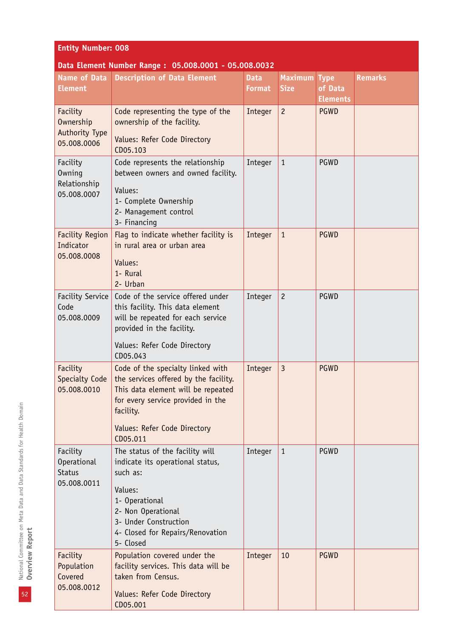| <b>Entity Number: 008</b>                          |                                                                                                                                                                    |                              |                               |                                           |                |  |  |
|----------------------------------------------------|--------------------------------------------------------------------------------------------------------------------------------------------------------------------|------------------------------|-------------------------------|-------------------------------------------|----------------|--|--|
|                                                    | Data Element Number Range: 05.008.0001 - 05.008.0032                                                                                                               |                              |                               |                                           |                |  |  |
| <b>Name of Data</b><br><b>Element</b>              | <b>Description of Data Element</b>                                                                                                                                 | <b>Data</b><br><b>Format</b> | <b>Maximum</b><br><b>Size</b> | <b>Type</b><br>of Data<br><b>Elements</b> | <b>Remarks</b> |  |  |
| Facility<br>Ownership<br><b>Authority Type</b>     | Code representing the type of the<br>ownership of the facility.<br>Values: Refer Code Directory                                                                    | Integer                      | $\overline{c}$                | <b>PGWD</b>                               |                |  |  |
| 05.008.0006                                        | CD05.103                                                                                                                                                           |                              |                               |                                           |                |  |  |
| Facility<br><b>Owning</b><br>Relationship          | Code represents the relationship<br>between owners and owned facility.<br>Values:                                                                                  | Integer                      | $\mathbf{1}$                  | PGWD                                      |                |  |  |
| 05.008.0007                                        | 1- Complete Ownership<br>2- Management control<br>3- Financing                                                                                                     |                              |                               |                                           |                |  |  |
| <b>Facility Region</b><br>Indicator<br>05.008.0008 | Flag to indicate whether facility is<br>in rural area or urban area                                                                                                | Integer                      | $\mathbf{1}$                  | <b>PGWD</b>                               |                |  |  |
|                                                    | Values:<br>1- Rural<br>2- Urban                                                                                                                                    |                              |                               |                                           |                |  |  |
| Facility Service<br>Code<br>05.008.0009            | Code of the service offered under<br>this facility. This data element<br>will be repeated for each service<br>provided in the facility.                            | Integer                      | $\overline{c}$                | PGWD                                      |                |  |  |
|                                                    | Values: Refer Code Directory<br>CD05.043                                                                                                                           |                              |                               |                                           |                |  |  |
| Facility<br>Specialty Code<br>05.008.0010          | Code of the specialty linked with<br>the services offered by the facility.<br>This data element will be repeated<br>for every service provided in the<br>facility. | Integer                      | $\mathbf{3}$                  | <b>PGWD</b>                               |                |  |  |
|                                                    | Values: Refer Code Directory<br>CD05.011                                                                                                                           |                              |                               |                                           |                |  |  |
| Facility<br><b>Operational</b><br><b>Status</b>    | The status of the facility will<br>indicate its operational status,<br>such as:                                                                                    | Integer                      | $\mathbf{1}$                  | PGWD                                      |                |  |  |
| 05.008.0011                                        | Values:<br>1- Operational<br>2- Non Operational<br>3- Under Construction<br>4- Closed for Repairs/Renovation<br>5- Closed                                          |                              |                               |                                           |                |  |  |
| Facility<br>Population<br>Covered<br>05.008.0012   | Population covered under the<br>facility services. This data will be<br>taken from Census.                                                                         | Integer                      | 10                            | <b>PGWD</b>                               |                |  |  |
|                                                    | Values: Refer Code Directory<br>CD05.001                                                                                                                           |                              |                               |                                           |                |  |  |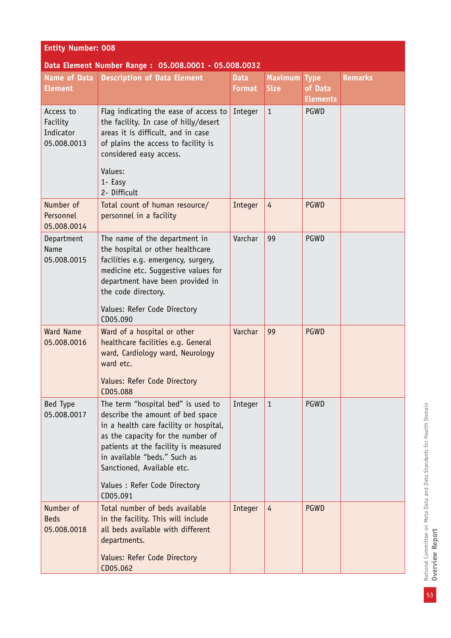| <b>Entity Number: 008</b>                            |                                                                                                                                                                                                                                                                                                          |                              |                               |                                           |                |  |  |
|------------------------------------------------------|----------------------------------------------------------------------------------------------------------------------------------------------------------------------------------------------------------------------------------------------------------------------------------------------------------|------------------------------|-------------------------------|-------------------------------------------|----------------|--|--|
| Data Element Number Range: 05.008.0001 - 05.008.0032 |                                                                                                                                                                                                                                                                                                          |                              |                               |                                           |                |  |  |
| <b>Name of Data</b><br><b>Element</b>                | <b>Description of Data Element</b>                                                                                                                                                                                                                                                                       | <b>Data</b><br><b>Format</b> | <b>Maximum</b><br><b>Size</b> | <b>Type</b><br>of Data<br><b>Elements</b> | <b>Remarks</b> |  |  |
| Access to<br>Facility<br>Indicator<br>05.008.0013    | Flag indicating the ease of access to<br>the facility. In case of hilly/desert<br>areas it is difficult, and in case<br>of plains the access to facility is<br>considered easy access.<br>Values:<br>1- Easy                                                                                             | Integer                      | $\mathbf{1}$                  | PGWD                                      |                |  |  |
| Number of<br>Personnel<br>05.008.0014                | 2- Difficult<br>Total count of human resource/<br>personnel in a facility                                                                                                                                                                                                                                | Integer                      | $\overline{4}$                | <b>PGWD</b>                               |                |  |  |
| Department<br>Name<br>05.008.0015                    | The name of the department in<br>the hospital or other healthcare<br>facilities e.g. emergency, surgery,<br>medicine etc. Suggestive values for<br>department have been provided in<br>the code directory.<br>Values: Refer Code Directory<br>CD05.090                                                   | Varchar                      | 99                            | <b>PGWD</b>                               |                |  |  |
| <b>Ward Name</b><br>05.008.0016                      | Ward of a hospital or other<br>healthcare facilities e.g. General<br>ward, Cardiology ward, Neurology<br>ward etc.<br>Values: Refer Code Directory<br>CD05.088                                                                                                                                           | Varchar                      | 99                            | <b>PGWD</b>                               |                |  |  |
| Bed Type<br>05.008.0017                              | The term "hospital bed" is used to<br>describe the amount of bed space<br>in a health care facility or hospital,<br>as the capacity for the number of<br>patients at the facility is measured<br>in available "beds." Such as<br>Sanctioned, Available etc.<br>Values : Refer Code Directory<br>CD05.091 | Integer                      | $\mathbf{1}$                  | PGWD                                      |                |  |  |
| Number of<br><b>Beds</b><br>05.008.0018              | Total number of beds available<br>in the facility. This will include<br>all beds available with different<br>departments.<br>Values: Refer Code Directory<br>CD05.062                                                                                                                                    | Integer                      | $\overline{4}$                | <b>PGWD</b>                               |                |  |  |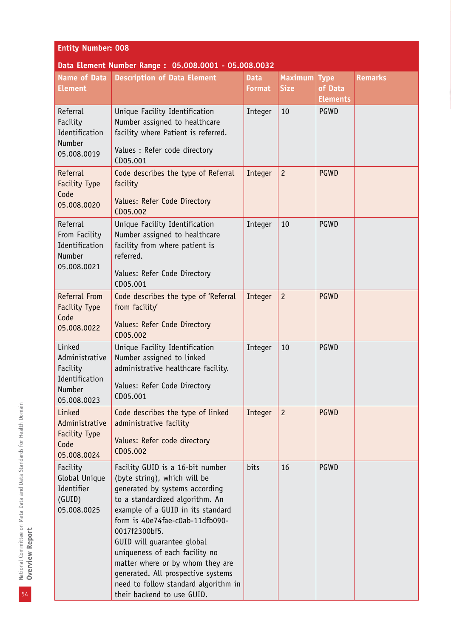| <b>Entity Number: 008</b>                                                       |                                                                                                                                                                                                                                                                                                                                                                                                                                                |                              |                               |                                           |                |  |  |
|---------------------------------------------------------------------------------|------------------------------------------------------------------------------------------------------------------------------------------------------------------------------------------------------------------------------------------------------------------------------------------------------------------------------------------------------------------------------------------------------------------------------------------------|------------------------------|-------------------------------|-------------------------------------------|----------------|--|--|
|                                                                                 | Data Element Number Range: 05.008.0001 - 05.008.0032                                                                                                                                                                                                                                                                                                                                                                                           |                              |                               |                                           |                |  |  |
| <b>Name of Data</b><br><b>Element</b>                                           | <b>Description of Data Element</b>                                                                                                                                                                                                                                                                                                                                                                                                             | <b>Data</b><br><b>Format</b> | <b>Maximum</b><br><b>Size</b> | <b>Type</b><br>of Data<br><b>Elements</b> | <b>Remarks</b> |  |  |
| Referral<br>Facility<br>Identification<br>Number<br>05.008.0019                 | Unique Facility Identification<br>Number assigned to healthcare<br>facility where Patient is referred.<br>Values : Refer code directory<br>CD05.001                                                                                                                                                                                                                                                                                            | Integer                      | 10                            | PGWD                                      |                |  |  |
| Referral<br>Facility Type<br>Code<br>05.008.0020                                | Code describes the type of Referral<br>facility<br>Values: Refer Code Directory<br>CD05.002                                                                                                                                                                                                                                                                                                                                                    | Integer                      | $\overline{c}$                | <b>PGWD</b>                               |                |  |  |
| Referral<br>From Facility<br>Identification<br>Number<br>05.008.0021            | Unique Facility Identification<br>Number assigned to healthcare<br>facility from where patient is<br>referred.<br>Values: Refer Code Directory<br>CD05.001                                                                                                                                                                                                                                                                                     | Integer                      | 10                            | PGWD                                      |                |  |  |
| <b>Referral From</b><br>Facility Type<br>Code<br>05.008.0022                    | Code describes the type of 'Referral<br>from facility'<br>Values: Refer Code Directory<br>CD05.002                                                                                                                                                                                                                                                                                                                                             | Integer                      | $\overline{c}$                | <b>PGWD</b>                               |                |  |  |
| Linked<br>Administrative<br>Facility<br>Identification<br>Number<br>05.008.0023 | Unique Facility Identification<br>Number assigned to linked<br>administrative healthcare facility.<br>Values: Refer Code Directory<br>CD05.001                                                                                                                                                                                                                                                                                                 | Integer                      | 10                            | <b>PGWD</b>                               |                |  |  |
| Linked<br>Administrative<br><b>Facility Type</b><br>Code<br>05.008.0024         | Code describes the type of linked<br>administrative facility<br>Values: Refer code directory<br>CD05.002                                                                                                                                                                                                                                                                                                                                       | Integer                      | $\overline{c}$                | <b>PGWD</b>                               |                |  |  |
| Facility<br>Global Unique<br>Identifier<br>(GUID)<br>05.008.0025                | Facility GUID is a 16-bit number<br>(byte string), which will be<br>generated by systems according<br>to a standardized algorithm. An<br>example of a GUID in its standard<br>form is 40e74fae-c0ab-11dfb090-<br>0017f2300bf5.<br>GUID will guarantee global<br>uniqueness of each facility no<br>matter where or by whom they are<br>generated. All prospective systems<br>need to follow standard algorithm in<br>their backend to use GUID. | bits                         | 16                            | PGWD                                      |                |  |  |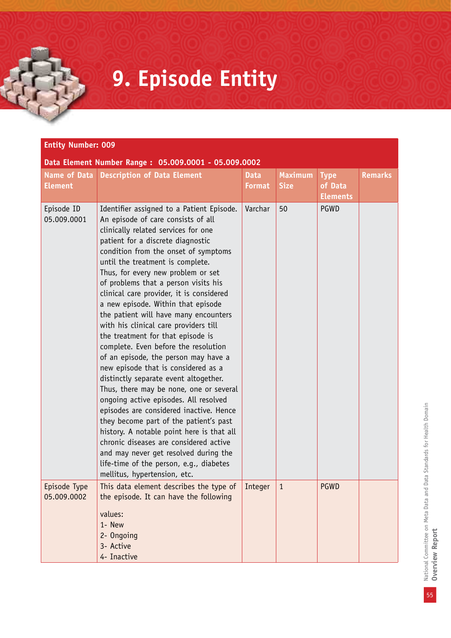# **9. Episode Entity**

| <b>Entity Number: 009</b>             |                                                                                                                                                                                                                                                                                                                                                                                                                                                                                                                                                                                                                                                                                                                                                                                                                                                                                                                                                                                                                                                                                    |                              |                               |                                           |                |  |  |  |
|---------------------------------------|------------------------------------------------------------------------------------------------------------------------------------------------------------------------------------------------------------------------------------------------------------------------------------------------------------------------------------------------------------------------------------------------------------------------------------------------------------------------------------------------------------------------------------------------------------------------------------------------------------------------------------------------------------------------------------------------------------------------------------------------------------------------------------------------------------------------------------------------------------------------------------------------------------------------------------------------------------------------------------------------------------------------------------------------------------------------------------|------------------------------|-------------------------------|-------------------------------------------|----------------|--|--|--|
|                                       | Data Element Number Range: 05.009.0001 - 05.009.0002                                                                                                                                                                                                                                                                                                                                                                                                                                                                                                                                                                                                                                                                                                                                                                                                                                                                                                                                                                                                                               |                              |                               |                                           |                |  |  |  |
| <b>Name of Data</b><br><b>Element</b> | <b>Description of Data Element</b>                                                                                                                                                                                                                                                                                                                                                                                                                                                                                                                                                                                                                                                                                                                                                                                                                                                                                                                                                                                                                                                 | <b>Data</b><br><b>Format</b> | <b>Maximum</b><br><b>Size</b> | <b>Type</b><br>of Data<br><b>Elements</b> | <b>Remarks</b> |  |  |  |
| Episode ID<br>05.009.0001             | Identifier assigned to a Patient Episode.<br>An episode of care consists of all<br>clinically related services for one<br>patient for a discrete diagnostic<br>condition from the onset of symptoms<br>until the treatment is complete.<br>Thus, for every new problem or set<br>of problems that a person visits his<br>clinical care provider, it is considered<br>a new episode. Within that episode<br>the patient will have many encounters<br>with his clinical care providers till<br>the treatment for that episode is<br>complete. Even before the resolution<br>of an episode, the person may have a<br>new episode that is considered as a<br>distinctly separate event altogether.<br>Thus, there may be none, one or several<br>ongoing active episodes. All resolved<br>episodes are considered inactive. Hence<br>they become part of the patient's past<br>history. A notable point here is that all<br>chronic diseases are considered active<br>and may never get resolved during the<br>life-time of the person, e.g., diabetes<br>mellitus, hypertension, etc. | Varchar                      | 50                            | PGWD                                      |                |  |  |  |
| Episode Type<br>05.009.0002           | This data element describes the type of<br>the episode. It can have the following<br>values:                                                                                                                                                                                                                                                                                                                                                                                                                                                                                                                                                                                                                                                                                                                                                                                                                                                                                                                                                                                       | Integer                      | $\mathbf{1}$                  | <b>PGWD</b>                               |                |  |  |  |
|                                       | 1- New<br>2- Ongoing                                                                                                                                                                                                                                                                                                                                                                                                                                                                                                                                                                                                                                                                                                                                                                                                                                                                                                                                                                                                                                                               |                              |                               |                                           |                |  |  |  |
|                                       | 3- Active                                                                                                                                                                                                                                                                                                                                                                                                                                                                                                                                                                                                                                                                                                                                                                                                                                                                                                                                                                                                                                                                          |                              |                               |                                           |                |  |  |  |
|                                       | 4- Inactive                                                                                                                                                                                                                                                                                                                                                                                                                                                                                                                                                                                                                                                                                                                                                                                                                                                                                                                                                                                                                                                                        |                              |                               |                                           |                |  |  |  |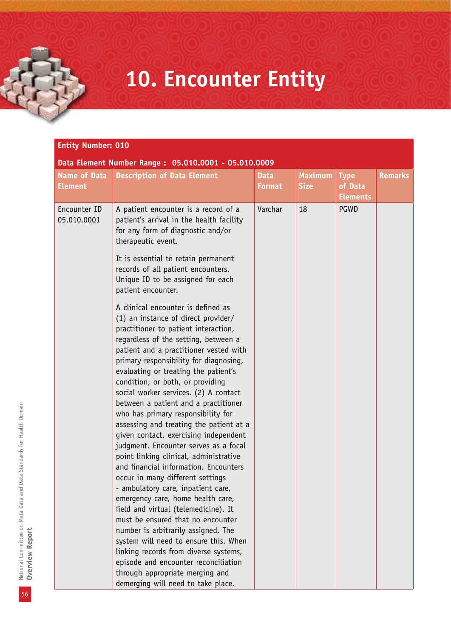## **10. Encounter Entity**

| <b>Entity Number: 010</b>             |                                                                                                                                                                                                                                                                                                                                                                                                                                                                                                                                                                                                                                                                                                                                                                                                                                                                                                                                                                                                                                                                                                        |                              |                               |                                           |                |  |  |
|---------------------------------------|--------------------------------------------------------------------------------------------------------------------------------------------------------------------------------------------------------------------------------------------------------------------------------------------------------------------------------------------------------------------------------------------------------------------------------------------------------------------------------------------------------------------------------------------------------------------------------------------------------------------------------------------------------------------------------------------------------------------------------------------------------------------------------------------------------------------------------------------------------------------------------------------------------------------------------------------------------------------------------------------------------------------------------------------------------------------------------------------------------|------------------------------|-------------------------------|-------------------------------------------|----------------|--|--|
| <b>Name of Data</b><br><b>Element</b> | Data Element Number Range: 05.010.0001 - 05.010.0009<br><b>Description of Data Element</b>                                                                                                                                                                                                                                                                                                                                                                                                                                                                                                                                                                                                                                                                                                                                                                                                                                                                                                                                                                                                             | <b>Data</b><br><b>Format</b> | <b>Maximum</b><br><b>Size</b> | <b>Type</b><br>of Data<br><b>Elements</b> | <b>Remarks</b> |  |  |
| Encounter ID<br>05.010.0001           | A patient encounter is a record of a<br>patient's arrival in the health facility<br>for any form of diagnostic and/or<br>therapeutic event.<br>It is essential to retain permanent<br>records of all patient encounters.<br>Unique ID to be assigned for each<br>patient encounter.                                                                                                                                                                                                                                                                                                                                                                                                                                                                                                                                                                                                                                                                                                                                                                                                                    | Varchar                      | 18                            | PGWD                                      |                |  |  |
|                                       | A clinical encounter is defined as<br>(1) an instance of direct provider/<br>practitioner to patient interaction,<br>regardless of the setting, between a<br>patient and a practitioner vested with<br>primary responsibility for diagnosing,<br>evaluating or treating the patient's<br>condition, or both, or providing<br>social worker services. (2) A contact<br>between a patient and a practitioner<br>who has primary responsibility for<br>assessing and treating the patient at a<br>given contact, exercising independent<br>judgment. Encounter serves as a focal<br>point linking clinical, administrative<br>and financial information. Encounters<br>occur in many different settings<br>- ambulatory care, inpatient care,<br>emergency care, home health care,<br>field and virtual (telemedicine). It<br>must be ensured that no encounter<br>number is arbitrarily assigned. The<br>system will need to ensure this. When<br>linking records from diverse systems,<br>episode and encounter reconciliation<br>through appropriate merging and<br>demerging will need to take place. |                              |                               |                                           |                |  |  |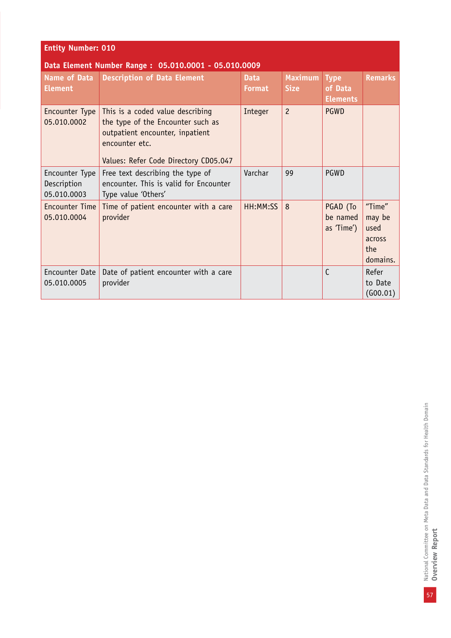| <b>Entity Number: 010</b>                            |                                                                                                                                                                     |                              |                               |                                           |                                                       |  |  |  |
|------------------------------------------------------|---------------------------------------------------------------------------------------------------------------------------------------------------------------------|------------------------------|-------------------------------|-------------------------------------------|-------------------------------------------------------|--|--|--|
| Data Element Number Range: 05.010.0001 - 05.010.0009 |                                                                                                                                                                     |                              |                               |                                           |                                                       |  |  |  |
| Name of Data<br><b>Element</b>                       | <b>Description of Data Element</b>                                                                                                                                  | <b>Data</b><br><b>Format</b> | <b>Maximum</b><br><b>Size</b> | <b>Type</b><br>of Data<br><b>Elements</b> | <b>Remarks</b>                                        |  |  |  |
| Encounter Type<br>05.010.0002                        | This is a coded value describing<br>the type of the Encounter such as<br>outpatient encounter, inpatient<br>encounter etc.<br>Values: Refer Code Directory CD05.047 | Integer                      | $\overline{c}$                | <b>PGWD</b>                               |                                                       |  |  |  |
| Encounter Type<br>Description<br>05.010.0003         | Free text describing the type of<br>encounter. This is valid for Encounter<br>Type value 'Others'                                                                   | Varchar                      | 99                            | PGWD                                      |                                                       |  |  |  |
| <b>Encounter Time</b><br>05.010.0004                 | Time of patient encounter with a care<br>provider                                                                                                                   | HH:MM:SS                     | 8                             | PGAD (To<br>be named<br>as 'Time')        | "Time"<br>may be<br>used<br>across<br>the<br>domains. |  |  |  |
| Encounter Date<br>05.010.0005                        | Date of patient encounter with a care<br>provider                                                                                                                   |                              |                               | $\mathsf{C}$                              | Refer<br>to Date<br>(600.01)                          |  |  |  |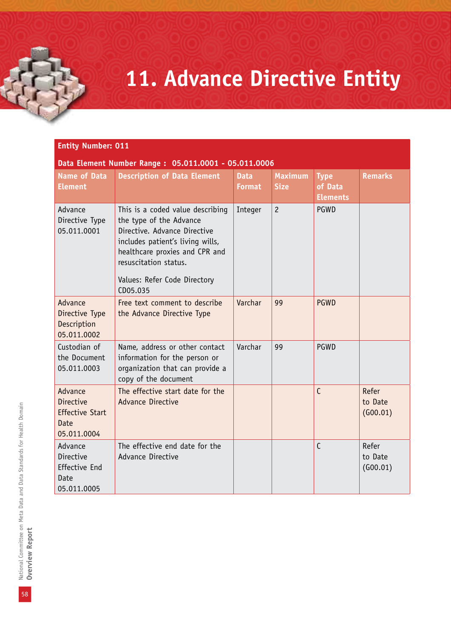# **11. Advance Directive Entity**

| Data Element Number Range: 05.011.0001 - 05.011.0006                         |                                                                                                                                                                                                                                        |                              |                               |                                           |                              |  |  |  |
|------------------------------------------------------------------------------|----------------------------------------------------------------------------------------------------------------------------------------------------------------------------------------------------------------------------------------|------------------------------|-------------------------------|-------------------------------------------|------------------------------|--|--|--|
| <b>Name of Data</b><br><b>Element</b>                                        | <b>Description of Data Element</b>                                                                                                                                                                                                     | <b>Data</b><br><b>Format</b> | <b>Maximum</b><br><b>Size</b> | <b>Type</b><br>of Data<br><b>Elements</b> | <b>Remarks</b>               |  |  |  |
| Advance<br>Directive Type<br>05.011.0001                                     | This is a coded value describing<br>the type of the Advance<br>Directive. Advance Directive<br>includes patient's living wills,<br>healthcare proxies and CPR and<br>resuscitation status.<br>Values: Refer Code Directory<br>CD05.035 | Integer                      | $\overline{c}$                | PGWD                                      |                              |  |  |  |
| Advance<br>Directive Type<br>Description<br>05.011.0002                      | Free text comment to describe<br>the Advance Directive Type                                                                                                                                                                            | Varchar                      | 99                            | <b>PGWD</b>                               |                              |  |  |  |
| Custodian of<br>the Document<br>05.011.0003                                  | Name, address or other contact<br>information for the person or<br>organization that can provide a<br>copy of the document                                                                                                             | Varchar                      | 99                            | PGWD                                      |                              |  |  |  |
| Advance<br><b>Directive</b><br><b>Effective Start</b><br>Date<br>05.011.0004 | The effective start date for the<br><b>Advance Directive</b>                                                                                                                                                                           |                              |                               | $\mathsf{C}$                              | Refer<br>to Date<br>(G00.01) |  |  |  |
| Advance<br>Directive<br><b>Effective End</b><br>Date<br>05.011.0005          | The effective end date for the<br><b>Advance Directive</b>                                                                                                                                                                             |                              |                               | $\mathsf{C}$                              | Refer<br>to Date<br>(600.01) |  |  |  |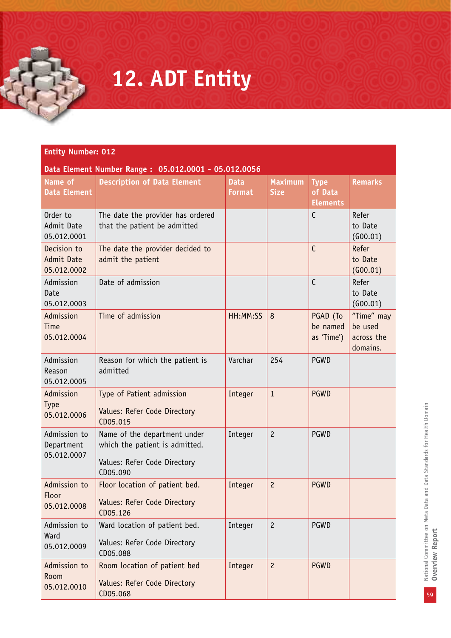## **12. ADT Entity**

|  | Data Element Number Range: 05.012.0001 - 05.012.0056 |
|--|------------------------------------------------------|
|--|------------------------------------------------------|

| Name of<br><b>Data Element</b>            | <b>Description of Data Element</b>                                                                         | <b>Data</b><br><b>Format</b> | <b>Maximum</b><br><b>Size</b> | <b>Type</b><br>of Data<br><b>Elements</b> | <b>Remarks</b>                                  |
|-------------------------------------------|------------------------------------------------------------------------------------------------------------|------------------------------|-------------------------------|-------------------------------------------|-------------------------------------------------|
| Order to<br>Admit Date<br>05.012.0001     | The date the provider has ordered<br>that the patient be admitted                                          |                              |                               | C                                         | Refer<br>to Date<br>(600.01)                    |
| Decision to<br>Admit Date<br>05.012.0002  | The date the provider decided to<br>admit the patient                                                      |                              |                               | $\mathsf{C}$                              | Refer<br>to Date<br>(600.01)                    |
| Admission<br>Date<br>05.012.0003          | Date of admission                                                                                          |                              |                               | $\mathsf{C}$                              | Refer<br>to Date<br>(600.01)                    |
| Admission<br>Time<br>05.012.0004          | Time of admission                                                                                          | HH:MM:SS                     | 8                             | PGAD (To<br>be named<br>as 'Time')        | "Time" may<br>be used<br>across the<br>domains. |
| Admission<br>Reason<br>05.012.0005        | Reason for which the patient is<br>admitted                                                                | Varchar                      | 254                           | <b>PGWD</b>                               |                                                 |
| Admission<br><b>Type</b><br>05.012.0006   | Type of Patient admission<br>Values: Refer Code Directory<br>CD05.015                                      | Integer                      | $\mathbf{1}$                  | <b>PGWD</b>                               |                                                 |
| Admission to<br>Department<br>05.012.0007 | Name of the department under<br>which the patient is admitted.<br>Values: Refer Code Directory<br>CD05.090 | Integer                      | $\overline{c}$                | <b>PGWD</b>                               |                                                 |
| Admission to<br>Floor<br>05.012.0008      | Floor location of patient bed.<br>Values: Refer Code Directory<br>CD05.126                                 | Integer                      | $\overline{c}$                | <b>PGWD</b>                               |                                                 |
| Admission to<br>Ward<br>05.012.0009       | Ward location of patient bed.<br>Values: Refer Code Directory<br>CD05.088                                  | Integer                      | $\overline{c}$                | <b>PGWD</b>                               |                                                 |
| Admission to<br>Room<br>05.012.0010       | Room location of patient bed<br>Values: Refer Code Directory<br>CD05.068                                   | Integer                      | $\overline{c}$                | <b>PGWD</b>                               |                                                 |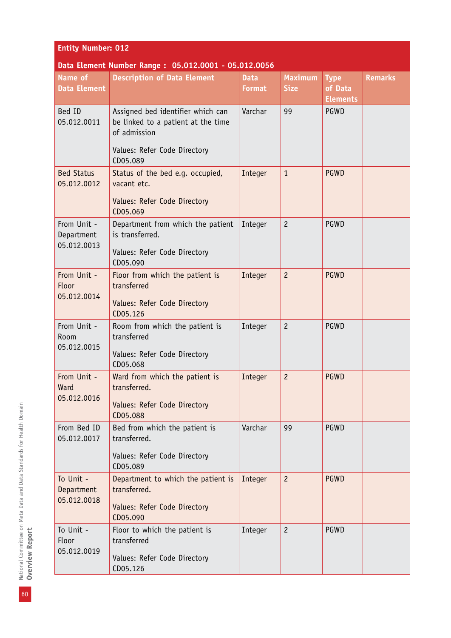| <b>Entity Number: 012</b>                |                                                                                                                         |                              |                               |                                           |                |  |
|------------------------------------------|-------------------------------------------------------------------------------------------------------------------------|------------------------------|-------------------------------|-------------------------------------------|----------------|--|
|                                          | Data Element Number Range: 05.012.0001 - 05.012.0056                                                                    |                              |                               |                                           |                |  |
| <b>Name of</b><br><b>Data Element</b>    | <b>Description of Data Element</b>                                                                                      | <b>Data</b><br><b>Format</b> | <b>Maximum</b><br><b>Size</b> | <b>Type</b><br>of Data<br><b>Elements</b> | <b>Remarks</b> |  |
| Bed ID<br>05.012.0011                    | Assigned bed identifier which can<br>be linked to a patient at the time<br>of admission<br>Values: Refer Code Directory | Varchar                      | 99                            | PGWD                                      |                |  |
|                                          | CD05.089                                                                                                                |                              |                               |                                           |                |  |
| <b>Bed Status</b><br>05.012.0012         | Status of the bed e.g. occupied,<br>vacant etc.<br>Values: Refer Code Directory<br>CD05.069                             | Integer                      | $\mathbf{1}$                  | <b>PGWD</b>                               |                |  |
| From Unit -<br>Department<br>05.012.0013 | Department from which the patient<br>is transferred.<br>Values: Refer Code Directory<br>CD05.090                        | Integer                      | $\overline{c}$                | PGWD                                      |                |  |
| From Unit -<br>Floor<br>05.012.0014      | Floor from which the patient is<br>transferred<br>Values: Refer Code Directory<br>CD05.126                              | Integer                      | $\overline{c}$                | <b>PGWD</b>                               |                |  |
| From Unit -<br>Room<br>05.012.0015       | Room from which the patient is<br>transferred<br>Values: Refer Code Directory<br>CD05.068                               | Integer                      | $\overline{c}$                | <b>PGWD</b>                               |                |  |
| From Unit -<br>Ward<br>05.012.0016       | Ward from which the patient is<br>transferred.<br>Values: Refer Code Directory<br>CD05.088                              | Integer                      | $\overline{c}$                | <b>PGWD</b>                               |                |  |
| From Bed ID<br>05.012.0017               | Bed from which the patient is<br>transferred.<br>Values: Refer Code Directory<br>CD05.089                               | Varchar                      | 99                            | PGWD                                      |                |  |
| To Unit -<br>Department<br>05.012.0018   | Department to which the patient is<br>transferred.<br>Values: Refer Code Directory<br>CD05.090                          | Integer                      | $\overline{c}$                | <b>PGWD</b>                               |                |  |
| To Unit -<br>Floor<br>05.012.0019        | Floor to which the patient is<br>transferred<br>Values: Refer Code Directory<br>CD05.126                                | Integer                      | $\overline{c}$                | PGWD                                      |                |  |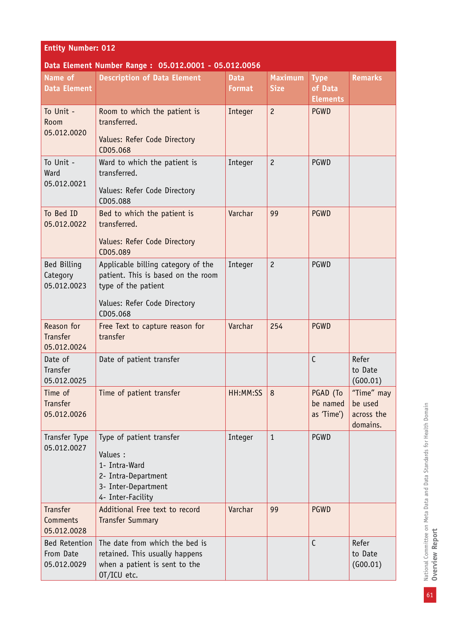| <b>Entity Number: 012</b>                        |                                                                                                                          |                              |                               |                                           |                                                 |  |
|--------------------------------------------------|--------------------------------------------------------------------------------------------------------------------------|------------------------------|-------------------------------|-------------------------------------------|-------------------------------------------------|--|
|                                                  | Data Element Number Range: 05.012.0001 - 05.012.0056                                                                     |                              |                               |                                           |                                                 |  |
| Name of<br><b>Data Element</b>                   | <b>Description of Data Element</b>                                                                                       | <b>Data</b><br><b>Format</b> | <b>Maximum</b><br><b>Size</b> | <b>Type</b><br>of Data<br><b>Elements</b> | <b>Remarks</b>                                  |  |
| To Unit -<br>Room<br>05.012.0020                 | Room to which the patient is<br>transferred.                                                                             | Integer                      | $\overline{c}$                | <b>PGWD</b>                               |                                                 |  |
|                                                  | Values: Refer Code Directory<br>CD05.068                                                                                 |                              |                               |                                           |                                                 |  |
| To Unit -<br>Ward<br>05.012.0021                 | Ward to which the patient is<br>transferred.                                                                             | Integer                      | $\overline{c}$                | PGWD                                      |                                                 |  |
|                                                  | Values: Refer Code Directory<br>CD05.088                                                                                 |                              |                               |                                           |                                                 |  |
| To Bed ID<br>05.012.0022                         | Bed to which the patient is<br>transferred.                                                                              | Varchar                      | 99                            | <b>PGWD</b>                               |                                                 |  |
|                                                  | Values: Refer Code Directory<br>CD05.089                                                                                 |                              |                               |                                           |                                                 |  |
| Bed Billing<br>Category<br>05.012.0023           | Applicable billing category of the<br>patient. This is based on the room<br>type of the patient                          | Integer                      | $\overline{c}$                | PGWD                                      |                                                 |  |
|                                                  | Values: Refer Code Directory<br>CD05.068                                                                                 |                              |                               |                                           |                                                 |  |
| Reason for<br><b>Transfer</b><br>05.012.0024     | Free Text to capture reason for<br>transfer                                                                              | Varchar                      | 254                           | <b>PGWD</b>                               |                                                 |  |
| Date of<br>Transfer<br>05.012.0025               | Date of patient transfer                                                                                                 |                              |                               | $\mathsf{C}$                              | Refer<br>to Date<br>(600.01)                    |  |
| Time of<br><b>Transfer</b><br>05.012.0026        | Time of patient transfer                                                                                                 | HH:MM:SS                     | 8                             | PGAD (To<br>be named<br>as 'Time')        | "Time" may<br>be used<br>across the<br>domains. |  |
| Transfer Type<br>05.012.0027                     | Type of patient transfer<br>Values :<br>1- Intra-Ward<br>2- Intra-Department<br>3- Inter-Department<br>4- Inter-Facility | Integer                      | $\mathbf{1}$                  | PGWD                                      |                                                 |  |
| <b>Transfer</b><br>Comments<br>05.012.0028       | Additional Free text to record<br><b>Transfer Summary</b>                                                                | Varchar                      | 99                            | <b>PGWD</b>                               |                                                 |  |
| <b>Bed Retention</b><br>From Date<br>05.012.0029 | The date from which the bed is<br>retained. This usually happens<br>when a patient is sent to the<br>OT/ICU etc.         |                              |                               | $\mathsf{C}$                              | Refer<br>to Date<br>(G00.01)                    |  |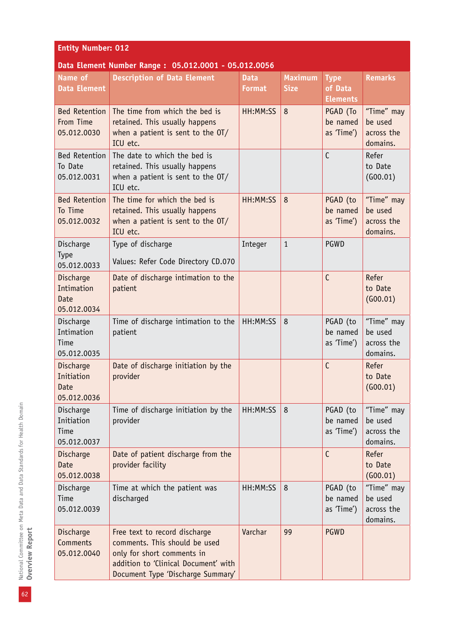| <b>Entity Number: 012</b>                             |                                                                                                                                                                           |                              |                               |                                           |                                                 |
|-------------------------------------------------------|---------------------------------------------------------------------------------------------------------------------------------------------------------------------------|------------------------------|-------------------------------|-------------------------------------------|-------------------------------------------------|
|                                                       | Data Element Number Range: 05.012.0001 - 05.012.0056                                                                                                                      |                              |                               |                                           |                                                 |
| Name of<br><b>Data Element</b>                        | <b>Description of Data Element</b>                                                                                                                                        | <b>Data</b><br><b>Format</b> | <b>Maximum</b><br><b>Size</b> | <b>Type</b><br>of Data<br><b>Elements</b> | <b>Remarks</b>                                  |
| <b>Bed Retention</b><br>From Time<br>05.012.0030      | The time from which the bed is<br>retained. This usually happens<br>when a patient is sent to the OT/<br>ICU etc.                                                         | HH:MM:SS                     | 8                             | PGAD (To<br>be named<br>as 'Time')        | "Time" may<br>be used<br>across the<br>domains. |
| <b>Bed Retention</b><br>To Date<br>05.012.0031        | The date to which the bed is<br>retained. This usually happens<br>when a patient is sent to the $O(T)$<br>ICU etc.                                                        |                              |                               | $\mathsf{C}$                              | Refer<br>to Date<br>(600.01)                    |
| <b>Bed Retention</b><br>To Time<br>05.012.0032        | The time for which the bed is<br>retained. This usually happens<br>when a patient is sent to the OT/<br>ICU etc.                                                          | HH:MM:SS                     | 8                             | PGAD (to<br>be named<br>as 'Time')        | "Time" may<br>be used<br>across the<br>domains. |
| Discharge<br>Type<br>05.012.0033                      | Type of discharge<br>Values: Refer Code Directory CD.070                                                                                                                  | Integer                      | $\mathbf{1}$                  | PGWD                                      |                                                 |
| Discharge<br>Intimation<br><b>Date</b><br>05.012.0034 | Date of discharge intimation to the<br>patient                                                                                                                            |                              |                               | $\mathsf{C}$                              | Refer<br>to Date<br>(G00.01)                    |
| Discharge<br>Intimation<br>Time<br>05.012.0035        | Time of discharge intimation to the<br>patient                                                                                                                            | HH:MM:SS                     | 8                             | PGAD (to<br>be named<br>as 'Time')        | "Time" may<br>be used<br>across the<br>domains. |
| Discharge<br>Initiation<br>Date<br>05.012.0036        | Date of discharge initiation by the<br>provider                                                                                                                           |                              |                               | $\mathsf{C}$                              | Refer<br>to Date<br>(600.01)                    |
| Discharge<br>Initiation<br>Time<br>05.012.0037        | Time of discharge initiation by the<br>provider                                                                                                                           | HH:MM:SS                     | 8                             | PGAD (to<br>be named<br>as 'Time')        | "Time" may<br>be used<br>across the<br>domains. |
| Discharge<br>Date<br>05.012.0038                      | Date of patient discharge from the<br>provider facility                                                                                                                   |                              |                               | $\mathsf{C}$                              | Refer<br>to Date<br>(G00.01)                    |
| Discharge<br>Time<br>05.012.0039                      | Time at which the patient was<br>discharged                                                                                                                               | HH:MM:SS                     | 8                             | PGAD (to<br>be named<br>as 'Time')        | "Time" may<br>be used<br>across the<br>domains. |
| Discharge<br>Comments<br>05.012.0040                  | Free text to record discharge<br>comments. This should be used<br>only for short comments in<br>addition to 'Clinical Document' with<br>Document Type 'Discharge Summary' | Varchar                      | 99                            | <b>PGWD</b>                               |                                                 |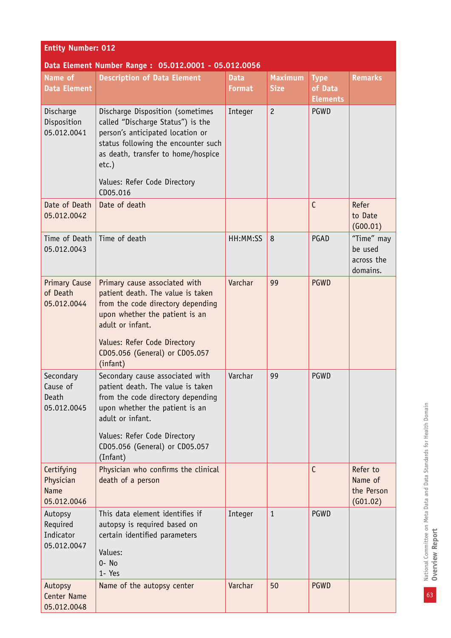| <b>Entity Number: 012</b>                             |                                                                                                                                                                                                                                                |                              |                               |                                           |                                                 |  |
|-------------------------------------------------------|------------------------------------------------------------------------------------------------------------------------------------------------------------------------------------------------------------------------------------------------|------------------------------|-------------------------------|-------------------------------------------|-------------------------------------------------|--|
| Data Element Number Range: 05.012.0001 - 05.012.0056  |                                                                                                                                                                                                                                                |                              |                               |                                           |                                                 |  |
| Name of<br><b>Data Element</b>                        | <b>Description of Data Element</b>                                                                                                                                                                                                             | <b>Data</b><br><b>Format</b> | <b>Maximum</b><br><b>Size</b> | <b>Type</b><br>of Data<br><b>Elements</b> | <b>Remarks</b>                                  |  |
| Discharge<br>Disposition<br>05.012.0041               | Discharge Disposition (sometimes<br>called "Discharge Status") is the<br>person's anticipated location or<br>status following the encounter such<br>as death, transfer to home/hospice<br>$etc.$ )<br>Values: Refer Code Directory<br>CD05.016 | Integer                      | $\overline{c}$                | PGWD                                      |                                                 |  |
| Date of Death<br>05.012.0042                          | Date of death                                                                                                                                                                                                                                  |                              |                               | $\mathsf{C}$                              | Refer<br>to Date<br>(600.01)                    |  |
| Time of Death<br>05.012.0043                          | Time of death                                                                                                                                                                                                                                  | HH:MM:SS                     | 8                             | PGAD                                      | "Time" may<br>be used<br>across the<br>domains. |  |
| <b>Primary Cause</b><br>of Death<br>05.012.0044       | Primary cause associated with<br>patient death. The value is taken<br>from the code directory depending<br>upon whether the patient is an<br>adult or infant.<br>Values: Refer Code Directory<br>CD05.056 (General) or CD05.057<br>(infant)    | Varchar                      | 99                            | <b>PGWD</b>                               |                                                 |  |
| Secondary<br>Cause of<br>Death<br>05.012.0045         | Secondary cause associated with<br>patient death. The value is taken<br>from the code directory depending<br>upon whether the patient is an<br>adult or infant.<br>Values: Refer Code Directory<br>CD05.056 (General) or CD05.057<br>(Infant)  | Varchar                      | 99                            | PGWD                                      |                                                 |  |
| Certifying<br>Physician<br><b>Name</b><br>05.012.0046 | Physician who confirms the clinical<br>death of a person                                                                                                                                                                                       |                              |                               | $\mathsf{C}$                              | Refer to<br>Name of<br>the Person<br>(G01.02)   |  |
| Autopsy<br>Required<br>Indicator<br>05.012.0047       | This data element identifies if<br>autopsy is required based on<br>certain identified parameters<br>Values:<br>$0 - No$<br>1- Yes                                                                                                              | Integer                      | $\mathbf{1}$                  | PGWD                                      |                                                 |  |
| Autopsy<br><b>Center Name</b><br>05.012.0048          | Name of the autopsy center                                                                                                                                                                                                                     | Varchar                      | 50                            | <b>PGWD</b>                               |                                                 |  |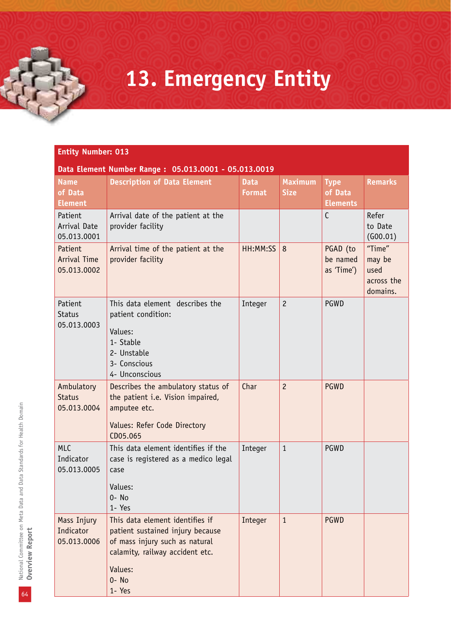### **13. Emergency Entity**

|                                            | Data Element Number Range: 05.013.0001 - 05.013.0019                                                                                                                      |                              |                               |                                           |                                                    |
|--------------------------------------------|---------------------------------------------------------------------------------------------------------------------------------------------------------------------------|------------------------------|-------------------------------|-------------------------------------------|----------------------------------------------------|
| <b>Name</b><br>of Data<br><b>Element</b>   | <b>Description of Data Element</b>                                                                                                                                        | <b>Data</b><br><b>Format</b> | <b>Maximum</b><br><b>Size</b> | <b>Type</b><br>of Data<br><b>Elements</b> | <b>Remarks</b>                                     |
| Patient<br>Arrival Date<br>05.013.0001     | Arrival date of the patient at the<br>provider facility                                                                                                                   |                              |                               | $\mathsf{C}$                              | Refer<br>to Date<br>(600.01)                       |
| Patient<br>Arrival Time<br>05.013.0002     | Arrival time of the patient at the<br>provider facility                                                                                                                   | HH:MM:SS                     | 8                             | PGAD (to<br>be named<br>as 'Time')        | "Time"<br>may be<br>used<br>across the<br>domains. |
| Patient<br><b>Status</b><br>05.013.0003    | This data element describes the<br>patient condition:<br>Values:<br>1- Stable<br>2- Unstable<br>3- Conscious<br>4- Unconscious                                            | Integer                      | $\overline{c}$                | PGWD                                      |                                                    |
| Ambulatory<br><b>Status</b><br>05.013.0004 | Describes the ambulatory status of<br>the patient i.e. Vision impaired,<br>amputee etc.<br>Values: Refer Code Directory<br>CD05.065                                       | Char                         | $\overline{c}$                | <b>PGWD</b>                               |                                                    |
| <b>MLC</b><br>Indicator<br>05.013.0005     | This data element identifies if the<br>case is registered as a medico legal<br>case<br>Values:<br>$0 - No$<br>1- Yes                                                      | Integer                      | $\mathbf{1}$                  | PGWD                                      |                                                    |
| Mass Injury<br>Indicator<br>05.013.0006    | This data element identifies if<br>patient sustained injury because<br>of mass injury such as natural<br>calamity, railway accident etc.<br>Values:<br>$0 - No$<br>1- Yes | Integer                      | $\mathbf{1}$                  | <b>PGWD</b>                               |                                                    |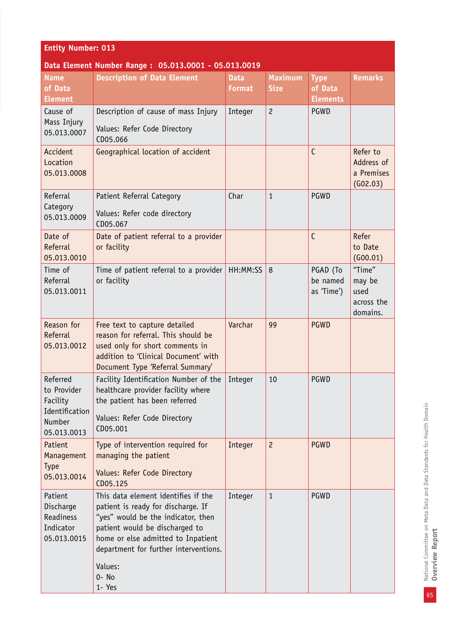| <b>Entity Number: 013</b>                                                                                                                                                                                                                            |                              |                                                                                                |                                           |                                                    |  |
|------------------------------------------------------------------------------------------------------------------------------------------------------------------------------------------------------------------------------------------------------|------------------------------|------------------------------------------------------------------------------------------------|-------------------------------------------|----------------------------------------------------|--|
|                                                                                                                                                                                                                                                      |                              |                                                                                                |                                           |                                                    |  |
| <b>Description of Data Element</b>                                                                                                                                                                                                                   | <b>Data</b><br><b>Format</b> | <b>Maximum</b><br><b>Size</b>                                                                  | <b>Type</b><br>of Data<br><b>Elements</b> | <b>Remarks</b>                                     |  |
| Description of cause of mass Injury<br>Values: Refer Code Directory<br>CD05.066                                                                                                                                                                      | Integer                      | $\overline{c}$                                                                                 | <b>PGWD</b>                               |                                                    |  |
| Geographical location of accident                                                                                                                                                                                                                    |                              |                                                                                                | $\mathsf{C}$                              | Refer to<br>Address of<br>a Premises<br>(602.03)   |  |
| Patient Referral Category<br>Values: Refer code directory<br>CD05.067                                                                                                                                                                                | Char                         | $\mathbf{1}$                                                                                   | <b>PGWD</b>                               |                                                    |  |
| Date of patient referral to a provider<br>or facility                                                                                                                                                                                                |                              |                                                                                                | $\mathsf{C}$                              | Refer<br>to Date<br>(600.01)                       |  |
| or facility                                                                                                                                                                                                                                          | HH:MM:SS                     | 8                                                                                              | PGAD (To<br>be named<br>as 'Time')        | "Time"<br>may be<br>used<br>across the<br>domains. |  |
| Free text to capture detailed<br>reason for referral. This should be<br>used only for short comments in<br>addition to 'Clinical Document' with<br>Document Type 'Referral Summary'                                                                  | Varchar                      | 99                                                                                             | <b>PGWD</b>                               |                                                    |  |
| Facility Identification Number of the<br>healthcare provider facility where<br>the patient has been referred<br>Values: Refer Code Directory<br>CD05.001                                                                                             | Integer                      | 10                                                                                             | <b>PGWD</b>                               |                                                    |  |
| Type of intervention required for<br>managing the patient<br>Values: Refer Code Directory<br>CD05.125                                                                                                                                                | Integer                      | $\overline{c}$                                                                                 | <b>PGWD</b>                               |                                                    |  |
| This data element identifies if the<br>patient is ready for discharge. If<br>"yes" would be the indicator, then<br>patient would be discharged to<br>home or else admitted to Inpatient<br>department for further interventions.<br>Values:<br>0- No | Integer                      | $\mathbf{1}$                                                                                   | PGWD                                      |                                                    |  |
|                                                                                                                                                                                                                                                      | 1- Yes                       | Data Element Number Range: 05.013.0001 - 05.013.0019<br>Time of patient referral to a provider |                                           |                                                    |  |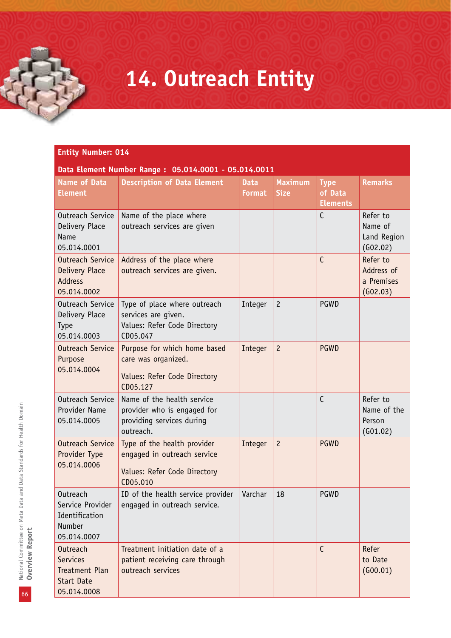### **14. Outreach Entity**

|  | Data Element Number Range: 05.014.0001 - 05.014.0011 |  |
|--|------------------------------------------------------|--|
|  |                                                      |  |

| <b>Name of Data</b><br><b>Element</b>                                                    | <b>Description of Data Element</b>                                                                     | <b>Data</b><br><b>Format</b> | <b>Maximum</b><br><b>Size</b> | <b>Type</b><br>of Data<br><b>Elements</b> | <b>Remarks</b>                                   |
|------------------------------------------------------------------------------------------|--------------------------------------------------------------------------------------------------------|------------------------------|-------------------------------|-------------------------------------------|--------------------------------------------------|
| Outreach Service<br>Delivery Place<br>Name<br>05.014.0001                                | Name of the place where<br>outreach services are given                                                 |                              |                               | $\mathsf{C}$                              | Refer to<br>Name of<br>Land Region<br>(602.02)   |
| Outreach Service<br>Delivery Place<br><b>Address</b><br>05.014.0002                      | Address of the place where<br>outreach services are given.                                             |                              |                               | C                                         | Refer to<br>Address of<br>a Premises<br>(602.03) |
| Outreach Service<br>Delivery Place<br><b>Type</b><br>05.014.0003                         | Type of place where outreach<br>services are given.<br>Values: Refer Code Directory<br>CD05.047        | Integer                      | $\overline{c}$                | PGWD                                      |                                                  |
| Outreach Service<br>Purpose<br>05.014.0004                                               | Purpose for which home based<br>care was organized.<br>Values: Refer Code Directory<br>CD05.127        | Integer                      | $\overline{c}$                | <b>PGWD</b>                               |                                                  |
| Outreach Service<br>Provider Name<br>05.014.0005                                         | Name of the health service<br>provider who is engaged for<br>providing services during<br>outreach.    |                              |                               | C                                         | Refer to<br>Name of the<br>Person<br>(601.02)    |
| Outreach Service<br>Provider Type<br>05.014.0006                                         | Type of the health provider<br>engaged in outreach service<br>Values: Refer Code Directory<br>CD05.010 | Integer                      | $\overline{c}$                | <b>PGWD</b>                               |                                                  |
| Outreach<br>Service Provider<br>Identification<br><b>Number</b><br>05.014.0007           | ID of the health service provider<br>engaged in outreach service.                                      | Varchar                      | 18                            | PGWD                                      |                                                  |
| Outreach<br><b>Services</b><br><b>Treatment Plan</b><br><b>Start Date</b><br>05.014.0008 | Treatment initiation date of a<br>patient receiving care through<br>outreach services                  |                              |                               | $\mathsf{C}$                              | Refer<br>to Date<br>(600.01)                     |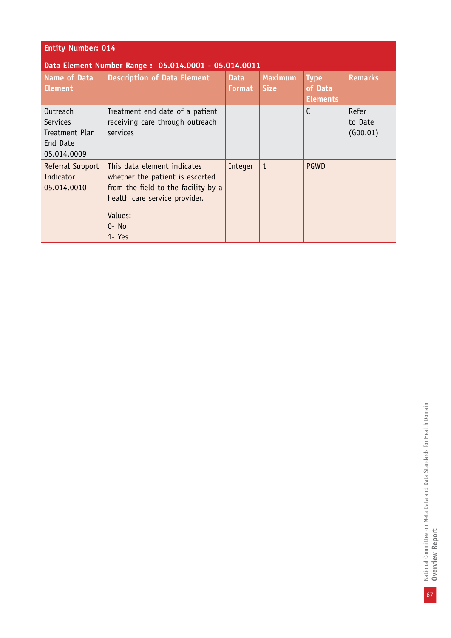| <b>Entity Number: 014</b>                                                |                                                                                                                                                                        |                              |                               |                                           |                              |
|--------------------------------------------------------------------------|------------------------------------------------------------------------------------------------------------------------------------------------------------------------|------------------------------|-------------------------------|-------------------------------------------|------------------------------|
|                                                                          | Data Element Number Range: 05.014.0001 - 05.014.0011                                                                                                                   |                              |                               |                                           |                              |
| <b>Name of Data</b><br><b>Element</b>                                    | <b>Description of Data Element</b>                                                                                                                                     | <b>Data</b><br><b>Format</b> | <b>Maximum</b><br><b>Size</b> | <b>Type</b><br>of Data<br><b>Elements</b> | <b>Remarks</b>               |
| <b>Outreach</b><br>Services<br>Treatment Plan<br>End Date<br>05.014.0009 | Treatment end date of a patient<br>receiving care through outreach<br>services                                                                                         |                              |                               | C                                         | Refer<br>to Date<br>(600.01) |
| Referral Support<br>Indicator<br>05.014.0010                             | This data element indicates<br>whether the patient is escorted<br>from the field to the facility by a<br>health care service provider.<br>Values:<br>$0 - No$<br>1-Yes | Integer                      | $\mathbf{1}$                  | <b>PGWD</b>                               |                              |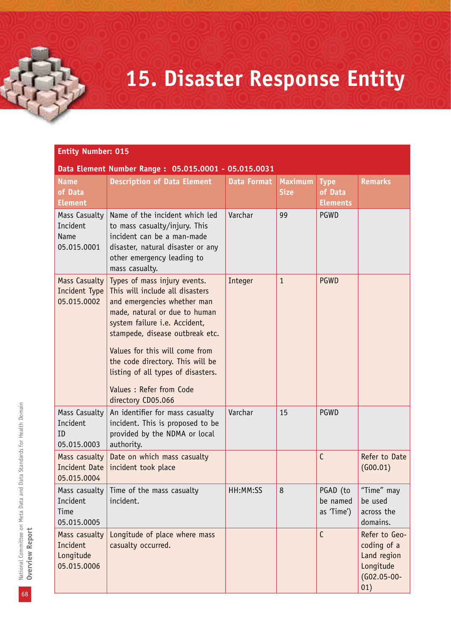### **15. Disaster Response Entity**

#### **Entity Number: 015**

#### **Data Element Number Range : 05.015.0001 - 05.015.0031**

| <b>Name</b><br>of Data<br><b>Element</b>              | <b>Description of Data Element</b>                                                                                                                                                                                                                                                                                                                                | <b>Data Format</b> | <b>Maximum</b><br><b>Size</b> | <b>Type</b><br>of Data<br><b>Elements</b> | <b>Remarks</b>                                                                      |
|-------------------------------------------------------|-------------------------------------------------------------------------------------------------------------------------------------------------------------------------------------------------------------------------------------------------------------------------------------------------------------------------------------------------------------------|--------------------|-------------------------------|-------------------------------------------|-------------------------------------------------------------------------------------|
| Mass Casualty<br>Incident<br>Name<br>05.015.0001      | Name of the incident which led<br>to mass casualty/injury. This<br>incident can be a man-made<br>disaster, natural disaster or any<br>other emergency leading to<br>mass casualty.                                                                                                                                                                                | Varchar            | 99                            | PGWD                                      |                                                                                     |
| Mass Casualty<br>Incident Type<br>05.015.0002         | Types of mass injury events.<br>This will include all disasters<br>and emergencies whether man<br>made, natural or due to human<br>system failure i.e. Accident,<br>stampede, disease outbreak etc.<br>Values for this will come from<br>the code directory. This will be<br>listing of all types of disasters.<br>Values : Refer from Code<br>directory CD05.066 | Integer            | $\mathbf{1}$                  | <b>PGWD</b>                               |                                                                                     |
| Mass Casualty<br>Incident<br>ID<br>05.015.0003        | An identifier for mass casualty<br>incident. This is proposed to be<br>provided by the NDMA or local<br>authority.                                                                                                                                                                                                                                                | Varchar            | 15                            | PGWD                                      |                                                                                     |
| Mass casualty<br>Incident Date<br>05.015.0004         | Date on which mass casualty<br>incident took place                                                                                                                                                                                                                                                                                                                |                    |                               | $\mathsf{C}$                              | Refer to Date<br>(G00.01)                                                           |
| Mass casualty<br>Incident<br>Time<br>05.015.0005      | Time of the mass casualty<br>incident.                                                                                                                                                                                                                                                                                                                            | HH:MM:SS           | 8                             | PGAD (to<br>be named<br>as 'Time')        | "Time" may<br>be used<br>across the<br>domains.                                     |
| Mass casualty<br>Incident<br>Longitude<br>05.015.0006 | Longitude of place where mass<br>casualty occurred.                                                                                                                                                                                                                                                                                                               |                    |                               | $\mathsf{C}$                              | Refer to Geo-<br>coding of a<br>Land region<br>Longitude<br>$(602.05 - 00 -$<br>01) |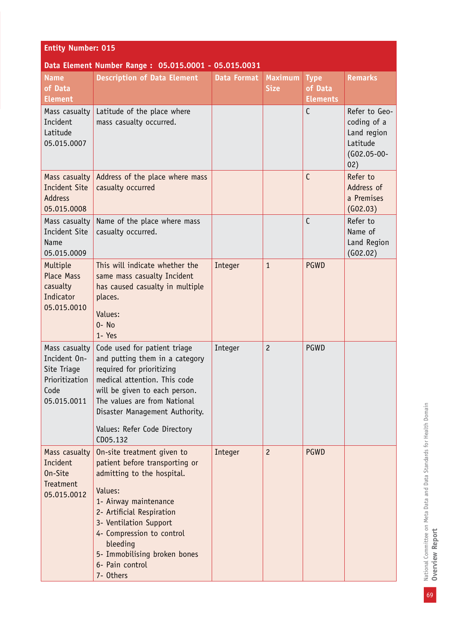| <b>Entity Number: 015</b>                                                             |                                                                                                                                                                                                                                                                                                |                    |                               |                                           |                                                                                 |  |
|---------------------------------------------------------------------------------------|------------------------------------------------------------------------------------------------------------------------------------------------------------------------------------------------------------------------------------------------------------------------------------------------|--------------------|-------------------------------|-------------------------------------------|---------------------------------------------------------------------------------|--|
| Data Element Number Range: 05.015.0001 - 05.015.0031                                  |                                                                                                                                                                                                                                                                                                |                    |                               |                                           |                                                                                 |  |
| <b>Name</b><br>of Data<br><b>Element</b>                                              | <b>Description of Data Element</b>                                                                                                                                                                                                                                                             | <b>Data Format</b> | <b>Maximum</b><br><b>Size</b> | <b>Type</b><br>of Data<br><b>Elements</b> | <b>Remarks</b>                                                                  |  |
| Mass casualty<br>Incident<br>Latitude<br>05.015.0007                                  | Latitude of the place where<br>mass casualty occurred.                                                                                                                                                                                                                                         |                    |                               | $\mathsf{C}$                              | Refer to Geo-<br>coding of a<br>Land region<br>Latitude<br>$(G02.05-00-$<br>02) |  |
| Mass casualty<br><b>Incident Site</b><br><b>Address</b><br>05.015.0008                | Address of the place where mass<br>casualty occurred                                                                                                                                                                                                                                           |                    |                               | C                                         | Refer to<br>Address of<br>a Premises<br>(G02.03)                                |  |
| Mass casualty<br><b>Incident Site</b><br><b>Name</b><br>05.015.0009                   | Name of the place where mass<br>casualty occurred.                                                                                                                                                                                                                                             |                    |                               | C                                         | Refer to<br>Name of<br>Land Region<br>(602.02)                                  |  |
| Multiple<br><b>Place Mass</b><br>casualty<br>Indicator<br>05.015.0010                 | This will indicate whether the<br>same mass casualty Incident<br>has caused casualty in multiple<br>places.<br>Values:<br>$0 - No$<br>1- Yes                                                                                                                                                   | Integer            | $\mathbf{1}$                  | PGWD                                      |                                                                                 |  |
| Mass casualty<br>Incident On-<br>Site Triage<br>Prioritization<br>Code<br>05.015.0011 | Code used for patient triage<br>and putting them in a category<br>required for prioritizing<br>medical attention. This code<br>will be given to each person.<br>The values are from National<br>Disaster Management Authority.<br>Values: Refer Code Directory<br>CD05.132                     | Integer            | $\overline{c}$                | PGWD                                      |                                                                                 |  |
| Mass casualty<br>Incident<br>On-Site<br>Treatment<br>05.015.0012                      | On-site treatment given to<br>patient before transporting or<br>admitting to the hospital.<br>Values:<br>1- Airway maintenance<br>2- Artificial Respiration<br>3- Ventilation Support<br>4- Compression to control<br>bleeding<br>5- Immobilising broken bones<br>6- Pain control<br>7- Others | Integer            | $\overline{c}$                | <b>PGWD</b>                               |                                                                                 |  |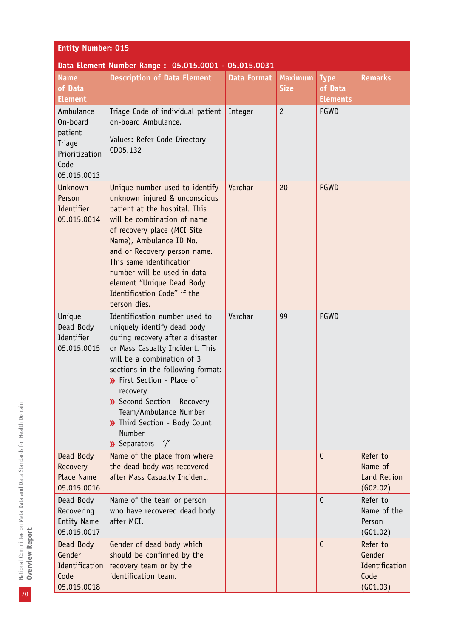| <b>Entity Number: 015</b>                                                           |                                                                                                                                                                                                                                                                                                                                                                                     |                    |                               |                                           |                                                          |  |
|-------------------------------------------------------------------------------------|-------------------------------------------------------------------------------------------------------------------------------------------------------------------------------------------------------------------------------------------------------------------------------------------------------------------------------------------------------------------------------------|--------------------|-------------------------------|-------------------------------------------|----------------------------------------------------------|--|
| Data Element Number Range: 05.015.0001 - 05.015.0031                                |                                                                                                                                                                                                                                                                                                                                                                                     |                    |                               |                                           |                                                          |  |
| <b>Name</b><br>of Data<br><b>Element</b>                                            | <b>Description of Data Element</b>                                                                                                                                                                                                                                                                                                                                                  | <b>Data Format</b> | <b>Maximum</b><br><b>Size</b> | <b>Type</b><br>of Data<br><b>Elements</b> | <b>Remarks</b>                                           |  |
| Ambulance<br>On-board<br>patient<br>Triage<br>Prioritization<br>Code<br>05.015.0013 | Triage Code of individual patient<br>on-board Ambulance.<br>Values: Refer Code Directory<br>CD05.132                                                                                                                                                                                                                                                                                | Integer            | $\overline{c}$                | <b>PGWD</b>                               |                                                          |  |
| Unknown<br>Person<br>Identifier<br>05.015.0014                                      | Unique number used to identify<br>unknown injured & unconscious<br>patient at the hospital. This<br>will be combination of name<br>of recovery place (MCI Site<br>Name), Ambulance ID No.<br>and or Recovery person name.<br>This same identification<br>number will be used in data<br>element "Unique Dead Body<br>Identification Code" if the<br>person dies.                    | Varchar            | 20                            | <b>PGWD</b>                               |                                                          |  |
| Unique<br>Dead Body<br>Identifier<br>05.015.0015                                    | Identification number used to<br>uniquely identify dead body<br>during recovery after a disaster<br>or Mass Casualty Incident. This<br>will be a combination of 3<br>sections in the following format:<br>>> First Section - Place of<br>recovery<br>>> Second Section - Recovery<br>Team/Ambulance Number<br>>> Third Section - Body Count<br>Number<br>$\lambda$ Separators - '/' | Varchar            | 99                            | <b>PGWD</b>                               |                                                          |  |
| Dead Body<br>Recovery<br><b>Place Name</b><br>05.015.0016                           | Name of the place from where<br>the dead body was recovered<br>after Mass Casualty Incident.                                                                                                                                                                                                                                                                                        |                    |                               | $\mathsf{C}$                              | Refer to<br>Name of<br>Land Region<br>(602.02)           |  |
| Dead Body<br>Recovering<br><b>Entity Name</b><br>05.015.0017                        | Name of the team or person<br>who have recovered dead body<br>after MCI.                                                                                                                                                                                                                                                                                                            |                    |                               | C                                         | Refer to<br>Name of the<br>Person<br>(601.02)            |  |
| Dead Body<br>Gender<br>Identification<br>Code<br>05.015.0018                        | Gender of dead body which<br>should be confirmed by the<br>recovery team or by the<br>identification team.                                                                                                                                                                                                                                                                          |                    |                               | C                                         | Refer to<br>Gender<br>Identification<br>Code<br>(601.03) |  |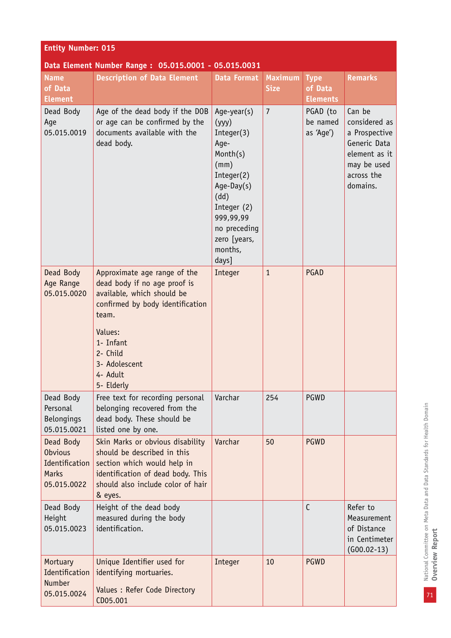| <b>Entity Number: 015</b>                                                    |                                                                                                                                                                                                                        |                                                                                                                                                                                      |                               |                                           |                                                                                                                    |  |
|------------------------------------------------------------------------------|------------------------------------------------------------------------------------------------------------------------------------------------------------------------------------------------------------------------|--------------------------------------------------------------------------------------------------------------------------------------------------------------------------------------|-------------------------------|-------------------------------------------|--------------------------------------------------------------------------------------------------------------------|--|
| Data Element Number Range: 05.015.0001 - 05.015.0031                         |                                                                                                                                                                                                                        |                                                                                                                                                                                      |                               |                                           |                                                                                                                    |  |
| <b>Name</b><br>of Data<br><b>Element</b>                                     | <b>Description of Data Element</b>                                                                                                                                                                                     | <b>Data Format</b>                                                                                                                                                                   | <b>Maximum</b><br><b>Size</b> | <b>Type</b><br>of Data<br><b>Elements</b> | <b>Remarks</b>                                                                                                     |  |
| Dead Body<br>Age<br>05.015.0019                                              | Age of the dead body if the DOB<br>or age can be confirmed by the<br>documents available with the<br>dead body.                                                                                                        | Age-year(s)<br>(yyy)<br>Integer(3)<br>Age-<br>Month(s)<br>(mm)<br>Integer(2)<br>$Age-Day(s)$<br>(dd)<br>Integer (2)<br>999,99,99<br>no preceding<br>zero [years,<br>months,<br>days] | $\overline{7}$                | PGAD (to<br>be named<br>as 'Age')         | Can be<br>considered as<br>a Prospective<br>Generic Data<br>element as it<br>may be used<br>across the<br>domains. |  |
| Dead Body<br>Age Range<br>05.015.0020                                        | Approximate age range of the<br>dead body if no age proof is<br>available, which should be<br>confirmed by body identification<br>team.<br>Values:<br>1- Infant<br>2- Child<br>3- Adolescent<br>4- Adult<br>5- Elderly | Integer                                                                                                                                                                              | $\mathbf{1}$                  | PGAD                                      |                                                                                                                    |  |
| Dead Body<br>Personal<br>Belongings<br>05.015.0021                           | Free text for recording personal<br>belonging recovered from the<br>dead body. These should be<br>listed one by one.                                                                                                   | Varchar                                                                                                                                                                              | 254                           | PGWD                                      |                                                                                                                    |  |
| Dead Body<br><b>Obvious</b><br>Identification<br><b>Marks</b><br>05.015.0022 | Skin Marks or obvious disability<br>should be described in this<br>section which would help in<br>identification of dead body. This<br>should also include color of hair<br>& eyes.                                    | Varchar                                                                                                                                                                              | 50                            | <b>PGWD</b>                               |                                                                                                                    |  |
| Dead Body<br>Height<br>05.015.0023                                           | Height of the dead body<br>measured during the body<br>identification.                                                                                                                                                 |                                                                                                                                                                                      |                               | $\mathsf{C}$                              | Refer to<br>Measurement<br>of Distance<br>in Centimeter<br>$(G00.02-13)$                                           |  |
| Mortuary<br>Identification<br>Number<br>05.015.0024                          | Unique Identifier used for<br>identifying mortuaries.<br>Values : Refer Code Directory<br>CD05.001                                                                                                                     | Integer                                                                                                                                                                              | 10                            | <b>PGWD</b>                               |                                                                                                                    |  |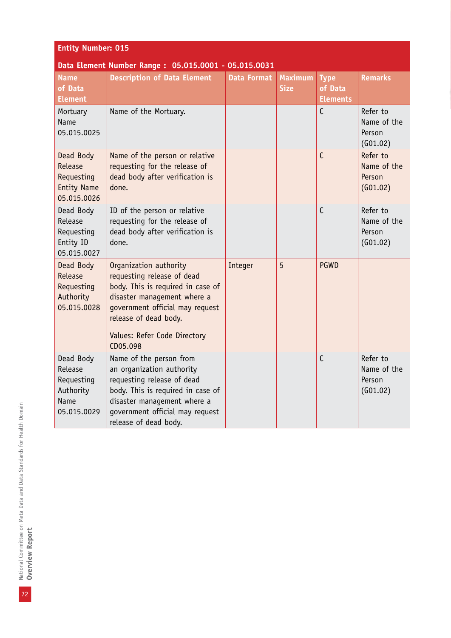| <b>Entity Number: 015</b>                                                     |                                                                                                                                                                                                                                  |                    |                               |                                           |                                               |  |
|-------------------------------------------------------------------------------|----------------------------------------------------------------------------------------------------------------------------------------------------------------------------------------------------------------------------------|--------------------|-------------------------------|-------------------------------------------|-----------------------------------------------|--|
| Data Element Number Range: 05.015.0001 - 05.015.0031                          |                                                                                                                                                                                                                                  |                    |                               |                                           |                                               |  |
| <b>Name</b><br>of Data<br><b>Element</b>                                      | <b>Description of Data Element</b>                                                                                                                                                                                               | <b>Data Format</b> | <b>Maximum</b><br><b>Size</b> | <b>Type</b><br>of Data<br><b>Elements</b> | <b>Remarks</b>                                |  |
| Mortuary<br>Name<br>05.015.0025                                               | Name of the Mortuary.                                                                                                                                                                                                            |                    |                               | $\mathsf{C}$                              | Refer to<br>Name of the<br>Person<br>(G01.02) |  |
| Dead Body<br>Release<br>Requesting<br><b>Entity Name</b><br>05.015.0026       | Name of the person or relative<br>requesting for the release of<br>dead body after verification is<br>done.                                                                                                                      |                    |                               | C                                         | Refer to<br>Name of the<br>Person<br>(G01.02) |  |
| Dead Body<br>Release<br>Requesting<br>Entity ID<br>05.015.0027                | ID of the person or relative<br>requesting for the release of<br>dead body after verification is<br>done.                                                                                                                        |                    |                               | $\mathsf{C}$                              | Refer to<br>Name of the<br>Person<br>(G01.02) |  |
| Dead Body<br>Release<br>Requesting<br>Authority<br>05.015.0028                | Organization authority<br>requesting release of dead<br>body. This is required in case of<br>disaster management where a<br>government official may request<br>release of dead body.<br>Values: Refer Code Directory<br>CD05.098 | Integer            | 5                             | <b>PGWD</b>                               |                                               |  |
| Dead Body<br>Release<br>Requesting<br>Authority<br><b>Name</b><br>05.015.0029 | Name of the person from<br>an organization authority<br>requesting release of dead<br>body. This is required in case of<br>disaster management where a<br>government official may request<br>release of dead body.               |                    |                               | $\mathsf{C}$                              | Refer to<br>Name of the<br>Person<br>(G01.02) |  |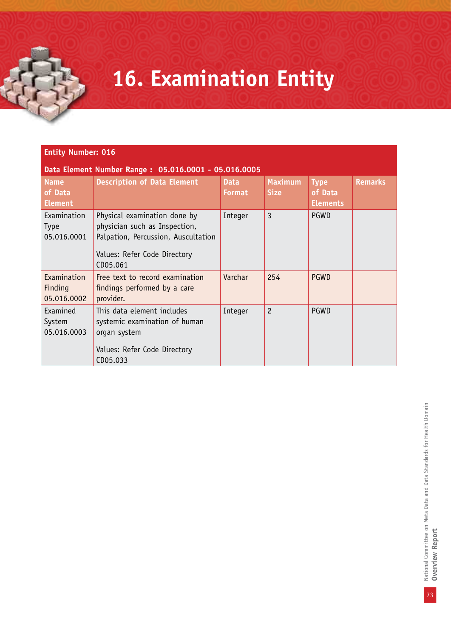### **16. Examination Entity**

#### **Entity Number: 016**

**Data Element Number Range : 05.016.0001 - 05.016.0005**

| <b>Name</b><br>of Data<br><b>Element</b>  | <b>Description of Data Element</b>                                                                                                               | <b>Data</b><br><b>Format</b> | <b>Maximum</b><br><b>Size</b> | <b>Type</b><br>of Data<br><b>Elements</b> | <b>Remarks</b> |
|-------------------------------------------|--------------------------------------------------------------------------------------------------------------------------------------------------|------------------------------|-------------------------------|-------------------------------------------|----------------|
| Examination<br><b>Type</b><br>05.016.0001 | Physical examination done by<br>physician such as Inspection,<br>Palpation, Percussion, Auscultation<br>Values: Refer Code Directory<br>CD05.061 | Integer                      | 3                             | <b>PGWD</b>                               |                |
| Examination<br>Finding<br>05.016.0002     | Free text to record examination<br>findings performed by a care<br>provider.                                                                     | Varchar                      | 254                           | <b>PGWD</b>                               |                |
| Examined<br>System<br>05.016.0003         | This data element includes<br>systemic examination of human<br>organ system<br>Values: Refer Code Directory<br>CD05.033                          | Integer                      | 2                             | PGWD                                      |                |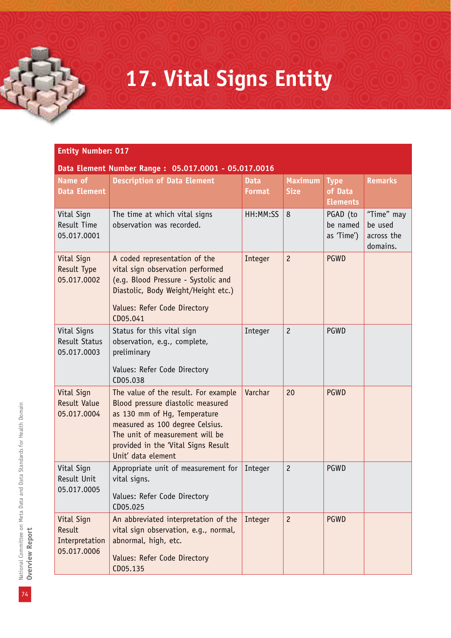### **17. Vital Signs Entity**

#### **Entity Number: 017**

#### **Data Element Number Range : 05.017.0001 - 05.017.0016**

| Name of<br><b>Data Element</b>                        | <b>Description of Data Element</b>                                                                                                                                                                                                           | <b>Data</b><br><b>Format</b> | <b>Maximum</b><br><b>Size</b> | <b>Type</b><br>of Data<br><b>Elements</b> | <b>Remarks</b>                                  |
|-------------------------------------------------------|----------------------------------------------------------------------------------------------------------------------------------------------------------------------------------------------------------------------------------------------|------------------------------|-------------------------------|-------------------------------------------|-------------------------------------------------|
| Vital Sign<br><b>Result Time</b><br>05.017.0001       | The time at which vital signs<br>observation was recorded.                                                                                                                                                                                   | HH:MM:SS                     | 8                             | PGAD (to<br>be named<br>as 'Time')        | "Time" may<br>be used<br>across the<br>domains. |
| Vital Sign<br>Result Type<br>05.017.0002              | A coded representation of the<br>vital sign observation performed<br>(e.g. Blood Pressure - Systolic and<br>Diastolic, Body Weight/Height etc.)<br>Values: Refer Code Directory<br>CD05.041                                                  | Integer                      | $\overline{c}$                | <b>PGWD</b>                               |                                                 |
| Vital Signs<br><b>Result Status</b><br>05.017.0003    | Status for this vital sign<br>observation, e.g., complete,<br>preliminary<br>Values: Refer Code Directory<br>CD05.038                                                                                                                        | Integer                      | $\overline{c}$                | PGWD                                      |                                                 |
| Vital Sign<br><b>Result Value</b><br>05.017.0004      | The value of the result. For example<br>Blood pressure diastolic measured<br>as 130 mm of Hg, Temperature<br>measured as 100 degree Celsius.<br>The unit of measurement will be<br>provided in the 'Vital Signs Result<br>Unit' data element | Varchar                      | 20                            | <b>PGWD</b>                               |                                                 |
| Vital Sign<br>Result Unit<br>05.017.0005              | Appropriate unit of measurement for<br>vital signs.<br>Values: Refer Code Directory<br>CD05.025                                                                                                                                              | Integer                      | $\overline{c}$                | PGWD                                      |                                                 |
| Vital Sign<br>Result<br>Interpretation<br>05.017.0006 | An abbreviated interpretation of the<br>vital sign observation, e.g., normal,<br>abnormal, high, etc.<br>Values: Refer Code Directory<br>CD05.135                                                                                            | Integer                      | $\overline{c}$                | <b>PGWD</b>                               |                                                 |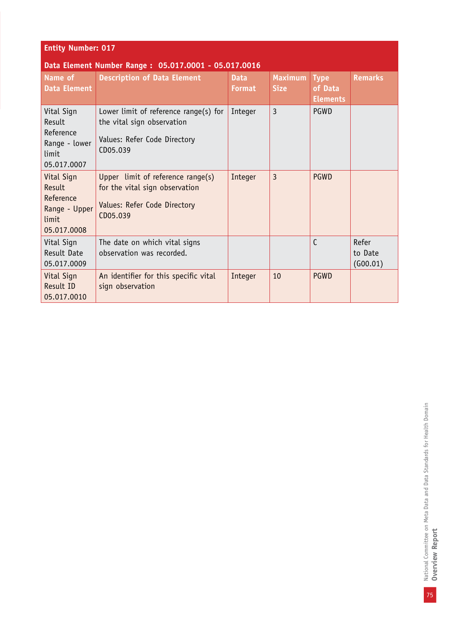| <b>Entity Number: 017</b>                                                         |                                                                                                                    |                              |                               |                                           |                              |  |  |
|-----------------------------------------------------------------------------------|--------------------------------------------------------------------------------------------------------------------|------------------------------|-------------------------------|-------------------------------------------|------------------------------|--|--|
|                                                                                   | Data Element Number Range: 05.017.0001 - 05.017.0016                                                               |                              |                               |                                           |                              |  |  |
| Name of<br><b>Data Element</b>                                                    | <b>Description of Data Element</b>                                                                                 | <b>Data</b><br><b>Format</b> | <b>Maximum</b><br><b>Size</b> | <b>Type</b><br>of Data<br><b>Elements</b> | <b>Remarks</b>               |  |  |
| Vital Sign<br>Result<br>Reference<br>Range - lower<br><b>limit</b><br>05.017.0007 | Lower limit of reference range $(s)$ for<br>the vital sign observation<br>Values: Refer Code Directory<br>CD05.039 | Integer                      | $\overline{3}$                | PGWD                                      |                              |  |  |
| Vital Sign<br>Result<br>Reference<br>Range - Upper<br>limit<br>05.017.0008        | Upper limit of reference range(s)<br>for the vital sign observation<br>Values: Refer Code Directory<br>CD05.039    | Integer                      | $\overline{3}$                | <b>PGWD</b>                               |                              |  |  |
| Vital Sign<br>Result Date<br>05.017.0009                                          | The date on which vital signs<br>observation was recorded.                                                         |                              |                               | C                                         | Refer<br>to Date<br>(G00.01) |  |  |
| Vital Sign<br>Result ID<br>05.017.0010                                            | An identifier for this specific vital<br>sign observation                                                          | Integer                      | 10                            | <b>PGWD</b>                               |                              |  |  |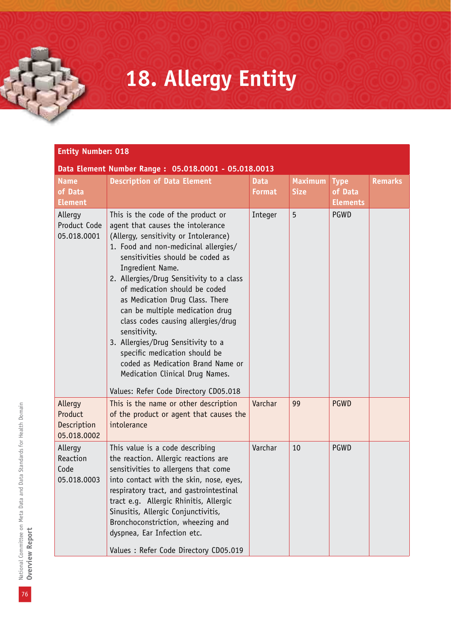### **18. Allergy Entity**

| Data Element Number Range: 05.018.0001 - 05.018.0013 |                                                                                                                                                                                                                                                                                                                                                                                                                                                                                                                                                                                                                   |                              |                               |                                           |                |  |  |
|------------------------------------------------------|-------------------------------------------------------------------------------------------------------------------------------------------------------------------------------------------------------------------------------------------------------------------------------------------------------------------------------------------------------------------------------------------------------------------------------------------------------------------------------------------------------------------------------------------------------------------------------------------------------------------|------------------------------|-------------------------------|-------------------------------------------|----------------|--|--|
| <b>Name</b><br>of Data<br><b>Element</b>             | <b>Description of Data Element</b>                                                                                                                                                                                                                                                                                                                                                                                                                                                                                                                                                                                | <b>Data</b><br><b>Format</b> | <b>Maximum</b><br><b>Size</b> | <b>Type</b><br>of Data<br><b>Elements</b> | <b>Remarks</b> |  |  |
| Allergy<br>Product Code<br>05.018.0001               | This is the code of the product or<br>agent that causes the intolerance<br>(Allergy, sensitivity or Intolerance)<br>1. Food and non-medicinal allergies/<br>sensitivities should be coded as<br>Ingredient Name.<br>2. Allergies/Drug Sensitivity to a class<br>of medication should be coded<br>as Medication Drug Class. There<br>can be multiple medication drug<br>class codes causing allergies/drug<br>sensitivity.<br>3. Allergies/Drug Sensitivity to a<br>specific medication should be<br>coded as Medication Brand Name or<br>Medication Clinical Drug Names.<br>Values: Refer Code Directory CD05.018 | Integer                      | 5                             | PGWD                                      |                |  |  |
| Allergy<br>Product<br>Description<br>05.018.0002     | This is the name or other description<br>of the product or agent that causes the<br>intolerance                                                                                                                                                                                                                                                                                                                                                                                                                                                                                                                   | Varchar                      | 99                            | <b>PGWD</b>                               |                |  |  |
| Allergy<br>Reaction<br>Code<br>05.018.0003           | This value is a code describing<br>the reaction. Allergic reactions are<br>sensitivities to allergens that come<br>into contact with the skin, nose, eyes,<br>respiratory tract, and gastrointestinal<br>tract e.g. Allergic Rhinitis, Allergic<br>Sinusitis, Allergic Conjunctivitis,<br>Bronchoconstriction, wheezing and<br>dyspnea, Ear Infection etc.<br>Values : Refer Code Directory CD05.019                                                                                                                                                                                                              | Varchar                      | 10                            | PGWD                                      |                |  |  |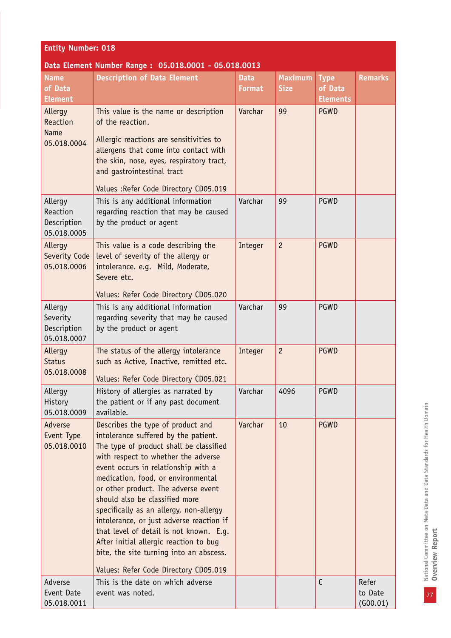| <b>Entity Number: 018</b>                         |                                                                                                                                                                                                                                                                                                                                                                                                                                                                                                                                                                                   |                              |                               |                                           |                              |  |  |
|---------------------------------------------------|-----------------------------------------------------------------------------------------------------------------------------------------------------------------------------------------------------------------------------------------------------------------------------------------------------------------------------------------------------------------------------------------------------------------------------------------------------------------------------------------------------------------------------------------------------------------------------------|------------------------------|-------------------------------|-------------------------------------------|------------------------------|--|--|
|                                                   | Data Element Number Range: 05.018.0001 - 05.018.0013                                                                                                                                                                                                                                                                                                                                                                                                                                                                                                                              |                              |                               |                                           |                              |  |  |
| <b>Name</b><br>of Data<br><b>Element</b>          | <b>Description of Data Element</b>                                                                                                                                                                                                                                                                                                                                                                                                                                                                                                                                                | <b>Data</b><br><b>Format</b> | <b>Maximum</b><br><b>Size</b> | <b>Type</b><br>of Data<br><b>Elements</b> | <b>Remarks</b>               |  |  |
| Allergy<br>Reaction<br><b>Name</b><br>05.018.0004 | This value is the name or description<br>of the reaction.<br>Allergic reactions are sensitivities to<br>allergens that come into contact with<br>the skin, nose, eyes, respiratory tract,<br>and gastrointestinal tract<br>Values: Refer Code Directory CD05.019                                                                                                                                                                                                                                                                                                                  | Varchar                      | 99                            | <b>PGWD</b>                               |                              |  |  |
| Allergy<br>Reaction<br>Description<br>05.018.0005 | This is any additional information<br>regarding reaction that may be caused<br>by the product or agent                                                                                                                                                                                                                                                                                                                                                                                                                                                                            | Varchar                      | 99                            | PGWD                                      |                              |  |  |
| Allergy<br>Severity Code<br>05.018.0006           | This value is a code describing the<br>level of severity of the allergy or<br>intolerance. e.g. Mild, Moderate,<br>Severe etc.<br>Values: Refer Code Directory CD05.020                                                                                                                                                                                                                                                                                                                                                                                                           | Integer                      | $\overline{c}$                | <b>PGWD</b>                               |                              |  |  |
| Allergy<br>Severity<br>Description<br>05.018.0007 | This is any additional information<br>regarding severity that may be caused<br>by the product or agent                                                                                                                                                                                                                                                                                                                                                                                                                                                                            | Varchar                      | 99                            | PGWD                                      |                              |  |  |
| Allergy<br><b>Status</b><br>05.018.0008           | The status of the allergy intolerance<br>such as Active, Inactive, remitted etc.<br>Values: Refer Code Directory CD05.021                                                                                                                                                                                                                                                                                                                                                                                                                                                         | Integer                      | $\overline{c}$                | <b>PGWD</b>                               |                              |  |  |
| Allergy<br>History<br>05.018.0009                 | History of allergies as narrated by<br>the patient or if any past document<br>available.                                                                                                                                                                                                                                                                                                                                                                                                                                                                                          | Varchar                      | 4096                          | PGWD                                      |                              |  |  |
| Adverse<br>Event Type<br>05.018.0010              | Describes the type of product and<br>intolerance suffered by the patient.<br>The type of product shall be classified<br>with respect to whether the adverse<br>event occurs in relationship with a<br>medication, food, or environmental<br>or other product. The adverse event<br>should also be classified more<br>specifically as an allergy, non-allergy<br>intolerance, or just adverse reaction if<br>that level of detail is not known. E.g.<br>After initial allergic reaction to bug<br>bite, the site turning into an abscess.<br>Values: Refer Code Directory CD05.019 | Varchar                      | 10                            | <b>PGWD</b>                               |                              |  |  |
| Adverse<br>Event Date<br>05.018.0011              | This is the date on which adverse<br>event was noted.                                                                                                                                                                                                                                                                                                                                                                                                                                                                                                                             |                              |                               | $\mathsf{C}$                              | Refer<br>to Date<br>(600.01) |  |  |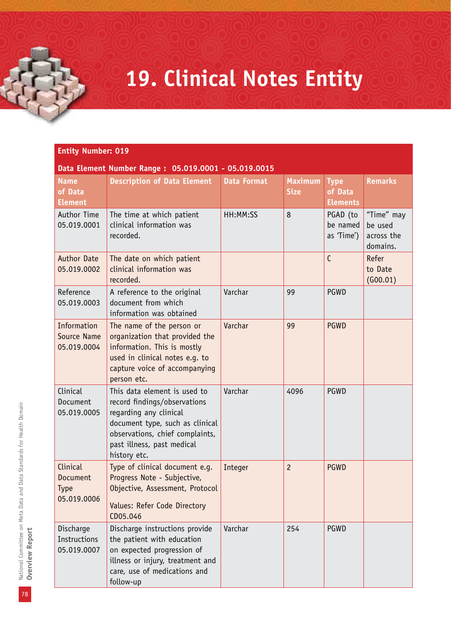### **19. Clinical Notes Entity**

#### **Entity Number: 019**

#### **Data Element Number Range : 05.019.0001 - 05.019.0015**

| <b>Name</b><br>of Data<br><b>Element</b>           | <b>Description of Data Element</b>                                                                                                                                                                         | <b>Data Format</b> | <b>Maximum</b><br><b>Size</b> | <b>Type</b><br>of Data<br><b>Elements</b> | <b>Remarks</b>                                  |
|----------------------------------------------------|------------------------------------------------------------------------------------------------------------------------------------------------------------------------------------------------------------|--------------------|-------------------------------|-------------------------------------------|-------------------------------------------------|
| Author Time<br>05.019.0001                         | The time at which patient<br>clinical information was<br>recorded.                                                                                                                                         | HH:MM:SS           | 8                             | PGAD (to<br>be named<br>as 'Time')        | "Time" may<br>be used<br>across the<br>domains. |
| <b>Author Date</b><br>05.019.0002                  | The date on which patient<br>clinical information was<br>recorded.                                                                                                                                         |                    |                               | $\mathsf{C}$                              | Refer<br>to Date<br>(G00.01)                    |
| Reference<br>05.019.0003                           | A reference to the original<br>document from which<br>information was obtained                                                                                                                             | Varchar            | 99                            | PGWD                                      |                                                 |
| Information<br>Source Name<br>05.019.0004          | The name of the person or<br>organization that provided the<br>information. This is mostly<br>used in clinical notes e.g. to<br>capture voice of accompanying<br>person etc.                               | Varchar            | 99                            | <b>PGWD</b>                               |                                                 |
| Clinical<br>Document<br>05.019.0005                | This data element is used to<br>record findings/observations<br>regarding any clinical<br>document type, such as clinical<br>observations, chief complaints,<br>past illness, past medical<br>history etc. | Varchar            | 4096                          | PGWD                                      |                                                 |
| Clinical<br>Document<br><b>Type</b><br>05.019.0006 | Type of clinical document e.g.<br>Progress Note - Subjective,<br>Objective, Assessment, Protocol<br>Values: Refer Code Directory<br>CD05.046                                                               | Integer            | $\overline{c}$                | <b>PGWD</b>                               |                                                 |
| Discharge<br>Instructions<br>05.019.0007           | Discharge instructions provide<br>the patient with education<br>on expected progression of<br>illness or injury, treatment and<br>care, use of medications and<br>follow-up                                | Varchar            | 254                           | PGWD                                      |                                                 |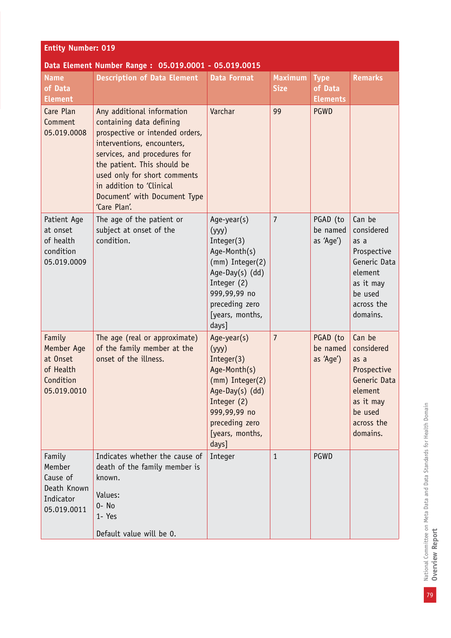| <b>Entity Number: 019</b>                                                 |                                                                                                                                                                                                                                                                                                    |                                                                                                                                                                       |                               |                                           |                                                                                                                          |  |  |
|---------------------------------------------------------------------------|----------------------------------------------------------------------------------------------------------------------------------------------------------------------------------------------------------------------------------------------------------------------------------------------------|-----------------------------------------------------------------------------------------------------------------------------------------------------------------------|-------------------------------|-------------------------------------------|--------------------------------------------------------------------------------------------------------------------------|--|--|
| Data Element Number Range: 05.019.0001 - 05.019.0015                      |                                                                                                                                                                                                                                                                                                    |                                                                                                                                                                       |                               |                                           |                                                                                                                          |  |  |
| <b>Name</b><br>of Data<br><b>Element</b>                                  | <b>Description of Data Element</b>                                                                                                                                                                                                                                                                 | <b>Data Format</b>                                                                                                                                                    | <b>Maximum</b><br><b>Size</b> | <b>Type</b><br>of Data<br><b>Elements</b> | <b>Remarks</b>                                                                                                           |  |  |
| Care Plan<br>Comment<br>05.019.0008                                       | Any additional information<br>containing data defining<br>prospective or intended orders,<br>interventions, encounters,<br>services, and procedures for<br>the patient. This should be<br>used only for short comments<br>in addition to 'Clinical<br>Document' with Document Type<br>'Care Plan'. | Varchar                                                                                                                                                               | 99                            | <b>PGWD</b>                               |                                                                                                                          |  |  |
| Patient Age<br>at onset<br>of health<br>condition<br>05.019.0009          | The age of the patient or<br>subject at onset of the<br>condition.                                                                                                                                                                                                                                 | Age-year(s)<br>(yyy)<br>Integer(3)<br>Age-Month(s)<br>(mm) Integer(2)<br>Age-Day(s) (dd)<br>Integer (2)<br>999,99,99 no<br>preceding zero<br>[years, months,<br>days] | $\overline{7}$                | PGAD (to<br>be named<br>as 'Age')         | Can be<br>considered<br>as a<br>Prospective<br>Generic Data<br>element<br>as it may<br>be used<br>across the<br>domains. |  |  |
| Family<br>Member Age<br>at Onset<br>of Health<br>Condition<br>05.019.0010 | The age (real or approximate)<br>of the family member at the<br>onset of the illness.                                                                                                                                                                                                              | Age-year(s)<br>(yyy)<br>Integer(3)<br>Age-Month(s)<br>(mm) Integer(2)<br>Age-Day(s) (dd)<br>Integer (2)<br>999,99,99 no<br>preceding zero<br>[years, months,<br>days] | $\overline{7}$                | PGAD (to<br>be named<br>as 'Age')         | Can be<br>considered<br>as a<br>Prospective<br>Generic Data<br>element<br>as it may<br>be used<br>across the<br>domains. |  |  |
| Family<br>Member<br>Cause of<br>Death Known<br>Indicator<br>05.019.0011   | Indicates whether the cause of<br>death of the family member is<br>known.<br>Values:<br>0- No<br>1- Yes<br>Default value will be 0.                                                                                                                                                                | Integer                                                                                                                                                               | $\mathbf{1}$                  | <b>PGWD</b>                               |                                                                                                                          |  |  |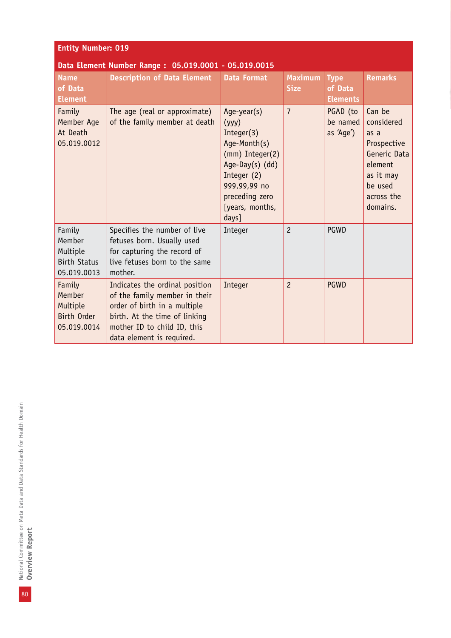| <b>Entity Number: 019</b>                                          |                                                                                                                                                                                              |                                                                                                                                                                       |                               |                                           |                                                                                                                          |  |  |
|--------------------------------------------------------------------|----------------------------------------------------------------------------------------------------------------------------------------------------------------------------------------------|-----------------------------------------------------------------------------------------------------------------------------------------------------------------------|-------------------------------|-------------------------------------------|--------------------------------------------------------------------------------------------------------------------------|--|--|
|                                                                    | Data Element Number Range: 05.019.0001 - 05.019.0015                                                                                                                                         |                                                                                                                                                                       |                               |                                           |                                                                                                                          |  |  |
| <b>Name</b><br>of Data<br><b>Element</b>                           | <b>Description of Data Element</b>                                                                                                                                                           | <b>Data Format</b>                                                                                                                                                    | <b>Maximum</b><br><b>Size</b> | <b>Type</b><br>of Data<br><b>Elements</b> | <b>Remarks</b>                                                                                                           |  |  |
| Family<br>Member Age<br>At Death<br>05.019.0012                    | The age (real or approximate)<br>of the family member at death                                                                                                                               | Age-year(s)<br>(yyy)<br>Integer(3)<br>Age-Month(s)<br>(mm) Integer(2)<br>Age-Day(s) (dd)<br>Integer (2)<br>999,99,99 no<br>preceding zero<br>[years, months,<br>days] | $\overline{7}$                | PGAD (to<br>be named<br>as 'Age')         | Can be<br>considered<br>as a<br>Prospective<br>Generic Data<br>element<br>as it may<br>be used<br>across the<br>domains. |  |  |
| Family<br>Member<br>Multiple<br><b>Birth Status</b><br>05.019.0013 | Specifies the number of live<br>fetuses born. Usually used<br>for capturing the record of<br>live fetuses born to the same<br>mother.                                                        | Integer                                                                                                                                                               | $\overline{c}$                | PGWD                                      |                                                                                                                          |  |  |
| Family<br>Member<br>Multiple<br><b>Birth Order</b><br>05.019.0014  | Indicates the ordinal position<br>of the family member in their<br>order of birth in a multiple<br>birth. At the time of linking<br>mother ID to child ID, this<br>data element is required. | Integer                                                                                                                                                               | $\overline{c}$                | <b>PGWD</b>                               |                                                                                                                          |  |  |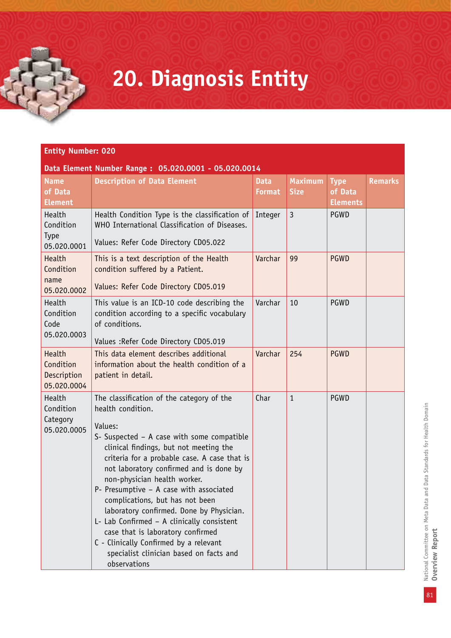### **20. Diagnosis Entity**

#### **Entity Number: 020**

#### **Data Element Number Range : 05.020.0001 - 05.020.0014**

| <b>Name</b><br>of Data<br><b>Element</b>          | <b>Description of Data Element</b>                                                                                                                                                                                                                                                                                                                                                                                                                                                                                                                                                                             | <b>Data</b><br><b>Format</b> | <b>Maximum</b><br><b>Size</b> | <b>Type</b><br>of Data<br><b>Elements</b> | <b>Remarks</b> |
|---------------------------------------------------|----------------------------------------------------------------------------------------------------------------------------------------------------------------------------------------------------------------------------------------------------------------------------------------------------------------------------------------------------------------------------------------------------------------------------------------------------------------------------------------------------------------------------------------------------------------------------------------------------------------|------------------------------|-------------------------------|-------------------------------------------|----------------|
| Health<br>Condition<br><b>Type</b><br>05.020.0001 | Health Condition Type is the classification of<br>WHO International Classification of Diseases.<br>Values: Refer Code Directory CD05.022                                                                                                                                                                                                                                                                                                                                                                                                                                                                       | Integer                      | $\overline{3}$                | PGWD                                      |                |
| Health<br>Condition<br>name<br>05.020.0002        | This is a text description of the Health<br>condition suffered by a Patient.<br>Values: Refer Code Directory CD05.019                                                                                                                                                                                                                                                                                                                                                                                                                                                                                          | Varchar                      | 99                            | <b>PGWD</b>                               |                |
| Health<br>Condition<br>Code<br>05.020.0003        | This value is an ICD-10 code describing the<br>condition according to a specific vocabulary<br>of conditions.<br>Values : Refer Code Directory CD05.019                                                                                                                                                                                                                                                                                                                                                                                                                                                        | Varchar                      | 10                            | <b>PGWD</b>                               |                |
| Health<br>Condition<br>Description<br>05.020.0004 | This data element describes additional<br>information about the health condition of a<br>patient in detail.                                                                                                                                                                                                                                                                                                                                                                                                                                                                                                    | Varchar                      | 254                           | <b>PGWD</b>                               |                |
| Health<br>Condition<br>Category<br>05.020.0005    | The classification of the category of the<br>health condition.<br>Values:<br>S- Suspected - A case with some compatible<br>clinical findings, but not meeting the<br>criteria for a probable case. A case that is<br>not laboratory confirmed and is done by<br>non-physician health worker.<br>P- Presumptive - A case with associated<br>complications, but has not been<br>laboratory confirmed. Done by Physician.<br>L- Lab Confirmed - A clinically consistent<br>case that is laboratory confirmed<br>C - Clinically Confirmed by a relevant<br>specialist clinician based on facts and<br>observations | Char                         | $\mathbf{1}$                  | PGWD                                      |                |

National Committee on Meta Data and Data Standards for Health Domain<br>**Overview Report** National Committee on Meta Data and Data Standards for Health Domain **Overview Report**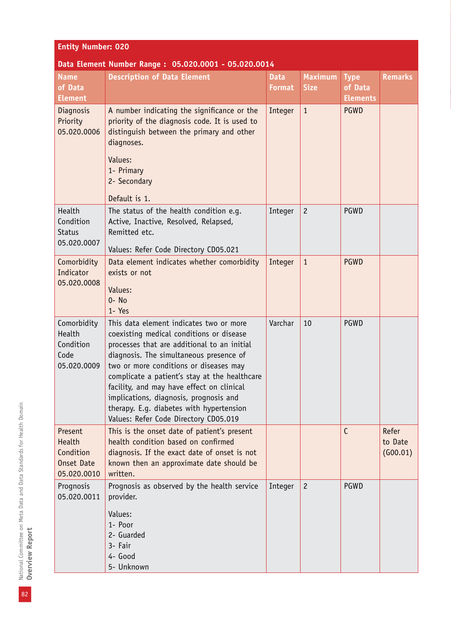### **Entity Number: 020**

#### **Data Element Number Range : 05.020.0001 - 05.020.0014**

| <b>Name</b><br>of Data<br><b>Element</b>                    | Pata Etchicht Namber Kange: 09.020.0001 - 09.020.0<br><b>Description of Data Element</b>                                                                                                                                                                                                                                                                                                                                                             | <b>Data</b><br><b>Format</b> | <b>Maximum</b><br><b>Size</b> | <b>Type</b><br>of Data<br><b>Elements</b> | <b>Remarks</b>               |
|-------------------------------------------------------------|------------------------------------------------------------------------------------------------------------------------------------------------------------------------------------------------------------------------------------------------------------------------------------------------------------------------------------------------------------------------------------------------------------------------------------------------------|------------------------------|-------------------------------|-------------------------------------------|------------------------------|
| <b>Diagnosis</b><br>Priority<br>05.020.0006                 | A number indicating the significance or the<br>priority of the diagnosis code. It is used to<br>distinguish between the primary and other<br>diagnoses.<br>Values:<br>1- Primary<br>2- Secondary<br>Default is 1.                                                                                                                                                                                                                                    | Integer                      | $\mathbf{1}$                  | <b>PGWD</b>                               |                              |
| Health<br>Condition<br><b>Status</b><br>05.020.0007         | The status of the health condition e.g.<br>Active, Inactive, Resolved, Relapsed,<br>Remitted etc.<br>Values: Refer Code Directory CD05.021                                                                                                                                                                                                                                                                                                           | Integer                      | $\overline{c}$                | PGWD                                      |                              |
| Comorbidity<br>Indicator<br>05.020.0008                     | Data element indicates whether comorbidity<br>exists or not<br>Values:<br>$0 - No$<br>1- Yes                                                                                                                                                                                                                                                                                                                                                         | Integer                      | $\mathbf{1}$                  | <b>PGWD</b>                               |                              |
| Comorbidity<br>Health<br>Condition<br>Code<br>05.020.0009   | This data element indicates two or more<br>coexisting medical conditions or disease<br>processes that are additional to an initial<br>diagnosis. The simultaneous presence of<br>two or more conditions or diseases may<br>complicate a patient's stay at the healthcare<br>facility, and may have effect on clinical<br>implications, diagnosis, prognosis and<br>therapy. E.g. diabetes with hypertension<br>Values: Refer Code Directory CD05.019 | Varchar                      | 10                            | PGWD                                      |                              |
| Present<br>Health<br>Condition<br>Onset Date<br>05.020.0010 | This is the onset date of patient's present<br>health condition based on confirmed<br>diagnosis. If the exact date of onset is not<br>known then an approximate date should be<br>written.                                                                                                                                                                                                                                                           |                              |                               | $\mathsf{C}$                              | Refer<br>to Date<br>(600.01) |
| Prognosis<br>05.020.0011                                    | Prognosis as observed by the health service<br>provider.<br>Values:<br>1- Poor<br>2- Guarded<br>3- Fair<br>4- Good<br>5- Unknown                                                                                                                                                                                                                                                                                                                     | Integer                      | $\overline{2}$                | PGWD                                      |                              |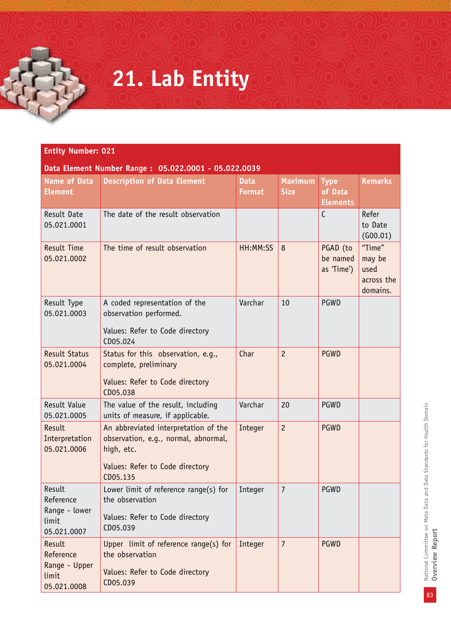## **21. Lab Entity**

| Data Element Number Range: 05.022.0001 - 05.022.0039 |  |
|------------------------------------------------------|--|
|------------------------------------------------------|--|

| <b>Name of Data</b><br><b>Element</b>                        | <b>Description of Data Element</b>                                                                                                        | <b>Data</b><br><b>Format</b> | <b>Maximum</b><br><b>Size</b> | <b>Type</b><br>of Data<br><b>Elements</b> | <b>Remarks</b>                                     |
|--------------------------------------------------------------|-------------------------------------------------------------------------------------------------------------------------------------------|------------------------------|-------------------------------|-------------------------------------------|----------------------------------------------------|
| Result Date<br>05.021.0001                                   | The date of the result observation                                                                                                        |                              |                               | $\mathsf{C}$                              | Refer<br>to Date<br>(600.01)                       |
| <b>Result Time</b><br>05.021.0002                            | The time of result observation                                                                                                            | HH:MM:SS                     | 8                             | PGAD (to<br>be named<br>as 'Time')        | "Time"<br>may be<br>used<br>across the<br>domains. |
| Result Type<br>05.021.0003                                   | A coded representation of the<br>observation performed.<br>Values: Refer to Code directory<br>CD05.024                                    | Varchar                      | 10                            | <b>PGWD</b>                               |                                                    |
| <b>Result Status</b><br>05.021.0004                          | Status for this observation, e.g.,<br>complete, preliminary<br>Values: Refer to Code directory<br>CD05.038                                | Char                         | $\overline{c}$                | <b>PGWD</b>                               |                                                    |
| Result Value<br>05.021.0005                                  | The value of the result, including<br>units of measure, if applicable.                                                                    | Varchar                      | 20                            | PGWD                                      |                                                    |
| Result<br>Interpretation<br>05.021.0006                      | An abbreviated interpretation of the<br>observation, e.g., normal, abnormal,<br>high, etc.<br>Values: Refer to Code directory<br>CD05.135 | Integer                      | $\overline{c}$                | <b>PGWD</b>                               |                                                    |
| Result<br>Reference<br>Range - lower<br>limit<br>05.021.0007 | Lower limit of reference range(s) for<br>the observation<br>Values: Refer to Code directory<br>CD05.039                                   | Integer                      | $\overline{7}$                | PGWD                                      |                                                    |
| Result<br>Reference<br>Range - Upper<br>limit<br>05.021.0008 | Upper limit of reference range(s) for<br>the observation<br>Values: Refer to Code directory<br>CD05.039                                   | Integer                      | $\overline{7}$                | <b>PGWD</b>                               |                                                    |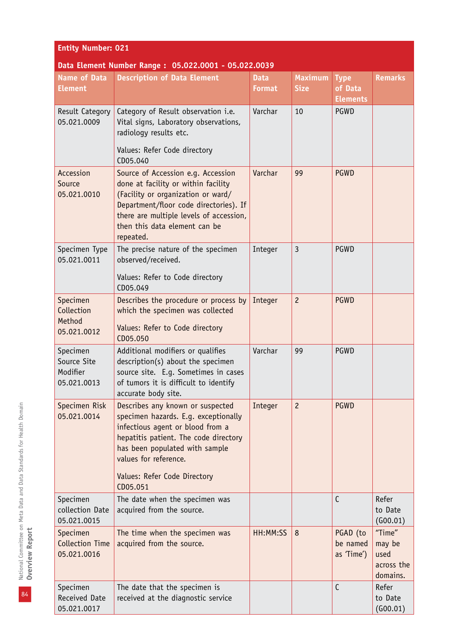| <b>Entity Number: 021</b>                          |                                                                                                                                                                                                                                                                |                              |                               |                                           |                                                    |
|----------------------------------------------------|----------------------------------------------------------------------------------------------------------------------------------------------------------------------------------------------------------------------------------------------------------------|------------------------------|-------------------------------|-------------------------------------------|----------------------------------------------------|
|                                                    | Data Element Number Range: 05.022.0001 - 05.022.0039                                                                                                                                                                                                           |                              |                               |                                           |                                                    |
| <b>Name of Data</b><br><b>Element</b>              | <b>Description of Data Element</b>                                                                                                                                                                                                                             | <b>Data</b><br><b>Format</b> | <b>Maximum</b><br><b>Size</b> | <b>Type</b><br>of Data<br><b>Elements</b> | <b>Remarks</b>                                     |
| Result Category<br>05.021.0009                     | Category of Result observation i.e.<br>Vital signs, Laboratory observations,<br>radiology results etc.<br>Values: Refer Code directory                                                                                                                         | Varchar                      | 10                            | <b>PGWD</b>                               |                                                    |
| Accession<br>Source<br>05.021.0010                 | CD05.040<br>Source of Accession e.g. Accession<br>done at facility or within facility<br>(Facility or organization or ward/<br>Department/floor code directories). If<br>there are multiple levels of accession,<br>then this data element can be<br>repeated. | Varchar                      | 99                            | <b>PGWD</b>                               |                                                    |
| Specimen Type<br>05.021.0011                       | The precise nature of the specimen<br>observed/received.<br>Values: Refer to Code directory<br>CD05.049                                                                                                                                                        | Integer                      | $\overline{3}$                | PGWD                                      |                                                    |
| Specimen<br>Collection<br>Method<br>05.021.0012    | Describes the procedure or process by<br>which the specimen was collected<br>Values: Refer to Code directory<br>CD05.050                                                                                                                                       | Integer                      | $\overline{c}$                | <b>PGWD</b>                               |                                                    |
| Specimen<br>Source Site<br>Modifier<br>05.021.0013 | Additional modifiers or qualifies<br>description(s) about the specimen<br>source site. E.g. Sometimes in cases<br>of tumors it is difficult to identify<br>accurate body site.                                                                                 | Varchar                      | 99                            | <b>PGWD</b>                               |                                                    |
| Specimen Risk<br>05.021.0014                       | Describes any known or suspected<br>specimen hazards. E.g. exceptionally<br>infectious agent or blood from a<br>hepatitis patient. The code directory<br>has been populated with sample<br>values for reference.<br>Values: Refer Code Directory<br>CD05.051   | Integer                      | $\overline{c}$                | <b>PGWD</b>                               |                                                    |
| Specimen<br>collection Date<br>05.021.0015         | The date when the specimen was<br>acquired from the source.                                                                                                                                                                                                    |                              |                               | $\mathsf{C}$                              | Refer<br>to Date<br>(G00.01)                       |
| Specimen<br><b>Collection Time</b><br>05.021.0016  | The time when the specimen was<br>acquired from the source.                                                                                                                                                                                                    | HH:MM:SS                     | 8                             | PGAD (to<br>be named<br>as 'Time')        | "Time"<br>may be<br>used<br>across the<br>domains. |
| Specimen<br>Received Date<br>05.021.0017           | The date that the specimen is<br>received at the diagnostic service                                                                                                                                                                                            |                              |                               | C                                         | Refer<br>to Date<br>(600.01)                       |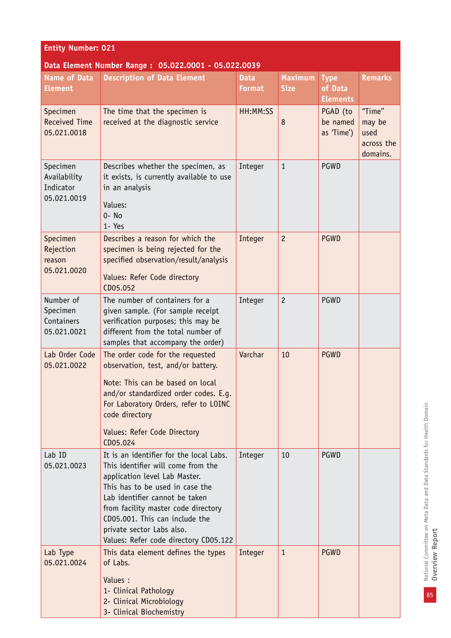| <b>Entity Number: 021</b>                            |                                                                                                                                                                                                                                                                                                                                    |                              |                               |                                           |                                                    |
|------------------------------------------------------|------------------------------------------------------------------------------------------------------------------------------------------------------------------------------------------------------------------------------------------------------------------------------------------------------------------------------------|------------------------------|-------------------------------|-------------------------------------------|----------------------------------------------------|
|                                                      | Data Element Number Range: 05.022.0001 - 05.022.0039                                                                                                                                                                                                                                                                               |                              |                               |                                           |                                                    |
| <b>Name of Data</b><br><b>Element</b>                | <b>Description of Data Element</b>                                                                                                                                                                                                                                                                                                 | <b>Data</b><br><b>Format</b> | <b>Maximum</b><br><b>Size</b> | <b>Type</b><br>of Data<br><b>Elements</b> | <b>Remarks</b>                                     |
| Specimen<br><b>Received Time</b><br>05.021.0018      | The time that the specimen is<br>received at the diagnostic service                                                                                                                                                                                                                                                                | HH:MM:SS                     | 8                             | PGAD (to<br>be named<br>as 'Time')        | "Time"<br>may be<br>used<br>across the<br>domains. |
| Specimen<br>Availability<br>Indicator<br>05.021.0019 | Describes whether the specimen, as<br>it exists, is currently available to use<br>in an analysis<br>Values:<br>$0 - No$<br>1- Yes                                                                                                                                                                                                  | Integer                      | $\mathbf{1}$                  | <b>PGWD</b>                               |                                                    |
| Specimen<br>Rejection<br>reason<br>05.021.0020       | Describes a reason for which the<br>specimen is being rejected for the<br>specified observation/result/analysis<br>Values: Refer Code directory<br>CD05.052                                                                                                                                                                        | Integer                      | $\overline{c}$                | <b>PGWD</b>                               |                                                    |
| Number of<br>Specimen<br>Containers<br>05.021.0021   | The number of containers for a<br>given sample. (For sample receipt<br>verification purposes; this may be<br>different from the total number of<br>samples that accompany the order)                                                                                                                                               | Integer                      | $\overline{c}$                | <b>PGWD</b>                               |                                                    |
| Lab Order Code<br>05.021.0022                        | The order code for the requested<br>observation, test, and/or battery.<br>Note: This can be based on local<br>and/or standardized order codes. E.g.<br>For Laboratory Orders, refer to LOINC<br>code directory<br>Values: Refer Code Directory<br>CD05.024                                                                         | Varchar                      | 10                            | <b>PGWD</b>                               |                                                    |
| Lab ID<br>05.021.0023                                | It is an identifier for the local Labs.<br>This identifier will come from the<br>application level Lab Master.<br>This has to be used in case the<br>Lab identifier cannot be taken<br>from facility master code directory<br>CD05.001. This can include the<br>private sector Labs also.<br>Values: Refer code directory CD05.122 | Integer                      | 10                            | <b>PGWD</b>                               |                                                    |
| Lab Type<br>05.021.0024                              | This data element defines the types<br>of Labs.<br>Values :<br>1- Clinical Pathology<br>2- Clinical Microbiology<br>3- Clinical Biochemistry                                                                                                                                                                                       | Integer                      | $\mathbf{1}$                  | <b>PGWD</b>                               |                                                    |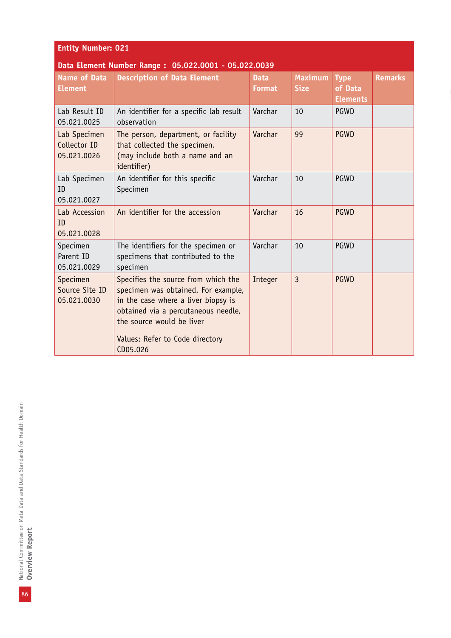| <b>Entity Number: 021</b> |  |  |
|---------------------------|--|--|
|                           |  |  |

#### **Data Element Number Range : 05.022.0001 - 05.022.0039**

| <b>Name of Data</b><br><b>Element</b>       | <b>Description of Data Element</b>                                                                                                                                                                                                   | <b>Data</b><br><b>Format</b> | <b>Maximum</b><br><b>Size</b> | <b>Type</b><br>of Data<br><b>Elements</b> | <b>Remarks</b> |
|---------------------------------------------|--------------------------------------------------------------------------------------------------------------------------------------------------------------------------------------------------------------------------------------|------------------------------|-------------------------------|-------------------------------------------|----------------|
| Lab Result ID<br>05.021.0025                | An identifier for a specific lab result<br>observation                                                                                                                                                                               | Varchar                      | 10                            | <b>PGWD</b>                               |                |
| Lab Specimen<br>Collector ID<br>05.021.0026 | The person, department, or facility<br>that collected the specimen.<br>(may include both a name and an<br>identifier)                                                                                                                | Varchar                      | 99                            | <b>PGWD</b>                               |                |
| Lab Specimen<br>ID<br>05.021.0027           | An identifier for this specific<br>Specimen                                                                                                                                                                                          | Varchar                      | 10                            | PGWD                                      |                |
| Lab Accession<br>TD.<br>05.021.0028         | An identifier for the accession                                                                                                                                                                                                      | Varchar                      | 16                            | <b>PGWD</b>                               |                |
| Specimen<br>Parent ID<br>05.021.0029        | The identifiers for the specimen or<br>specimens that contributed to the<br>specimen                                                                                                                                                 | Varchar                      | 10                            | PGWD                                      |                |
| Specimen<br>Source Site ID<br>05.021.0030   | Specifies the source from which the<br>specimen was obtained. For example,<br>in the case where a liver biopsy is<br>obtained via a percutaneous needle,<br>the source would be liver<br>Values: Refer to Code directory<br>CD05.026 | Integer                      | $\overline{3}$                | <b>PGWD</b>                               |                |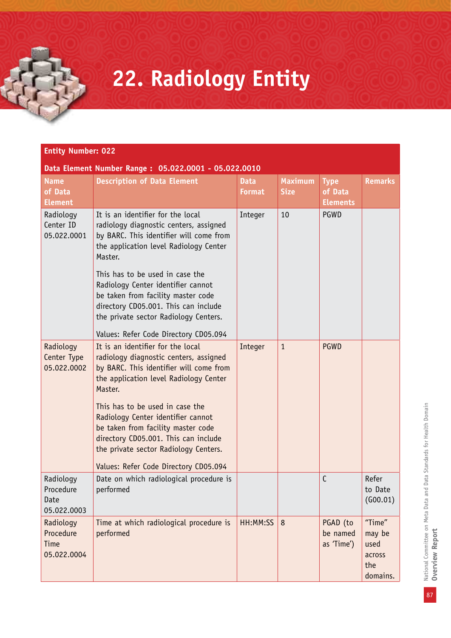## **22. Radiology Entity**

| <b>Name</b><br>of Data<br><b>Element</b>      | <b>Description of Data Element</b>                                                                                                                                                                                                                                                                                                                                                                                   | <b>Data</b><br><b>Format</b> | <b>Maximum</b><br><b>Size</b> | <b>Type</b><br>of Data<br><b>Elements</b> | <b>Remarks</b>                                        |
|-----------------------------------------------|----------------------------------------------------------------------------------------------------------------------------------------------------------------------------------------------------------------------------------------------------------------------------------------------------------------------------------------------------------------------------------------------------------------------|------------------------------|-------------------------------|-------------------------------------------|-------------------------------------------------------|
| Radiology<br>Center ID<br>05.022.0001         | It is an identifier for the local<br>radiology diagnostic centers, assigned<br>by BARC. This identifier will come from<br>the application level Radiology Center<br>Master.                                                                                                                                                                                                                                          | Integer                      | 10                            | PGWD                                      |                                                       |
|                                               | This has to be used in case the<br>Radiology Center identifier cannot<br>be taken from facility master code<br>directory CD05.001. This can include<br>the private sector Radiology Centers.                                                                                                                                                                                                                         |                              |                               |                                           |                                                       |
|                                               | Values: Refer Code Directory CD05.094                                                                                                                                                                                                                                                                                                                                                                                |                              |                               |                                           |                                                       |
| Radiology<br>Center Type<br>05.022.0002       | It is an identifier for the local<br>radiology diagnostic centers, assigned<br>by BARC. This identifier will come from<br>the application level Radiology Center<br>Master.<br>This has to be used in case the<br>Radiology Center identifier cannot<br>be taken from facility master code<br>directory CD05.001. This can include<br>the private sector Radiology Centers.<br>Values: Refer Code Directory CD05.094 | Integer                      | $\mathbf{1}$                  | <b>PGWD</b>                               |                                                       |
| Radiology<br>Procedure<br>Date<br>05.022.0003 | Date on which radiological procedure is<br>performed                                                                                                                                                                                                                                                                                                                                                                 |                              |                               | $\mathsf{C}$                              | Refer<br>to Date<br>(600.01)                          |
| Radiology<br>Procedure<br>Time<br>05.022.0004 | Time at which radiological procedure is<br>performed                                                                                                                                                                                                                                                                                                                                                                 | HH:MM:SS                     | 8                             | PGAD (to<br>be named<br>as 'Time')        | "Time"<br>may be<br>used<br>across<br>the<br>domains. |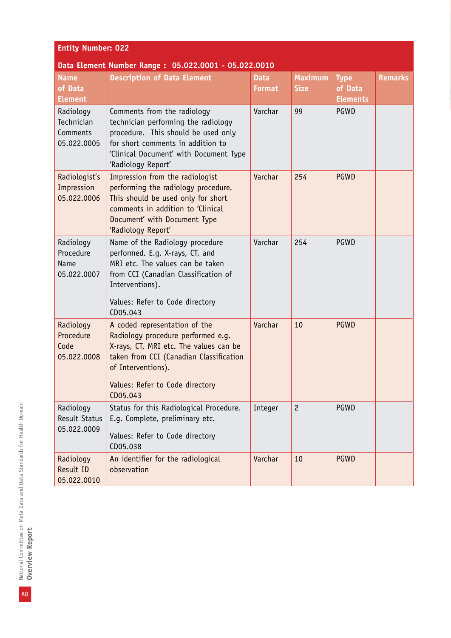| <b>Entity Number: 022</b>                          |                                                                                                                                                                                                                               |                              |                               |                                           |                |
|----------------------------------------------------|-------------------------------------------------------------------------------------------------------------------------------------------------------------------------------------------------------------------------------|------------------------------|-------------------------------|-------------------------------------------|----------------|
|                                                    | Data Element Number Range: 05.022.0001 - 05.022.0010                                                                                                                                                                          |                              |                               |                                           |                |
| <b>Name</b><br>of Data<br><b>Element</b>           | <b>Description of Data Element</b>                                                                                                                                                                                            | <b>Data</b><br><b>Format</b> | <b>Maximum</b><br><b>Size</b> | <b>Type</b><br>of Data<br><b>Elements</b> | <b>Remarks</b> |
| Radiology<br>Technician<br>Comments<br>05.022.0005 | Comments from the radiology<br>technician performing the radiology<br>procedure. This should be used only<br>for short comments in addition to<br>'Clinical Document' with Document Type<br>'Radiology Report'                | Varchar                      | 99                            | PGWD                                      |                |
| Radiologist's<br>Impression<br>05.022.0006         | Impression from the radiologist<br>performing the radiology procedure.<br>This should be used only for short<br>comments in addition to 'Clinical<br>Document' with Document Type<br>'Radiology Report'                       | Varchar                      | 254                           | <b>PGWD</b>                               |                |
| Radiology<br>Procedure<br>Name<br>05.022.0007      | Name of the Radiology procedure<br>performed. E.g. X-rays, CT, and<br>MRI etc. The values can be taken<br>from CCI (Canadian Classification of<br>Interventions).<br>Values: Refer to Code directory<br>CD05.043              | Varchar                      | 254                           | PGWD                                      |                |
| Radiology<br>Procedure<br>Code<br>05.022.0008      | A coded representation of the<br>Radiology procedure performed e.g.<br>X-rays, CT, MRI etc. The values can be<br>taken from CCI (Canadian Classification<br>of Interventions).<br>Values: Refer to Code directory<br>CD05.043 | Varchar                      | 10                            | <b>PGWD</b>                               |                |
| Radiology<br><b>Result Status</b><br>05.022.0009   | Status for this Radiological Procedure.<br>E.q. Complete, preliminary etc.<br>Values: Refer to Code directory<br>CD05.038                                                                                                     | Integer                      | $\overline{c}$                | PGWD                                      |                |
| Radiology<br>Result ID<br>05.022.0010              | An identifier for the radiological<br>observation                                                                                                                                                                             | Varchar                      | 10                            | <b>PGWD</b>                               |                |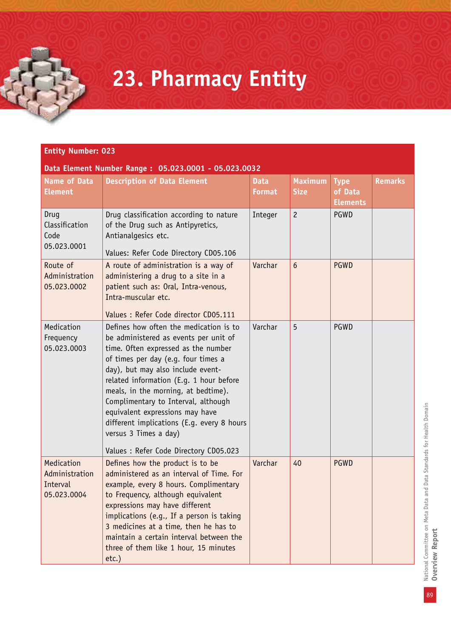### **23. Pharmacy Entity**

#### **Entity Number: 023**

#### **Data Element Number Range : 05.023.0001 - 05.023.0032**

| <b>Name of Data</b><br><b>Element</b>                   | <b>Description of Data Element</b>                                                                                                                                                                                                                                                                                                                                                                                                                                              | <b>Data</b><br>Format | <b>Maximum</b><br><b>Size</b> | <b>Type</b><br>of Data<br><b>Elements</b> | <b>Remarks</b> |
|---------------------------------------------------------|---------------------------------------------------------------------------------------------------------------------------------------------------------------------------------------------------------------------------------------------------------------------------------------------------------------------------------------------------------------------------------------------------------------------------------------------------------------------------------|-----------------------|-------------------------------|-------------------------------------------|----------------|
| Drug<br>Classification<br>Code<br>05.023.0001           | Drug classification according to nature<br>of the Drug such as Antipyretics,<br>Antianalgesics etc.                                                                                                                                                                                                                                                                                                                                                                             | Integer               | $\overline{c}$                | PGWD                                      |                |
| Route of<br>Administration<br>05.023.0002               | Values: Refer Code Directory CD05.106<br>A route of administration is a way of<br>administering a drug to a site in a<br>patient such as: Oral, Intra-venous,<br>Intra-muscular etc.<br>Values : Refer Code director CD05.111                                                                                                                                                                                                                                                   | Varchar               | $6\overline{6}$               | <b>PGWD</b>                               |                |
| Medication<br>Frequency<br>05.023.0003                  | Defines how often the medication is to<br>be administered as events per unit of<br>time. Often expressed as the number<br>of times per day (e.g. four times a<br>day), but may also include event-<br>related information (E.g. 1 hour before<br>meals, in the morning, at bedtime).<br>Complimentary to Interval, although<br>equivalent expressions may have<br>different implications (E.g. every 8 hours<br>versus 3 Times a day)<br>Values : Refer Code Directory CD05.023 | Varchar               | 5                             | PGWD                                      |                |
| Medication<br>Administration<br>Interval<br>05.023.0004 | Defines how the product is to be<br>administered as an interval of Time. For<br>example, every 8 hours. Complimentary<br>to Frequency, although equivalent<br>expressions may have different<br>implications (e.g., If a person is taking<br>3 medicines at a time, then he has to<br>maintain a certain interval between the<br>three of them like 1 hour, 15 minutes<br>$etc.$ )                                                                                              | Varchar               | 40                            | <b>PGWD</b>                               |                |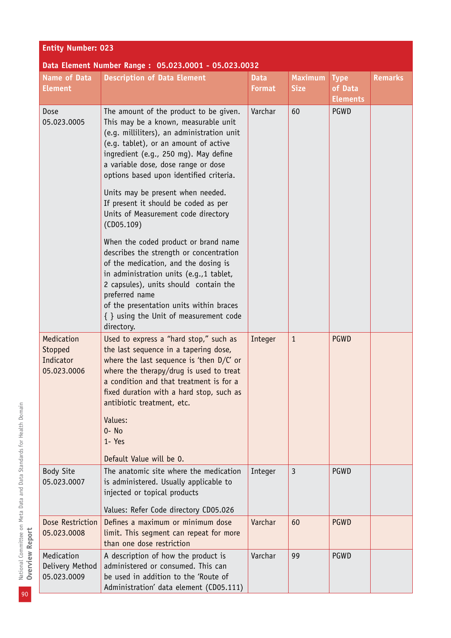| <b>Entity Number: 023</b>                         |                                                                                                                                                                                                                                                                                                                                                                                                                                    |                              |                               |                                           |                |
|---------------------------------------------------|------------------------------------------------------------------------------------------------------------------------------------------------------------------------------------------------------------------------------------------------------------------------------------------------------------------------------------------------------------------------------------------------------------------------------------|------------------------------|-------------------------------|-------------------------------------------|----------------|
|                                                   | Data Element Number Range: 05.023.0001 - 05.023.0032                                                                                                                                                                                                                                                                                                                                                                               |                              |                               |                                           |                |
| <b>Name of Data</b><br><b>Element</b>             | <b>Description of Data Element</b>                                                                                                                                                                                                                                                                                                                                                                                                 | <b>Data</b><br><b>Format</b> | <b>Maximum</b><br><b>Size</b> | <b>Type</b><br>of Data<br><b>Elements</b> | <b>Remarks</b> |
| Dose<br>05.023.0005                               | The amount of the product to be given.<br>This may be a known, measurable unit<br>(e.g. milliliters), an administration unit<br>(e.g. tablet), or an amount of active<br>ingredient (e.g., 250 mg). May define<br>a variable dose, dose range or dose<br>options based upon identified criteria.<br>Units may be present when needed.<br>If present it should be coded as per<br>Units of Measurement code directory<br>(CD05.109) | Varchar                      | 60                            | PGWD                                      |                |
|                                                   | When the coded product or brand name<br>describes the strength or concentration<br>of the medication, and the dosing is<br>in administration units (e.g., 1 tablet,<br>2 capsules), units should contain the<br>preferred name<br>of the presentation units within braces<br>{ } using the Unit of measurement code<br>directory.                                                                                                  |                              |                               |                                           |                |
| Medication<br>Stopped<br>Indicator<br>05.023.0006 | Used to express a "hard stop," such as<br>the last sequence in a tapering dose,<br>where the last sequence is 'then $D/C'$ or<br>where the therapy/drug is used to treat<br>a condition and that treatment is for a<br>fixed duration with a hard stop, such as<br>antibiotic treatment, etc.<br>Values:<br>$0 - No$<br>1- Yes<br>Default Value will be 0.                                                                         | Integer                      | $\mathbf{1}$                  | <b>PGWD</b>                               |                |
| <b>Body Site</b><br>05.023.0007                   | The anatomic site where the medication<br>is administered. Usually applicable to<br>injected or topical products<br>Values: Refer Code directory CD05.026                                                                                                                                                                                                                                                                          | Integer                      | 3                             | PGWD                                      |                |
| Dose Restriction<br>05.023.0008                   | Defines a maximum or minimum dose<br>limit. This segment can repeat for more<br>than one dose restriction                                                                                                                                                                                                                                                                                                                          | Varchar                      | 60                            | <b>PGWD</b>                               |                |
| Medication<br>Delivery Method<br>05.023.0009      | A description of how the product is<br>administered or consumed. This can<br>be used in addition to the 'Route of<br>Administration' data element (CD05.111)                                                                                                                                                                                                                                                                       | Varchar                      | 99                            | PGWD                                      |                |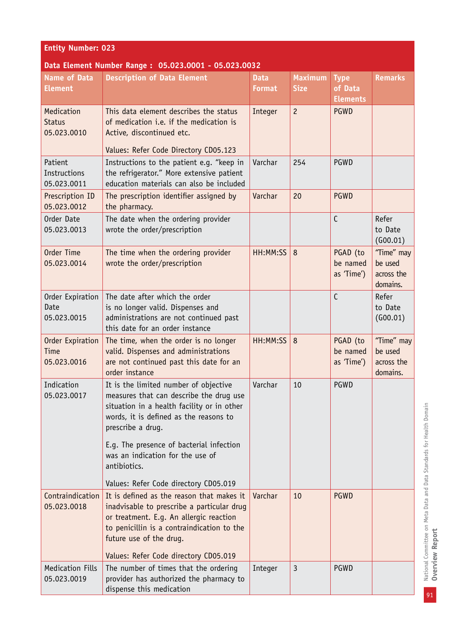| <b>Entity Number: 023</b>                      |                                                                                                                                                                                                                                           |                              |                               |                                           |                                                 |
|------------------------------------------------|-------------------------------------------------------------------------------------------------------------------------------------------------------------------------------------------------------------------------------------------|------------------------------|-------------------------------|-------------------------------------------|-------------------------------------------------|
|                                                | Data Element Number Range: 05.023.0001 - 05.023.0032                                                                                                                                                                                      |                              |                               |                                           |                                                 |
| Name of Data<br><b>Element</b>                 | <b>Description of Data Element</b>                                                                                                                                                                                                        | <b>Data</b><br><b>Format</b> | <b>Maximum</b><br><b>Size</b> | <b>Type</b><br>of Data<br><b>Elements</b> | <b>Remarks</b>                                  |
| Medication<br><b>Status</b><br>05.023.0010     | This data element describes the status<br>of medication i.e. if the medication is<br>Active, discontinued etc.                                                                                                                            | Integer                      | $\overline{c}$                | <b>PGWD</b>                               |                                                 |
|                                                | Values: Refer Code Directory CD05.123                                                                                                                                                                                                     |                              |                               |                                           |                                                 |
| Patient<br>Instructions<br>05.023.0011         | Instructions to the patient e.g. "keep in<br>the refrigerator." More extensive patient<br>education materials can also be included                                                                                                        | Varchar                      | 254                           | PGWD                                      |                                                 |
| Prescription ID<br>05.023.0012                 | The prescription identifier assigned by<br>the pharmacy.                                                                                                                                                                                  | Varchar                      | 20                            | <b>PGWD</b>                               |                                                 |
| Order Date<br>05.023.0013                      | The date when the ordering provider<br>wrote the order/prescription                                                                                                                                                                       |                              |                               | $\mathsf{C}$                              | Refer<br>to Date<br>(G00.01)                    |
| Order Time<br>05.023.0014                      | The time when the ordering provider<br>wrote the order/prescription                                                                                                                                                                       | HH:MM:SS                     | 8                             | PGAD (to<br>be named<br>as 'Time')        | "Time" may<br>be used<br>across the<br>domains. |
| Order Expiration<br>Date<br>05.023.0015        | The date after which the order<br>is no longer valid. Dispenses and<br>administrations are not continued past<br>this date for an order instance                                                                                          |                              |                               | $\mathsf{C}$                              | Refer<br>to Date<br>(G00.01)                    |
| <b>Order Expiration</b><br>Time<br>05.023.0016 | The time, when the order is no longer<br>valid. Dispenses and administrations<br>are not continued past this date for an<br>order instance                                                                                                | HH:MM:SS                     | 8                             | PGAD (to<br>be named<br>as 'Time')        | "Time" may<br>be used<br>across the<br>domains. |
| Indication<br>05.023.0017                      | It is the limited number of objective<br>measures that can describe the drug use<br>situation in a health facility or in other<br>words, it is defined as the reasons to<br>prescribe a drug.<br>E.g. The presence of bacterial infection | Varchar                      | 10                            | PGWD                                      |                                                 |
|                                                | was an indication for the use of<br>antibiotics.<br>Values: Refer Code directory CD05.019                                                                                                                                                 |                              |                               |                                           |                                                 |
| Contraindication<br>05.023.0018                | It is defined as the reason that makes it<br>inadvisable to prescribe a particular drug<br>or treatment. E.g. An allergic reaction<br>to penicillin is a contraindication to the<br>future use of the drug.                               | Varchar                      | 10                            | <b>PGWD</b>                               |                                                 |
|                                                | Values: Refer Code directory CD05.019                                                                                                                                                                                                     |                              |                               |                                           |                                                 |
| <b>Medication Fills</b><br>05.023.0019         | The number of times that the ordering<br>provider has authorized the pharmacy to<br>dispense this medication                                                                                                                              | Integer                      | 3                             | PGWD                                      |                                                 |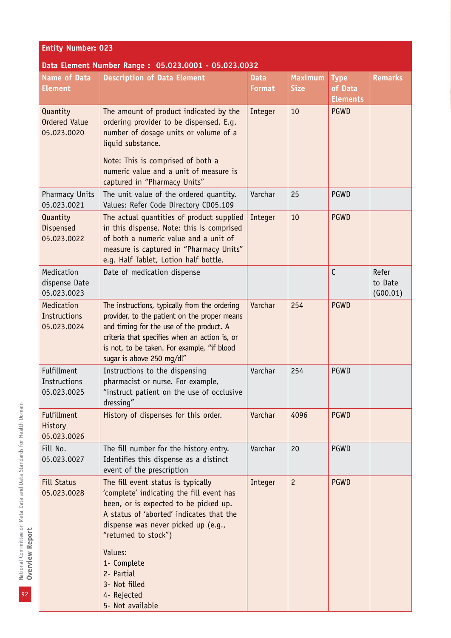| <b>Entity Number: 023</b>                        |                                                                                                                                                                                                                                                                                                                                |                              |                               |                                           |                              |
|--------------------------------------------------|--------------------------------------------------------------------------------------------------------------------------------------------------------------------------------------------------------------------------------------------------------------------------------------------------------------------------------|------------------------------|-------------------------------|-------------------------------------------|------------------------------|
|                                                  | Data Element Number Range: 05.023.0001 - 05.023.0032                                                                                                                                                                                                                                                                           |                              |                               |                                           |                              |
| <b>Name of Data</b><br><b>Element</b>            | <b>Description of Data Element</b>                                                                                                                                                                                                                                                                                             | <b>Data</b><br><b>Format</b> | <b>Maximum</b><br><b>Size</b> | <b>Type</b><br>of Data<br><b>Elements</b> | <b>Remarks</b>               |
| Quantity<br><b>Ordered Value</b><br>05.023.0020  | The amount of product indicated by the<br>ordering provider to be dispensed. E.g.<br>number of dosage units or volume of a<br>liquid substance.<br>Note: This is comprised of both a<br>numeric value and a unit of measure is<br>captured in "Pharmacy Units"                                                                 | Integer                      | 10                            | <b>PGWD</b>                               |                              |
| <b>Pharmacy Units</b><br>05.023.0021             | The unit value of the ordered quantity.<br>Values: Refer Code Directory CD05.109                                                                                                                                                                                                                                               | Varchar                      | 25                            | PGWD                                      |                              |
| Quantity<br><b>Dispensed</b><br>05.023.0022      | The actual quantities of product supplied<br>in this dispense. Note: this is comprised<br>of both a numeric value and a unit of<br>measure is captured in "Pharmacy Units"<br>e.g. Half Tablet, Lotion half bottle.                                                                                                            | Integer                      | 10                            | <b>PGWD</b>                               |                              |
| Medication<br>dispense Date<br>05.023.0023       | Date of medication dispense                                                                                                                                                                                                                                                                                                    |                              |                               | $\mathsf{C}$                              | Refer<br>to Date<br>(G00.01) |
| Medication<br><b>Instructions</b><br>05.023.0024 | The instructions, typically from the ordering<br>provider, to the patient on the proper means<br>and timing for the use of the product. A<br>criteria that specifies when an action is, or<br>is not, to be taken. For example, "if blood<br>sugar is above 250 mg/dl"                                                         | Varchar                      | 254                           | <b>PGWD</b>                               |                              |
| Fulfillment<br>Instructions<br>05.023.0025       | Instructions to the dispensing<br>pharmacist or nurse. For example,<br>"instruct patient on the use of occlusive<br>dressing"                                                                                                                                                                                                  | Varchar                      | 254                           | PGWD                                      |                              |
| <b>Fulfillment</b><br>History<br>05.023.0026     | History of dispenses for this order.                                                                                                                                                                                                                                                                                           | Varchar                      | 4096                          | <b>PGWD</b>                               |                              |
| Fill No.<br>05.023.0027                          | The fill number for the history entry.<br>Identifies this dispense as a distinct<br>event of the prescription                                                                                                                                                                                                                  | Varchar                      | 20                            | PGWD                                      |                              |
| <b>Fill Status</b><br>05.023.0028                | The fill event status is typically<br>'complete' indicating the fill event has<br>been, or is expected to be picked up.<br>A status of 'aborted' indicates that the<br>dispense was never picked up (e.g.,<br>"returned to stock")<br>Values:<br>1- Complete<br>2- Partial<br>3- Not filled<br>4- Rejected<br>5- Not available | Integer                      | $\overline{c}$                | <b>PGWD</b>                               |                              |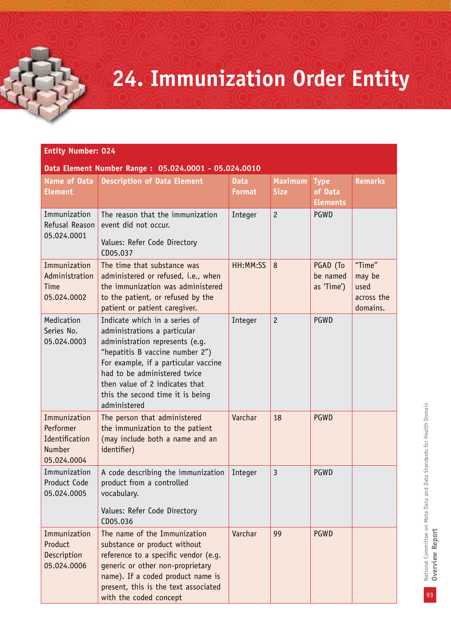### **24. Immunization Order Entity**

| Data Element Number Range: 05.024.0001 - 05.024.0010 |
|------------------------------------------------------|
|------------------------------------------------------|

| <b>Name of Data</b><br><b>Element</b>                                | <b>Description of Data Element</b>                                                                                                                                                                                                                                                                | <b>Data</b><br>Format | <b>Maximum</b><br><b>Size</b> | <b>Type</b><br>of Data<br><b>Elements</b> | <b>Remarks</b>                                     |
|----------------------------------------------------------------------|---------------------------------------------------------------------------------------------------------------------------------------------------------------------------------------------------------------------------------------------------------------------------------------------------|-----------------------|-------------------------------|-------------------------------------------|----------------------------------------------------|
| Immunization<br>Refusal Reason<br>05.024.0001                        | The reason that the immunization<br>event did not occur.<br>Values: Refer Code Directory<br>CD05.037                                                                                                                                                                                              | Integer               | $\overline{c}$                | PGWD                                      |                                                    |
| Immunization<br>Administration<br>Time<br>05.024.0002                | The time that substance was<br>administered or refused, i.e., when<br>the immunization was administered<br>to the patient, or refused by the<br>patient or patient caregiver.                                                                                                                     | HH:MM:SS              | 8                             | PGAD (To<br>be named<br>as 'Time')        | "Time"<br>may be<br>used<br>across the<br>domains. |
| Medication<br>Series No.<br>05.024.0003                              | Indicate which in a series of<br>administrations a particular<br>administration represents (e.g.<br>"hepatitis B vaccine number 2")<br>For example, if a particular vaccine<br>had to be administered twice<br>then value of 2 indicates that<br>this the second time it is being<br>administered | Integer               | $\overline{c}$                | PGWD                                      |                                                    |
| Immunization<br>Performer<br>Identification<br>Number<br>05.024.0004 | The person that administered<br>the immunization to the patient<br>(may include both a name and an<br>identifier)                                                                                                                                                                                 | Varchar               | 18                            | <b>PGWD</b>                               |                                                    |
| Immunization<br>Product Code<br>05.024.0005                          | A code describing the immunization<br>product from a controlled<br>vocabulary.<br>Values: Refer Code Directory<br>CD05.036                                                                                                                                                                        | Integer               | $\overline{3}$                | PGWD                                      |                                                    |
| Immunization<br>Product<br>Description<br>05.024.0006                | The name of the Immunization<br>substance or product without<br>reference to a specific vendor (e.g.<br>generic or other non-proprietary<br>name). If a coded product name is<br>present, this is the text associated<br>with the coded concept                                                   | Varchar               | 99                            | <b>PGWD</b>                               |                                                    |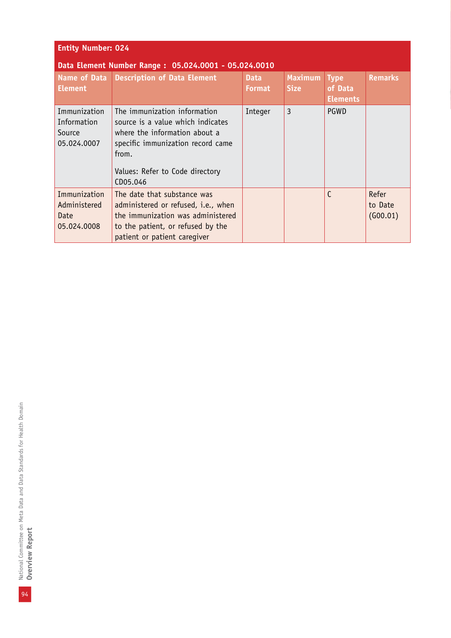| <b>Entity Number: 024</b>                            |                                                                                                                                                                                                 |                              |                               |                                           |                              |  |
|------------------------------------------------------|-------------------------------------------------------------------------------------------------------------------------------------------------------------------------------------------------|------------------------------|-------------------------------|-------------------------------------------|------------------------------|--|
|                                                      | Data Element Number Range: 05.024.0001 - 05.024.0010                                                                                                                                            |                              |                               |                                           |                              |  |
| <b>Name of Data</b><br><b>Element</b>                | <b>Description of Data Element</b>                                                                                                                                                              | <b>Data</b><br><b>Format</b> | <b>Maximum</b><br><b>Size</b> | <b>Type</b><br>of Data<br><b>Elements</b> | <b>Remarks</b>               |  |
| Immunization<br>Information<br>Source<br>05.024.0007 | The immunization information<br>source is a value which indicates<br>where the information about a<br>specific immunization record came<br>from.<br>Values: Refer to Code directory<br>CD05.046 | Integer                      | 3                             | <b>PGWD</b>                               |                              |  |
| Immunization<br>Administered<br>Date<br>05.024.0008  | The date that substance was<br>administered or refused, i.e., when<br>the immunization was administered<br>to the patient, or refused by the<br>patient or patient caregiver                    |                              |                               | C                                         | Refer<br>to Date<br>(G00.01) |  |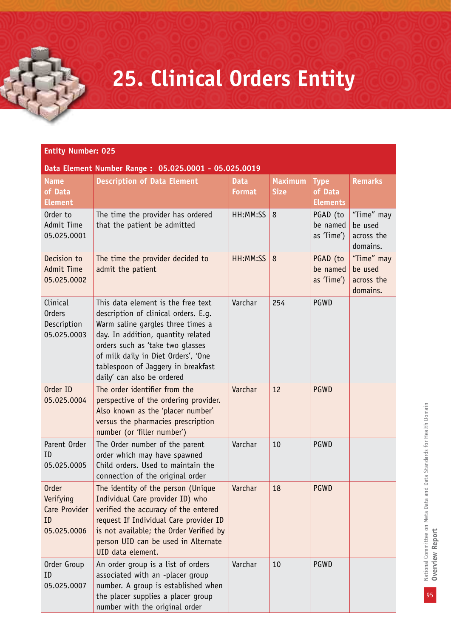### **25. Clinical Orders Entity**

| Data Element Number Range: 05.025.0001 - 05.025.0019 |  |
|------------------------------------------------------|--|
|                                                      |  |

| <b>Name</b><br>of Data<br><b>Element</b>                        | <b>Description of Data Element</b>                                                                                                                                                                                                                                                                   | <b>Data</b><br><b>Format</b> | <b>Maximum</b><br><b>Size</b> | <b>Type</b><br>of Data<br><b>Elements</b> | <b>Remarks</b>                                  |
|-----------------------------------------------------------------|------------------------------------------------------------------------------------------------------------------------------------------------------------------------------------------------------------------------------------------------------------------------------------------------------|------------------------------|-------------------------------|-------------------------------------------|-------------------------------------------------|
| Order to<br>Admit Time<br>05.025.0001                           | The time the provider has ordered<br>that the patient be admitted                                                                                                                                                                                                                                    | HH:MM:SS                     | 8                             | PGAD (to<br>be named<br>as 'Time')        | "Time" may<br>be used<br>across the<br>domains. |
| Decision to<br><b>Admit Time</b><br>05.025.0002                 | The time the provider decided to<br>admit the patient                                                                                                                                                                                                                                                | HH:MM:SS                     | 8                             | PGAD (to<br>be named<br>as 'Time')        | "Time" may<br>be used<br>across the<br>domains. |
| Clinical<br><b>Orders</b><br>Description<br>05.025.0003         | This data element is the free text<br>description of clinical orders. E.g.<br>Warm saline gargles three times a<br>day. In addition, quantity related<br>orders such as 'take two qlasses<br>of milk daily in Diet Orders', 'One<br>tablespoon of Jaggery in breakfast<br>daily' can also be ordered | Varchar                      | 254                           | PGWD                                      |                                                 |
| Order ID<br>05.025.0004                                         | The order identifier from the<br>perspective of the ordering provider.<br>Also known as the 'placer number'<br>versus the pharmacies prescription<br>number (or 'filler number')                                                                                                                     | Varchar                      | 12                            | <b>PGWD</b>                               |                                                 |
| Parent Order<br>ID<br>05.025.0005                               | The Order number of the parent<br>order which may have spawned<br>Child orders. Used to maintain the<br>connection of the original order                                                                                                                                                             | Varchar                      | 10                            | <b>PGWD</b>                               |                                                 |
| <b>Order</b><br>Verifying<br>Care Provider<br>ID<br>05.025.0006 | The identity of the person (Unique<br>Individual Care provider ID) who<br>verified the accuracy of the entered<br>request If Individual Care provider ID<br>is not available; the Order Verified by<br>person UID can be used in Alternate<br>UID data element.                                      | Varchar                      | 18                            | <b>PGWD</b>                               |                                                 |
| Order Group<br>ID<br>05.025.0007                                | An order group is a list of orders<br>associated with an -placer group<br>number. A group is established when<br>the placer supplies a placer group<br>number with the original order                                                                                                                | Varchar                      | 10                            | PGWD                                      |                                                 |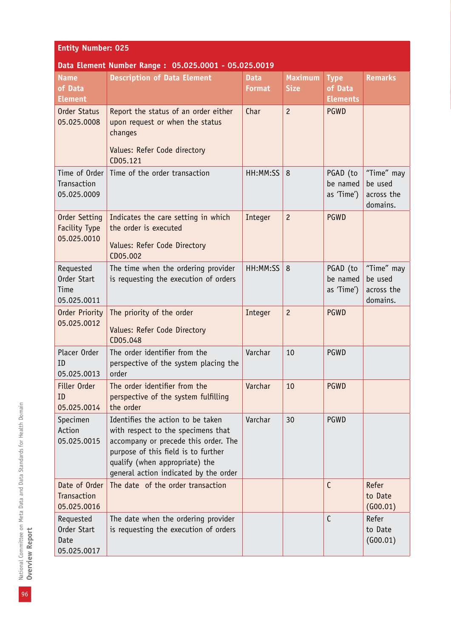| <b>Entity Number: 025</b>                       |                                                                                                                                                                                                                                   |                              |                               |                                           |                                                 |  |  |  |
|-------------------------------------------------|-----------------------------------------------------------------------------------------------------------------------------------------------------------------------------------------------------------------------------------|------------------------------|-------------------------------|-------------------------------------------|-------------------------------------------------|--|--|--|
|                                                 | Data Element Number Range: 05.025.0001 - 05.025.0019                                                                                                                                                                              |                              |                               |                                           |                                                 |  |  |  |
| <b>Name</b><br>of Data<br><b>Element</b>        | <b>Description of Data Element</b>                                                                                                                                                                                                | <b>Data</b><br><b>Format</b> | <b>Maximum</b><br><b>Size</b> | <b>Type</b><br>of Data<br><b>Elements</b> | <b>Remarks</b>                                  |  |  |  |
| <b>Order Status</b><br>05.025.0008              | Report the status of an order either<br>upon request or when the status<br>changes<br>Values: Refer Code directory<br>CD05.121                                                                                                    | Char                         | $\overline{c}$                | <b>PGWD</b>                               |                                                 |  |  |  |
| Time of Order<br>Transaction<br>05.025.0009     | Time of the order transaction                                                                                                                                                                                                     | HH:MM:SS                     | 8                             | PGAD (to<br>be named<br>as 'Time')        | "Time" may<br>be used<br>across the<br>domains. |  |  |  |
| Order Setting<br>Facility Type<br>05.025.0010   | Indicates the care setting in which<br>the order is executed<br>Values: Refer Code Directory<br>CD05.002                                                                                                                          | Integer                      | $\overline{c}$                | <b>PGWD</b>                               |                                                 |  |  |  |
| Requested<br>Order Start<br>Time<br>05.025.0011 | The time when the ordering provider<br>is requesting the execution of orders                                                                                                                                                      | HH:MM:SS                     | 8                             | PGAD (to<br>be named<br>as 'Time')        | "Time" may<br>be used<br>across the<br>domains. |  |  |  |
| Order Priority<br>05.025.0012                   | The priority of the order<br>Values: Refer Code Directory<br>CD05.048                                                                                                                                                             | Integer                      | $\overline{c}$                | <b>PGWD</b>                               |                                                 |  |  |  |
| Placer Order<br>ID<br>05.025.0013               | The order identifier from the<br>perspective of the system placing the<br>order                                                                                                                                                   | Varchar                      | 10                            | PGWD                                      |                                                 |  |  |  |
| Filler Order<br>ID<br>05.025.0014               | The order identifier from the<br>perspective of the system fulfilling<br>the order                                                                                                                                                | Varchar                      | 10                            | <b>PGWD</b>                               |                                                 |  |  |  |
| Specimen<br>Action<br>05.025.0015               | Identifies the action to be taken<br>with respect to the specimens that<br>accompany or precede this order. The<br>purpose of this field is to further<br>qualify (when appropriate) the<br>general action indicated by the order | Varchar                      | 30                            | <b>PGWD</b>                               |                                                 |  |  |  |
| Date of Order<br>Transaction<br>05.025.0016     | The date of the order transaction                                                                                                                                                                                                 |                              |                               | $\mathsf{C}$                              | Refer<br>to Date<br>(G00.01)                    |  |  |  |
| Requested<br>Order Start<br>Date<br>05.025.0017 | The date when the ordering provider<br>is requesting the execution of orders                                                                                                                                                      |                              |                               | $\mathsf{C}$                              | Refer<br>to Date<br>(600.01)                    |  |  |  |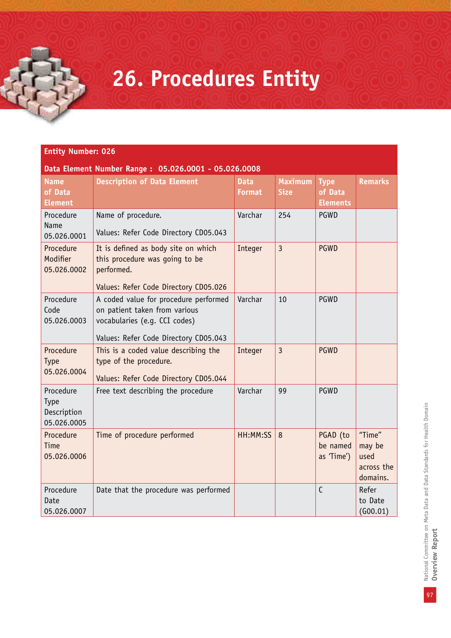### **26. Procedures Entity**

| Data Element Number Range: 05.026.0001 - 05.026.0008 |                                                                                                                                                  |                              |                               |                                           |                                                    |  |
|------------------------------------------------------|--------------------------------------------------------------------------------------------------------------------------------------------------|------------------------------|-------------------------------|-------------------------------------------|----------------------------------------------------|--|
| <b>Name</b><br>of Data<br><b>Element</b>             | <b>Description of Data Element</b>                                                                                                               | <b>Data</b><br><b>Format</b> | <b>Maximum</b><br><b>Size</b> | <b>Type</b><br>of Data<br><b>Elements</b> | <b>Remarks</b>                                     |  |
| Procedure<br>Name<br>05.026.0001                     | Name of procedure.<br>Values: Refer Code Directory CD05.043                                                                                      | Varchar                      | 254                           | PGWD                                      |                                                    |  |
| Procedure<br>Modifier<br>05.026.0002                 | It is defined as body site on which<br>this procedure was going to be<br>performed.<br>Values: Refer Code Directory CD05.026                     | Integer                      | $\overline{3}$                | <b>PGWD</b>                               |                                                    |  |
| Procedure<br>Code<br>05.026.0003                     | A coded value for procedure performed<br>on patient taken from various<br>vocabularies (e.g. CCI codes)<br>Values: Refer Code Directory CD05.043 | Varchar                      | 10                            | PGWD                                      |                                                    |  |
| Procedure<br>Type<br>05.026.0004                     | This is a coded value describing the<br>type of the procedure.<br>Values: Refer Code Directory CD05.044                                          | Integer                      | $\overline{3}$                | <b>PGWD</b>                               |                                                    |  |
| Procedure<br>Type<br>Description<br>05.026.0005      | Free text describing the procedure                                                                                                               | Varchar                      | 99                            | PGWD                                      |                                                    |  |
| Procedure<br>Time<br>05.026.0006                     | Time of procedure performed                                                                                                                      | HH:MM:SS                     | 8                             | PGAD (to<br>be named<br>as 'Time')        | "Time"<br>may be<br>used<br>across the<br>domains. |  |
| Procedure<br>Date<br>05.026.0007                     | Date that the procedure was performed                                                                                                            |                              |                               | C                                         | Refer<br>to Date<br>(600.01)                       |  |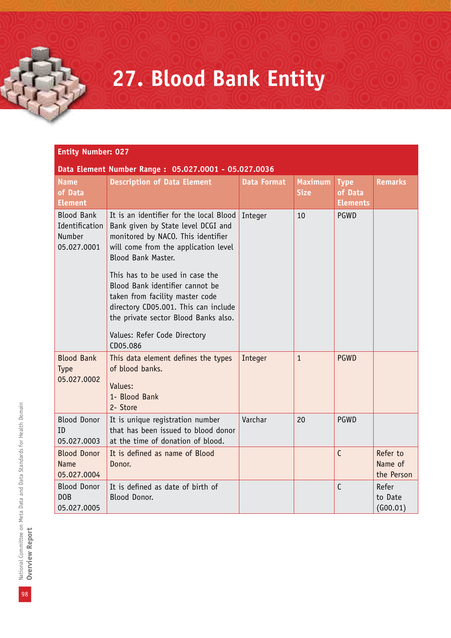### **27. Blood Bank Entity**

#### **Entity Number: 027 Data Element Number Range : 05.027.0001 - 05.027.0036 Name of Data Element Description of Data Element Data Format Maximum Size Type of Data Elements Remarks** Blood Bank Identification Number 05.027.0001 It is an identifier for the local Blood | Integer | 10 | PGWD Bank given by State level DCGI and monitored by NACO. This identifier will come from the application level Blood Bank Master. This has to be used in case the Blood Bank identifier cannot be taken from facility master code directory CD05.001. This can include the private sector Blood Banks also. Values: Refer Code Directory CD05.086 Blood Bank Type 05.027.0002 This data element defines the types of blood banks. Values: 1- Blood Bank 2- Store Integer 1 PGWD Blood Donor ID 05.027.0003 It is unique registration number that has been issued to blood donor at the time of donation of blood. Varchar 20 PGWD Blood Donor Name 05.027.0004 It is defined as name of Blood Donor. C Refer to Name of the Person Blood Donor DOB 05.027.0005 It is defined as date of birth of Blood Donor. C Refer to Date (G00.01)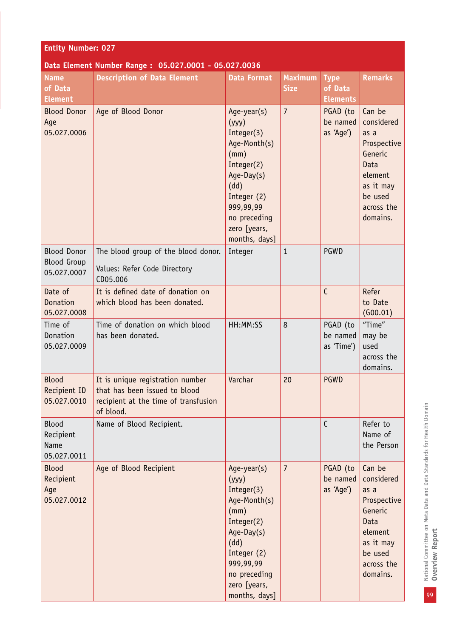| <b>Entity Number: 027</b>                               |                                                                                                                        |                                                                                                                                                                             |                               |                                           |                                                                                                                             |  |
|---------------------------------------------------------|------------------------------------------------------------------------------------------------------------------------|-----------------------------------------------------------------------------------------------------------------------------------------------------------------------------|-------------------------------|-------------------------------------------|-----------------------------------------------------------------------------------------------------------------------------|--|
| Data Element Number Range: 05.027.0001 - 05.027.0036    |                                                                                                                        |                                                                                                                                                                             |                               |                                           |                                                                                                                             |  |
| <b>Name</b><br>of Data<br><b>Element</b>                | <b>Description of Data Element</b>                                                                                     | <b>Data Format</b>                                                                                                                                                          | <b>Maximum</b><br><b>Size</b> | <b>Type</b><br>of Data<br><b>Elements</b> | <b>Remarks</b>                                                                                                              |  |
| <b>Blood Donor</b><br>Age<br>05.027.0006                | Age of Blood Donor                                                                                                     | Age-year(s)<br>(yyy)<br>Integer(3)<br>Age-Month(s)<br>(mm)<br>Integer(2)<br>Age-Day(s)<br>(dd)<br>Integer (2)<br>999,99,99<br>no preceding<br>zero [years,<br>months, days] | $\overline{7}$                | PGAD (to<br>be named<br>as 'Age')         | Can be<br>considered<br>as a<br>Prospective<br>Generic<br>Data<br>element<br>as it may<br>be used<br>across the<br>domains. |  |
| <b>Blood Donor</b><br><b>Blood Group</b><br>05.027.0007 | The blood group of the blood donor.<br>Values: Refer Code Directory<br>CD05.006                                        | Integer                                                                                                                                                                     | $\mathbf{1}$                  | PGWD                                      |                                                                                                                             |  |
| Date of<br>Donation<br>05.027.0008                      | It is defined date of donation on<br>which blood has been donated.                                                     |                                                                                                                                                                             |                               | C                                         | Refer<br>to Date<br>(G00.01)                                                                                                |  |
| Time of<br>Donation<br>05.027.0009                      | Time of donation on which blood<br>has been donated.                                                                   | HH:MM:SS                                                                                                                                                                    | 8                             | PGAD (to<br>be named<br>as 'Time')        | "Time"<br>may be<br>used<br>across the<br>domains.                                                                          |  |
| <b>Blood</b><br>Recipient ID<br>05.027.0010             | It is unique registration number<br>that has been issued to blood<br>recipient at the time of transfusion<br>of blood. | Varchar                                                                                                                                                                     | 20                            | <b>PGWD</b>                               |                                                                                                                             |  |
| <b>Blood</b><br>Recipient<br>Name<br>05.027.0011        | Name of Blood Recipient.                                                                                               |                                                                                                                                                                             |                               | $\mathsf{C}$                              | Refer to<br>Name of<br>the Person                                                                                           |  |
| <b>Blood</b><br>Recipient<br>Age<br>05.027.0012         | Age of Blood Recipient                                                                                                 | Age-year(s)<br>(yyy)<br>Integer(3)<br>Age-Month(s)<br>(mm)<br>Integer(2)<br>Age-Day(s)<br>(dd)<br>Integer (2)<br>999,99,99<br>no preceding<br>zero [years,<br>months, days] | $\overline{7}$                | PGAD (to<br>be named<br>as 'Age')         | Can be<br>considered<br>as a<br>Prospective<br>Generic<br>Data<br>element<br>as it may<br>be used<br>across the<br>domains. |  |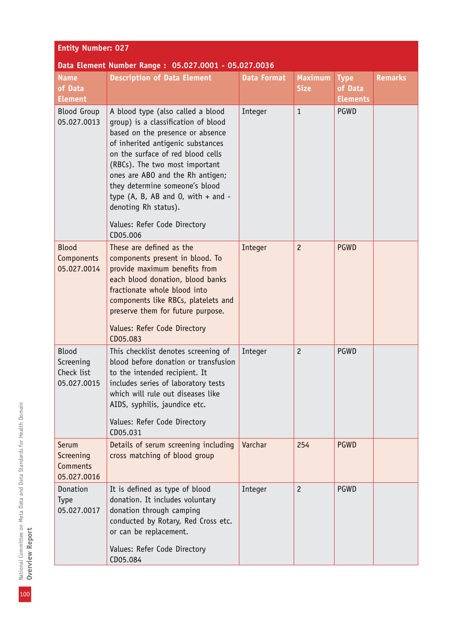| <b>Entity Number: 027</b>                       |                                                                                                                                                                                                                                                                                                                                                                                                              |                    |                               |                                           |                |  |
|-------------------------------------------------|--------------------------------------------------------------------------------------------------------------------------------------------------------------------------------------------------------------------------------------------------------------------------------------------------------------------------------------------------------------------------------------------------------------|--------------------|-------------------------------|-------------------------------------------|----------------|--|
|                                                 | Data Element Number Range: 05.027.0001 - 05.027.0036                                                                                                                                                                                                                                                                                                                                                         |                    |                               |                                           |                |  |
| <b>Name</b><br>of Data<br><b>Element</b>        | <b>Description of Data Element</b>                                                                                                                                                                                                                                                                                                                                                                           | <b>Data Format</b> | <b>Maximum</b><br><b>Size</b> | <b>Type</b><br>of Data<br><b>Elements</b> | <b>Remarks</b> |  |
| <b>Blood Group</b><br>05.027.0013               | A blood type (also called a blood<br>group) is a classification of blood<br>based on the presence or absence<br>of inherited antigenic substances<br>on the surface of red blood cells<br>(RBCs). The two most important<br>ones are ABO and the Rh antigen;<br>they determine someone's blood<br>type (A, B, AB and O, with $+$ and $-$<br>denoting Rh status).<br>Values: Refer Code Directory<br>CD05.006 | Integer            | $\mathbf{1}$                  | PGWD                                      |                |  |
| <b>Blood</b><br>Components<br>05.027.0014       | These are defined as the<br>components present in blood. To<br>provide maximum benefits from<br>each blood donation, blood banks<br>fractionate whole blood into<br>components like RBCs, platelets and<br>preserve them for future purpose.<br>Values: Refer Code Directory<br>CD05.083                                                                                                                     | Integer            | $\overline{c}$                | <b>PGWD</b>                               |                |  |
| Blood<br>Screening<br>Check list<br>05.027.0015 | This checklist denotes screening of<br>blood before donation or transfusion<br>to the intended recipient. It<br>includes series of laboratory tests<br>which will rule out diseases like<br>AIDS, syphilis, jaundice etc.<br>Values: Refer Code Directory<br>CD05.031                                                                                                                                        | Integer            | $\overline{c}$                | PGWD                                      |                |  |
| Serum<br>Screening<br>Comments<br>05.027.0016   | Details of serum screening including<br>cross matching of blood group                                                                                                                                                                                                                                                                                                                                        | Varchar            | 254                           | <b>PGWD</b>                               |                |  |
| Donation<br>Type<br>05.027.0017                 | It is defined as type of blood<br>donation. It includes voluntary<br>donation through camping<br>conducted by Rotary, Red Cross etc.<br>or can be replacement.<br>Values: Refer Code Directory                                                                                                                                                                                                               | Integer            | $\overline{c}$                | PGWD                                      |                |  |

100

CD05.084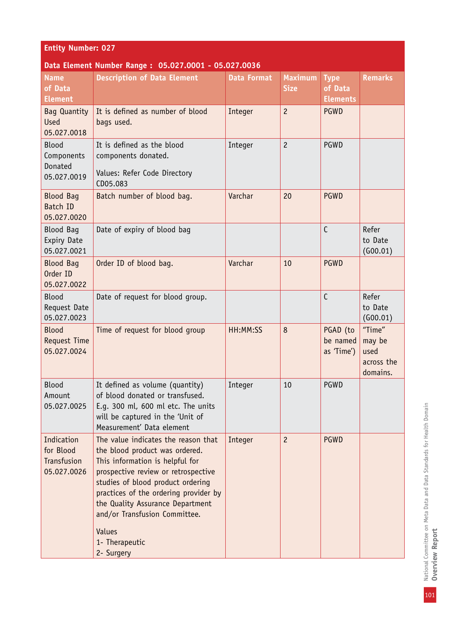| <b>Entity Number: 027</b>                                       |                                                                                                                                                                                                                                                                                                                                              |                               |                                                 |                                                   |                                                    |  |  |
|-----------------------------------------------------------------|----------------------------------------------------------------------------------------------------------------------------------------------------------------------------------------------------------------------------------------------------------------------------------------------------------------------------------------------|-------------------------------|-------------------------------------------------|---------------------------------------------------|----------------------------------------------------|--|--|
| Data Element Number Range: 05.027.0001 - 05.027.0036            |                                                                                                                                                                                                                                                                                                                                              |                               |                                                 |                                                   |                                                    |  |  |
| <b>Name</b><br>of Data<br><b>Element</b><br><b>Bag Quantity</b> | <b>Description of Data Element</b><br>It is defined as number of blood                                                                                                                                                                                                                                                                       | <b>Data Format</b><br>Integer | <b>Maximum</b><br><b>Size</b><br>$\overline{c}$ | <b>Type</b><br>of Data<br><b>Elements</b><br>PGWD | <b>Remarks</b>                                     |  |  |
| <b>Used</b><br>05.027.0018                                      | bags used.                                                                                                                                                                                                                                                                                                                                   |                               |                                                 |                                                   |                                                    |  |  |
| Blood<br>Components<br>Donated<br>05.027.0019                   | It is defined as the blood<br>components donated.<br>Values: Refer Code Directory<br>CD05.083                                                                                                                                                                                                                                                | Integer                       | $\overline{c}$                                  | PGWD                                              |                                                    |  |  |
| <b>Blood Bag</b><br>Batch ID<br>05.027.0020                     | Batch number of blood bag.                                                                                                                                                                                                                                                                                                                   | Varchar                       | 20                                              | <b>PGWD</b>                                       |                                                    |  |  |
| <b>Blood Bag</b><br>Expiry Date<br>05.027.0021                  | Date of expiry of blood bag                                                                                                                                                                                                                                                                                                                  |                               |                                                 | $\mathsf{C}$                                      | Refer<br>to Date<br>(600.01)                       |  |  |
| <b>Blood Bag</b><br>Order ID<br>05.027.0022                     | Order ID of blood bag.                                                                                                                                                                                                                                                                                                                       | Varchar                       | 10                                              | <b>PGWD</b>                                       |                                                    |  |  |
| <b>Blood</b><br>Request Date<br>05.027.0023                     | Date of request for blood group.                                                                                                                                                                                                                                                                                                             |                               |                                                 | $\mathsf{C}$                                      | Refer<br>to Date<br>(600.01)                       |  |  |
| <b>Blood</b><br>Request Time<br>05.027.0024                     | Time of request for blood group                                                                                                                                                                                                                                                                                                              | HH:MM:SS                      | 8                                               | PGAD (to<br>be named<br>as 'Time')                | "Time"<br>may be<br>used<br>across the<br>domains. |  |  |
| <b>Blood</b><br>Amount<br>05.027.0025                           | It defined as volume (quantity)<br>of blood donated or transfused.<br>E.g. 300 ml, 600 ml etc. The units<br>will be captured in the 'Unit of<br>Measurement' Data element                                                                                                                                                                    | Integer                       | 10                                              | PGWD                                              |                                                    |  |  |
| Indication<br>for Blood<br>Transfusion<br>05.027.0026           | The value indicates the reason that<br>the blood product was ordered.<br>This information is helpful for<br>prospective review or retrospective<br>studies of blood product ordering<br>practices of the ordering provider by<br>the Quality Assurance Department<br>and/or Transfusion Committee.<br>Values<br>1- Therapeutic<br>2- Surgery | Integer                       | $\overline{c}$                                  | <b>PGWD</b>                                       |                                                    |  |  |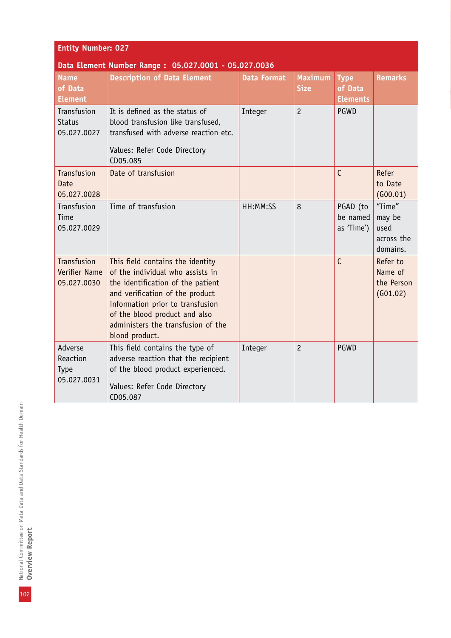| <b>Entity Number: 027</b>                            |                                                                                                                                                                                                                                                                           |                    |                               |                                           |                                                    |  |  |
|------------------------------------------------------|---------------------------------------------------------------------------------------------------------------------------------------------------------------------------------------------------------------------------------------------------------------------------|--------------------|-------------------------------|-------------------------------------------|----------------------------------------------------|--|--|
| Data Element Number Range: 05.027.0001 - 05.027.0036 |                                                                                                                                                                                                                                                                           |                    |                               |                                           |                                                    |  |  |
| <b>Name</b><br>of Data<br><b>Element</b>             | <b>Description of Data Element</b>                                                                                                                                                                                                                                        | <b>Data Format</b> | <b>Maximum</b><br><b>Size</b> | <b>Type</b><br>of Data<br><b>Elements</b> | <b>Remarks</b>                                     |  |  |
| Transfusion<br><b>Status</b><br>05.027.0027          | It is defined as the status of<br>blood transfusion like transfused,<br>transfused with adverse reaction etc.<br>Values: Refer Code Directory<br>CD05.085                                                                                                                 | Integer            | $\overline{c}$                | PGWD                                      |                                                    |  |  |
| Transfusion<br>Date<br>05.027.0028                   | Date of transfusion                                                                                                                                                                                                                                                       |                    |                               | $\mathsf{C}$                              | Refer<br>to Date<br>(600.01)                       |  |  |
| Transfusion<br>Time<br>05.027.0029                   | Time of transfusion                                                                                                                                                                                                                                                       | HH:MM:SS           | 8                             | PGAD (to<br>be named<br>as 'Time')        | "Time"<br>may be<br>used<br>across the<br>domains. |  |  |
| Transfusion<br>Verifier Name<br>05.027.0030          | This field contains the identity<br>of the individual who assists in<br>the identification of the patient<br>and verification of the product<br>information prior to transfusion<br>of the blood product and also<br>administers the transfusion of the<br>blood product. |                    |                               | $\mathsf{C}$                              | Refer to<br>Name of<br>the Person<br>(G01.02)      |  |  |
| Adverse<br>Reaction<br>Type<br>05.027.0031           | This field contains the type of<br>adverse reaction that the recipient<br>of the blood product experienced.<br>Values: Refer Code Directory<br>CD05.087                                                                                                                   | Integer            | $\overline{c}$                | <b>PGWD</b>                               |                                                    |  |  |

102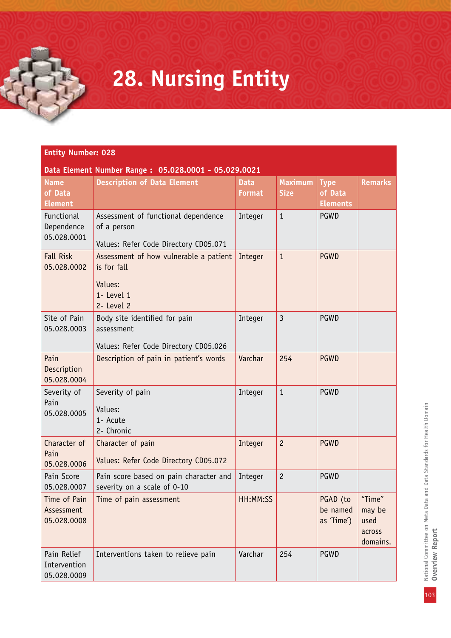### **28. Nursing Entity**

| Data Element Number Range: 05.028.0001 - 05.029.0021 |                                                                                              |                              |                               |                                           |                                                |  |
|------------------------------------------------------|----------------------------------------------------------------------------------------------|------------------------------|-------------------------------|-------------------------------------------|------------------------------------------------|--|
| <b>Name</b><br>of Data<br><b>Element</b>             | <b>Description of Data Element</b>                                                           | <b>Data</b><br><b>Format</b> | <b>Maximum</b><br><b>Size</b> | <b>Type</b><br>of Data<br><b>Elements</b> | <b>Remarks</b>                                 |  |
| Functional<br>Dependence<br>05.028.0001              | Assessment of functional dependence<br>of a person<br>Values: Refer Code Directory CD05.071  | Integer                      | $\mathbf{1}$                  | PGWD                                      |                                                |  |
| <b>Fall Risk</b><br>05.028.0002                      | Assessment of how vulnerable a patient<br>is for fall<br>Values:<br>1- Level 1<br>2- Level 2 | Integer                      | $\mathbf{1}$                  | <b>PGWD</b>                               |                                                |  |
| Site of Pain<br>05.028.0003                          | Body site identified for pain<br>assessment<br>Values: Refer Code Directory CD05.026         | Integer                      | $\overline{3}$                | PGWD                                      |                                                |  |
| Pain<br>Description<br>05.028.0004                   | Description of pain in patient's words                                                       | Varchar                      | 254                           | <b>PGWD</b>                               |                                                |  |
| Severity of<br>Pain<br>05.028.0005                   | Severity of pain<br>Values:<br>1- Acute<br>2- Chronic                                        | Integer                      | $\mathbf{1}$                  | PGWD                                      |                                                |  |
| Character of<br>Pain<br>05.028.0006                  | Character of pain<br>Values: Refer Code Directory CD05.072                                   | Integer                      | $\overline{c}$                | <b>PGWD</b>                               |                                                |  |
| Pain Score<br>05.028.0007                            | Pain score based on pain character and<br>severity on a scale of 0-10                        | Integer                      | $\overline{c}$                | PGWD                                      |                                                |  |
| Time of Pain<br>Assessment<br>05.028.0008            | Time of pain assessment                                                                      | HH:MM:SS                     |                               | PGAD (to<br>be named<br>as 'Time')        | "Time"<br>may be<br>used<br>across<br>domains. |  |
| Pain Relief<br>Intervention<br>05.028.0009           | Interventions taken to relieve pain                                                          | Varchar                      | 254                           | PGWD                                      |                                                |  |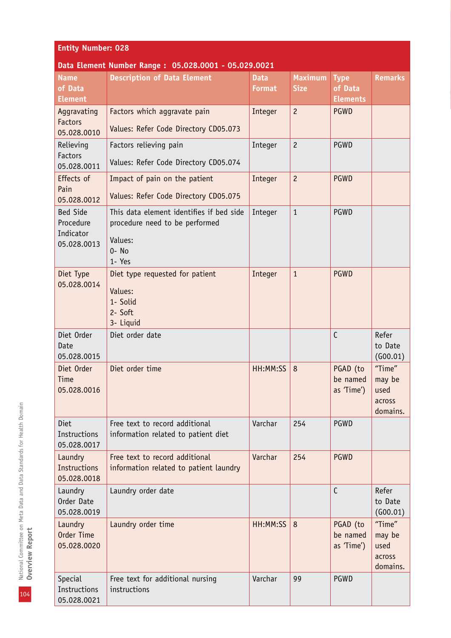| <b>Entity Number: 028</b>                                |                                                                                                          |                              |                               |                                           |                                                |  |
|----------------------------------------------------------|----------------------------------------------------------------------------------------------------------|------------------------------|-------------------------------|-------------------------------------------|------------------------------------------------|--|
|                                                          | Data Element Number Range: 05.028.0001 - 05.029.0021                                                     |                              |                               |                                           |                                                |  |
| <b>Name</b><br>of Data<br><b>Element</b>                 | <b>Description of Data Element</b>                                                                       | <b>Data</b><br><b>Format</b> | <b>Maximum</b><br><b>Size</b> | <b>Type</b><br>of Data<br><b>Elements</b> | <b>Remarks</b>                                 |  |
| Aggravating<br><b>Factors</b><br>05.028.0010             | Factors which aggravate pain<br>Values: Refer Code Directory CD05.073                                    | Integer                      | $\overline{c}$                | <b>PGWD</b>                               |                                                |  |
| Relieving<br>Factors<br>05.028.0011                      | Factors relieving pain<br>Values: Refer Code Directory CD05.074                                          | Integer                      | $\overline{c}$                | <b>PGWD</b>                               |                                                |  |
| Effects of<br>Pain<br>05.028.0012                        | Impact of pain on the patient<br>Values: Refer Code Directory CD05.075                                   | Integer                      | $\overline{c}$                | <b>PGWD</b>                               |                                                |  |
| <b>Bed Side</b><br>Procedure<br>Indicator<br>05.028.0013 | This data element identifies if bed side<br>procedure need to be performed<br>Values:<br>0- No<br>1- Yes | Integer                      | $\mathbf{1}$                  | <b>PGWD</b>                               |                                                |  |
| Diet Type<br>05.028.0014                                 | Diet type requested for patient<br>Values:<br>1- Solid<br>2- Soft<br>3- Liquid                           | Integer                      | $\mathbf{1}$                  | <b>PGWD</b>                               |                                                |  |
| Diet Order<br>Date<br>05.028.0015                        | Diet order date                                                                                          |                              |                               | $\mathsf{C}$                              | Refer<br>to Date<br>(600.01)                   |  |
| Diet Order<br>Time<br>05.028.0016                        | Diet order time                                                                                          | HH:MM:SS                     | 8                             | PGAD (to<br>be named<br>as 'Time')        | "Time"<br>may be<br>used<br>across<br>domains. |  |
| Diet<br>Instructions<br>05.028.0017                      | Free text to record additional<br>information related to patient diet                                    | Varchar                      | 254                           | PGWD                                      |                                                |  |
| Laundry<br><b>Instructions</b><br>05.028.0018            | Free text to record additional<br>information related to patient laundry                                 | Varchar                      | 254                           | <b>PGWD</b>                               |                                                |  |
| Laundry<br>Order Date<br>05.028.0019                     | Laundry order date                                                                                       |                              |                               | $\mathsf{C}$                              | Refer<br>to Date<br>(600.01)                   |  |
| Laundry<br>Order Time<br>05.028.0020                     | Laundry order time                                                                                       | HH:MM:SS                     | 8                             | PGAD (to<br>be named<br>as 'Time')        | "Time"<br>may be<br>used<br>across<br>domains. |  |
| <b>Special</b><br>Instructions<br>05.028.0021            | Free text for additional nursing<br>instructions                                                         | Varchar                      | 99                            | <b>PGWD</b>                               |                                                |  |

104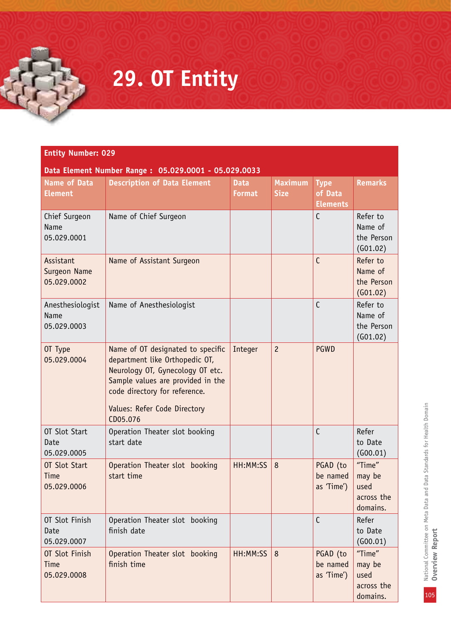# **29. OT Entity**

| <b>Entity Number: 029</b><br>Data Element Number Range: 05.029.0001 - 05.029.0033 |                                                                                                                                                                                                                           |                              |                               |                                           |                                                    |
|-----------------------------------------------------------------------------------|---------------------------------------------------------------------------------------------------------------------------------------------------------------------------------------------------------------------------|------------------------------|-------------------------------|-------------------------------------------|----------------------------------------------------|
| <b>Name of Data</b><br><b>Element</b>                                             | <b>Description of Data Element</b>                                                                                                                                                                                        | <b>Data</b><br><b>Format</b> | <b>Maximum</b><br><b>Size</b> | <b>Type</b><br>of Data<br><b>Elements</b> | <b>Remarks</b>                                     |
| Chief Surgeon<br>Name<br>05.029.0001                                              | Name of Chief Surgeon                                                                                                                                                                                                     |                              |                               | $\mathsf{C}$                              | Refer to<br>Name of<br>the Person<br>(G01.02)      |
| Assistant<br>Surgeon Name<br>05.029.0002                                          | Name of Assistant Surgeon                                                                                                                                                                                                 |                              |                               | $\mathsf{C}$                              | Refer to<br>Name of<br>the Person<br>(601.02)      |
| Anesthesiologist<br><b>Name</b><br>05.029.0003                                    | Name of Anesthesiologist                                                                                                                                                                                                  |                              |                               | $\mathsf{C}$                              | Refer to<br>Name of<br>the Person<br>(G01.02)      |
| OT Type<br>05.029.0004                                                            | Name of OT designated to specific<br>department like Orthopedic OT,<br>Neurology OT, Gynecology OT etc.<br>Sample values are provided in the<br>code directory for reference.<br>Values: Refer Code Directory<br>CD05.076 | Integer                      | $\overline{c}$                | <b>PGWD</b>                               |                                                    |
| OT Slot Start<br>Date<br>05.029.0005                                              | Operation Theater slot booking<br>start date                                                                                                                                                                              |                              |                               | $\mathsf{C}$                              | Refer<br>to Date<br>(G00.01)                       |
| OT Slot Start<br><b>Time</b><br>05.029.0006                                       | Operation Theater slot booking<br>start time                                                                                                                                                                              | HH:MM:SS                     | 8                             | PGAD (to<br>be named<br>as 'Time')        | "Time"<br>may be<br>used<br>across the<br>domains. |
| OT Slot Finish<br>Date<br>05.029.0007                                             | Operation Theater slot booking<br>finish date                                                                                                                                                                             |                              |                               | $\mathsf{C}$                              | Refer<br>to Date<br>(600.01)                       |
| OT Slot Finish<br><b>Time</b><br>05.029.0008                                      | Operation Theater slot booking<br>finish time                                                                                                                                                                             | HH:MM:SS                     | 8                             | PGAD (to<br>be named<br>as 'Time')        | "Time"<br>may be<br>used<br>across the<br>domains. |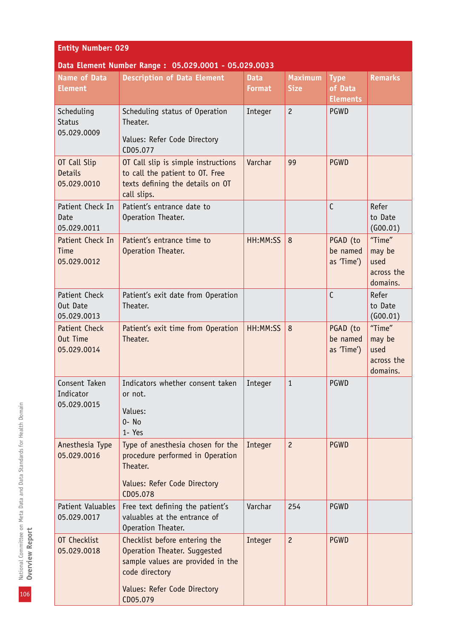| <b>Entity Number: 029</b>                            |                                                                                                                               |                              |                               |                                           |                                                    |  |
|------------------------------------------------------|-------------------------------------------------------------------------------------------------------------------------------|------------------------------|-------------------------------|-------------------------------------------|----------------------------------------------------|--|
| Data Element Number Range: 05.029.0001 - 05.029.0033 |                                                                                                                               |                              |                               |                                           |                                                    |  |
| <b>Name of Data</b><br><b>Element</b>                | <b>Description of Data Element</b>                                                                                            | <b>Data</b><br><b>Format</b> | <b>Maximum</b><br><b>Size</b> | <b>Type</b><br>of Data<br><b>Elements</b> | <b>Remarks</b>                                     |  |
| Scheduling<br><b>Status</b><br>05.029.0009           | Scheduling status of Operation<br>Theater.<br>Values: Refer Code Directory<br>CD05.077                                        | Integer                      | $\overline{c}$                | PGWD                                      |                                                    |  |
| OT Call Slip<br><b>Details</b><br>05.029.0010        | OT Call slip is simple instructions<br>to call the patient to OT. Free<br>texts defining the details on OT<br>call slips.     | Varchar                      | 99                            | <b>PGWD</b>                               |                                                    |  |
| Patient Check In<br>Date<br>05.029.0011              | Patient's entrance date to<br>Operation Theater.                                                                              |                              |                               | $\mathsf{C}$                              | Refer<br>to Date<br>(G00.01)                       |  |
| Patient Check In<br>Time<br>05.029.0012              | Patient's entrance time to<br>Operation Theater.                                                                              | HH:MM:SS                     | 8                             | PGAD (to<br>be named<br>as 'Time')        | "Time"<br>may be<br>used<br>across the<br>domains. |  |
| Patient Check<br>Out Date<br>05.029.0013             | Patient's exit date from Operation<br>Theater.                                                                                |                              |                               | $\mathsf{C}$                              | Refer<br>to Date<br>(600.01)                       |  |
| <b>Patient Check</b><br>Out Time<br>05.029.0014      | Patient's exit time from Operation<br>Theater.                                                                                | HH:MM:SS                     | 8                             | PGAD (to<br>be named<br>as 'Time')        | "Time"<br>may be<br>used<br>across the<br>domains. |  |
| Consent Taken<br>Indicator<br>05.029.0015            | Indicators whether consent taken<br>or not.<br>Values:<br>$0 - No$<br>1- Yes                                                  | Integer                      | $\mathbf{1}$                  | PGWD                                      |                                                    |  |
| Anesthesia Type<br>05.029.0016                       | Type of anesthesia chosen for the<br>procedure performed in Operation<br>Theater.<br>Values: Refer Code Directory<br>CD05.078 | Integer                      | $\overline{c}$                | <b>PGWD</b>                               |                                                    |  |
| Patient Valuables<br>05.029.0017                     | Free text defining the patient's<br>valuables at the entrance of<br>Operation Theater.                                        | Varchar                      | 254                           | PGWD                                      |                                                    |  |
| OT Checklist<br>05.029.0018                          | Checklist before entering the<br>Operation Theater. Suggested<br>sample values are provided in the<br>code directory          | Integer                      | $\overline{c}$                | <b>PGWD</b>                               |                                                    |  |
|                                                      | Values: Refer Code Directory<br>CD05.079                                                                                      |                              |                               |                                           |                                                    |  |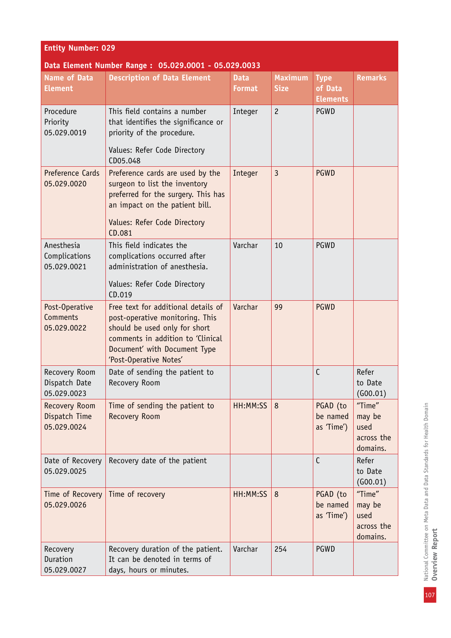| <b>Entity Number: 029</b>                            |                                                                                                                                                                                                        |                              |                               |                                           |                                                    |  |
|------------------------------------------------------|--------------------------------------------------------------------------------------------------------------------------------------------------------------------------------------------------------|------------------------------|-------------------------------|-------------------------------------------|----------------------------------------------------|--|
| Data Element Number Range: 05.029.0001 - 05.029.0033 |                                                                                                                                                                                                        |                              |                               |                                           |                                                    |  |
| <b>Name of Data</b><br><b>Element</b>                | <b>Description of Data Element</b>                                                                                                                                                                     | <b>Data</b><br><b>Format</b> | <b>Maximum</b><br><b>Size</b> | <b>Type</b><br>of Data<br><b>Elements</b> | <b>Remarks</b>                                     |  |
| Procedure<br>Priority<br>05.029.0019                 | This field contains a number<br>that identifies the significance or<br>priority of the procedure.<br>Values: Refer Code Directory<br>CD05.048                                                          | Integer                      | $\overline{c}$                | PGWD                                      |                                                    |  |
| Preference Cards<br>05.029.0020                      | Preference cards are used by the<br>surgeon to list the inventory<br>preferred for the surgery. This has<br>an impact on the patient bill.<br>Values: Refer Code Directory<br>CD.081                   | Integer                      | $\overline{3}$                | <b>PGWD</b>                               |                                                    |  |
| Anesthesia<br>Complications<br>05.029.0021           | This field indicates the<br>complications occurred after<br>administration of anesthesia.<br>Values: Refer Code Directory                                                                              | Varchar                      | 10                            | PGWD                                      |                                                    |  |
|                                                      | CD.019                                                                                                                                                                                                 |                              |                               |                                           |                                                    |  |
| Post-Operative<br>Comments<br>05.029.0022            | Free text for additional details of<br>post-operative monitoring. This<br>should be used only for short<br>comments in addition to 'Clinical<br>Document' with Document Type<br>'Post-Operative Notes' | Varchar                      | 99                            | <b>PGWD</b>                               |                                                    |  |
| Recovery Room<br>Dispatch Date<br>05.029.0023        | Date of sending the patient to<br>Recovery Room                                                                                                                                                        |                              |                               | C                                         | Refer<br>to Date<br>(600.01)                       |  |
| Recovery Room<br>Dispatch Time<br>05.029.0024        | Time of sending the patient to<br><b>Recovery Room</b>                                                                                                                                                 | HH:MM:SS                     | 8                             | PGAD (to<br>be named<br>as 'Time')        | "Time"<br>may be<br>used<br>across the<br>domains. |  |
| Date of Recovery<br>05.029.0025                      | Recovery date of the patient                                                                                                                                                                           |                              |                               | $\mathsf{C}$                              | Refer<br>to Date<br>(600.01)                       |  |
| Time of Recovery<br>05.029.0026                      | Time of recovery                                                                                                                                                                                       | HH:MM:SS                     | 8                             | PGAD (to<br>be named<br>as 'Time')        | "Time"<br>may be<br>used<br>across the<br>domains. |  |
| Recovery<br>Duration<br>05.029.0027                  | Recovery duration of the patient.<br>It can be denoted in terms of<br>days, hours or minutes.                                                                                                          | Varchar                      | 254                           | PGWD                                      |                                                    |  |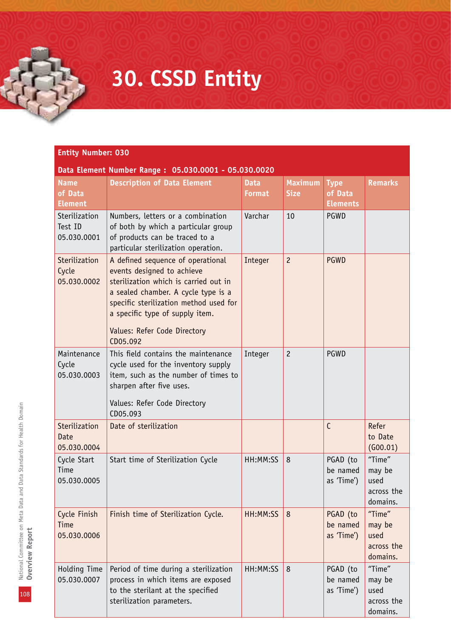### **30. CSSD Entity**

| Data Element Number Range: 05.030.0001 - 05.030.0020 |                                                                                                                                                                                                                                                                          |                              |                               |                                           |                                                    |
|------------------------------------------------------|--------------------------------------------------------------------------------------------------------------------------------------------------------------------------------------------------------------------------------------------------------------------------|------------------------------|-------------------------------|-------------------------------------------|----------------------------------------------------|
| <b>Name</b><br>of Data<br><b>Element</b>             | <b>Description of Data Element</b>                                                                                                                                                                                                                                       | <b>Data</b><br><b>Format</b> | <b>Maximum</b><br><b>Size</b> | <b>Type</b><br>of Data<br><b>Elements</b> | <b>Remarks</b>                                     |
| Sterilization<br>Test ID<br>05.030.0001              | Numbers, letters or a combination<br>of both by which a particular group<br>of products can be traced to a<br>particular sterilization operation.                                                                                                                        | Varchar                      | 10                            | PGWD                                      |                                                    |
| Sterilization<br>Cycle<br>05.030.0002                | A defined sequence of operational<br>events designed to achieve<br>sterilization which is carried out in<br>a sealed chamber. A cycle type is a<br>specific sterilization method used for<br>a specific type of supply item.<br>Values: Refer Code Directory<br>CD05.092 | Integer                      | $\overline{c}$                | <b>PGWD</b>                               |                                                    |
| Maintenance<br>Cycle<br>05.030.0003                  | This field contains the maintenance<br>cycle used for the inventory supply<br>item, such as the number of times to<br>sharpen after five uses.<br>Values: Refer Code Directory<br>CD05.093                                                                               | Integer                      | $\overline{c}$                | PGWD                                      |                                                    |
| Sterilization<br>Date<br>05.030.0004                 | Date of sterilization                                                                                                                                                                                                                                                    |                              |                               | $\mathsf{C}$                              | Refer<br>to Date<br>(600.01)                       |
| Cycle Start<br>Time<br>05.030.0005                   | Start time of Sterilization Cycle                                                                                                                                                                                                                                        | HH:MM:SS                     | 8                             | PGAD (to<br>be named<br>as 'Time')        | "Time"<br>may be<br>used<br>across the<br>domains. |
| Cycle Finish<br>Time<br>05.030.0006                  | Finish time of Sterilization Cycle.                                                                                                                                                                                                                                      | HH:MM:SS                     | 8                             | PGAD (to<br>be named<br>as 'Time')        | "Time"<br>may be<br>used<br>across the<br>domains. |
| Holding Time<br>05.030.0007                          | Period of time during a sterilization<br>process in which items are exposed<br>to the sterilant at the specified<br>sterilization parameters.                                                                                                                            | HH:MM:SS                     | 8                             | PGAD (to<br>be named<br>as 'Time')        | "Time"<br>may be<br>used<br>across the<br>domains. |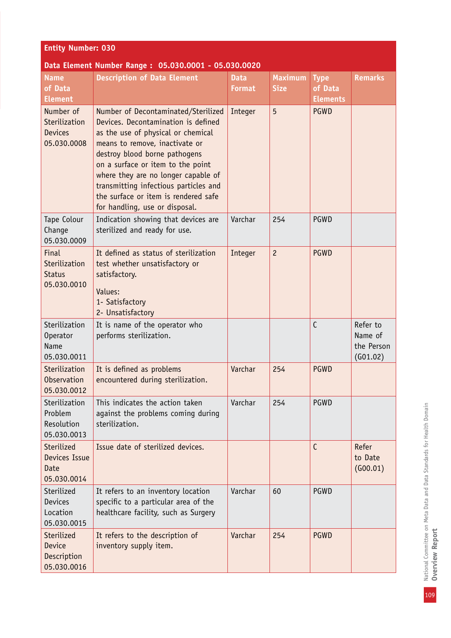| <b>Entity Number: 030</b>                                   |                                                                                                                                                                                                                                                                                                                                                                                    |                              |                               |                        |                                               |  |  |
|-------------------------------------------------------------|------------------------------------------------------------------------------------------------------------------------------------------------------------------------------------------------------------------------------------------------------------------------------------------------------------------------------------------------------------------------------------|------------------------------|-------------------------------|------------------------|-----------------------------------------------|--|--|
|                                                             | Data Element Number Range: 05.030.0001 - 05.030.0020                                                                                                                                                                                                                                                                                                                               |                              |                               |                        |                                               |  |  |
| <b>Name</b><br>of Data                                      | <b>Description of Data Element</b>                                                                                                                                                                                                                                                                                                                                                 | <b>Data</b><br><b>Format</b> | <b>Maximum</b><br><b>Size</b> | <b>Type</b><br>of Data | <b>Remarks</b>                                |  |  |
| <b>Element</b>                                              |                                                                                                                                                                                                                                                                                                                                                                                    |                              |                               | <b>Elements</b>        |                                               |  |  |
| Number of<br>Sterilization<br><b>Devices</b><br>05.030.0008 | Number of Decontaminated/Sterilized<br>Devices. Decontamination is defined<br>as the use of physical or chemical<br>means to remove, inactivate or<br>destroy blood borne pathogens<br>on a surface or item to the point<br>where they are no longer capable of<br>transmitting infectious particles and<br>the surface or item is rendered safe<br>for handling, use or disposal. | Integer                      | 5                             | <b>PGWD</b>            |                                               |  |  |
| Tape Colour<br>Change<br>05.030.0009                        | Indication showing that devices are<br>sterilized and ready for use.                                                                                                                                                                                                                                                                                                               | Varchar                      | 254                           | PGWD                   |                                               |  |  |
| Final<br>Sterilization<br><b>Status</b><br>05.030.0010      | It defined as status of sterilization<br>test whether unsatisfactory or<br>satisfactory.<br>Values:<br>1- Satisfactory<br>2- Unsatisfactory                                                                                                                                                                                                                                        | Integer                      | $\overline{c}$                | PGWD                   |                                               |  |  |
| Sterilization<br>Operator<br>Name<br>05.030.0011            | It is name of the operator who<br>performs sterilization.                                                                                                                                                                                                                                                                                                                          |                              |                               | C                      | Refer to<br>Name of<br>the Person<br>(601.02) |  |  |
| Sterilization<br>Observation<br>05.030.0012                 | It is defined as problems<br>encountered during sterilization.                                                                                                                                                                                                                                                                                                                     | Varchar                      | 254                           | <b>PGWD</b>            |                                               |  |  |
| Sterilization<br>Problem<br>Resolution<br>05.030.0013       | This indicates the action taken<br>against the problems coming during<br>sterilization.                                                                                                                                                                                                                                                                                            | Varchar                      | 254                           | PGWD                   |                                               |  |  |
| Sterilized<br>Devices Issue<br>Date<br>05.030.0014          | Issue date of sterilized devices.                                                                                                                                                                                                                                                                                                                                                  |                              |                               | $\mathsf{C}$           | Refer<br>to Date<br>(600.01)                  |  |  |
| Sterilized<br>Devices<br>Location<br>05.030.0015            | It refers to an inventory location<br>specific to a particular area of the<br>healthcare facility, such as Surgery                                                                                                                                                                                                                                                                 | Varchar                      | 60                            | PGWD                   |                                               |  |  |
| Sterilized<br><b>Device</b><br>Description<br>05.030.0016   | It refers to the description of<br>inventory supply item.                                                                                                                                                                                                                                                                                                                          | Varchar                      | 254                           | <b>PGWD</b>            |                                               |  |  |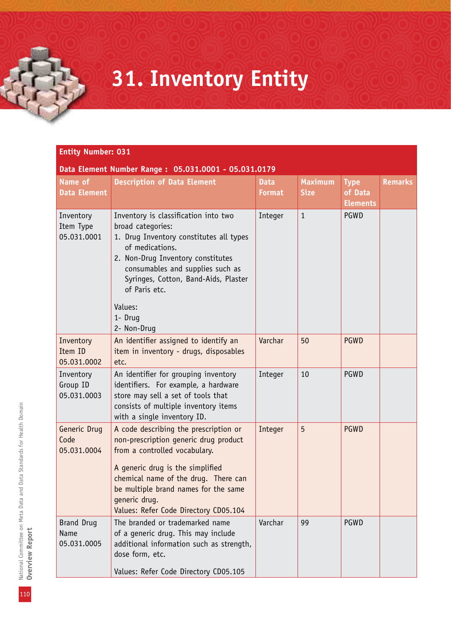## **31. Inventory Entity**

### **Entity Number: 031**

| Data Element Number Range: 05.031.0001 - 05.031.0179 |                                                                                                                                                                                                                                                                                                |                              |                               |                                           |                |  |  |
|------------------------------------------------------|------------------------------------------------------------------------------------------------------------------------------------------------------------------------------------------------------------------------------------------------------------------------------------------------|------------------------------|-------------------------------|-------------------------------------------|----------------|--|--|
| Name of<br><b>Data Element</b>                       | <b>Description of Data Element</b>                                                                                                                                                                                                                                                             | <b>Data</b><br><b>Format</b> | <b>Maximum</b><br><b>Size</b> | <b>Type</b><br>of Data<br><b>Elements</b> | <b>Remarks</b> |  |  |
| Inventory<br>Item Type<br>05.031.0001                | Inventory is classification into two<br>broad categories:<br>1. Drug Inventory constitutes all types<br>of medications.<br>2. Non-Drug Inventory constitutes<br>consumables and supplies such as<br>Syringes, Cotton, Band-Aids, Plaster<br>of Paris etc.<br>Values:<br>1- Drug<br>2- Non-Drug | Integer                      | $\mathbf{1}$                  | PGWD                                      |                |  |  |
| Inventory<br>Item ID<br>05.031.0002                  | An identifier assigned to identify an<br>item in inventory - drugs, disposables<br>etc.                                                                                                                                                                                                        | Varchar                      | 50                            | <b>PGWD</b>                               |                |  |  |
| Inventory<br>Group ID<br>05.031.0003                 | An identifier for grouping inventory<br>identifiers. For example, a hardware<br>store may sell a set of tools that<br>consists of multiple inventory items<br>with a single inventory ID.                                                                                                      | Integer                      | 10                            | PGWD                                      |                |  |  |
| Generic Drug<br>Code<br>05.031.0004                  | A code describing the prescription or<br>non-prescription generic drug product<br>from a controlled vocabulary.<br>A generic drug is the simplified<br>chemical name of the drug. There can<br>be multiple brand names for the same<br>generic drug.<br>Values: Refer Code Directory CD05.104  | Integer                      | 5                             | <b>PGWD</b>                               |                |  |  |
| <b>Brand Drug</b><br>Name<br>05.031.0005             | The branded or trademarked name<br>of a generic drug. This may include<br>additional information such as strength,<br>dose form, etc.<br>Values: Refer Code Directory CD05.105                                                                                                                 | Varchar                      | 99                            | PGWD                                      |                |  |  |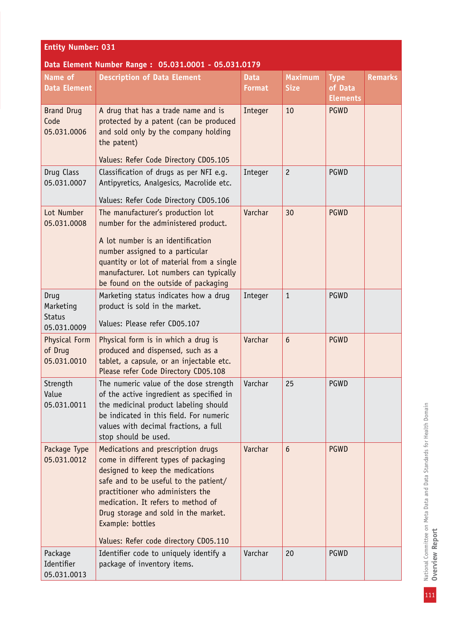| <b>Entity Number: 031</b>                         |                                                                                                                                                                                                                                                                                                                                        |                              |                               |                                           |                |  |  |
|---------------------------------------------------|----------------------------------------------------------------------------------------------------------------------------------------------------------------------------------------------------------------------------------------------------------------------------------------------------------------------------------------|------------------------------|-------------------------------|-------------------------------------------|----------------|--|--|
|                                                   | Data Element Number Range: 05.031.0001 - 05.031.0179                                                                                                                                                                                                                                                                                   |                              |                               |                                           |                |  |  |
| Name of<br><b>Data Element</b>                    | <b>Description of Data Element</b>                                                                                                                                                                                                                                                                                                     | <b>Data</b><br><b>Format</b> | <b>Maximum</b><br><b>Size</b> | <b>Type</b><br>of Data<br><b>Elements</b> | <b>Remarks</b> |  |  |
| <b>Brand Drug</b><br>Code<br>05.031.0006          | A drug that has a trade name and is<br>protected by a patent (can be produced<br>and sold only by the company holding<br>the patent)<br>Values: Refer Code Directory CD05.105                                                                                                                                                          | Integer                      | 10                            | <b>PGWD</b>                               |                |  |  |
| Drug Class<br>05.031.0007                         | Classification of drugs as per NFI e.g.<br>Antipyretics, Analgesics, Macrolide etc.<br>Values: Refer Code Directory CD05.106                                                                                                                                                                                                           | Integer                      | $\overline{c}$                | PGWD                                      |                |  |  |
| Lot Number<br>05.031.0008                         | The manufacturer's production lot<br>number for the administered product.<br>A lot number is an identification<br>number assigned to a particular<br>quantity or lot of material from a single<br>manufacturer. Lot numbers can typically<br>be found on the outside of packaging                                                      | Varchar                      | 30                            | <b>PGWD</b>                               |                |  |  |
| Drug<br>Marketing<br><b>Status</b><br>05.031.0009 | Marketing status indicates how a drug<br>product is sold in the market.<br>Values: Please refer CD05.107                                                                                                                                                                                                                               | Integer                      | $\mathbf{1}$                  | PGWD                                      |                |  |  |
| Physical Form<br>of Drug<br>05.031.0010           | Physical form is in which a drug is<br>produced and dispensed, such as a<br>tablet, a capsule, or an injectable etc.<br>Please refer Code Directory CD05.108                                                                                                                                                                           | Varchar                      | $6\phantom{1}$                | <b>PGWD</b>                               |                |  |  |
| Strength<br>Value<br>05.031.0011                  | The numeric value of the dose strength<br>of the active ingredient as specified in<br>the medicinal product labeling should<br>be indicated in this field. For numeric<br>values with decimal fractions, a full<br>stop should be used.                                                                                                | Varchar                      | 25                            | PGWD                                      |                |  |  |
| Package Type<br>05.031.0012                       | Medications and prescription drugs<br>come in different types of packaging<br>designed to keep the medications<br>safe and to be useful to the patient/<br>practitioner who administers the<br>medication. It refers to method of<br>Drug storage and sold in the market.<br>Example: bottles<br>Values: Refer code directory CD05.110 | Varchar                      | $6\phantom{1}$                | <b>PGWD</b>                               |                |  |  |
| Package<br>Identifier<br>05.031.0013              | Identifier code to uniquely identify a<br>package of inventory items.                                                                                                                                                                                                                                                                  | Varchar                      | 20                            | <b>PGWD</b>                               |                |  |  |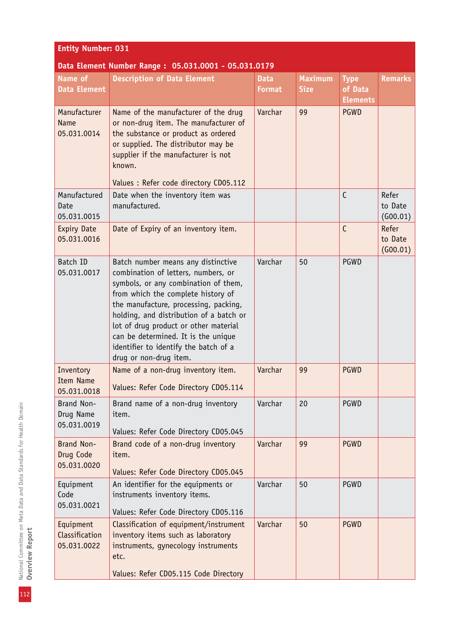| <b>Entity Number: 031</b>                    |                                                                                                                                                                                                                                                                                                                                                                                                |                              |                               |                                           |                              |  |  |
|----------------------------------------------|------------------------------------------------------------------------------------------------------------------------------------------------------------------------------------------------------------------------------------------------------------------------------------------------------------------------------------------------------------------------------------------------|------------------------------|-------------------------------|-------------------------------------------|------------------------------|--|--|
|                                              | Data Element Number Range: 05.031.0001 - 05.031.0179                                                                                                                                                                                                                                                                                                                                           |                              |                               |                                           |                              |  |  |
| Name of<br><b>Data Element</b>               | <b>Description of Data Element</b>                                                                                                                                                                                                                                                                                                                                                             | <b>Data</b><br><b>Format</b> | <b>Maximum</b><br><b>Size</b> | <b>Type</b><br>of Data<br><b>Elements</b> | <b>Remarks</b>               |  |  |
| Manufacturer<br><b>Name</b><br>05.031.0014   | Name of the manufacturer of the drug<br>or non-drug item. The manufacturer of<br>the substance or product as ordered<br>or supplied. The distributor may be<br>supplier if the manufacturer is not<br>known.<br>Values : Refer code directory CD05.112                                                                                                                                         | Varchar                      | 99                            | <b>PGWD</b>                               |                              |  |  |
| Manufactured<br>Date<br>05.031.0015          | Date when the inventory item was<br>manufactured.                                                                                                                                                                                                                                                                                                                                              |                              |                               | $\mathsf{C}$                              | Refer<br>to Date<br>(G00.01) |  |  |
| <b>Expiry Date</b><br>05.031.0016            | Date of Expiry of an inventory item.                                                                                                                                                                                                                                                                                                                                                           |                              |                               | $\mathsf{C}$                              | Refer<br>to Date<br>(G00.01) |  |  |
| Batch ID<br>05.031.0017                      | Batch number means any distinctive<br>combination of letters, numbers, or<br>symbols, or any combination of them,<br>from which the complete history of<br>the manufacture, processing, packing,<br>holding, and distribution of a batch or<br>lot of drug product or other material<br>can be determined. It is the unique<br>identifier to identify the batch of a<br>drug or non-drug item. | Varchar                      | 50                            | PGWD                                      |                              |  |  |
| Inventory<br><b>Item Name</b><br>05.031.0018 | Name of a non-drug inventory item.<br>Values: Refer Code Directory CD05.114                                                                                                                                                                                                                                                                                                                    | Varchar                      | 99                            | <b>PGWD</b>                               |                              |  |  |
| Brand Non-<br>Drug Name<br>05.031.0019       | Brand name of a non-drug inventory<br>item.<br>Values: Refer Code Directory CD05.045                                                                                                                                                                                                                                                                                                           | Varchar                      | 20                            | PGWD                                      |                              |  |  |
| Brand Non-<br>Drug Code<br>05.031.0020       | Brand code of a non-drug inventory<br>item.<br>Values: Refer Code Directory CD05.045                                                                                                                                                                                                                                                                                                           | Varchar                      | 99                            | <b>PGWD</b>                               |                              |  |  |
| Equipment<br>Code<br>05.031.0021             | An identifier for the equipments or<br>instruments inventory items.<br>Values: Refer Code Directory CD05.116                                                                                                                                                                                                                                                                                   | Varchar                      | 50                            | PGWD                                      |                              |  |  |
| Equipment<br>Classification<br>05.031.0022   | Classification of equipment/instrument<br>inventory items such as laboratory<br>instruments, gynecology instruments<br>etc.<br>Values: Refer CD05.115 Code Directory                                                                                                                                                                                                                           | Varchar                      | 50                            | <b>PGWD</b>                               |                              |  |  |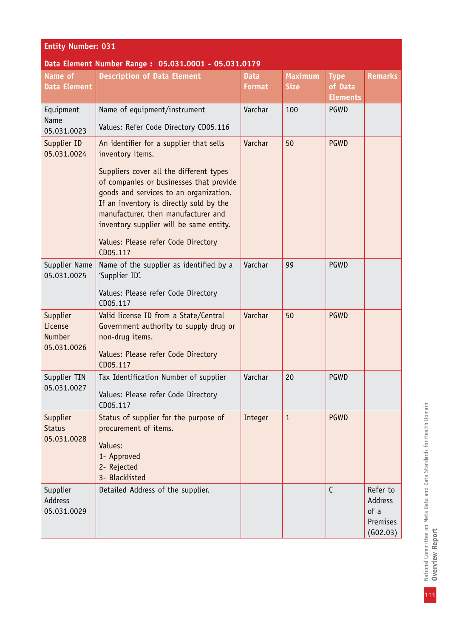| <b>Entity Number: 031</b>                            |                                                                                                                                                                                                                                                                                                                          |                              |                               |                                           |                                                     |  |  |
|------------------------------------------------------|--------------------------------------------------------------------------------------------------------------------------------------------------------------------------------------------------------------------------------------------------------------------------------------------------------------------------|------------------------------|-------------------------------|-------------------------------------------|-----------------------------------------------------|--|--|
| Data Element Number Range: 05.031.0001 - 05.031.0179 |                                                                                                                                                                                                                                                                                                                          |                              |                               |                                           |                                                     |  |  |
| Name of<br><b>Data Element</b>                       | <b>Description of Data Element</b>                                                                                                                                                                                                                                                                                       | <b>Data</b><br><b>Format</b> | <b>Maximum</b><br><b>Size</b> | <b>Type</b><br>of Data<br><b>Elements</b> | <b>Remarks</b>                                      |  |  |
| Equipment                                            | Name of equipment/instrument                                                                                                                                                                                                                                                                                             | Varchar                      | 100                           | PGWD                                      |                                                     |  |  |
| Name<br>05.031.0023                                  | Values: Refer Code Directory CD05.116                                                                                                                                                                                                                                                                                    |                              |                               |                                           |                                                     |  |  |
| Supplier ID<br>05.031.0024                           | An identifier for a supplier that sells<br>inventory items.<br>Suppliers cover all the different types<br>of companies or businesses that provide<br>goods and services to an organization.<br>If an inventory is directly sold by the<br>manufacturer, then manufacturer and<br>inventory supplier will be same entity. | Varchar                      | 50                            | <b>PGWD</b>                               |                                                     |  |  |
|                                                      | Values: Please refer Code Directory<br>CD05.117                                                                                                                                                                                                                                                                          |                              |                               |                                           |                                                     |  |  |
| Supplier Name<br>05.031.0025                         | Name of the supplier as identified by a<br>'Supplier ID'.<br>Values: Please refer Code Directory<br>CD05.117                                                                                                                                                                                                             | Varchar                      | 99                            | PGWD                                      |                                                     |  |  |
| Supplier<br>License<br>Number<br>05.031.0026         | Valid license ID from a State/Central<br>Government authority to supply drug or<br>non-drug items.<br>Values: Please refer Code Directory<br>CD05.117                                                                                                                                                                    | Varchar                      | 50                            | <b>PGWD</b>                               |                                                     |  |  |
| Supplier TIN<br>05.031.0027                          | Tax Identification Number of supplier<br>Values: Please refer Code Directory<br>CD05.117                                                                                                                                                                                                                                 | Varchar                      | 20                            | PGWD                                      |                                                     |  |  |
| Supplier<br><b>Status</b><br>05.031.0028             | Status of supplier for the purpose of<br>procurement of items.<br>Values:<br>1- Approved<br>2- Rejected<br>3- Blacklisted                                                                                                                                                                                                | Integer                      | $\mathbf{1}$                  | <b>PGWD</b>                               |                                                     |  |  |
| Supplier<br>Address<br>05.031.0029                   | Detailed Address of the supplier.                                                                                                                                                                                                                                                                                        |                              |                               | $\mathsf{C}$                              | Refer to<br>Address<br>of a<br>Premises<br>(602.03) |  |  |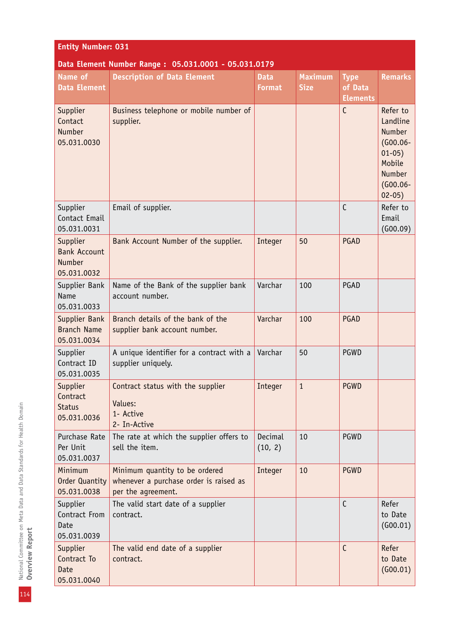| <b>Entity Number: 031</b>                                |                                                                                                |                              |                               |                                           |                                                                                                                 |  |  |
|----------------------------------------------------------|------------------------------------------------------------------------------------------------|------------------------------|-------------------------------|-------------------------------------------|-----------------------------------------------------------------------------------------------------------------|--|--|
| Data Element Number Range: 05.031.0001 - 05.031.0179     |                                                                                                |                              |                               |                                           |                                                                                                                 |  |  |
| Name of<br><b>Data Element</b>                           | <b>Description of Data Element</b>                                                             | <b>Data</b><br><b>Format</b> | <b>Maximum</b><br><b>Size</b> | <b>Type</b><br>of Data<br><b>Elements</b> | <b>Remarks</b>                                                                                                  |  |  |
| Supplier<br>Contact<br><b>Number</b><br>05.031.0030      | Business telephone or mobile number of<br>supplier.                                            |                              |                               | $\mathsf{C}$                              | Refer to<br>Landline<br><b>Number</b><br>$(G00.06 -$<br>$01-05)$<br>Mobile<br>Number<br>$(G00.06 -$<br>$02-05)$ |  |  |
| Supplier<br>Contact Email<br>05.031.0031                 | Email of supplier.                                                                             |                              |                               | $\mathsf{C}$                              | Refer to<br>Email<br>(600.09)                                                                                   |  |  |
| Supplier<br><b>Bank Account</b><br>Number<br>05.031.0032 | Bank Account Number of the supplier.                                                           | Integer                      | 50                            | PGAD                                      |                                                                                                                 |  |  |
| Supplier Bank<br><b>Name</b><br>05.031.0033              | Name of the Bank of the supplier bank<br>account number.                                       | Varchar                      | 100                           | PGAD                                      |                                                                                                                 |  |  |
| Supplier Bank<br><b>Branch Name</b><br>05.031.0034       | Branch details of the bank of the<br>supplier bank account number.                             | Varchar                      | 100                           | PGAD                                      |                                                                                                                 |  |  |
| Supplier<br>Contract ID<br>05.031.0035                   | A unique identifier for a contract with a<br>supplier uniquely.                                | Varchar                      | 50                            | PGWD                                      |                                                                                                                 |  |  |
| Supplier<br>Contract<br><b>Status</b><br>05.031.0036     | Contract status with the supplier<br>Values:<br>1- Active<br>2- In-Active                      | Integer                      | $\mathbf{1}$                  | <b>PGWD</b>                               |                                                                                                                 |  |  |
| Purchase Rate<br>Per Unit<br>05.031.0037                 | The rate at which the supplier offers to<br>sell the item.                                     | Decimal<br>(10, 2)           | 10                            | PGWD                                      |                                                                                                                 |  |  |
| Minimum<br><b>Order Quantity</b><br>05.031.0038          | Minimum quantity to be ordered<br>whenever a purchase order is raised as<br>per the agreement. | Integer                      | 10                            | <b>PGWD</b>                               |                                                                                                                 |  |  |
| Supplier<br>Contract From<br>Date<br>05.031.0039         | The valid start date of a supplier<br>contract.                                                |                              |                               | $\mathsf{C}$                              | Refer<br>to Date<br>(600.01)                                                                                    |  |  |
| Supplier<br>Contract To<br><b>Date</b><br>05.031.0040    | The valid end date of a supplier<br>contract.                                                  |                              |                               | $\mathsf{C}$                              | Refer<br>to Date<br>(600.01)                                                                                    |  |  |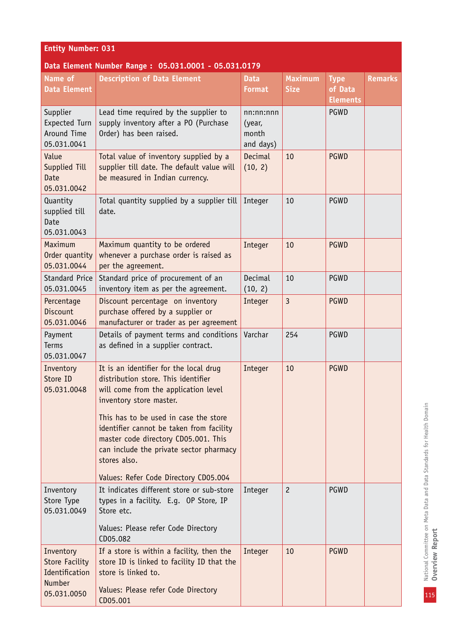| <b>Entity Number: 031</b>                                                     |                                                                                                                                                                                                                                                                                                                                                                                   |                                           |                               |                                           |                |  |  |
|-------------------------------------------------------------------------------|-----------------------------------------------------------------------------------------------------------------------------------------------------------------------------------------------------------------------------------------------------------------------------------------------------------------------------------------------------------------------------------|-------------------------------------------|-------------------------------|-------------------------------------------|----------------|--|--|
|                                                                               | Data Element Number Range: 05.031.0001 - 05.031.0179                                                                                                                                                                                                                                                                                                                              |                                           |                               |                                           |                |  |  |
| Name of<br><b>Data Element</b>                                                | <b>Description of Data Element</b>                                                                                                                                                                                                                                                                                                                                                | <b>Data</b><br><b>Format</b>              | <b>Maximum</b><br><b>Size</b> | <b>Type</b><br>of Data<br><b>Elements</b> | <b>Remarks</b> |  |  |
| Supplier<br>Expected Turn<br>Around Time<br>05.031.0041                       | Lead time required by the supplier to<br>supply inventory after a PO (Purchase<br>Order) has been raised.                                                                                                                                                                                                                                                                         | nn:nn:nnn<br>(year,<br>month<br>and days) |                               | <b>PGWD</b>                               |                |  |  |
| Value<br>Supplied Till<br>Date<br>05.031.0042                                 | Total value of inventory supplied by a<br>supplier till date. The default value will<br>be measured in Indian currency.                                                                                                                                                                                                                                                           | Decimal<br>(10, 2)                        | 10                            | <b>PGWD</b>                               |                |  |  |
| Quantity<br>supplied till<br>Date<br>05.031.0043                              | Total quantity supplied by a supplier till<br>date.                                                                                                                                                                                                                                                                                                                               | Integer                                   | 10                            | PGWD                                      |                |  |  |
| Maximum<br>Order quantity<br>05.031.0044                                      | Maximum quantity to be ordered<br>whenever a purchase order is raised as<br>per the agreement.                                                                                                                                                                                                                                                                                    | Integer                                   | 10                            | <b>PGWD</b>                               |                |  |  |
| <b>Standard Price</b><br>05.031.0045                                          | Standard price of procurement of an<br>inventory item as per the agreement.                                                                                                                                                                                                                                                                                                       | Decimal<br>(10, 2)                        | 10                            | PGWD                                      |                |  |  |
| Percentage<br><b>Discount</b><br>05.031.0046                                  | Discount percentage on inventory<br>purchase offered by a supplier or<br>manufacturer or trader as per agreement                                                                                                                                                                                                                                                                  | Integer                                   | $\overline{3}$                | <b>PGWD</b>                               |                |  |  |
| Payment<br><b>Terms</b><br>05.031.0047                                        | Details of payment terms and conditions<br>as defined in a supplier contract.                                                                                                                                                                                                                                                                                                     | Varchar                                   | 254                           | PGWD                                      |                |  |  |
| Inventory<br>Store ID<br>05.031.0048                                          | It is an identifier for the local drug<br>distribution store. This identifier<br>will come from the application level<br>inventory store master.<br>This has to be used in case the store<br>identifier cannot be taken from facility<br>master code directory CD05.001. This<br>can include the private sector pharmacy<br>stores also.<br>Values: Refer Code Directory CD05.004 | Integer                                   | 10                            | <b>PGWD</b>                               |                |  |  |
| Inventory<br>Store Type<br>05.031.0049                                        | It indicates different store or sub-store<br>types in a facility. E.g. OP Store, IP<br>Store etc.<br>Values: Please refer Code Directory<br>CD05.082                                                                                                                                                                                                                              | Integer                                   | $\overline{c}$                | PGWD                                      |                |  |  |
| Inventory<br><b>Store Facility</b><br>Identification<br>Number<br>05.031.0050 | If a store is within a facility, then the<br>store ID is linked to facility ID that the<br>store is linked to.<br>Values: Please refer Code Directory<br>CD05.001                                                                                                                                                                                                                 | Integer                                   | 10                            | <b>PGWD</b>                               |                |  |  |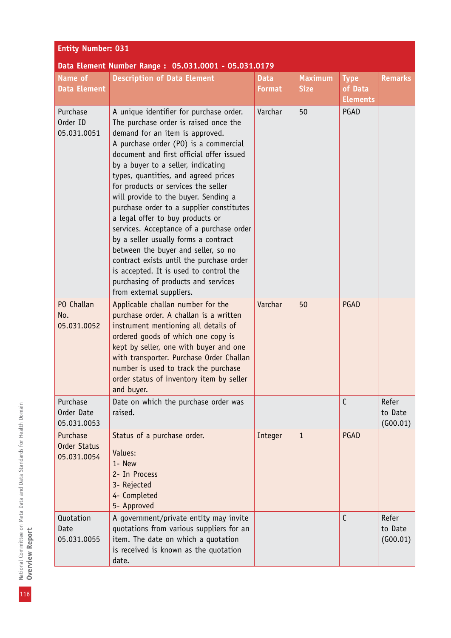| Name of                                        | bata Etchlicht Number Range: 05:051:0001 - 05:051:0173<br><b>Description of Data Element</b>                                                                                                                                                                                                                                                                                                                                                                                                                                                                                                                                                                                                                                              | <b>Data</b>   | <b>Maximum</b> | <b>Type</b>                | <b>Remarks</b>               |
|------------------------------------------------|-------------------------------------------------------------------------------------------------------------------------------------------------------------------------------------------------------------------------------------------------------------------------------------------------------------------------------------------------------------------------------------------------------------------------------------------------------------------------------------------------------------------------------------------------------------------------------------------------------------------------------------------------------------------------------------------------------------------------------------------|---------------|----------------|----------------------------|------------------------------|
| <b>Data Element</b>                            |                                                                                                                                                                                                                                                                                                                                                                                                                                                                                                                                                                                                                                                                                                                                           | <b>Format</b> | <b>Size</b>    | of Data<br><b>Elements</b> |                              |
| Purchase<br>Order ID<br>05.031.0051            | A unique identifier for purchase order.<br>The purchase order is raised once the<br>demand for an item is approved.<br>A purchase order (PO) is a commercial<br>document and first official offer issued<br>by a buyer to a seller, indicating<br>types, quantities, and agreed prices<br>for products or services the seller<br>will provide to the buyer. Sending a<br>purchase order to a supplier constitutes<br>a legal offer to buy products or<br>services. Acceptance of a purchase order<br>by a seller usually forms a contract<br>between the buyer and seller, so no<br>contract exists until the purchase order<br>is accepted. It is used to control the<br>purchasing of products and services<br>from external suppliers. | Varchar       | 50             | PGAD                       |                              |
| PO Challan<br>No.<br>05.031.0052               | Applicable challan number for the<br>purchase order. A challan is a written<br>instrument mentioning all details of<br>ordered goods of which one copy is<br>kept by seller, one with buyer and one<br>with transporter. Purchase Order Challan<br>number is used to track the purchase<br>order status of inventory item by seller<br>and buyer.                                                                                                                                                                                                                                                                                                                                                                                         | Varchar       | 50             | PGAD                       |                              |
| Purchase<br>Order Date<br>05.031.0053          | Date on which the purchase order was<br>raised.                                                                                                                                                                                                                                                                                                                                                                                                                                                                                                                                                                                                                                                                                           |               |                | C                          | Refer<br>to Date<br>(600.01) |
| Purchase<br><b>Order Status</b><br>05.031.0054 | Status of a purchase order.<br>Values:<br>1- New<br>2- In Process<br>3- Rejected<br>4- Completed<br>5- Approved                                                                                                                                                                                                                                                                                                                                                                                                                                                                                                                                                                                                                           | Integer       | $\mathbf{1}$   | PGAD                       |                              |
| Quotation<br>Date<br>05.031.0055               | A government/private entity may invite<br>quotations from various suppliers for an<br>item. The date on which a quotation<br>is received is known as the quotation<br>date.                                                                                                                                                                                                                                                                                                                                                                                                                                                                                                                                                               |               |                | $\mathsf{C}$               | Refer<br>to Date<br>(G00.01) |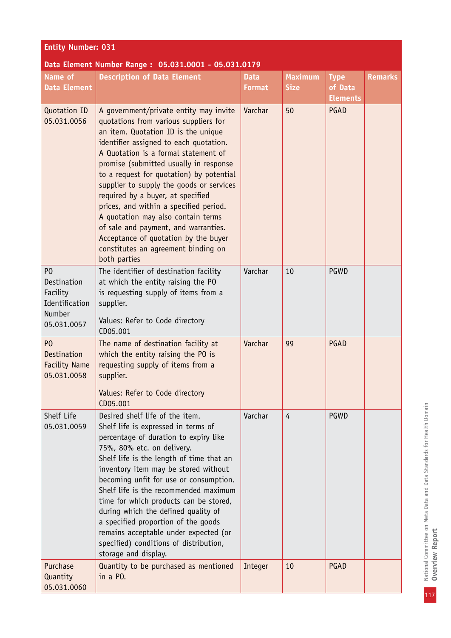| <b>Entity Number: 031</b>                                                            |                                                                                                                                                                                                                                                                                                                                                                                                                                                                                                                                                                                                        |                              |                               |                                           |                |  |  |
|--------------------------------------------------------------------------------------|--------------------------------------------------------------------------------------------------------------------------------------------------------------------------------------------------------------------------------------------------------------------------------------------------------------------------------------------------------------------------------------------------------------------------------------------------------------------------------------------------------------------------------------------------------------------------------------------------------|------------------------------|-------------------------------|-------------------------------------------|----------------|--|--|
| Data Element Number Range: 05.031.0001 - 05.031.0179                                 |                                                                                                                                                                                                                                                                                                                                                                                                                                                                                                                                                                                                        |                              |                               |                                           |                |  |  |
| <b>Name of</b><br><b>Data Element</b>                                                | <b>Description of Data Element</b>                                                                                                                                                                                                                                                                                                                                                                                                                                                                                                                                                                     | <b>Data</b><br><b>Format</b> | <b>Maximum</b><br><b>Size</b> | <b>Type</b><br>of Data<br><b>Elements</b> | <b>Remarks</b> |  |  |
| Quotation ID<br>05.031.0056                                                          | A government/private entity may invite<br>quotations from various suppliers for<br>an item. Quotation ID is the unique<br>identifier assigned to each quotation.<br>A Quotation is a formal statement of<br>promise (submitted usually in response<br>to a request for quotation) by potential<br>supplier to supply the goods or services<br>required by a buyer, at specified<br>prices, and within a specified period.<br>A quotation may also contain terms<br>of sale and payment, and warranties.<br>Acceptance of quotation by the buyer<br>constitutes an agreement binding on<br>both parties | Varchar                      | 50                            | PGAD                                      |                |  |  |
| P <sub>0</sub><br>Destination<br>Facility<br>Identification<br>Number<br>05.031.0057 | The identifier of destination facility<br>at which the entity raising the PO<br>is requesting supply of items from a<br>supplier.<br>Values: Refer to Code directory<br>CD05.001                                                                                                                                                                                                                                                                                                                                                                                                                       | Varchar                      | 10                            | PGWD                                      |                |  |  |
| P <sub>0</sub><br><b>Destination</b><br><b>Facility Name</b><br>05.031.0058          | The name of destination facility at<br>which the entity raising the PO is<br>requesting supply of items from a<br>supplier.<br>Values: Refer to Code directory<br>CD05.001                                                                                                                                                                                                                                                                                                                                                                                                                             | Varchar                      | 99                            | PGAD                                      |                |  |  |
| Shelf Life<br>05.031.0059                                                            | Desired shelf life of the item.<br>Shelf life is expressed in terms of<br>percentage of duration to expiry like<br>75%, 80% etc. on delivery.<br>Shelf life is the length of time that an<br>inventory item may be stored without<br>becoming unfit for use or consumption.<br>Shelf life is the recommended maximum<br>time for which products can be stored,<br>during which the defined quality of<br>a specified proportion of the goods<br>remains acceptable under expected (or<br>specified) conditions of distribution,<br>storage and display.                                                | Varchar                      | 4                             | PGWD                                      |                |  |  |
| Purchase<br>Quantity<br>05.031.0060                                                  | Quantity to be purchased as mentioned<br>in a PO.                                                                                                                                                                                                                                                                                                                                                                                                                                                                                                                                                      | Integer                      | 10                            | PGAD                                      |                |  |  |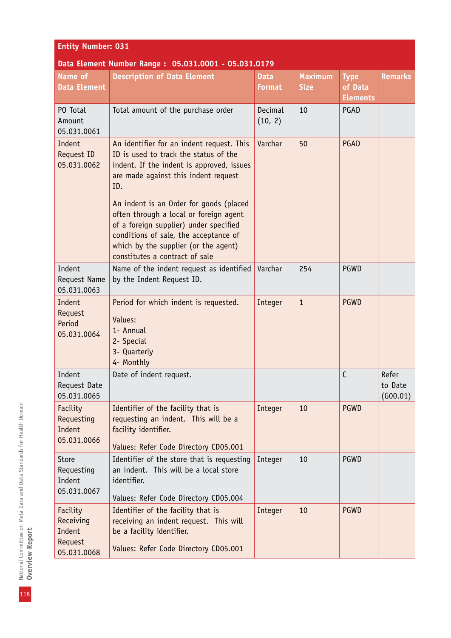| <b>Entity Number: 031</b>                                 |                                                                                                                                                                                                                                                                                                                                                                                                                                  |                              |                               |                                           |                              |  |
|-----------------------------------------------------------|----------------------------------------------------------------------------------------------------------------------------------------------------------------------------------------------------------------------------------------------------------------------------------------------------------------------------------------------------------------------------------------------------------------------------------|------------------------------|-------------------------------|-------------------------------------------|------------------------------|--|
|                                                           | Data Element Number Range: 05.031.0001 - 05.031.0179                                                                                                                                                                                                                                                                                                                                                                             |                              |                               |                                           |                              |  |
| Name of<br><b>Data Element</b>                            | <b>Description of Data Element</b>                                                                                                                                                                                                                                                                                                                                                                                               | <b>Data</b><br><b>Format</b> | <b>Maximum</b><br><b>Size</b> | <b>Type</b><br>of Data<br><b>Elements</b> | <b>Remarks</b>               |  |
| PO Total<br>Amount<br>05.031.0061                         | Total amount of the purchase order                                                                                                                                                                                                                                                                                                                                                                                               | Decimal<br>(10, 2)           | 10                            | PGAD                                      |                              |  |
| Indent<br>Request ID<br>05.031.0062                       | An identifier for an indent request. This<br>ID is used to track the status of the<br>indent. If the indent is approved, issues<br>are made against this indent request<br>ID.<br>An indent is an Order for goods (placed<br>often through a local or foreign agent<br>of a foreign supplier) under specified<br>conditions of sale, the acceptance of<br>which by the supplier (or the agent)<br>constitutes a contract of sale | Varchar                      | 50                            | PGAD                                      |                              |  |
| Indent<br>Request Name<br>05.031.0063                     | Name of the indent request as identified<br>by the Indent Request ID.                                                                                                                                                                                                                                                                                                                                                            | Varchar                      | 254                           | PGWD                                      |                              |  |
| Indent<br>Request<br>Period<br>05.031.0064                | Period for which indent is requested.<br>Values:<br>1- Annual<br>2- Special<br>3- Quarterly<br>4- Monthly                                                                                                                                                                                                                                                                                                                        | Integer                      | $\mathbf{1}$                  | <b>PGWD</b>                               |                              |  |
| Indent<br>Request Date<br>05.031.0065                     | Date of indent request.                                                                                                                                                                                                                                                                                                                                                                                                          |                              |                               | $\mathsf{C}$                              | Refer<br>to Date<br>(G00.01) |  |
| Facility<br>Requesting<br>Indent<br>05.031.0066           | Identifier of the facility that is<br>requesting an indent. This will be a<br>facility identifier.<br>Values: Refer Code Directory CD05.001                                                                                                                                                                                                                                                                                      | Integer                      | 10                            | <b>PGWD</b>                               |                              |  |
| Store<br>Requesting<br>Indent<br>05.031.0067              | Identifier of the store that is requesting<br>an indent. This will be a local store<br>identifier.<br>Values: Refer Code Directory CD05.004                                                                                                                                                                                                                                                                                      | Integer                      | 10                            | PGWD                                      |                              |  |
| Facility<br>Receiving<br>Indent<br>Request<br>05.031.0068 | Identifier of the facility that is<br>receiving an indent request. This will<br>be a facility identifier.<br>Values: Refer Code Directory CD05.001                                                                                                                                                                                                                                                                               | Integer                      | 10                            | <b>PGWD</b>                               |                              |  |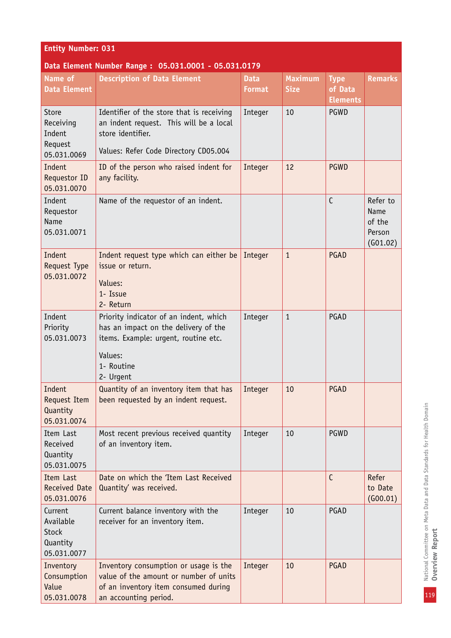| <b>Entity Number: 031</b>                                       |                                                                                                                                                              |                              |                               |                                           |                                                  |  |  |  |
|-----------------------------------------------------------------|--------------------------------------------------------------------------------------------------------------------------------------------------------------|------------------------------|-------------------------------|-------------------------------------------|--------------------------------------------------|--|--|--|
| Data Element Number Range: 05.031.0001 - 05.031.0179            |                                                                                                                                                              |                              |                               |                                           |                                                  |  |  |  |
| Name of<br><b>Data Element</b>                                  | <b>Description of Data Element</b>                                                                                                                           | <b>Data</b><br><b>Format</b> | <b>Maximum</b><br><b>Size</b> | <b>Type</b><br>of Data<br><b>Elements</b> | <b>Remarks</b>                                   |  |  |  |
| Store<br>Receiving<br>Indent<br>Request<br>05.031.0069          | Identifier of the store that is receiving<br>an indent request. This will be a local<br>store identifier.<br>Values: Refer Code Directory CD05.004           | Integer                      | 10                            | PGWD                                      |                                                  |  |  |  |
| Indent<br>Requestor ID<br>05.031.0070                           | ID of the person who raised indent for<br>any facility.                                                                                                      | Integer                      | 12                            | <b>PGWD</b>                               |                                                  |  |  |  |
| Indent<br>Requestor<br>Name<br>05.031.0071                      | Name of the requestor of an indent.                                                                                                                          |                              |                               | $\mathsf{C}$                              | Refer to<br>Name<br>of the<br>Person<br>(G01.02) |  |  |  |
| Indent<br>Request Type<br>05.031.0072                           | Indent request type which can either be<br>issue or return.<br>Values:<br>1- Issue<br>2- Return                                                              | Integer                      | $\mathbf{1}$                  | PGAD                                      |                                                  |  |  |  |
| Indent<br>Priority<br>05.031.0073                               | Priority indicator of an indent, which<br>has an impact on the delivery of the<br>items. Example: urgent, routine etc.<br>Values:<br>1- Routine<br>2- Urgent | Integer                      | $\mathbf{1}$                  | PGAD                                      |                                                  |  |  |  |
| Indent<br><b>Request Item</b><br>Quantity<br>05.031.0074        | Quantity of an inventory item that has<br>been requested by an indent request.                                                                               | Integer                      | 10                            | PGAD                                      |                                                  |  |  |  |
| Item Last<br>Received<br>Quantity<br>05.031.0075                | Most recent previous received quantity<br>of an inventory item.                                                                                              | Integer                      | 10                            | PGWD                                      |                                                  |  |  |  |
| Item Last<br><b>Received Date</b><br>05.031.0076                | Date on which the 'Item Last Received<br>Quantity' was received.                                                                                             |                              |                               | $\mathsf{C}$                              | Refer<br>to Date<br>(600.01)                     |  |  |  |
| Current<br>Available<br><b>Stock</b><br>Quantity<br>05.031.0077 | Current balance inventory with the<br>receiver for an inventory item.                                                                                        | Integer                      | 10                            | PGAD                                      |                                                  |  |  |  |
| Inventory<br>Consumption<br>Value<br>05.031.0078                | Inventory consumption or usage is the<br>value of the amount or number of units<br>of an inventory item consumed during<br>an accounting period.             | Integer                      | 10                            | PGAD                                      |                                                  |  |  |  |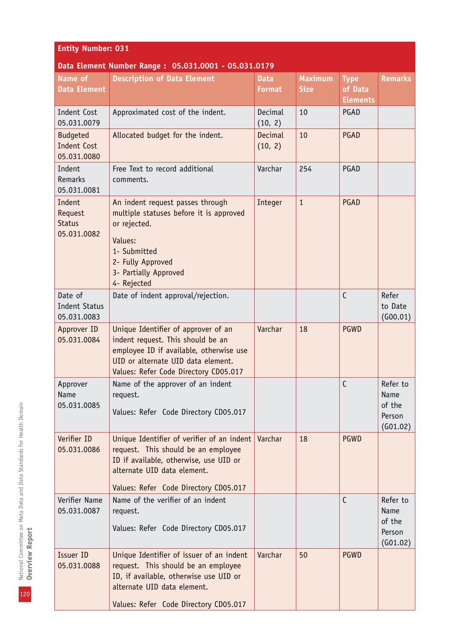| <b>Entity Number: 031</b>                            |                                                                                                                                                                                                     |                              |                               |                                           |                                                  |  |
|------------------------------------------------------|-----------------------------------------------------------------------------------------------------------------------------------------------------------------------------------------------------|------------------------------|-------------------------------|-------------------------------------------|--------------------------------------------------|--|
|                                                      | Data Element Number Range: 05.031.0001 - 05.031.0179                                                                                                                                                |                              |                               |                                           |                                                  |  |
| Name of<br><b>Data Element</b>                       | <b>Description of Data Element</b>                                                                                                                                                                  | <b>Data</b><br><b>Format</b> | <b>Maximum</b><br><b>Size</b> | <b>Type</b><br>of Data<br><b>Elements</b> | <b>Remarks</b>                                   |  |
| Indent Cost<br>05.031.0079                           | Approximated cost of the indent.                                                                                                                                                                    | Decimal<br>(10, 2)           | 10                            | PGAD                                      |                                                  |  |
| <b>Budgeted</b><br><b>Indent Cost</b><br>05.031.0080 | Allocated budget for the indent.                                                                                                                                                                    | Decimal<br>(10, 2)           | 10                            | PGAD                                      |                                                  |  |
| Indent<br><b>Remarks</b><br>05.031.0081              | Free Text to record additional<br>comments.                                                                                                                                                         | Varchar                      | 254                           | PGAD                                      |                                                  |  |
| Indent<br>Request<br><b>Status</b><br>05.031.0082    | An indent request passes through<br>multiple statuses before it is approved<br>or rejected.<br>Values:<br>1- Submitted<br>2- Fully Approved<br>3- Partially Approved<br>4- Rejected                 | Integer                      | $\mathbf{1}$                  | PGAD                                      |                                                  |  |
| Date of<br><b>Indent Status</b><br>05.031.0083       | Date of indent approval/rejection.                                                                                                                                                                  |                              |                               | $\mathsf{C}$                              | Refer<br>to Date<br>(G00.01)                     |  |
| Approver ID<br>05.031.0084                           | Unique Identifier of approver of an<br>indent request. This should be an<br>employee ID if available, otherwise use<br>UID or alternate UID data element.<br>Values: Refer Code Directory CD05.017  | Varchar                      | 18                            | <b>PGWD</b>                               |                                                  |  |
| Approver<br>Name<br>05.031.0085                      | Name of the approver of an indent<br>request.<br>Values: Refer Code Directory CD05.017                                                                                                              |                              |                               | $\mathcal{C}$                             | Refer to<br>Name<br>of the<br>Person<br>(G01.02) |  |
| Verifier ID<br>05.031.0086                           | Unique Identifier of verifier of an indent<br>request. This should be an employee<br>ID if available, otherwise, use UID or<br>alternate UID data element.<br>Values: Refer Code Directory CD05.017 | Varchar                      | 18                            | <b>PGWD</b>                               |                                                  |  |
| Verifier Name<br>05.031.0087                         | Name of the verifier of an indent<br>request.<br>Values: Refer Code Directory CD05.017                                                                                                              |                              |                               | $\mathsf{C}$                              | Refer to<br>Name<br>of the<br>Person<br>(G01.02) |  |
| Issuer ID<br>05.031.0088                             | Unique Identifier of issuer of an indent<br>request. This should be an employee<br>ID, if available, otherwise use UID or<br>alternate UID data element.<br>Values: Refer Code Directory CD05.017   | Varchar                      | 50                            | <b>PGWD</b>                               |                                                  |  |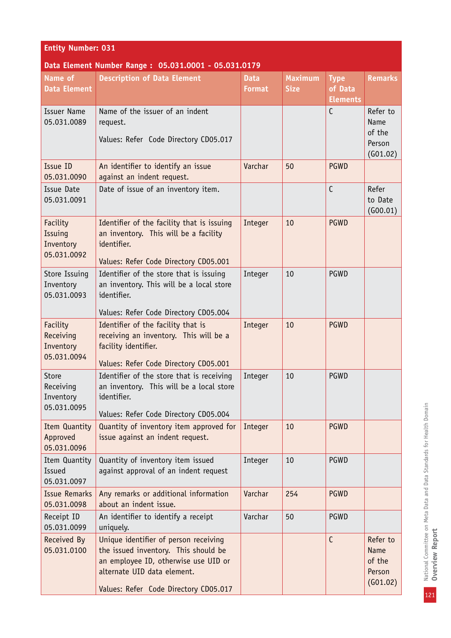| <b>Entity Number: 031</b>                         |                                                                                                                                                                                               |                              |                               |                                           |                                                         |  |  |
|---------------------------------------------------|-----------------------------------------------------------------------------------------------------------------------------------------------------------------------------------------------|------------------------------|-------------------------------|-------------------------------------------|---------------------------------------------------------|--|--|
|                                                   | Data Element Number Range: 05.031.0001 - 05.031.0179                                                                                                                                          |                              |                               |                                           |                                                         |  |  |
| Name of<br><b>Data Element</b>                    | <b>Description of Data Element</b>                                                                                                                                                            | <b>Data</b><br><b>Format</b> | <b>Maximum</b><br><b>Size</b> | <b>Type</b><br>of Data<br><b>Elements</b> | <b>Remarks</b>                                          |  |  |
| <b>Issuer Name</b><br>05.031.0089                 | Name of the issuer of an indent<br>request.<br>Values: Refer Code Directory CD05.017                                                                                                          |                              |                               | $\mathsf{C}$                              | Refer to<br>Name<br>of the<br>Person<br>(G01.02)        |  |  |
| Issue ID<br>05.031.0090                           | An identifier to identify an issue<br>against an indent request.                                                                                                                              | Varchar                      | 50                            | <b>PGWD</b>                               |                                                         |  |  |
| Issue Date<br>05.031.0091                         | Date of issue of an inventory item.                                                                                                                                                           |                              |                               | $\mathsf{C}$                              | Refer<br>to Date<br>(600.01)                            |  |  |
| Facility<br>Issuing<br>Inventory<br>05.031.0092   | Identifier of the facility that is issuing<br>an inventory. This will be a facility<br>identifier.<br>Values: Refer Code Directory CD05.001                                                   | Integer                      | 10                            | <b>PGWD</b>                               |                                                         |  |  |
| Store Issuing<br>Inventory<br>05.031.0093         | Identifier of the store that is issuing<br>an inventory. This will be a local store<br>identifier.<br>Values: Refer Code Directory CD05.004                                                   | Integer                      | 10                            | PGWD                                      |                                                         |  |  |
| Facility<br>Receiving<br>Inventory<br>05.031.0094 | Identifier of the facility that is<br>receiving an inventory. This will be a<br>facility identifier.<br>Values: Refer Code Directory CD05.001                                                 | Integer                      | 10                            | <b>PGWD</b>                               |                                                         |  |  |
| Store<br>Receiving<br>Inventory<br>05.031.0095    | Identifier of the store that is receiving<br>an inventory. This will be a local store<br>identifier.<br>Values: Refer Code Directory CD05.004                                                 | Integer                      | 10                            | <b>PGWD</b>                               |                                                         |  |  |
| Item Quantity<br>Approved<br>05.031.0096          | Quantity of inventory item approved for<br>issue against an indent request.                                                                                                                   | Integer                      | 10                            | <b>PGWD</b>                               |                                                         |  |  |
| Item Quantity<br><b>Issued</b><br>05.031.0097     | Quantity of inventory item issued<br>against approval of an indent request                                                                                                                    | Integer                      | 10                            | PGWD                                      |                                                         |  |  |
| <b>Issue Remarks</b><br>05.031.0098               | Any remarks or additional information<br>about an indent issue.                                                                                                                               | Varchar                      | 254                           | <b>PGWD</b>                               |                                                         |  |  |
| Receipt ID<br>05.031.0099                         | An identifier to identify a receipt<br>uniquely.                                                                                                                                              | Varchar                      | 50                            | <b>PGWD</b>                               |                                                         |  |  |
| Received By<br>05.031.0100                        | Unique identifier of person receiving<br>the issued inventory. This should be<br>an employee ID, otherwise use UID or<br>alternate UID data element.<br>Values: Refer Code Directory CD05.017 |                              |                               | $\mathsf{C}$                              | Refer to<br><b>Name</b><br>of the<br>Person<br>(601.02) |  |  |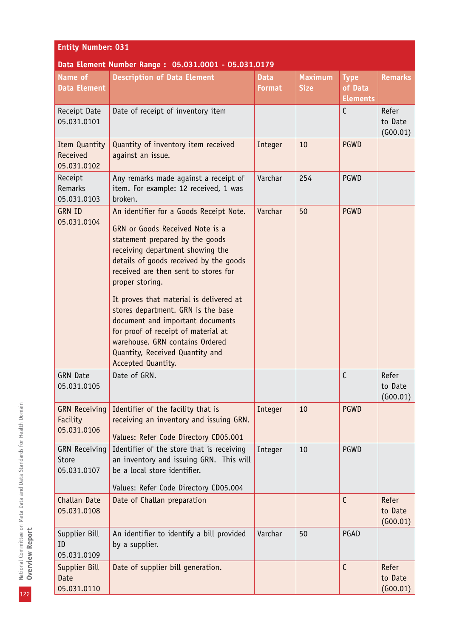#### **Entity Number: 031 Data Element Number Range : 05.031.0001 - 05.031.0179 Name of Data Element Description of Data Element Data Format Maximum Size Type of Data Elements Remarks** Receipt Date 05.031.0101 Date of receipt of inventory item C Refer to Date (G00.01) Item Quantity Received 05.031.0102 Quantity of inventory item received against an issue. Integer 10 PGWD Receipt Remarks 05.031.0103 Any remarks made against a receipt of item. For example: 12 received, 1 was broken. Varchar 254 PGWD GRN ID 05.031.0104 An identifier for a Goods Receipt Note. GRN or Goods Received Note is a statement prepared by the goods receiving department showing the details of goods received by the goods received are then sent to stores for proper storing. It proves that material is delivered at stores department. GRN is the base document and important documents for proof of receipt of material at warehouse. GRN contains Ordered Quantity, Received Quantity and Accepted Quantity. Varchar 50 PGWD GRN Date 05.031.0105 Date of GRN. The contract of the contract of the contract of the contract of the contract of the contract of the contract of the contract of the contract of the contract of the contract of the contract of the contract of t to Date (G00.01) GRN Receiving Facility 05.031.0106 Identifier of the facility that is receiving an inventory and issuing GRN. Values: Refer Code Directory CD05.001 Integer 10 PGWD GRN Receiving Store 05.031.0107 Identifier of the store that is receiving an inventory and issuing GRN. This will be a local store identifier. Values: Refer Code Directory CD05.004 Integer 10 PGWD Challan Date 05.031.0108 Date of Challan preparation **C** Refer to Date (G00.01) Supplier Bill ID 05.031.0109 An identifier to identify a bill provided by a supplier. Varchar 50 PGAD Supplier Bill Date Date of supplier bill generation.  $\begin{vmatrix} 1 & 1 \\ 1 & 1 \end{vmatrix}$  C Refer to Date

(G00.01)

05.031.0110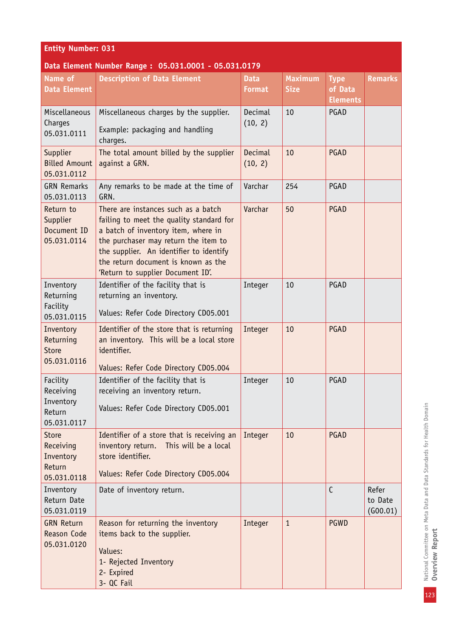| <b>Entity Number: 031</b>                                       |                                                                                                                                                                                                                                                                                       |                              |                               |                                           |                              |  |  |
|-----------------------------------------------------------------|---------------------------------------------------------------------------------------------------------------------------------------------------------------------------------------------------------------------------------------------------------------------------------------|------------------------------|-------------------------------|-------------------------------------------|------------------------------|--|--|
|                                                                 | Data Element Number Range: 05.031.0001 - 05.031.0179                                                                                                                                                                                                                                  |                              |                               |                                           |                              |  |  |
| Name of<br><b>Data Element</b>                                  | <b>Description of Data Element</b>                                                                                                                                                                                                                                                    | <b>Data</b><br><b>Format</b> | <b>Maximum</b><br><b>Size</b> | <b>Type</b><br>of Data<br><b>Elements</b> | <b>Remarks</b>               |  |  |
| Miscellaneous<br>Charges<br>05.031.0111                         | Miscellaneous charges by the supplier.<br>Example: packaging and handling<br>charges.                                                                                                                                                                                                 | Decimal<br>(10, 2)           | 10                            | PGAD                                      |                              |  |  |
| Supplier<br><b>Billed Amount</b><br>05.031.0112                 | The total amount billed by the supplier<br>against a GRN.                                                                                                                                                                                                                             | Decimal<br>(10, 2)           | 10                            | PGAD                                      |                              |  |  |
| <b>GRN Remarks</b><br>05.031.0113                               | Any remarks to be made at the time of<br>GRN.                                                                                                                                                                                                                                         | Varchar                      | 254                           | PGAD                                      |                              |  |  |
| Return to<br>Supplier<br>Document ID<br>05.031.0114             | There are instances such as a batch<br>failing to meet the quality standard for<br>a batch of inventory item, where in<br>the purchaser may return the item to<br>the supplier. An identifier to identify<br>the return document is known as the<br>'Return to supplier Document ID'. | Varchar                      | 50                            | PGAD                                      |                              |  |  |
| Inventory<br>Returning<br>Facility<br>05.031.0115               | Identifier of the facility that is<br>returning an inventory.<br>Values: Refer Code Directory CD05.001                                                                                                                                                                                | Integer                      | 10                            | PGAD                                      |                              |  |  |
| Inventory<br>Returning<br><b>Store</b><br>05.031.0116           | Identifier of the store that is returning<br>an inventory. This will be a local store<br>identifier.<br>Values: Refer Code Directory CD05.004                                                                                                                                         | Integer                      | 10                            | PGAD                                      |                              |  |  |
| Facility<br>Receiving<br>Inventory<br>Return<br>05.031.0117     | Identifier of the facility that is<br>receiving an inventory return.<br>Values: Refer Code Directory CD05.001                                                                                                                                                                         | Integer                      | 10                            | PGAD                                      |                              |  |  |
| <b>Store</b><br>Receiving<br>Inventory<br>Return<br>05.031.0118 | Identifier of a store that is receiving an<br>inventory return.<br>This will be a local<br>store identifier.<br>Values: Refer Code Directory CD05.004                                                                                                                                 | Integer                      | 10                            | PGAD                                      |                              |  |  |
| Inventory<br>Return Date<br>05.031.0119                         | Date of inventory return.                                                                                                                                                                                                                                                             |                              |                               | $\mathsf{C}$                              | Refer<br>to Date<br>(G00.01) |  |  |
| <b>GRN Return</b><br><b>Reason Code</b><br>05.031.0120          | Reason for returning the inventory<br>items back to the supplier.<br>Values:<br>1- Rejected Inventory<br>2- Expired<br>3- QC Fail                                                                                                                                                     | Integer                      | $\mathbf{1}$                  | <b>PGWD</b>                               |                              |  |  |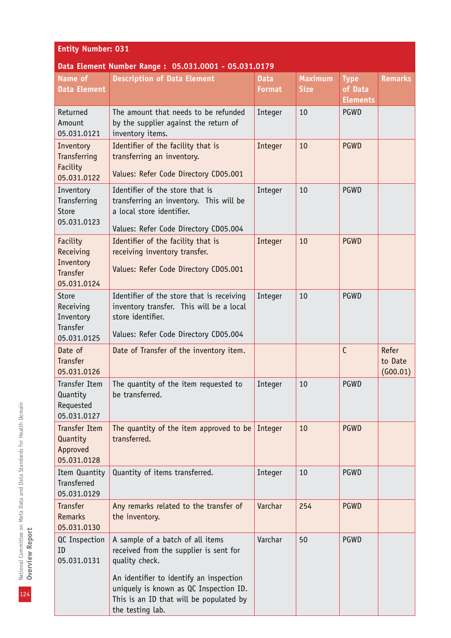| <b>Entity Number: 031</b> |
|---------------------------|
|---------------------------|

| Name of                                                              | <b>Description of Data Element</b>                                                                                                                  | <b>Data</b>   | <b>Maximum</b> | <b>Type</b>                | <b>Remarks</b>               |
|----------------------------------------------------------------------|-----------------------------------------------------------------------------------------------------------------------------------------------------|---------------|----------------|----------------------------|------------------------------|
| <b>Data Element</b>                                                  |                                                                                                                                                     | <b>Format</b> | <b>Size</b>    | of Data<br><b>Elements</b> |                              |
| Returned<br>Amount<br>05.031.0121                                    | The amount that needs to be refunded<br>by the supplier against the return of<br>inventory items.                                                   | Integer       | 10             | PGWD                       |                              |
| Inventory<br>Transferring<br>Facility<br>05.031.0122                 | Identifier of the facility that is<br>transferring an inventory.<br>Values: Refer Code Directory CD05.001                                           | Integer       | 10             | <b>PGWD</b>                |                              |
| Inventory<br>Transferring<br>Store<br>05.031.0123                    | Identifier of the store that is<br>transferring an inventory. This will be<br>a local store identifier.<br>Values: Refer Code Directory CD05.004    | Integer       | 10             | PGWD                       |                              |
| Facility<br>Receiving<br>Inventory<br><b>Transfer</b><br>05.031.0124 | Identifier of the facility that is<br>receiving inventory transfer.<br>Values: Refer Code Directory CD05.001                                        | Integer       | 10             | <b>PGWD</b>                |                              |
| <b>Store</b><br>Receiving<br>Inventory<br>Transfer<br>05.031.0125    | Identifier of the store that is receiving<br>inventory transfer. This will be a local<br>store identifier.<br>Values: Refer Code Directory CD05.004 | Integer       | 10             | PGWD                       |                              |
| Date of<br><b>Transfer</b><br>05.031.0126                            | Date of Transfer of the inventory item.                                                                                                             |               |                | C                          | Refer<br>to Date<br>(600.01) |
| <b>Transfer Item</b><br>Quantity<br>Requested<br>05.031.0127         | The quantity of the item requested to<br>be transferred.                                                                                            | Integer       | 10             | PGWD                       |                              |
| <b>Transfer Item</b><br>Quantity<br>Approved<br>05.031.0128          | The quantity of the item approved to be<br>transferred.                                                                                             | Integer       | 10             | <b>PGWD</b>                |                              |
| Item Quantity<br><b>Transferred</b><br>05.031.0129                   | Quantity of items transferred.                                                                                                                      | Integer       | 10             | PGWD                       |                              |
| <b>Transfer</b><br><b>Remarks</b><br>05.031.0130                     | Any remarks related to the transfer of<br>the inventory.                                                                                            | Varchar       | 254            | <b>PGWD</b>                |                              |
| QC Inspection<br>ID<br>05.031.0131                                   | A sample of a batch of all items<br>received from the supplier is sent for<br>quality check.                                                        | Varchar       | 50             | PGWD                       |                              |
|                                                                      | An identifier to identify an inspection<br>uniquely is known as QC Inspection ID.<br>This is an ID that will be populated by<br>the testing lab.    |               |                |                            |                              |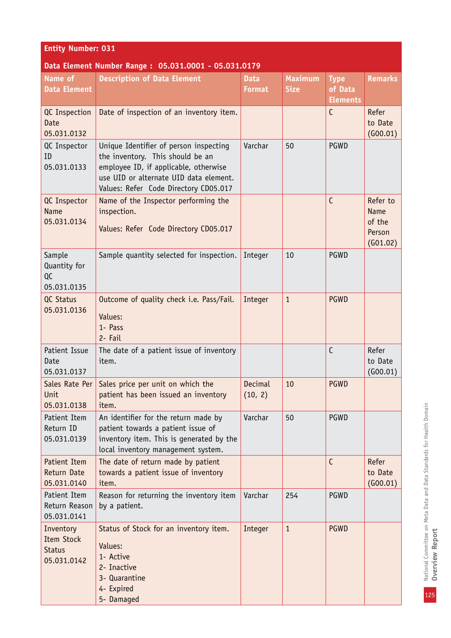| <b>Entity Number: 031</b>                                      |                                                                                                                                                                                                        |                              |                               |                                           |                                                         |  |
|----------------------------------------------------------------|--------------------------------------------------------------------------------------------------------------------------------------------------------------------------------------------------------|------------------------------|-------------------------------|-------------------------------------------|---------------------------------------------------------|--|
|                                                                | Data Element Number Range: 05.031.0001 - 05.031.0179                                                                                                                                                   |                              |                               |                                           |                                                         |  |
| Name of<br><b>Data Element</b>                                 | <b>Description of Data Element</b>                                                                                                                                                                     | <b>Data</b><br><b>Format</b> | <b>Maximum</b><br><b>Size</b> | <b>Type</b><br>of Data<br><b>Elements</b> | <b>Remarks</b>                                          |  |
| QC Inspection<br><b>Date</b><br>05.031.0132                    | Date of inspection of an inventory item.                                                                                                                                                               |                              |                               | $\mathsf{C}$                              | Refer<br>to Date<br>(G00.01)                            |  |
| QC Inspector<br>ID<br>05.031.0133                              | Unique Identifier of person inspecting<br>the inventory. This should be an<br>employee ID, if applicable, otherwise<br>use UID or alternate UID data element.<br>Values: Refer Code Directory CD05.017 | Varchar                      | 50                            | PGWD                                      |                                                         |  |
| QC Inspector<br><b>Name</b><br>05.031.0134                     | Name of the Inspector performing the<br>inspection.<br>Values: Refer Code Directory CD05.017                                                                                                           |                              |                               | $\mathsf{C}$                              | Refer to<br><b>Name</b><br>of the<br>Person<br>(G01.02) |  |
| Sample<br>Quantity for<br>QC<br>05.031.0135                    | Sample quantity selected for inspection.                                                                                                                                                               | Integer                      | 10                            | PGWD                                      |                                                         |  |
| QC Status<br>05.031.0136                                       | Outcome of quality check i.e. Pass/Fail.<br>Values:<br>1- Pass<br>2- Fail                                                                                                                              | Integer                      | $\mathbf{1}$                  | <b>PGWD</b>                               |                                                         |  |
| Patient Issue<br>Date<br>05.031.0137                           | The date of a patient issue of inventory<br>item.                                                                                                                                                      |                              |                               | $\mathsf{C}$                              | Refer<br>to Date<br>(600.01)                            |  |
| Unit<br>05.031.0138                                            | Sales Rate Per   Sales price per unit on which the<br>patient has been issued an inventory<br>item.                                                                                                    | Decimal<br>(10, 2)           | 10                            | <b>PGWD</b>                               |                                                         |  |
| Patient Item<br>Return ID<br>05.031.0139                       | An identifier for the return made by<br>patient towards a patient issue of<br>inventory item. This is generated by the<br>local inventory management system.                                           | Varchar                      | 50                            | PGWD                                      |                                                         |  |
| Patient Item<br>Return Date<br>05.031.0140                     | The date of return made by patient<br>towards a patient issue of inventory<br>item.                                                                                                                    |                              |                               | $\mathsf{C}$                              | Refer<br>to Date<br>(G00.01)                            |  |
| Patient Item<br>Return Reason<br>05.031.0141                   | Reason for returning the inventory item<br>by a patient.                                                                                                                                               | Varchar                      | 254                           | PGWD                                      |                                                         |  |
| Inventory<br><b>Item Stock</b><br><b>Status</b><br>05.031.0142 | Status of Stock for an inventory item.<br>Values:<br>1- Active<br>2- Inactive<br>3- Quarantine<br>4- Expired<br>5- Damaged                                                                             | Integer                      | $\mathbf{1}$                  | <b>PGWD</b>                               |                                                         |  |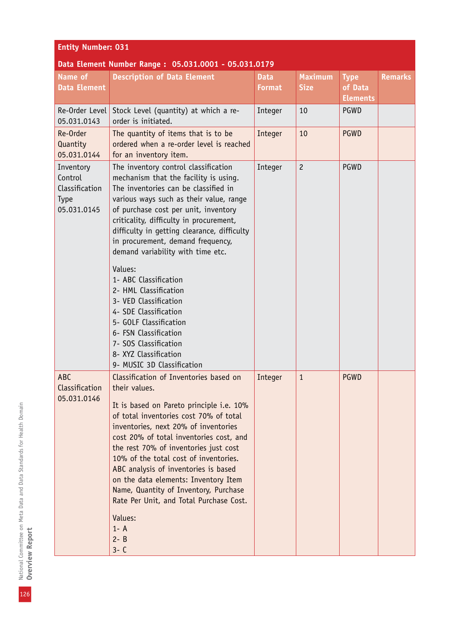#### **Data Element Number Range : 05.031.0001 - 05.031.0179**

| Name of<br><b>Data Element</b>                                       | pata Etement Number Range: 00.001.0001 - 00.001.0179<br><b>Description of Data Element</b>                                                                                                                                                                                                                                                                                                                                                                                                                                                                                                                                     | <b>Data</b><br><b>Format</b> | <b>Maximum</b><br><b>Size</b> | <b>Type</b><br>of Data<br><b>Elements</b> | <b>Remarks</b> |
|----------------------------------------------------------------------|--------------------------------------------------------------------------------------------------------------------------------------------------------------------------------------------------------------------------------------------------------------------------------------------------------------------------------------------------------------------------------------------------------------------------------------------------------------------------------------------------------------------------------------------------------------------------------------------------------------------------------|------------------------------|-------------------------------|-------------------------------------------|----------------|
| Re-Order Level<br>05.031.0143                                        | Stock Level (quantity) at which a re-<br>order is initiated.                                                                                                                                                                                                                                                                                                                                                                                                                                                                                                                                                                   | Integer                      | 10                            | PGWD                                      |                |
| Re-Order<br>Quantity<br>05.031.0144                                  | The quantity of items that is to be<br>ordered when a re-order level is reached<br>for an inventory item.                                                                                                                                                                                                                                                                                                                                                                                                                                                                                                                      | Integer                      | 10                            | <b>PGWD</b>                               |                |
| Inventory<br>Control<br>Classification<br><b>Type</b><br>05.031.0145 | The inventory control classification<br>mechanism that the facility is using.<br>The inventories can be classified in<br>various ways such as their value, range<br>of purchase cost per unit, inventory<br>criticality, difficulty in procurement,<br>difficulty in getting clearance, difficulty<br>in procurement, demand frequency,<br>demand variability with time etc.<br>Values:<br>1- ABC Classification<br>2- HML Classification<br>3- VED Classification<br>4- SDE Classification<br>5- GOLF Classification<br>6- FSN Classification<br>7- SOS Classification<br>8- XYZ Classification<br>9- MUSIC 3D Classification | Integer                      | $\overline{c}$                | PGWD                                      |                |
| ABC<br>Classification<br>05.031.0146                                 | Classification of Inventories based on<br>their values.<br>It is based on Pareto principle i.e. 10%<br>of total inventories cost 70% of total<br>inventories, next 20% of inventories<br>cost 20% of total inventories cost, and<br>the rest 70% of inventories just cost<br>10% of the total cost of inventories.<br>ABC analysis of inventories is based<br>on the data elements: Inventory Item<br>Name, Quantity of Inventory, Purchase<br>Rate Per Unit, and Total Purchase Cost.<br>Values:<br>$1 - A$<br>$2 - B$<br>$3 - C$                                                                                             | Integer                      | $\mathbf{1}$                  | <b>PGWD</b>                               |                |

126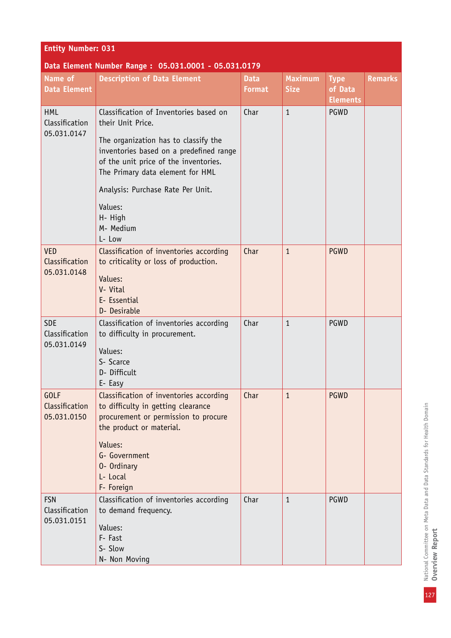| <b>Entity Number: 031</b>                            |                                                                                                                                                                                                                                                                                        |                              |                               |                                           |                |  |  |
|------------------------------------------------------|----------------------------------------------------------------------------------------------------------------------------------------------------------------------------------------------------------------------------------------------------------------------------------------|------------------------------|-------------------------------|-------------------------------------------|----------------|--|--|
| Data Element Number Range: 05.031.0001 - 05.031.0179 |                                                                                                                                                                                                                                                                                        |                              |                               |                                           |                |  |  |
| Name of<br><b>Data Element</b>                       | <b>Description of Data Element</b>                                                                                                                                                                                                                                                     | <b>Data</b><br><b>Format</b> | <b>Maximum</b><br><b>Size</b> | <b>Type</b><br>of Data<br><b>Elements</b> | <b>Remarks</b> |  |  |
| <b>HML</b><br>Classification<br>05.031.0147          | Classification of Inventories based on<br>their Unit Price.<br>The organization has to classify the<br>inventories based on a predefined range<br>of the unit price of the inventories.<br>The Primary data element for HML<br>Analysis: Purchase Rate Per Unit.<br>Values:<br>H- High | Char                         | $\mathbf{1}$                  | PGWD                                      |                |  |  |
|                                                      | M- Medium<br>L- Low                                                                                                                                                                                                                                                                    |                              |                               |                                           |                |  |  |
| <b>VED</b><br>Classification<br>05.031.0148          | Classification of inventories according<br>to criticality or loss of production.<br>Values:<br>V- Vital<br>E- Essential<br>D- Desirable                                                                                                                                                | Char                         | $\mathbf{1}$                  | <b>PGWD</b>                               |                |  |  |
| <b>SDE</b><br>Classification<br>05.031.0149          | Classification of inventories according<br>to difficulty in procurement.<br>Values:<br>S- Scarce<br>D- Difficult<br>E- Easy                                                                                                                                                            | Char                         | $\mathbf{1}$                  | PGWD                                      |                |  |  |
| <b>GOLF</b><br>Classification<br>05.031.0150         | Classification of inventories according<br>to difficulty in getting clearance<br>procurement or permission to procure<br>the product or material.<br>Values:<br>G- Government<br>0- Ordinary<br>L- Local<br>F- Foreign                                                                 | Char                         | $\mathbf{1}$                  | <b>PGWD</b>                               |                |  |  |
| <b>FSN</b><br>Classification<br>05.031.0151          | Classification of inventories according<br>to demand frequency.<br>Values:<br>F- Fast<br>S- Slow<br>N- Non Moving                                                                                                                                                                      | Char                         | $\mathbf{1}$                  | PGWD                                      |                |  |  |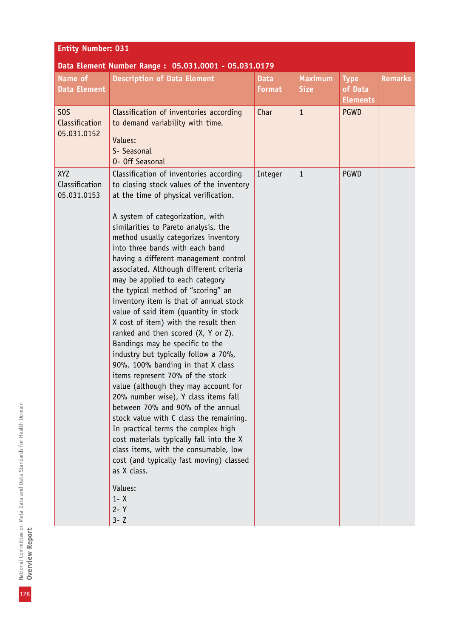| <b>Entity Number: 031</b>                         |                                                                                                                                                                                                                                                                                                                                                                                                                                                                                                                                                                                                                                                                                                                                                                                                                                                                                                                                                                                                                                                                                                                                                                           |                              |                               |                                           |                |  |
|---------------------------------------------------|---------------------------------------------------------------------------------------------------------------------------------------------------------------------------------------------------------------------------------------------------------------------------------------------------------------------------------------------------------------------------------------------------------------------------------------------------------------------------------------------------------------------------------------------------------------------------------------------------------------------------------------------------------------------------------------------------------------------------------------------------------------------------------------------------------------------------------------------------------------------------------------------------------------------------------------------------------------------------------------------------------------------------------------------------------------------------------------------------------------------------------------------------------------------------|------------------------------|-------------------------------|-------------------------------------------|----------------|--|
| Name of<br><b>Data Element</b>                    | Data Element Number Range: 05.031.0001 - 05.031.0179<br><b>Description of Data Element</b>                                                                                                                                                                                                                                                                                                                                                                                                                                                                                                                                                                                                                                                                                                                                                                                                                                                                                                                                                                                                                                                                                | <b>Data</b><br><b>Format</b> | <b>Maximum</b><br><b>Size</b> | <b>Type</b><br>of Data<br><b>Elements</b> | <b>Remarks</b> |  |
| S <sub>0</sub> S<br>Classification<br>05.031.0152 | Classification of inventories according<br>to demand variability with time.<br>Values:<br>S- Seasonal<br>0- Off Seasonal                                                                                                                                                                                                                                                                                                                                                                                                                                                                                                                                                                                                                                                                                                                                                                                                                                                                                                                                                                                                                                                  | Char                         | $\mathbf{1}$                  | <b>PGWD</b>                               |                |  |
| XYZ<br>Classification<br>05.031.0153              | Classification of inventories according<br>to closing stock values of the inventory<br>at the time of physical verification.<br>A system of categorization, with<br>similarities to Pareto analysis, the<br>method usually categorizes inventory<br>into three bands with each band<br>having a different management control<br>associated. Although different criteria<br>may be applied to each category<br>the typical method of "scoring" an<br>inventory item is that of annual stock<br>value of said item (quantity in stock<br>X cost of item) with the result then<br>ranked and then scored (X, Y or Z).<br>Bandings may be specific to the<br>industry but typically follow a 70%,<br>90%, 100% banding in that X class<br>items represent 70% of the stock<br>value (although they may account for<br>20% number wise), Y class items fall<br>between 70% and 90% of the annual<br>stock value with C class the remaining.<br>In practical terms the complex high<br>cost materials typically fall into the X<br>class items, with the consumable, low<br>cost (and typically fast moving) classed<br>as X class.<br>Values:<br>$1 - X$<br>$2 - Y$<br>$3 - 7$ | Integer                      | $\mathbf{1}$                  | PGWD                                      |                |  |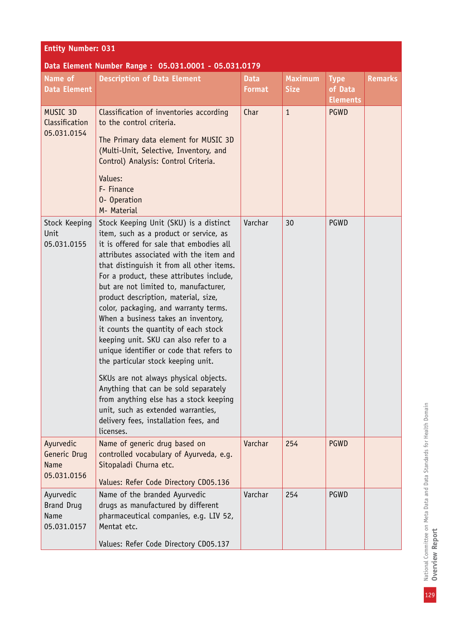| <b>Entity Number: 031</b>                             |                                                                                                                                                                                                                                                                                                                                                                                                                                                                                                                                                                                                                                                                                                                                                                                                                             |                              |                               |                                           |                |  |  |
|-------------------------------------------------------|-----------------------------------------------------------------------------------------------------------------------------------------------------------------------------------------------------------------------------------------------------------------------------------------------------------------------------------------------------------------------------------------------------------------------------------------------------------------------------------------------------------------------------------------------------------------------------------------------------------------------------------------------------------------------------------------------------------------------------------------------------------------------------------------------------------------------------|------------------------------|-------------------------------|-------------------------------------------|----------------|--|--|
| Data Element Number Range: 05.031.0001 - 05.031.0179  |                                                                                                                                                                                                                                                                                                                                                                                                                                                                                                                                                                                                                                                                                                                                                                                                                             |                              |                               |                                           |                |  |  |
| Name of<br><b>Data Element</b>                        | <b>Description of Data Element</b>                                                                                                                                                                                                                                                                                                                                                                                                                                                                                                                                                                                                                                                                                                                                                                                          | <b>Data</b><br><b>Format</b> | <b>Maximum</b><br><b>Size</b> | <b>Type</b><br>of Data<br><b>Elements</b> | <b>Remarks</b> |  |  |
| MUSIC 3D<br>Classification<br>05.031.0154             | Classification of inventories according<br>to the control criteria.<br>The Primary data element for MUSIC 3D<br>(Multi-Unit, Selective, Inventory, and<br>Control) Analysis: Control Criteria.<br>Values:<br>F- Finance<br>0- Operation<br>M- Material                                                                                                                                                                                                                                                                                                                                                                                                                                                                                                                                                                      | Char                         | $\mathbf{1}$                  | <b>PGWD</b>                               |                |  |  |
| Stock Keeping<br>Unit<br>05.031.0155                  | Stock Keeping Unit (SKU) is a distinct<br>item, such as a product or service, as<br>it is offered for sale that embodies all<br>attributes associated with the item and<br>that distinguish it from all other items.<br>For a product, these attributes include,<br>but are not limited to, manufacturer,<br>product description, material, size,<br>color, packaging, and warranty terms.<br>When a business takes an inventory,<br>it counts the quantity of each stock<br>keeping unit. SKU can also refer to a<br>unique identifier or code that refers to<br>the particular stock keeping unit.<br>SKUs are not always physical objects.<br>Anything that can be sold separately<br>from anything else has a stock keeping<br>unit, such as extended warranties,<br>delivery fees, installation fees, and<br>licenses. | Varchar                      | 30                            | PGWD                                      |                |  |  |
| Ayurvedic<br>Generic Drug<br>Name<br>05.031.0156      | Name of generic drug based on<br>controlled vocabulary of Ayurveda, e.g.<br>Sitopaladi Churna etc.<br>Values: Refer Code Directory CD05.136                                                                                                                                                                                                                                                                                                                                                                                                                                                                                                                                                                                                                                                                                 | Varchar                      | 254                           | <b>PGWD</b>                               |                |  |  |
| Ayurvedic<br><b>Brand Drug</b><br>Name<br>05.031.0157 | Name of the branded Ayurvedic<br>drugs as manufactured by different<br>pharmaceutical companies, e.g. LIV 52,<br>Mentat etc.<br>Values: Refer Code Directory CD05.137                                                                                                                                                                                                                                                                                                                                                                                                                                                                                                                                                                                                                                                       | Varchar                      | 254                           | PGWD                                      |                |  |  |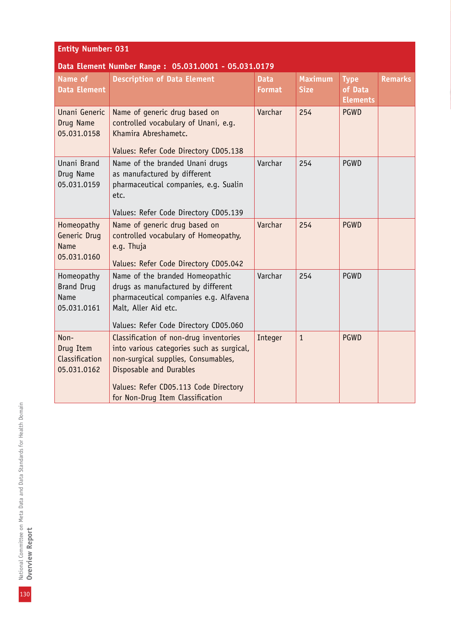| <b>Entity Number: 031</b> |  |  |
|---------------------------|--|--|
|                           |  |  |

| Name of<br><b>Data Element</b>                           | <b>Description of Data Element</b>                                                                                                                                                                                                 | <b>Data</b><br><b>Format</b> | <b>Maximum</b><br><b>Size</b> | <b>Type</b><br>of Data<br><b>Elements</b> | <b>Remarks</b> |
|----------------------------------------------------------|------------------------------------------------------------------------------------------------------------------------------------------------------------------------------------------------------------------------------------|------------------------------|-------------------------------|-------------------------------------------|----------------|
| Unani Generic<br>Drug Name<br>05.031.0158                | Name of generic drug based on<br>controlled vocabulary of Unani, e.g.<br>Khamira Abreshametc.<br>Values: Refer Code Directory CD05.138                                                                                             | Varchar                      | 254                           | <b>PGWD</b>                               |                |
| Unani Brand<br>Drug Name<br>05.031.0159                  | Name of the branded Unani drugs<br>as manufactured by different<br>pharmaceutical companies, e.g. Sualin<br>etc.<br>Values: Refer Code Directory CD05.139                                                                          | Varchar                      | 254                           | PGWD                                      |                |
| Homeopathy<br>Generic Drug<br><b>Name</b><br>05.031.0160 | Name of generic drug based on<br>controlled vocabulary of Homeopathy,<br>e.g. Thuja<br>Values: Refer Code Directory CD05.042                                                                                                       | Varchar                      | 254                           | <b>PGWD</b>                               |                |
| Homeopathy<br><b>Brand Drug</b><br>Name<br>05.031.0161   | Name of the branded Homeopathic<br>drugs as manufactured by different<br>pharmaceutical companies e.g. Alfavena<br>Malt, Aller Aid etc.<br>Values: Refer Code Directory CD05.060                                                   | Varchar                      | 254                           | PGWD                                      |                |
| Non-<br>Drug Item<br>Classification<br>05.031.0162       | Classification of non-drug inventories<br>into various categories such as surgical,<br>non-surgical supplies, Consumables,<br>Disposable and Durables<br>Values: Refer CD05.113 Code Directory<br>for Non-Drug Item Classification | Integer                      | $\mathbf{1}$                  | <b>PGWD</b>                               |                |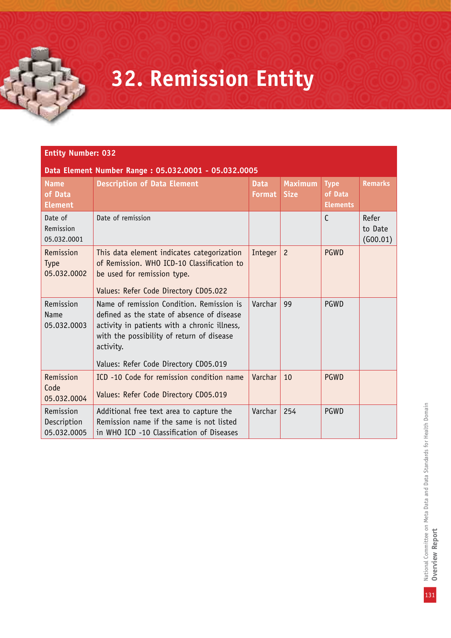## **32. Remission Entity**

#### **Entity Number: 032**

| <b>Name</b><br>of Data<br><b>Element</b> | <b>Description of Data Element</b>                                                                                                                                                                                                         | <b>Data</b><br><b>Format</b> | <b>Maximum</b><br><b>Size</b> | <b>Type</b><br>of Data<br><b>Elements</b> | <b>Remarks</b>               |
|------------------------------------------|--------------------------------------------------------------------------------------------------------------------------------------------------------------------------------------------------------------------------------------------|------------------------------|-------------------------------|-------------------------------------------|------------------------------|
| Date of<br>Remission<br>05.032.0001      | Date of remission                                                                                                                                                                                                                          |                              |                               | $\mathsf{C}$                              | Refer<br>to Date<br>(600.01) |
| Remission<br><b>Type</b><br>05.032.0002  | This data element indicates categorization<br>of Remission. WHO ICD-10 Classification to<br>be used for remission type.<br>Values: Refer Code Directory CD05.022                                                                           | Integer                      | $\overline{c}$                | <b>PGWD</b>                               |                              |
| Remission<br>Name<br>05.032.0003         | Name of remission Condition. Remission is<br>defined as the state of absence of disease<br>activity in patients with a chronic illness,<br>with the possibility of return of disease<br>activity.<br>Values: Refer Code Directory CD05.019 | Varchar                      | 99                            | <b>PGWD</b>                               |                              |
| Remission<br>Code<br>05.032.0004         | ICD -10 Code for remission condition name<br>Values: Refer Code Directory CD05.019                                                                                                                                                         | Varchar                      | 10                            | <b>PGWD</b>                               |                              |
| Remission<br>Description<br>05.032.0005  | Additional free text area to capture the<br>Remission name if the same is not listed<br>in WHO ICD -10 Classification of Diseases                                                                                                          | Varchar                      | 254                           | PGWD                                      |                              |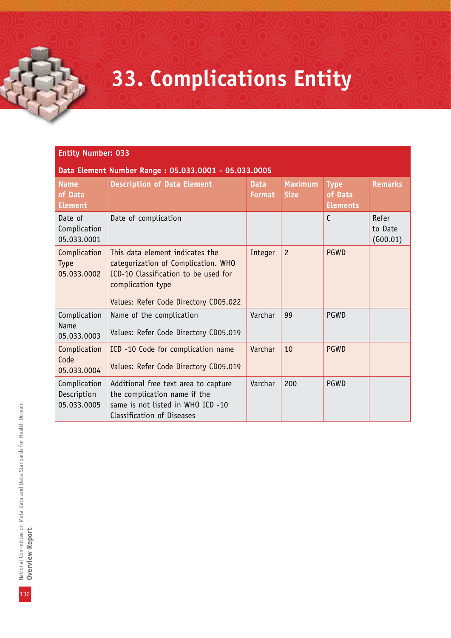## **33. Complications Entity**

#### **Entity Number: 033**

| <b>Name</b><br>of Data<br><b>Element</b>   | <b>Description of Data Element</b>                                                                                                                                           | <b>Data</b><br><b>Format</b> | <b>Maximum</b><br><b>Size</b> | <b>Type</b><br>of Data<br><b>Elements</b> | <b>Remarks</b>               |
|--------------------------------------------|------------------------------------------------------------------------------------------------------------------------------------------------------------------------------|------------------------------|-------------------------------|-------------------------------------------|------------------------------|
| Date of<br>Complication<br>05.033.0001     | Date of complication                                                                                                                                                         |                              |                               | $\mathsf{C}$                              | Refer<br>to Date<br>(600.01) |
| Complication<br><b>Type</b><br>05.033.0002 | This data element indicates the<br>categorization of Complication. WHO<br>ICD-10 Classification to be used for<br>complication type<br>Values: Refer Code Directory CD05.022 | Integer                      | $\overline{c}$                | <b>PGWD</b>                               |                              |
| Complication<br><b>Name</b><br>05.033.0003 | Name of the complication<br>Values: Refer Code Directory CD05.019                                                                                                            | Varchar                      | 99                            | <b>PGWD</b>                               |                              |
| Complication<br>Code<br>05.033.0004        | ICD -10 Code for complication name<br>Values: Refer Code Directory CD05.019                                                                                                  | Varchar                      | 10                            | <b>PGWD</b>                               |                              |
| Complication<br>Description<br>05.033.0005 | Additional free text area to capture<br>the complication name if the<br>same is not listed in WHO ICD -10<br>Classification of Diseases                                      | Varchar                      | 200                           | PGWD                                      |                              |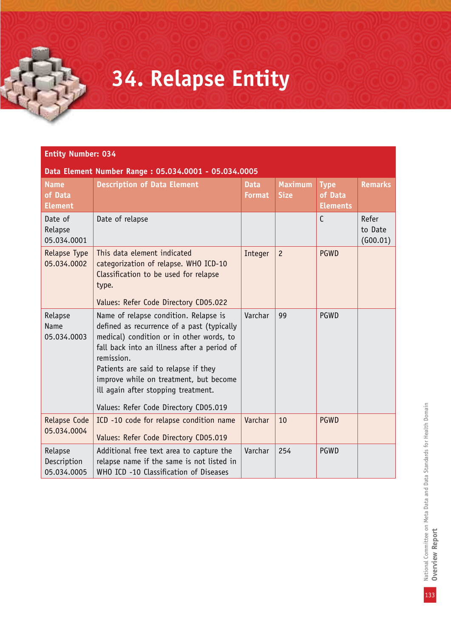## **34. Relapse Entity**

### **Entity Number: 034**

| <b>Name</b><br>of Data<br><b>Element</b> | <b>Description of Data Element</b>                                                                                                                                                                                                                                                                                                                             | <b>Data</b><br><b>Format</b> | <b>Maximum</b><br><b>Size</b> | <b>Type</b><br>of Data<br><b>Elements</b> | <b>Remarks</b>               |
|------------------------------------------|----------------------------------------------------------------------------------------------------------------------------------------------------------------------------------------------------------------------------------------------------------------------------------------------------------------------------------------------------------------|------------------------------|-------------------------------|-------------------------------------------|------------------------------|
| Date of<br>Relapse<br>05.034.0001        | Date of relapse                                                                                                                                                                                                                                                                                                                                                |                              |                               | $\mathsf{C}$                              | Refer<br>to Date<br>(600.01) |
| Relapse Type<br>05.034.0002              | This data element indicated<br>categorization of relapse. WHO ICD-10<br>Classification to be used for relapse<br>type.<br>Values: Refer Code Directory CD05.022                                                                                                                                                                                                | Integer                      | $\overline{c}$                | <b>PGWD</b>                               |                              |
| Relapse<br>Name<br>05.034.0003           | Name of relapse condition. Relapse is<br>defined as recurrence of a past (typically<br>medical) condition or in other words, to<br>fall back into an illness after a period of<br>remission.<br>Patients are said to relapse if they<br>improve while on treatment, but become<br>ill again after stopping treatment.<br>Values: Refer Code Directory CD05.019 | Varchar                      | 99                            | PGWD                                      |                              |
| Relapse Code<br>05.034.0004              | ICD -10 code for relapse condition name<br>Values: Refer Code Directory CD05.019                                                                                                                                                                                                                                                                               | Varchar                      | 10                            | <b>PGWD</b>                               |                              |
| Relapse<br>Description<br>05.034.0005    | Additional free text area to capture the<br>relapse name if the same is not listed in<br>WHO ICD -10 Classification of Diseases                                                                                                                                                                                                                                | Varchar                      | 254                           | PGWD                                      |                              |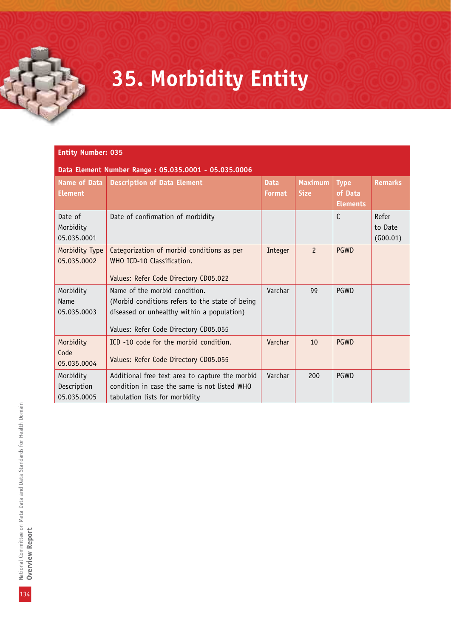## **35. Morbidity Entity**

#### **Entity Number: 035**

| Data Element Number Range: 05.035.0001 - 05.035.0006 |                                                                                                                                                                         |                       |                               |                                           |                              |  |  |
|------------------------------------------------------|-------------------------------------------------------------------------------------------------------------------------------------------------------------------------|-----------------------|-------------------------------|-------------------------------------------|------------------------------|--|--|
| <b>Name of Data</b><br><b>Element</b>                | <b>Description of Data Element</b>                                                                                                                                      | <b>Data</b><br>Format | <b>Maximum</b><br><b>Size</b> | <b>Type</b><br>of Data<br><b>Elements</b> | <b>Remarks</b>               |  |  |
| Date of<br>Morbidity<br>05.035.0001                  | Date of confirmation of morbidity                                                                                                                                       |                       |                               | $\mathsf{C}$                              | Refer<br>to Date<br>(600.01) |  |  |
| Morbidity Type<br>05.035.0002                        | Categorization of morbid conditions as per<br>WHO ICD-10 Classification.<br>Values: Refer Code Directory CD05.022                                                       | Integer               | $\overline{c}$                | PGWD                                      |                              |  |  |
| Morbidity<br>Name<br>05.035.0003                     | Name of the morbid condition.<br>(Morbid conditions refers to the state of being<br>diseased or unhealthy within a population)<br>Values: Refer Code Directory CD05.055 | Varchar               | 99                            | PGWD                                      |                              |  |  |
| Morbidity<br>Code<br>05.035.0004                     | ICD -10 code for the morbid condition.<br>Values: Refer Code Directory CD05.055                                                                                         | Varchar               | 10                            | PGWD                                      |                              |  |  |
| Morbidity<br>Description<br>05.035.0005              | Additional free text area to capture the morbid<br>condition in case the same is not listed WHO<br>tabulation lists for morbidity                                       | Varchar               | 200                           | PGWD                                      |                              |  |  |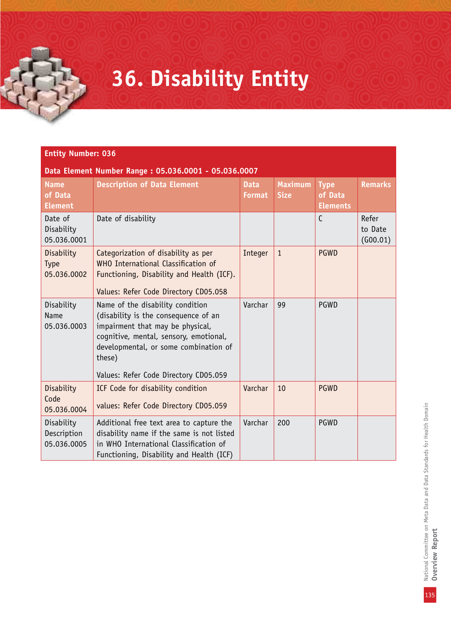# **36. Disability Entity**

#### **Entity Number: 036**

| <b>Name</b><br>of Data<br><b>Element</b> | <b>Description of Data Element</b>                                                                                                                                                                                                                 | <b>Data</b><br><b>Format</b> | <b>Maximum</b><br><b>Size</b> | <b>Type</b><br>of Data<br><b>Elements</b> | <b>Remarks</b>               |
|------------------------------------------|----------------------------------------------------------------------------------------------------------------------------------------------------------------------------------------------------------------------------------------------------|------------------------------|-------------------------------|-------------------------------------------|------------------------------|
| Date of<br>Disability<br>05.036.0001     | Date of disability                                                                                                                                                                                                                                 |                              |                               | $\mathsf{C}$                              | Refer<br>to Date<br>(600.01) |
| Disability<br>Type<br>05.036.0002        | Categorization of disability as per<br>WHO International Classification of<br>Functioning, Disability and Health (ICF).<br>Values: Refer Code Directory CD05.058                                                                                   | Integer                      | $\mathbf{1}$                  | <b>PGWD</b>                               |                              |
| Disability<br>Name<br>05.036.0003        | Name of the disability condition<br>(disability is the consequence of an<br>impairment that may be physical,<br>cognitive, mental, sensory, emotional,<br>developmental, or some combination of<br>these)<br>Values: Refer Code Directory CD05.059 | Varchar                      | 99                            | PGWD                                      |                              |
| Disability<br>Code<br>05.036.0004        | ICF Code for disability condition<br>values: Refer Code Directory CD05.059                                                                                                                                                                         | Varchar                      | 10                            | <b>PGWD</b>                               |                              |
| Disability<br>Description<br>05.036.0005 | Additional free text area to capture the<br>disability name if the same is not listed<br>in WHO International Classification of<br>Functioning, Disability and Health (ICF)                                                                        | Varchar                      | 200                           | <b>PGWD</b>                               |                              |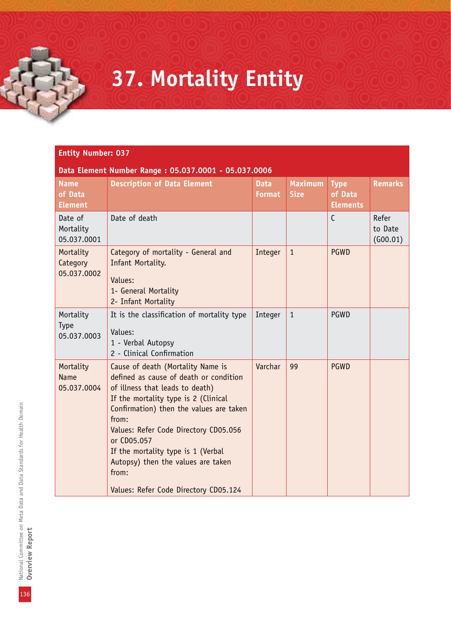## **37. Mortality Entity**

#### **Entity Number: 037**

| <b>Name</b><br>of Data<br><b>Element</b> | <b>Description of Data Element</b>                                                                                                                                                                                                                                                                                                                                                               | <b>Data</b><br>Format | <b>Maximum</b><br><b>Size</b> | <b>Type</b><br>of Data<br><b>Elements</b> | <b>Remarks</b>               |
|------------------------------------------|--------------------------------------------------------------------------------------------------------------------------------------------------------------------------------------------------------------------------------------------------------------------------------------------------------------------------------------------------------------------------------------------------|-----------------------|-------------------------------|-------------------------------------------|------------------------------|
| Date of<br>Mortality<br>05.037.0001      | Date of death                                                                                                                                                                                                                                                                                                                                                                                    |                       |                               | $\mathsf{C}$                              | Refer<br>to Date<br>(600.01) |
| Mortality<br>Category<br>05.037.0002     | Category of mortality - General and<br>Infant Mortality.<br>Values:<br>1- General Mortality<br>2- Infant Mortality                                                                                                                                                                                                                                                                               | Integer               | $\mathbf{1}$                  | <b>PGWD</b>                               |                              |
| Mortality<br>Type<br>05.037.0003         | It is the classification of mortality type<br>Values:<br>1 - Verbal Autopsy<br>2 - Clinical Confirmation                                                                                                                                                                                                                                                                                         | Integer               | $\mathbf{1}$                  | PGWD                                      |                              |
| Mortality<br><b>Name</b><br>05.037.0004  | Cause of death (Mortality Name is<br>defined as cause of death or condition<br>of illness that leads to death)<br>If the mortality type is 2 (Clinical<br>Confirmation) then the values are taken<br>from:<br>Values: Refer Code Directory CD05.056<br>or CD05.057<br>If the mortality type is 1 (Verbal<br>Autopsy) then the values are taken<br>from:<br>Values: Refer Code Directory CD05.124 | Varchar               | 99                            | <b>PGWD</b>                               |                              |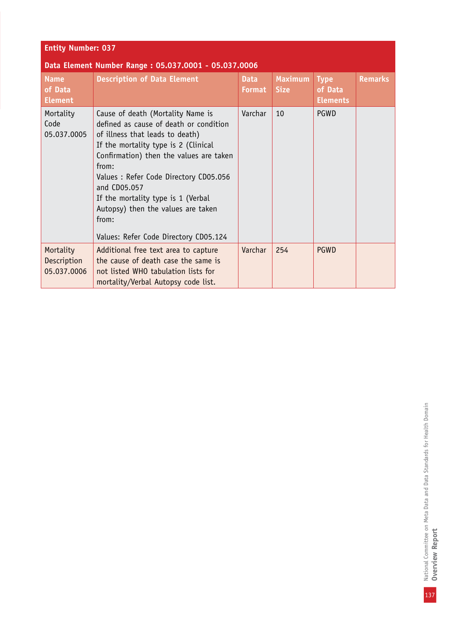| <b>Entity Number: 037</b>                            |                                                                                                                                                                                                                                                                                                                                                                                                   |                              |                               |                                           |                |  |  |
|------------------------------------------------------|---------------------------------------------------------------------------------------------------------------------------------------------------------------------------------------------------------------------------------------------------------------------------------------------------------------------------------------------------------------------------------------------------|------------------------------|-------------------------------|-------------------------------------------|----------------|--|--|
| Data Element Number Range: 05.037.0001 - 05.037.0006 |                                                                                                                                                                                                                                                                                                                                                                                                   |                              |                               |                                           |                |  |  |
| <b>Name</b><br>of Data<br><b>Element</b>             | <b>Description of Data Element</b>                                                                                                                                                                                                                                                                                                                                                                | <b>Data</b><br><b>Format</b> | <b>Maximum</b><br><b>Size</b> | <b>Type</b><br>of Data<br><b>Elements</b> | <b>Remarks</b> |  |  |
| Mortality<br>Code<br>05.037.0005                     | Cause of death (Mortality Name is<br>defined as cause of death or condition<br>of illness that leads to death)<br>If the mortality type is 2 (Clinical<br>Confirmation) then the values are taken<br>from:<br>Values: Refer Code Directory CD05.056<br>and CD05.057<br>If the mortality type is 1 (Verbal<br>Autopsy) then the values are taken<br>from:<br>Values: Refer Code Directory CD05.124 | Varchar                      | 10                            | PGWD                                      |                |  |  |
| Mortality<br>Description<br>05.037.0006              | Additional free text area to capture<br>the cause of death case the same is<br>not listed WHO tabulation lists for<br>mortality/Verbal Autopsy code list.                                                                                                                                                                                                                                         | Varchar                      | 254                           | <b>PGWD</b>                               |                |  |  |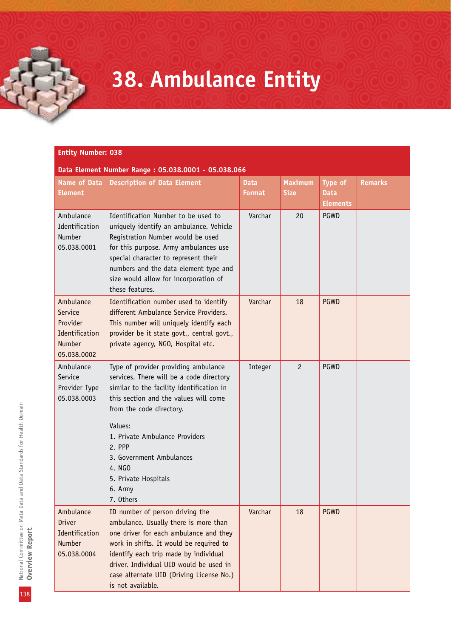## **38. Ambulance Entity**

#### **Entity Number: 038**

| Data Element Number Range: 05.038.0001 - 05.038.066                                |                                                                                                                                                                                                                                                                                                                                                 |                              |                               |                                           |                |  |
|------------------------------------------------------------------------------------|-------------------------------------------------------------------------------------------------------------------------------------------------------------------------------------------------------------------------------------------------------------------------------------------------------------------------------------------------|------------------------------|-------------------------------|-------------------------------------------|----------------|--|
| <b>Name of Data</b><br><b>Element</b>                                              | <b>Description of Data Element</b>                                                                                                                                                                                                                                                                                                              | <b>Data</b><br><b>Format</b> | <b>Maximum</b><br><b>Size</b> | Type of<br><b>Data</b><br><b>Elements</b> | <b>Remarks</b> |  |
| Ambulance<br>Identification<br>Number<br>05.038.0001                               | Identification Number to be used to<br>uniquely identify an ambulance. Vehicle<br>Registration Number would be used<br>for this purpose. Army ambulances use<br>special character to represent their<br>numbers and the data element type and<br>size would allow for incorporation of<br>these features.                                       | Varchar                      | 20                            | PGWD                                      |                |  |
| Ambulance<br>Service<br>Provider<br>Identification<br><b>Number</b><br>05.038.0002 | Identification number used to identify<br>different Ambulance Service Providers.<br>This number will uniquely identify each<br>provider be it state govt., central govt.,<br>private agency, NGO, Hospital etc.                                                                                                                                 | Varchar                      | 18                            | <b>PGWD</b>                               |                |  |
| Ambulance<br>Service<br>Provider Type<br>05.038.0003                               | Type of provider providing ambulance<br>services. There will be a code directory<br>similar to the facility identification in<br>this section and the values will come<br>from the code directory.<br>Values:<br>1. Private Ambulance Providers<br>2. PPP<br>3. Government Ambulances<br>4. NGO<br>5. Private Hospitals<br>6. Army<br>7. Others | Integer                      | $\overline{c}$                | PGWD                                      |                |  |
| Ambulance<br><b>Driver</b><br>Identification<br>Number<br>05.038.0004              | ID number of person driving the<br>ambulance. Usually there is more than<br>one driver for each ambulance and they<br>work in shifts. It would be required to<br>identify each trip made by individual<br>driver. Individual UID would be used in<br>case alternate UID (Driving License No.)<br>is not available.                              | Varchar                      | 18                            | <b>PGWD</b>                               |                |  |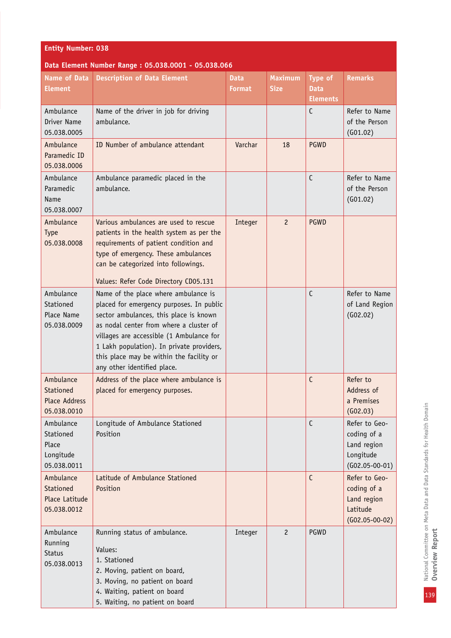| <b>Name of Data</b><br><b>Element</b>                          | <b>Description of Data Element</b>                                                                                                                                                                                                                                                                | <b>Data</b><br><b>Format</b> | <b>Maximum</b><br><b>Size</b> | <b>Type of</b><br><b>Data</b><br><b>Elements</b> | <b>Remarks</b>                                                               |
|----------------------------------------------------------------|---------------------------------------------------------------------------------------------------------------------------------------------------------------------------------------------------------------------------------------------------------------------------------------------------|------------------------------|-------------------------------|--------------------------------------------------|------------------------------------------------------------------------------|
| Ambulance<br>Driver Name<br>05.038.0005                        | Name of the driver in job for driving<br>ambulance.                                                                                                                                                                                                                                               |                              |                               | $\mathsf{C}$                                     | Refer to Name<br>of the Person<br>(G01.02)                                   |
| Ambulance<br>Paramedic ID<br>05.038.0006                       | ID Number of ambulance attendant                                                                                                                                                                                                                                                                  | Varchar                      | 18                            | PGWD                                             |                                                                              |
| Ambulance<br>Paramedic<br>Name<br>05.038.0007                  | Ambulance paramedic placed in the<br>ambulance.                                                                                                                                                                                                                                                   |                              |                               | $\mathsf{C}$                                     | Refer to Name<br>of the Person<br>(G01.02)                                   |
| Ambulance<br><b>Type</b><br>05.038.0008                        | Various ambulances are used to rescue<br>patients in the health system as per the<br>requirements of patient condition and<br>type of emergency. These ambulances<br>can be categorized into followings.                                                                                          | Integer                      | $\overline{c}$                | <b>PGWD</b>                                      |                                                                              |
| Ambulance                                                      | Values: Refer Code Directory CD05.131<br>Name of the place where ambulance is                                                                                                                                                                                                                     |                              |                               | C                                                | Refer to Name                                                                |
| Stationed<br>Place Name<br>05.038.0009                         | placed for emergency purposes. In public<br>sector ambulances, this place is known<br>as nodal center from where a cluster of<br>villages are accessible (1 Ambulance for<br>1 Lakh population). In private providers,<br>this place may be within the facility or<br>any other identified place. |                              |                               |                                                  | of Land Region<br>(G02.02)                                                   |
| Ambulance<br>Stationed<br><b>Place Address</b><br>05.038.0010  | Address of the place where ambulance is<br>placed for emergency purposes.                                                                                                                                                                                                                         |                              |                               | C                                                | Refer to<br>Address of<br>a Premises<br>(602.03)                             |
| Ambulance<br>Stationed<br>Place<br>Longitude<br>05.038.0011    | Longitude of Ambulance Stationed<br>Position                                                                                                                                                                                                                                                      |                              |                               | $\mathsf{C}$                                     | Refer to Geo-<br>coding of a<br>Land region<br>Longitude<br>$(G02.05-00-01)$ |
| Ambulance<br><b>Stationed</b><br>Place Latitude<br>05.038.0012 | Latitude of Ambulance Stationed<br>Position                                                                                                                                                                                                                                                       |                              |                               | $\mathsf{C}$                                     | Refer to Geo-<br>coding of a<br>Land region<br>Latitude<br>$(G02.05-00-02)$  |
| Ambulance<br>Running<br><b>Status</b><br>05.038.0013           | Running status of ambulance.<br>Values:<br>1. Stationed<br>2. Moving, patient on board,<br>3. Moving, no patient on board<br>4. Waiting, patient on board<br>5. Waiting, no patient on board                                                                                                      | Integer                      | $\overline{c}$                | PGWD                                             |                                                                              |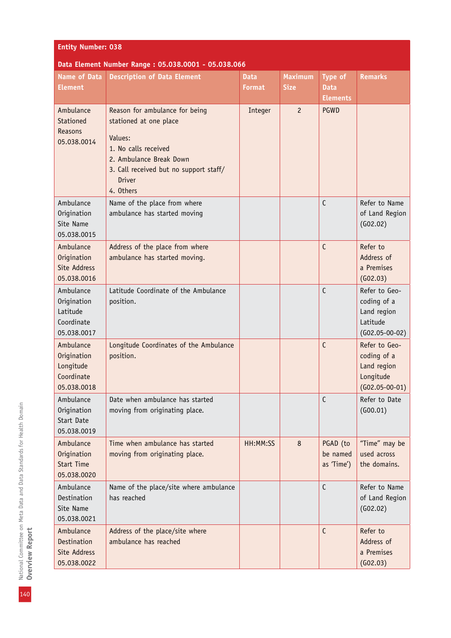| <b>Name of Data</b><br><b>Element</b>                              | <b>Description of Data Element</b>                                                                                                                                                             | <b>Data</b><br>Format | <b>Maximum</b><br><b>Size</b> | <b>Type of</b><br><b>Data</b><br><b>Elements</b> | <b>Remarks</b>                                                               |
|--------------------------------------------------------------------|------------------------------------------------------------------------------------------------------------------------------------------------------------------------------------------------|-----------------------|-------------------------------|--------------------------------------------------|------------------------------------------------------------------------------|
| Ambulance<br>Stationed<br>Reasons<br>05.038.0014                   | Reason for ambulance for being<br>stationed at one place<br>Values:<br>1. No calls received<br>2. Ambulance Break Down<br>3. Call received but no support staff/<br><b>Driver</b><br>4. Others | Integer               | $\overline{c}$                | <b>PGWD</b>                                      |                                                                              |
| Ambulance<br>Origination<br>Site Name<br>05.038.0015               | Name of the place from where<br>ambulance has started moving                                                                                                                                   |                       |                               | $\mathsf{C}$                                     | Refer to Name<br>of Land Region<br>(602.02)                                  |
| Ambulance<br>Origination<br>Site Address<br>05.038.0016            | Address of the place from where<br>ambulance has started moving.                                                                                                                               |                       |                               | $\mathsf{C}$                                     | Refer to<br>Address of<br>a Premises<br>(602.03)                             |
| Ambulance<br>Origination<br>Latitude<br>Coordinate<br>05.038.0017  | Latitude Coordinate of the Ambulance<br>position.                                                                                                                                              |                       |                               | $\mathsf{C}$                                     | Refer to Geo-<br>coding of a<br>Land region<br>Latitude<br>$(G02.05-00-02)$  |
| Ambulance<br>Origination<br>Longitude<br>Coordinate<br>05.038.0018 | Longitude Coordinates of the Ambulance<br>position.                                                                                                                                            |                       |                               | $\mathsf{C}$                                     | Refer to Geo-<br>coding of a<br>Land region<br>Longitude<br>$(G02.05-00-01)$ |
| Ambulance<br>Origination<br>Start Date<br>05.038.0019              | Date when ambulance has started<br>moving from originating place.                                                                                                                              |                       |                               | $\mathsf{C}$                                     | Refer to Date<br>(600.01)                                                    |
| Ambulance<br>Origination<br><b>Start Time</b><br>05.038.0020       | Time when ambulance has started<br>moving from originating place.                                                                                                                              | HH:MM:SS              | 8                             | PGAD (to<br>be named<br>as 'Time')               | "Time" may be<br>used across<br>the domains.                                 |
| Ambulance<br>Destination<br>Site Name<br>05.038.0021               | Name of the place/site where ambulance<br>has reached                                                                                                                                          |                       |                               | $\mathsf{C}$                                     | Refer to Name<br>of Land Region<br>(602.02)                                  |
| Ambulance<br>Destination<br>Site Address<br>05.038.0022            | Address of the place/site where<br>ambulance has reached                                                                                                                                       |                       |                               | $\mathsf{C}$                                     | Refer to<br>Address of<br>a Premises<br>(602.03)                             |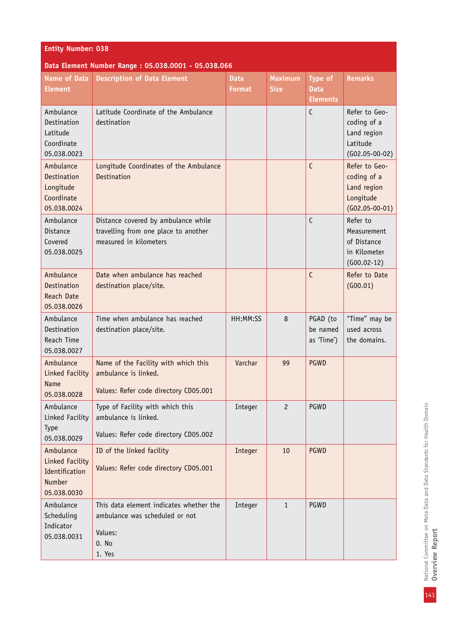| <b>Entity Number: 038</b> |  |
|---------------------------|--|
|                           |  |
|                           |  |

| <b>Name of Data</b><br><b>Element</b>                                   | <b>Description of Data Element</b>                                                                      | <b>Data</b><br><b>Format</b> | <b>Maximum</b><br><b>Size</b> | Type of<br><b>Data</b><br><b>Elements</b> | <b>Remarks</b>                                                               |
|-------------------------------------------------------------------------|---------------------------------------------------------------------------------------------------------|------------------------------|-------------------------------|-------------------------------------------|------------------------------------------------------------------------------|
| Ambulance<br>Destination<br>Latitude<br>Coordinate<br>05.038.0023       | Latitude Coordinate of the Ambulance<br>destination                                                     |                              |                               | $\mathsf{C}$                              | Refer to Geo-<br>coding of a<br>Land region<br>Latitude<br>$(G02.05-00-02)$  |
| Ambulance<br>Destination<br>Longitude<br>Coordinate<br>05.038.0024      | Longitude Coordinates of the Ambulance<br>Destination                                                   |                              |                               | $\mathsf{C}$                              | Refer to Geo-<br>coding of a<br>Land region<br>Longitude<br>$(G02.05-00-01)$ |
| Ambulance<br>Distance<br>Covered<br>05.038.0025                         | Distance covered by ambulance while<br>travelling from one place to another<br>measured in kilometers   |                              |                               | $\mathsf{C}$                              | Refer to<br>Measurement<br>of Distance<br>in Kilometer<br>$(600.02 - 12)$    |
| Ambulance<br>Destination<br>Reach Date<br>05.038.0026                   | Date when ambulance has reached<br>destination place/site.                                              |                              |                               | $\mathsf{C}$                              | Refer to Date<br>(G00.01)                                                    |
| Ambulance<br>Destination<br>Reach Time<br>05.038.0027                   | Time when ambulance has reached<br>destination place/site.                                              | HH:MM:SS                     | 8                             | PGAD (to<br>be named<br>as 'Time')        | "Time" may be<br>used across<br>the domains.                                 |
| Ambulance<br>Linked Facility<br><b>Name</b><br>05.038.0028              | Name of the Facility with which this<br>ambulance is linked.<br>Values: Refer code directory CD05.001   | Varchar                      | 99                            | <b>PGWD</b>                               |                                                                              |
| Ambulance<br>Linked Facility<br>Type<br>05.038.0029                     | Type of Facility with which this<br>ambulance is linked.<br>Values: Refer code directory CD05.002       | Integer                      | 2                             | PGWD                                      |                                                                              |
| Ambulance<br>Linked Facility<br>Identification<br>Number<br>05.038.0030 | ID of the linked facility<br>Values: Refer code directory CD05.001                                      | Integer                      | 10                            | <b>PGWD</b>                               |                                                                              |
| Ambulance<br>Scheduling<br>Indicator<br>05.038.0031                     | This data element indicates whether the<br>ambulance was scheduled or not<br>Values:<br>0. No<br>1. Yes | Integer                      | $\mathbf{1}$                  | PGWD                                      |                                                                              |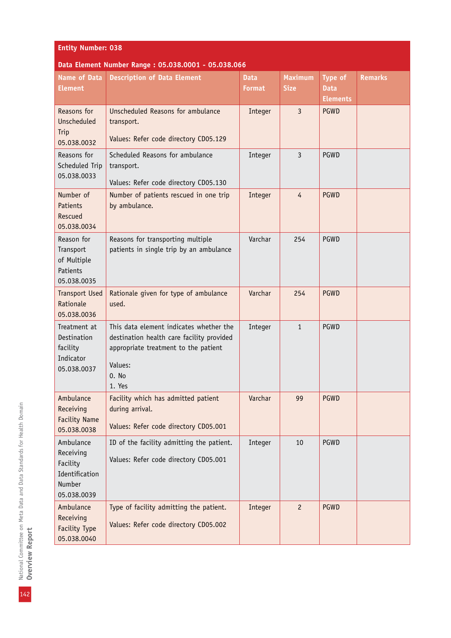| <b>Name of Data</b><br><b>Element</b>                                         | <b>Description of Data Element</b>                                                                                                                         | <b>Data</b><br><b>Format</b> | <b>Maximum</b><br><b>Size</b> | Type of<br><b>Data</b><br><b>Elements</b> | <b>Remarks</b> |
|-------------------------------------------------------------------------------|------------------------------------------------------------------------------------------------------------------------------------------------------------|------------------------------|-------------------------------|-------------------------------------------|----------------|
| Reasons for<br>Unscheduled<br>Trip<br>05.038.0032                             | Unscheduled Reasons for ambulance<br>transport.<br>Values: Refer code directory CD05.129                                                                   | Integer                      | $\overline{3}$                | <b>PGWD</b>                               |                |
| Reasons for<br>Scheduled Trip<br>05.038.0033                                  | Scheduled Reasons for ambulance<br>transport.<br>Values: Refer code directory CD05.130                                                                     | Integer                      | 3                             | PGWD                                      |                |
| Number of<br>Patients<br>Rescued<br>05.038.0034                               | Number of patients rescued in one trip<br>by ambulance.                                                                                                    | Integer                      | $\overline{4}$                | PGWD                                      |                |
| Reason for<br>Transport<br>of Multiple<br>Patients<br>05.038.0035             | Reasons for transporting multiple<br>patients in single trip by an ambulance                                                                               | Varchar                      | 254                           | PGWD                                      |                |
| <b>Transport Used</b><br>Rationale<br>05.038.0036                             | Rationale given for type of ambulance<br>used.                                                                                                             | Varchar                      | 254                           | <b>PGWD</b>                               |                |
| Treatment at<br>Destination<br>facility<br>Indicator<br>05.038.0037           | This data element indicates whether the<br>destination health care facility provided<br>appropriate treatment to the patient<br>Values:<br>0. No<br>1. Yes | Integer                      | $\mathbf{1}$                  | PGWD                                      |                |
| Ambulance<br>Receiving<br><b>Facility Name</b><br>05.038.0038                 | Facility which has admitted patient<br>during arrival.<br>Values: Refer code directory CD05.001                                                            | Varchar                      | 99                            | <b>PGWD</b>                               |                |
| Ambulance<br>Receiving<br>Facility<br>Identification<br>Number<br>05.038.0039 | ID of the facility admitting the patient.<br>Values: Refer code directory CD05.001                                                                         | Integer                      | 10                            | PGWD                                      |                |
| Ambulance<br>Receiving<br>Facility Type<br>05.038.0040                        | Type of facility admitting the patient.<br>Values: Refer code directory CD05.002                                                                           | Integer                      | $\overline{c}$                | PGWD                                      |                |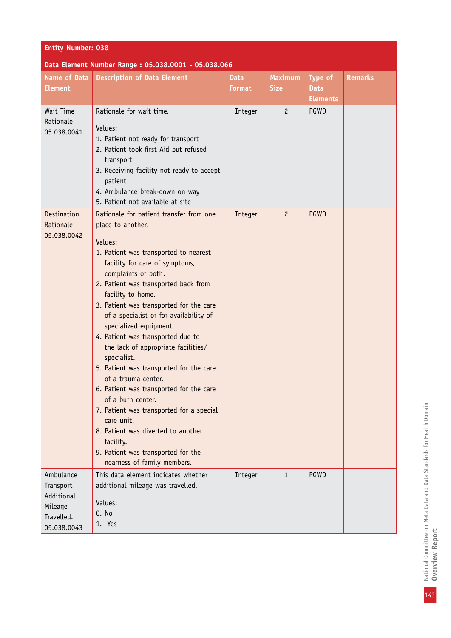| <b>Entity Number: 038</b>                                                    |                                                                                                                                                                                                                                                                                                                                                                                                                                                                                                                                                                                                                                                                                                                                                                      |                              |                               |                                           |                |  |  |  |
|------------------------------------------------------------------------------|----------------------------------------------------------------------------------------------------------------------------------------------------------------------------------------------------------------------------------------------------------------------------------------------------------------------------------------------------------------------------------------------------------------------------------------------------------------------------------------------------------------------------------------------------------------------------------------------------------------------------------------------------------------------------------------------------------------------------------------------------------------------|------------------------------|-------------------------------|-------------------------------------------|----------------|--|--|--|
| Data Element Number Range: 05.038.0001 - 05.038.066                          |                                                                                                                                                                                                                                                                                                                                                                                                                                                                                                                                                                                                                                                                                                                                                                      |                              |                               |                                           |                |  |  |  |
| <b>Name of Data</b><br><b>Element</b>                                        | <b>Description of Data Element</b>                                                                                                                                                                                                                                                                                                                                                                                                                                                                                                                                                                                                                                                                                                                                   | <b>Data</b><br><b>Format</b> | <b>Maximum</b><br><b>Size</b> | Type of<br><b>Data</b><br><b>Elements</b> | <b>Remarks</b> |  |  |  |
| Wait Time<br>Rationale<br>05.038.0041                                        | Rationale for wait time.<br>Values:<br>1. Patient not ready for transport<br>2. Patient took first Aid but refused<br>transport<br>3. Receiving facility not ready to accept<br>patient<br>4. Ambulance break-down on way<br>5. Patient not available at site                                                                                                                                                                                                                                                                                                                                                                                                                                                                                                        | Integer                      | $\overline{c}$                | PGWD                                      |                |  |  |  |
| Destination<br>Rationale<br>05.038.0042                                      | Rationale for patient transfer from one<br>place to another.<br>Values:<br>1. Patient was transported to nearest<br>facility for care of symptoms,<br>complaints or both.<br>2. Patient was transported back from<br>facility to home.<br>3. Patient was transported for the care<br>of a specialist or for availability of<br>specialized equipment.<br>4. Patient was transported due to<br>the lack of appropriate facilities/<br>specialist.<br>5. Patient was transported for the care<br>of a trauma center.<br>6. Patient was transported for the care<br>of a burn center.<br>7. Patient was transported for a special<br>care unit.<br>8. Patient was diverted to another<br>facility.<br>9. Patient was transported for the<br>nearness of family members. | Integer                      | $\overline{c}$                | <b>PGWD</b>                               |                |  |  |  |
| Ambulance<br>Transport<br>Additional<br>Mileage<br>Travelled.<br>05.038.0043 | This data element indicates whether<br>additional mileage was travelled.<br>Values:<br>0. No<br>1. Yes                                                                                                                                                                                                                                                                                                                                                                                                                                                                                                                                                                                                                                                               | Integer                      | $\mathbf{1}$                  | PGWD                                      |                |  |  |  |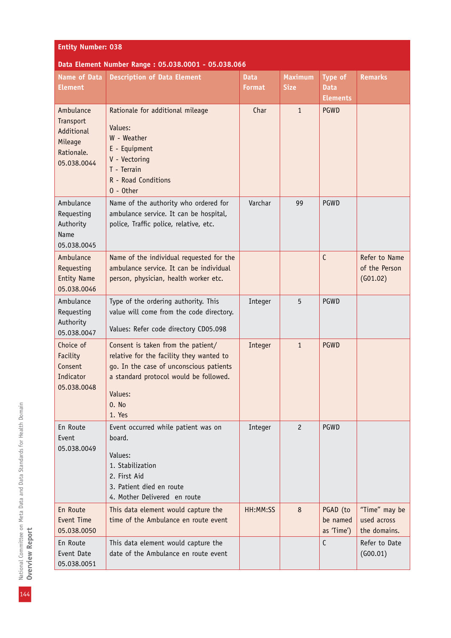| <b>Entity Number: 038</b>                                                    |                                                                                                                                                                                                   |                              |                               |                                    |                                              |  |  |  |
|------------------------------------------------------------------------------|---------------------------------------------------------------------------------------------------------------------------------------------------------------------------------------------------|------------------------------|-------------------------------|------------------------------------|----------------------------------------------|--|--|--|
| Data Element Number Range: 05.038.0001 - 05.038.066                          |                                                                                                                                                                                                   |                              |                               |                                    |                                              |  |  |  |
| <b>Name of Data</b><br><b>Element</b>                                        | <b>Description of Data Element</b>                                                                                                                                                                | <b>Data</b><br><b>Format</b> | <b>Maximum</b><br><b>Size</b> | Type of<br><b>Data</b>             | <b>Remarks</b>                               |  |  |  |
|                                                                              |                                                                                                                                                                                                   |                              |                               | <b>Elements</b>                    |                                              |  |  |  |
| Ambulance<br>Transport<br>Additional<br>Mileage<br>Rationale.<br>05.038.0044 | Rationale for additional mileage<br>Values:<br>W - Weather<br>E - Equipment<br>V - Vectoring<br>T - Terrain<br>R - Road Conditions<br>$0 - 0$ ther                                                | Char                         | $\mathbf{1}$                  | <b>PGWD</b>                        |                                              |  |  |  |
| Ambulance<br>Requesting<br>Authority<br>Name<br>05.038.0045                  | Name of the authority who ordered for<br>ambulance service. It can be hospital,<br>police, Traffic police, relative, etc.                                                                         | Varchar                      | 99                            | <b>PGWD</b>                        |                                              |  |  |  |
| Ambulance<br>Requesting<br><b>Entity Name</b><br>05.038.0046                 | Name of the individual requested for the<br>ambulance service. It can be individual<br>person, physician, health worker etc.                                                                      |                              |                               | $\mathsf{C}$                       | Refer to Name<br>of the Person<br>(G01.02)   |  |  |  |
| Ambulance<br>Requesting<br>Authority<br>05.038.0047                          | Type of the ordering authority. This<br>value will come from the code directory.<br>Values: Refer code directory CD05.098                                                                         | Integer                      | 5                             | PGWD                               |                                              |  |  |  |
| Choice of<br>Facility<br>Consent<br>Indicator<br>05.038.0048                 | Consent is taken from the patient/<br>relative for the facility they wanted to<br>go. In the case of unconscious patients<br>a standard protocol would be followed.<br>Values:<br>0. No<br>1. Yes | Integer                      | $\mathbf{1}$                  | PGWD                               |                                              |  |  |  |
| En Route<br>Event<br>05.038.0049                                             | Event occurred while patient was on<br>board.<br>Values:<br>1. Stabilization<br>2. First Aid<br>3. Patient died en route<br>4. Mother Delivered en route                                          | Integer                      | $\overline{2}$                | <b>PGWD</b>                        |                                              |  |  |  |
| En Route<br>Event Time<br>05.038.0050                                        | This data element would capture the<br>time of the Ambulance en route event                                                                                                                       | HH:MM:SS                     | 8                             | PGAD (to<br>be named<br>as 'Time') | "Time" may be<br>used across<br>the domains. |  |  |  |
| En Route<br>Event Date<br>05.038.0051                                        | This data element would capture the<br>date of the Ambulance en route event                                                                                                                       |                              |                               | $\mathsf{C}$                       | Refer to Date<br>(G00.01)                    |  |  |  |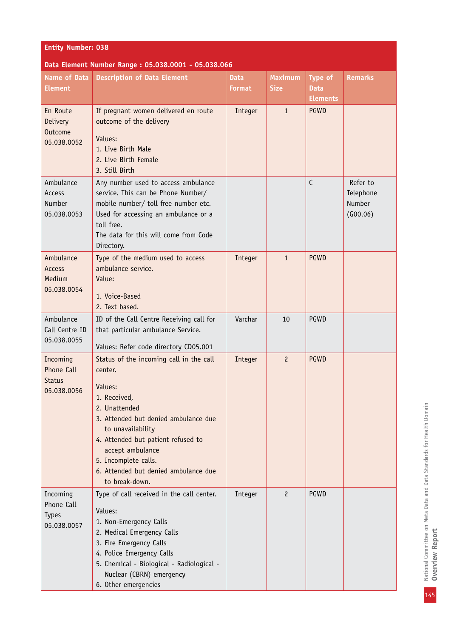| <b>Entity Number: 038</b> |
|---------------------------|
|---------------------------|

## **Data Element Number Range : 05.038.0001 - 05.038.066**

| <b>Name of Data</b><br><b>Element</b>                        | <b>Description of Data Element</b>                                                                                                                                                                                                                                                                      | <b>Data</b><br><b>Format</b> | <b>Maximum</b><br><b>Size</b> | Type of<br><b>Data</b><br><b>Elements</b> | <b>Remarks</b>                              |
|--------------------------------------------------------------|---------------------------------------------------------------------------------------------------------------------------------------------------------------------------------------------------------------------------------------------------------------------------------------------------------|------------------------------|-------------------------------|-------------------------------------------|---------------------------------------------|
| En Route<br><b>Delivery</b><br><b>Outcome</b><br>05.038.0052 | If pregnant women delivered en route<br>outcome of the delivery<br>Values:<br>1. Live Birth Male<br>2. Live Birth Female<br>3. Still Birth                                                                                                                                                              | Integer                      | $\mathbf{1}$                  | <b>PGWD</b>                               |                                             |
| Ambulance<br>Access<br>Number<br>05.038.0053                 | Any number used to access ambulance<br>service. This can be Phone Number/<br>mobile number/ toll free number etc.<br>Used for accessing an ambulance or a<br>toll free.<br>The data for this will come from Code<br>Directory.                                                                          |                              |                               | $\mathsf{C}$                              | Refer to<br>Telephone<br>Number<br>(G00.06) |
| Ambulance<br><b>Access</b><br>Medium<br>05.038.0054          | Type of the medium used to access<br>ambulance service.<br>Value:<br>1. Voice-Based<br>2. Text based.                                                                                                                                                                                                   | Integer                      | $\mathbf{1}$                  | <b>PGWD</b>                               |                                             |
| Ambulance<br>Call Centre ID<br>05.038.0055                   | ID of the Call Centre Receiving call for<br>that particular ambulance Service.<br>Values: Refer code directory CD05.001                                                                                                                                                                                 | Varchar                      | 10                            | PGWD                                      |                                             |
| Incoming<br>Phone Call<br><b>Status</b><br>05.038.0056       | Status of the incoming call in the call<br>center.<br>Values:<br>1. Received,<br>2. Unattended<br>3. Attended but denied ambulance due<br>to unavailability<br>4. Attended but patient refused to<br>accept ambulance<br>5. Incomplete calls.<br>6. Attended but denied ambulance due<br>to break-down. | Integer                      | $\overline{c}$                | <b>PGWD</b>                               |                                             |
| Incoming<br>Phone Call<br><b>Types</b><br>05.038.0057        | Type of call received in the call center.<br>Values:<br>1. Non-Emergency Calls<br>2. Medical Emergency Calls<br>3. Fire Emergency Calls<br>4. Police Emergency Calls<br>5. Chemical - Biological - Radiological -<br>Nuclear (CBRN) emergency<br>6. Other emergencies                                   | Integer                      | $\overline{c}$                | <b>PGWD</b>                               |                                             |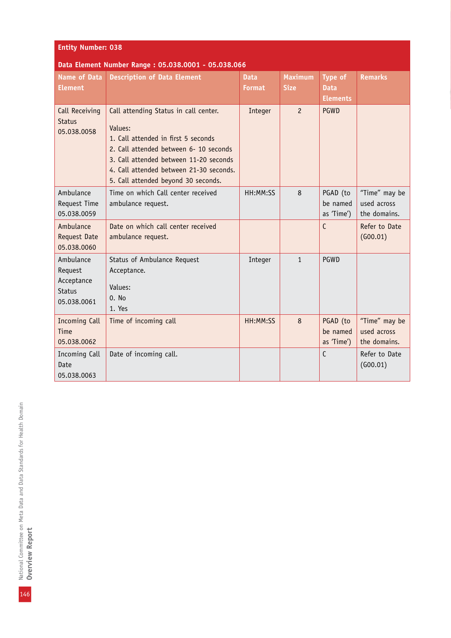| <b>Entity Number: 038</b>                                          |                                                                                                                                                                                                                                                               |                              |                               |                                           |                                              |  |
|--------------------------------------------------------------------|---------------------------------------------------------------------------------------------------------------------------------------------------------------------------------------------------------------------------------------------------------------|------------------------------|-------------------------------|-------------------------------------------|----------------------------------------------|--|
| Data Element Number Range: 05.038.0001 - 05.038.066                |                                                                                                                                                                                                                                                               |                              |                               |                                           |                                              |  |
| <b>Name of Data</b><br><b>Element</b>                              | <b>Description of Data Element</b>                                                                                                                                                                                                                            | <b>Data</b><br><b>Format</b> | <b>Maximum</b><br><b>Size</b> | Type of<br><b>Data</b><br><b>Elements</b> | <b>Remarks</b>                               |  |
| Call Receiving<br><b>Status</b><br>05.038.0058                     | Call attending Status in call center.<br>Values:<br>1. Call attended in first 5 seconds<br>2. Call attended between 6- 10 seconds<br>3. Call attended between 11-20 seconds<br>4. Call attended between 21-30 seconds.<br>5. Call attended beyond 30 seconds. | Integer                      | $\overline{c}$                | <b>PGWD</b>                               |                                              |  |
| Ambulance<br>Request Time<br>05.038.0059                           | Time on which Call center received<br>ambulance request.                                                                                                                                                                                                      | HH:MM:SS                     | 8                             | PGAD (to<br>be named<br>as 'Time')        | "Time" may be<br>used across<br>the domains. |  |
| Ambulance<br><b>Request Date</b><br>05.038.0060                    | Date on which call center received<br>ambulance request.                                                                                                                                                                                                      |                              |                               | $\mathsf{C}$                              | Refer to Date<br>(G00.01)                    |  |
| Ambulance<br>Request<br>Acceptance<br><b>Status</b><br>05.038.0061 | Status of Ambulance Request<br>Acceptance.<br>Values:<br>0. No<br>1. Yes                                                                                                                                                                                      | Integer                      | $\mathbf{1}$                  | PGWD                                      |                                              |  |
| <b>Incoming Call</b><br>Time<br>05.038.0062                        | Time of incoming call                                                                                                                                                                                                                                         | HH:MM:SS                     | 8                             | PGAD (to<br>be named<br>as 'Time')        | "Time" may be<br>used across<br>the domains. |  |
| Incoming Call<br>Date<br>05.038.0063                               | Date of incoming call.                                                                                                                                                                                                                                        |                              |                               | $\mathsf{C}$                              | Refer to Date<br>(G00.01)                    |  |